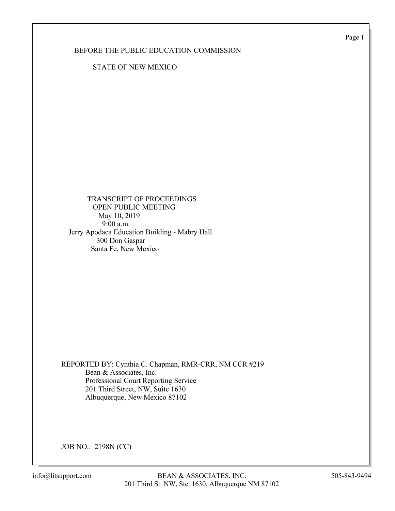Page 1

### BEFORE THE PUBLIC EDUCATION COMMISSION

STATE OF NEW MEXICO

 TRANSCRIPT OF PROCEEDINGS OPEN PUBLIC MEETING May 10, 2019 9:00 a.m. Jerry Apodaca Education Building - Mabry Hall 300 Don Gaspar Santa Fe, New Mexico

REPORTED BY: Cynthia C. Chapman, RMR-CRR, NM CCR #219 Bean & Associates, Inc. Professional Court Reporting Service 201 Third Street, NW, Suite 1630 Albuquerque, New Mexico 87102

JOB NO.: 2198N (CC)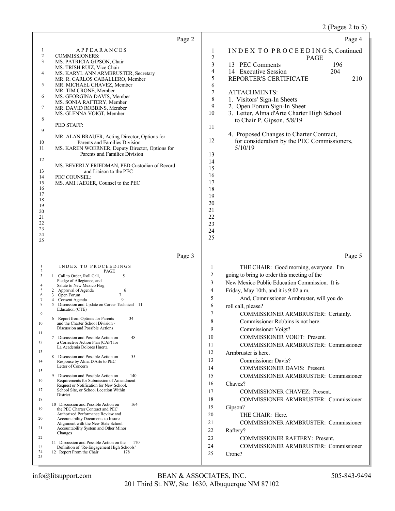# 2 (Pages 2 to 5)

| Page 2                                                                                                                                                                                                                                                                                                                                                                                                                                                                                                                                                                                                                                                                                                                                                                                                                                                                                                                                                                                                                                                                                                                                                                                                                                                                                                                                                                                           | Page 4                                                                                                                                                                                                                                                                                                                                                                                                                                                                                                                                                                                                                                                                                                                                                                                                                                                                                                                                                                                                                        |
|--------------------------------------------------------------------------------------------------------------------------------------------------------------------------------------------------------------------------------------------------------------------------------------------------------------------------------------------------------------------------------------------------------------------------------------------------------------------------------------------------------------------------------------------------------------------------------------------------------------------------------------------------------------------------------------------------------------------------------------------------------------------------------------------------------------------------------------------------------------------------------------------------------------------------------------------------------------------------------------------------------------------------------------------------------------------------------------------------------------------------------------------------------------------------------------------------------------------------------------------------------------------------------------------------------------------------------------------------------------------------------------------------|-------------------------------------------------------------------------------------------------------------------------------------------------------------------------------------------------------------------------------------------------------------------------------------------------------------------------------------------------------------------------------------------------------------------------------------------------------------------------------------------------------------------------------------------------------------------------------------------------------------------------------------------------------------------------------------------------------------------------------------------------------------------------------------------------------------------------------------------------------------------------------------------------------------------------------------------------------------------------------------------------------------------------------|
| $\mathbf{1}$<br><b>APPEARANCES</b><br>$\overline{c}$<br><b>COMMISSIONERS:</b><br>3<br>MS. PATRICIA GIPSON, Chair<br>MS. TRISH RUIZ, Vice Chair<br>MS. KARYL ANN ARMBRUSTER, Secretary<br>4<br>MR. R. CARLOS CABALLERO, Member<br>5<br>MR. MICHAEL CHAVEZ, Member<br>MR. TIM CRONE, Member<br>6<br>MS. GEORGINA DAVIS, Member<br>MS. SONIA RAFTERY, Member<br>7<br>MR. DAVID ROBBINS, Member<br>MS. GLENNA VOIGT, Member<br>8<br>PED STAFF:<br>9<br>MR. ALAN BRAUER, Acting Director, Options for<br>Parents and Families Division<br>10<br>MS. KAREN WOERNER, Deputy Director, Options for<br>11<br>Parents and Families Division<br>12<br>MS. BEVERLY FRIEDMAN, PED Custodian of Record<br>13<br>and Liaison to the PEC<br>14<br>PEC COUNSEL:<br>15<br>MS. AMI JAEGER, Counsel to the PEC<br>16<br>17<br>18<br>19<br>20<br>21<br>22<br>23<br>24<br>25                                                                                                                                                                                                                                                                                                                                                                                                                                                                                                                                           | INDEX TO PROCEEDINGS, Continued<br>1<br>$\overline{2}$<br><b>PAGE</b><br>3<br>13 PEC Comments<br>196<br>$\overline{4}$<br>14 Executive Session<br>204<br>5<br>REPORTER'S CERTIFICATE<br>210<br>6<br>$\boldsymbol{7}$<br>ATTACHMENTS:<br>$\,$ $\,$<br>1. Visitors' Sign-In Sheets<br>9<br>2. Open Forum Sign-In Sheet<br>10<br>3. Letter, Alma d'Arte Charter High School<br>to Chair P. Gipson, 5/8/19<br>11<br>4. Proposed Changes to Charter Contract,<br>12<br>for consideration by the PEC Commissioners,<br>5/10/19<br>13<br>14<br>15<br>16<br>17<br>18<br>19<br>20<br>21<br>22<br>23<br>24<br>25                                                                                                                                                                                                                                                                                                                                                                                                                        |
| Page 3                                                                                                                                                                                                                                                                                                                                                                                                                                                                                                                                                                                                                                                                                                                                                                                                                                                                                                                                                                                                                                                                                                                                                                                                                                                                                                                                                                                           | Page 5                                                                                                                                                                                                                                                                                                                                                                                                                                                                                                                                                                                                                                                                                                                                                                                                                                                                                                                                                                                                                        |
| INDEX TO PROCEEDINGS<br>1<br>$\overline{c}$<br>PAGE<br>3<br>1 Call to Order, Roll Call,<br>5<br>Pledge of Allegiance, and<br>4<br>Salute to New Mexico Flag<br>5<br>2 Approval of Agenda<br>6<br>7<br>6<br>Open Forum<br>3<br>9<br>7<br>Consent Agenda<br>$\overline{4}$<br>8<br>Discussion and Update on Career Technical 11<br>5<br>Education (CTE)<br>9<br>6 Report from Options for Parents<br>34<br>and the Charter School Division -<br>10<br>Discussion and Possible Actions<br>11<br>7 Discussion and Possible Action on<br>48<br>12<br>a Corrective Action Plan (CAP) for<br>La Academia Dolores Huerta<br>13<br>8<br>Discussion and Possible Action on<br>55<br>14<br>Response by Alma D'Arte to PEC<br>Letter of Concern<br>15<br>9<br>Discussion and Possible Action on<br>140<br>Requirements for Submission of Amendment<br>16<br>Request or Notification for New School,<br>17<br>School Site, or School Location Within<br>District<br>18<br>10 Discussion and Possible Action on<br>164<br>19<br>the PEC Charter Contract and PEC<br>Authorized Performance Review and<br>Accountability Documents to Insure<br>20<br>Alignment with the New State School<br>Accountability System and Other Minor<br>21<br>Changes<br>22<br>11 Discussion and Possible Action on the<br>170<br>Definition of "Re-Engagement High Schools"<br>23<br>24<br>12 Report From the Chair<br>178<br>25 | THE CHAIR: Good morning, everyone. I'm<br>1<br>$\overline{c}$<br>going to bring to order this meeting of the<br>3<br>New Mexico Public Education Commission. It is<br>$\overline{4}$<br>Friday, May 10th, and it is 9:02 a.m.<br>5<br>And, Commissioner Armbruster, will you do<br>6<br>roll call, please?<br>7<br>COMMISSIONER ARMBRUSTER: Certainly.<br>8<br>Commissioner Robbins is not here.<br>9<br>Commissioner Voigt?<br>COMMISSIONER VOIGT: Present.<br>10<br>11<br><b>COMMISSIONER ARMBRUSTER: Commissioner</b><br>12<br>Armbruster is here.<br>13<br><b>Commissioner Davis?</b><br>14<br><b>COMMISSIONER DAVIS: Present.</b><br>15<br><b>COMMISSIONER ARMBRUSTER: Commissioner</b><br>16<br>Chavez?<br>17<br>COMMISSIONER CHAVEZ: Present.<br>18<br>COMMISSIONER ARMBRUSTER: Commissioner<br>19<br>Gipson?<br>20<br>THE CHAIR: Here.<br>21<br><b>COMMISSIONER ARMBRUSTER: Commissioner</b><br>22<br>Raftery?<br>23<br>COMMISSIONER RAFTERY: Present.<br>24<br>COMMISSIONER ARMBRUSTER: Commissioner<br>25<br>Crone? |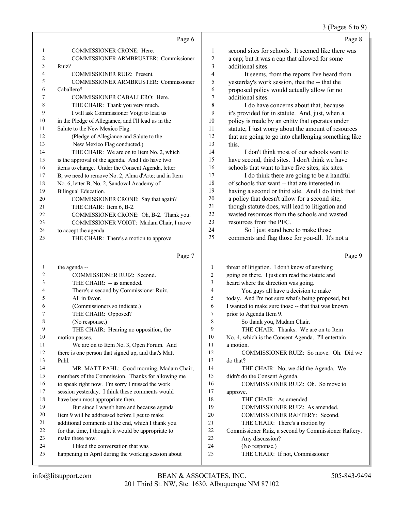#### 3 (Pages 6 to 9)

|                | Page 6                                               |                | Page 8                                               |
|----------------|------------------------------------------------------|----------------|------------------------------------------------------|
| 1              | <b>COMMISSIONER CRONE: Here.</b>                     | $\mathbf{1}$   | second sites for schools. It seemed like there was   |
| 2              | COMMISSIONER ARMBRUSTER: Commissioner                | 2              | a cap; but it was a cap that allowed for some        |
| 3              | Ruiz?                                                | 3              | additional sites.                                    |
| $\overline{4}$ | COMMISSIONER RUIZ: Present.                          | 4              | It seems, from the reports I've heard from           |
| 5              | COMMISSIONER ARMBRUSTER: Commissioner                | 5              | yesterday's work session, that the -- that the       |
| 6              | Caballero?                                           | 6              | proposed policy would actually allow for no          |
| 7              | COMMISSIONER CABALLERO: Here.                        | $\tau$         | additional sites.                                    |
| 8              | THE CHAIR: Thank you very much.                      | 8              | I do have concerns about that, because               |
| 9              | I will ask Commissioner Voigt to lead us             | 9              | it's provided for in statute. And, just, when a      |
| 10             | in the Pledge of Allegiance, and I'll lead us in the | 10             | policy is made by an entity that operates under      |
| 11             | Salute to the New Mexico Flag.                       | 11             | statute, I just worry about the amount of resources  |
| 12             | (Pledge of Allegiance and Salute to the              | 12             | that are going to go into challenging something like |
| 13             | New Mexico Flag conducted.)                          | 13             | this.                                                |
| 14             | THE CHAIR: We are on to Item No. 2, which            | 14             | I don't think most of our schools want to            |
| 15             | is the approval of the agenda. And I do have two     | 15             | have second, third sites. I don't think we have      |
| 16             | items to change. Under the Consent Agenda, letter    | 16             | schools that want to have five sites, six sites.     |
| 17             | B, we need to remove No. 2, Alma d'Arte; and in Item | 17             | I do think there are going to be a handful           |
| 18             | No. 6, letter B, No. 2, Sandoval Academy of          | 18             | of schools that want -- that are interested in       |
| 19             | Bilingual Education.                                 | 19             | having a second or third site. And I do think that   |
| 20             | COMMISSIONER CRONE: Say that again?                  | 20             | a policy that doesn't allow for a second site,       |
| 21             | THE CHAIR: Item 6, B-2.                              | 21             | though statute does, will lead to litigation and     |
| 22             | COMMISSIONER CRONE: Oh, B-2. Thank you.              | 22             | wasted resources from the schools and wasted         |
| 23             | COMMISSIONER VOIGT: Madam Chair, I move              | 23             | resources from the PEC.                              |
| 24             | to accept the agenda.                                | 24             | So I just stand here to make those                   |
| 25             | THE CHAIR: There's a motion to approve               | 25             | comments and flag those for you-all. It's not a      |
|                | Page 7                                               |                | Page 9                                               |
| 1              | the agenda --                                        | 1              | threat of litigation. I don't know of anything       |
| 2              | COMMISSIONER RUIZ: Second.                           | $\overline{c}$ | going on there. I just can read the statute and      |
| 3              | THE CHAIR: -- as amended.                            | 3              | heard where the direction was going.                 |
| 4              | There's a second by Commissioner Ruiz.               | 4              | You guys all have a decision to make                 |
| 5              | All in favor.                                        | 5              | today. And I'm not sure what's being proposed, but   |

6 I wanted to make sure those -- that that was known 7 prior to Agenda Item 9. 8 So thank you, Madam Chair.

9 THE CHAIR: Hearing no opposition, the 11 We are on to Item No. 3, Open Forum. And 12 there is one person that signed up, and that's Matt 14 MR. MATT PAHL: Good morning, Madam Chair, 15 members of the Commission. Thanks for allowing me 16 to speak right now. I'm sorry I missed the work 17 session yesterday. I think these comments would 18 have been most appropriate then. 19 But since I wasn't here and because agenda 20 Item 9 will be addressed before I get to make 21 additional comments at the end, which I thank you 22 for that time, I thought it would be appropriate to 24 I liked the conversation that was 25 happening in April during the working session about 9 THE CHAIR: Thanks. We are on to Item 10 No. 4, which is the Consent Agenda. I'll entertain 11 a motion. 12 COMMISSIONER RUIZ: So move. Oh. Did we 13 do that? 14 THE CHAIR: No, we did the Agenda. We 15 didn't do the Consent Agenda. 16 COMMISSIONER RUIZ: Oh. So move to 17 approve. 18 THE CHAIR: As amended. 19 COMMISSIONER RUIZ: As amended. 20 COMMISSIONER RAFTERY: Second. 21 THE CHAIR: There's a motion by<br>22 Commissioner Ruiz, a second by Commis Commissioner Ruiz, a second by Commissioner Raftery. 23 Any discussion? 24 (No response.) 25 THE CHAIR: If not, Commissioner

23 make these now.

6 (Commissioners so indicate.) 7 THE CHAIR: Opposed?

8 (No response.)

10 motion passes.

13 Pahl.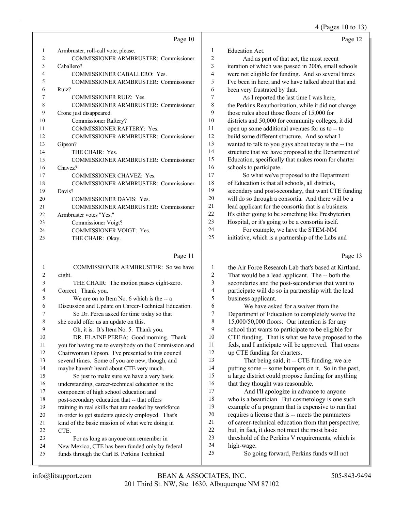#### 4 (Pages 10 to 13)

|                | Page 10                                      |    | Page 12                                              |
|----------------|----------------------------------------------|----|------------------------------------------------------|
| 1              | Armbruster, roll-call vote, please.          | 1  | Education Act.                                       |
| $\overline{c}$ | <b>COMMISSIONER ARMBRUSTER: Commissioner</b> | 2  | And as part of that act, the most recent             |
| 3              | Caballero?                                   | 3  | iteration of which was passed in 2006, small schools |
| 4              | <b>COMMISSIONER CABALLERO: Yes.</b>          | 4  | were not eligible for funding. And so several times  |
| 5              | <b>COMMISSIONER ARMBRUSTER: Commissioner</b> | 5  | I've been in here, and we have talked about that and |
| 6              | Ruiz?                                        | 6  | been very frustrated by that.                        |
| 7              | <b>COMMISSIONER RUIZ: Yes.</b>               | 7  | As I reported the last time I was here,              |
| 8              | <b>COMMISSIONER ARMBRUSTER: Commissioner</b> | 8  | the Perkins Reauthorization, while it did not change |
| 9              | Crone just disappeared.                      | 9  | those rules about those floors of 15,000 for         |
| 10             | Commissioner Raftery?                        | 10 | districts and 50,000 for community colleges, it did  |
| 11             | <b>COMMISSIONER RAFTERY: Yes.</b>            | 11 | open up some additional avenues for us to -- to      |
| 12             | <b>COMMISSIONER ARMBRUSTER: Commissioner</b> | 12 | build some different structure. And so what I        |
| 13             | Gipson?                                      | 13 | wanted to talk to you guys about today is the -- the |
| 14             | THE CHAIR: Yes.                              | 14 | structure that we have proposed to the Department of |
| 15             | <b>COMMISSIONER ARMBRUSTER: Commissioner</b> | 15 | Education, specifically that makes room for charter  |
| 16             | Chavez?                                      | 16 | schools to participate.                              |
| 17             | <b>COMMISSIONER CHAVEZ: Yes.</b>             | 17 | So what we've proposed to the Department             |
| 18             | <b>COMMISSIONER ARMBRUSTER: Commissioner</b> | 18 | of Education is that all schools, all districts,     |
| 19             | Davis?                                       | 19 | secondary and post-secondary, that want CTE funding  |
| 20             | <b>COMMISSIONER DAVIS: Yes.</b>              | 20 | will do so through a consortia. And there will be a  |
| 21             | COMMISSIONER ARMBRUSTER: Commissioner        | 21 | lead applicant for the consortia that is a business. |
| 22             | Armbruster votes "Yes."                      | 22 | It's either going to be something like Presbyterian  |
| 23             | Commissioner Voigt?                          | 23 | Hospital, or it's going to be a consortia itself.    |
| 24             | <b>COMMISSIONER VOIGT: Yes.</b>              | 24 | For example, we have the STEM-NM                     |
| 25             | THE CHAIR: Okay.                             | 25 | initiative, which is a partnership of the Labs and   |
|                |                                              |    |                                                      |

#### Page  $11$

| $\mathbf{1}$ | COMMISSIONER ARMBRUSTER: So we have                  |                          |
|--------------|------------------------------------------------------|--------------------------|
| 2            | eight.                                               | $\tilde{z}$              |
| 3            | THE CHAIR: The motion passes eight-zero.             | $\ddot{\cdot}$           |
| 4            | Correct. Thank you.                                  | $\overline{\phantom{a}}$ |
| 5            | We are on to Item No. 6 which is the -- a            | ŝ                        |
| 6            | Discussion and Update on Career-Technical Education. | $\epsilon$               |
| 7            | So Dr. Perea asked for time today so that            | 7                        |
| 8            | she could offer us an update on this.                | ş                        |
| 9            | Oh, it is. It's Item No. 5. Thank you.               | ç                        |
| 10           | DR. ELAINE PEREA: Good morning. Thank                | 10                       |
| 11           | you for having me to everybody on the Commission and | 11                       |
| 12           | Chairwoman Gipson. I've presented to this council    | 12                       |
| 13           | several times. Some of you are new, though, and      | 13                       |
| 14           | maybe haven't heard about CTE very much.             | 14                       |
| 15           | So just to make sure we have a very basic            | 1.                       |
| 16           | understanding, career-technical education is the     | 16                       |
| 17           | component of high school education and               | 17                       |
| 18           | post-secondary education that -- that offers         | 18                       |
| 19           | training in real skills that are needed by workforce | 19                       |
| 20           | in order to get students quickly employed. That's    | 2(                       |
| 21           | kind of the basic mission of what we're doing in     | 21                       |
| 22           | CTE.                                                 | 22                       |
| 23           | For as long as anyone can remember in                | 23                       |
| 24           | New Mexico, CTE has been funded only by federal      | 24                       |
| 25           | funds through the Carl B. Perkins Technical          | 2 <sup>2</sup>           |
|              |                                                      |                          |

the Air Force Research Lab that's based at Kirtland. That would be a lead applicant. The -- both the secondaries and the post-secondaries that want to participate will do so in partnership with the lead business applicant. We have asked for a waiver from the

Department of Education to completely waive the  $15,000/50,000$  floors. Our intention is for any school that wants to participate to be eligible for CTE funding. That is what we have proposed to the feds, and I anticipate will be approved. That opens up CTE funding for charters.

That being said, it -- CTE funding, we are putting some -- some bumpers on it. So in the past, a large district could propose funding for anything that they thought was reasonable.

And I'll apologize in advance to anyone who is a beautician. But cosmetology is one such example of a program that is expensive to run that requires a license that is -- meets the parameters of career-technical education from that perspective; but, in fact, it does not meet the most basic threshold of the Perkins V requirements, which is high-wage.

So going forward, Perkins funds will not

Page 13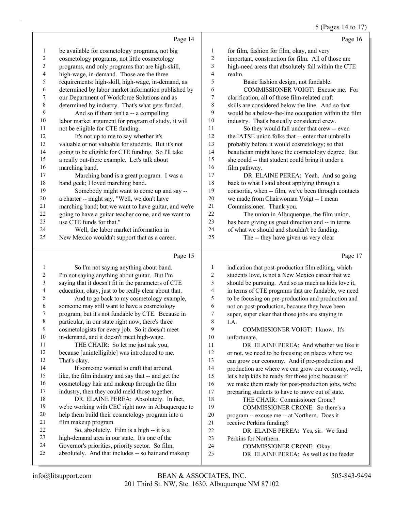# 5 (Pages 14 to 17)

|    | Page 14                                              |                | Page 16                                              |
|----|------------------------------------------------------|----------------|------------------------------------------------------|
| 1  | be available for cosmetology programs, not big       | 1              | for film, fashion for film, okay, and very           |
| 2  | cosmetology programs, not little cosmetology         | $\overline{c}$ | important, construction for film. All of those are   |
| 3  | programs, and only programs that are high-skill,     | 3              | high-need areas that absolutely fall within the CTE  |
| 4  | high-wage, in-demand. Those are the three            | 4              | realm.                                               |
| 5  | requirements: high-skill, high-wage, in-demand, as   | 5              | Basic fashion design, not fundable.                  |
| 6  | determined by labor market information published by  | 6              | COMMISSIONER VOIGT: Excuse me. For                   |
| 7  | our Department of Workforce Solutions and as         | 7              | clarification, all of those film-related craft       |
| 8  | determined by industry. That's what gets funded.     | 8              | skills are considered below the line. And so that    |
| 9  | And so if there isn't a -- a compelling              | 9              | would be a below-the-line occupation within the film |
| 10 | labor market argument for program of study, it will  | 10             | industry. That's basically considered crew.          |
| 11 | not be eligible for CTE funding.                     | 11             | So they would fall under that crew -- even           |
| 12 | It's not up to me to say whether it's                | 12             | the IATSE union folks that -- enter that umbrella    |
| 13 | valuable or not valuable for students. But it's not  | 13             | probably before it would cosmetology; so that        |
| 14 | going to be eligible for CTE funding. So I'll take   | 14             | beautician might have the cosmetology degree. But    |
| 15 | a really out-there example. Let's talk about         | 15             | she could -- that student could bring it under a     |
| 16 | marching band.                                       | 16             | film pathway.                                        |
| 17 | Marching band is a great program. I was a            | 17             | DR. ELAINE PEREA: Yeah. And so going                 |
| 18 | band geek; I loved marching band.                    | 18             | back to what I said about applying through a         |
| 19 | Somebody might want to come up and say --            | 19             | consortia, when -- film, we've been through contacts |
| 20 | a charter -- might say, "Well, we don't have         | 20             | we made from Chairwoman Voigt -- I mean              |
| 21 | marching band; but we want to have guitar, and we're | 21             | Commissioner. Thank you.                             |
| 22 | going to have a guitar teacher come, and we want to  | 22             | The union in Albuquerque, the film union,            |
| 23 | use CTE funds for that."                             | 23             | has been giving us great direction and -- in terms   |
| 24 | Well, the labor market information in                | 24             | of what we should and shouldn't be funding.          |
| 25 | New Mexico wouldn't support that as a career.        | 25             | The -- they have given us very clear                 |
|    | Page 15                                              |                | Page 17                                              |

# Page 15  $\vert$

| 1  | So I'm not saying anything about band.               | 1  | indication that post-production film editing, which |
|----|------------------------------------------------------|----|-----------------------------------------------------|
| 2  | I'm not saying anything about guitar. But I'm        | 2  | students love, is not a New Mexico career that we   |
| 3  | saying that it doesn't fit in the parameters of CTE  | 3  | should be pursuing. And so as much as kids love it, |
| 4  | education, okay, just to be really clear about that. | 4  | in terms of CTE programs that are fundable, we need |
| 5  | And to go back to my cosmetology example,            | 5  | to be focusing on pre-production and production and |
| 6  | someone may still want to have a cosmetology         | 6  | not on post-production, because they have been      |
| 7  | program; but it's not fundable by CTE. Because in    | 7  | super, super clear that those jobs are staying in   |
| 8  | particular, in our state right now, there's three    | 8  | LA.                                                 |
| 9  | cosmetologists for every job. So it doesn't meet     | 9  | COMMISSIONER VOIGT: I know. It's                    |
| 10 | in-demand, and it doesn't meet high-wage.            | 10 | unfortunate.                                        |
| 11 | THE CHAIR: So let me just ask you,                   | 11 | DR. ELAINE PEREA: And whether we like it            |
| 12 | because [unintelligible] was introduced to me.       | 12 | or not, we need to be focusing on places where we   |
| 13 | That's okay.                                         | 13 | can grow our economy. And if pre-production and     |
| 14 | If someone wanted to craft that around,              | 14 | production are where we can grow our economy, well, |
| 15 | like, the film industry and say that -- and get the  | 15 | let's help kids be ready for those jobs; because if |
| 16 | cosmetology hair and makeup through the film         | 16 | we make them ready for post-production jobs, we're  |
| 17 | industry, then they could meld those together.       | 17 | preparing students to have to move out of state.    |
| 18 | DR. ELAINE PEREA: Absolutely. In fact,               | 18 | THE CHAIR: Commissioner Crone?                      |
| 19 | we're working with CEC right now in Albuquerque to   | 19 | COMMISSIONER CRONE: So there's a                    |
| 20 | help them build their cosmetology program into a     | 20 | program -- excuse me -- at Northern. Does it        |
| 21 | film makeup program.                                 | 21 | receive Perkins funding?                            |
| 22 | So, absolutely. Film is a high -- it is a            | 22 | DR. ELAINE PEREA: Yes, sir. We fund                 |
| 23 | high-demand area in our state. It's one of the       | 23 | Perkins for Northern.                               |
| 24 | Governor's priorities, priority sector. So film,     | 24 | COMMISSIONER CRONE: Okay.                           |
| 25 | absolutely. And that includes -- so hair and makeup  | 25 | DR. ELAINE PEREA: As well as the feeder             |
|    |                                                      |    |                                                     |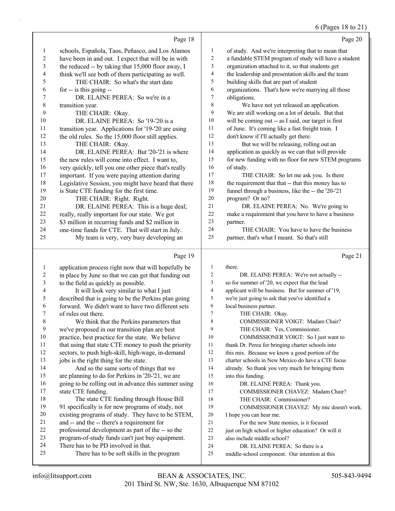#### 6 (Pages 18 to 21)

|                         |                                                      |                | ت- ۱۰                                                |
|-------------------------|------------------------------------------------------|----------------|------------------------------------------------------|
|                         | Page 18                                              |                | Page 20                                              |
| 1                       | schools, Española, Taos, Peñasco, and Los Alamos     | 1              | of study. And we're interpreting that to mean that   |
| 2                       | have been in and out. I expect that will be in with  | 2              | a fundable STEM program of study will have a student |
| $\overline{\mathbf{3}}$ | the reduced -- by taking that 15,000 floor away, I   | 3              | organization attached to it, so that students get    |
| 4                       | think we'll see both of them participating as well.  | 4              | the leadership and presentation skills and the team  |
| 5                       | THE CHAIR: So what's the start date                  | 5              | building skills that are part of student             |
| 6                       | for $-$ is this going $-$                            | 6              | organizations. That's how we're marrying all those   |
| 7                       | DR. ELAINE PEREA: So we're in a                      | 7              | obligations.                                         |
| 8                       | transition year.                                     | 8              | We have not yet released an application.             |
| 9                       | THE CHAIR: Okay.                                     | 9              | We are still working on a lot of details. But that   |
| 10                      | DR. ELAINE PEREA: So '19-'20 is a                    | 10             | will be coming out -- as I said, our target is first |
| 11                      | transition year. Applications for '19-'20 are using  | 11             | of June. It's coming like a fast freight train. I    |
| 12                      | the old rules. So the 15,000 floor still applies.    | 12             | don't know if I'll actually get there.               |
| 13                      | THE CHAIR: Okay.                                     | 13             | But we will be releasing, rolling out an             |
| 14                      | DR. ELAINE PEREA: But '20-'21 is where               | 14             | application as quickly as we can that will provide   |
| 15                      | the new rules will come into effect. I want to,      | 15             | for new funding with no floor for new STEM programs  |
| 16                      | very quickly, tell you one other piece that's really | 16             | of study.                                            |
| 17                      | important. If you were paying attention during       | 17             | THE CHAIR: So let me ask you. Is there               |
| 18                      | Legislative Session, you might have heard that there | 18             | the requirement that that -- that this money has to  |
| 19                      | is State CTE funding for the first time.             | 19             | funnel through a business, like the -- the '20-'21   |
| 20                      | THE CHAIR: Right. Right.                             | 20             | program? Or no?                                      |
| 21                      | DR. ELAINE PEREA: This is a huge deal;               | 21             | DR. ELAINE PEREA: No. We're going to                 |
| 22                      | really, really important for our state. We got       | 22             | make a requirement that you have to have a business  |
| 23                      | \$3 million in recurring funds and \$2 million in    | 23             | partner.                                             |
| 24                      | one-time funds for CTE. That will start in July.     | 24             | THE CHAIR: You have to have the business             |
| 25                      | My team is very, very busy developing an             | 25             | partner, that's what I meant. So that's still        |
|                         | Page 19                                              |                | Page 21                                              |
| $\mathbf{1}$            | application process right now that will hopefully be | $\mathbf{1}$   | there.                                               |
| 2                       | in place by June so that we can get that funding out | $\overline{c}$ | DR. ELAINE PEREA: We're not actually --              |
| 3                       | to the field as quickly as possible.                 | 3              | so for summer of '20, we expect that the lead        |

- 4 It will look very similar to what I just
- 5 described that is going to be the Perkins plan going
- 6 forward. We didn't want to have two different sets 7 of rules out there.
- 8 We think that the Perkins parameters that 9 we've proposed in our transition plan are best
- 10 practice, best practice for the state. We believe 11 that using that state CTE money to push the priority
- 12 sectors, to push high-skill, high-wage, in-demand
- 13 jobs is the right thing for the state. 14 And so the same sorts of things that we
- 15 are planning to do for Perkins in '20-'21, we are 16 going to be rolling out in advance this summer using 17 state CTE funding.
- 18 The state CTE funding through House Bill 19 91 specifically is for new programs of study, not 20 existing programs of study. They have to be STEM,
- 21 and -- and the -- there's a requirement for
- 22 professional development as part of the -- so the
- 23 program-of-study funds can't just buy equipment.
- 24 There has to be PD involved in that.
- 25 There has to be soft skills in the program
- 
- 4 applicant will be business. But for summer of '19,
- 5 we're just going to ask that you've identified a
- 6 local business partner.
- 7 THE CHAIR: Okay.
- 8 COMMISSIONER VOIGT: Madam Chair?
- 9 THE CHAIR: Yes, Commissioner.
- 10 COMMISSIONER VOIGT: So I just want to
- 11 thank Dr. Perea for bringing charter schools into
- 12 this mix. Because we know a good portion of the
- 13 charter schools in New Mexico do have a CTE focus
- 14 already. So thank you very much for bringing them
- 15 into this funding.
- 16 DR. ELAINE PEREA: Thank you.
- 17 COMMISSIONER CHAVEZ: Madam Chair?
- 18 THE CHAIR: Commissioner?
- 19 COMMISSIONER CHAVEZ: My mic doesn't work.
- 20 I hope you can hear me.
- 21 For the new State monies, is it focused
- 22 just on high school or higher education? Or will it
- 23 also include middle school?
- 24 DR. ELAINE PEREA: So there is a
- 25 middle-school component. Our intention at this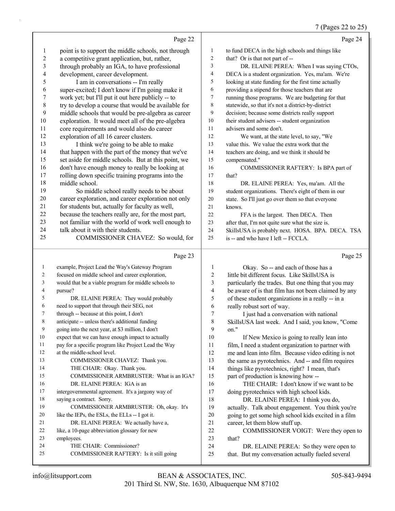#### 7 (Pages 22 to 25)

|              |                                                                                     |                     | $(1 \text{ gcs } 22 \text{ to } 20)$                                                        |
|--------------|-------------------------------------------------------------------------------------|---------------------|---------------------------------------------------------------------------------------------|
|              | Page 22                                                                             |                     | Page 24                                                                                     |
| 1            | point is to support the middle schools, not through                                 | $\mathbf{1}$        | to fund DECA in the high schools and things like                                            |
| 2            | a competitive grant application, but, rather,                                       | $\overline{c}$      | that? Or is that not part of --                                                             |
| 3            | through probably an IGA, to have professional                                       | 3                   | DR. ELAINE PEREA: When I was saying CTOs,                                                   |
| 4            | development, career development.                                                    | 4                   | DECA is a student organization. Yes, ma'am. We're                                           |
| 5            | I am in conversations -- I'm really                                                 | 5                   | looking at state funding for the first time actually                                        |
| 6            | super-excited; I don't know if I'm going make it                                    | 6                   | providing a stipend for those teachers that are                                             |
| 7            | work yet; but I'll put it out here publicly -- to                                   | $\boldsymbol{7}$    | running those programs. We are budgeting for that                                           |
| $\,$ $\,$    | try to develop a course that would be available for                                 | 8                   | statewide, so that it's not a district-by-district                                          |
| 9            | middle schools that would be pre-algebra as career                                  | 9                   | decision; because some districts really support                                             |
| 10           | exploration. It would meet all of the pre-algebra                                   | 10                  | their student advisers -- student organization                                              |
| 11           | core requirements and would also do career                                          | 11                  | advisers and some don't.                                                                    |
| 12           | exploration of all 16 career clusters.                                              | 12                  | We want, at the state level, to say, "We                                                    |
| 13           | I think we're going to be able to make                                              | 13                  | value this. We value the extra work that the                                                |
| 14           | that happen with the part of the money that we've                                   | 14                  | teachers are doing, and we think it should be                                               |
| 15           | set aside for middle schools. But at this point, we                                 | 15                  | compensated."                                                                               |
| 16           | don't have enough money to really be looking at                                     | 16                  | COMMISSIONER RAFTERY: Is BPA part of                                                        |
| 17           | rolling down specific training programs into the                                    | 17                  | that?                                                                                       |
| 18           | middle school.                                                                      | 18                  | DR. ELAINE PEREA: Yes, ma'am. All the                                                       |
| 19           | So middle school really needs to be about                                           | 19                  | student organizations. There's eight of them in our                                         |
| 20           | career exploration, and career exploration not only                                 | 20                  | state. So I'll just go over them so that everyone                                           |
| 21           | for students but, actually for faculty as well,                                     | 21                  | knows.                                                                                      |
| 22           | because the teachers really are, for the most part,                                 | 22                  | FFA is the largest. Then DECA. Then                                                         |
| 23           | not familiar with the world of work well enough to                                  | 23                  | after that, I'm not quite sure what the size is.                                            |
| 24           | talk about it with their students.                                                  | 24                  | SkillsUSA is probably next. HOSA. BPA. DECA. TSA                                            |
| 25           | COMMISSIONER CHAVEZ: So would, for                                                  | 25                  | is -- and who have I left -- FCCLA.                                                         |
|              |                                                                                     |                     |                                                                                             |
|              |                                                                                     |                     |                                                                                             |
|              | Page 23                                                                             |                     | Page 25                                                                                     |
| $\mathbf{1}$ | example, Project Lead the Way's Gateway Program                                     | $\mathbf{1}$        | Okay. So -- and each of those has a                                                         |
| 2            | focused on middle school and career exploration,                                    | $\overline{c}$      | little bit different focus. Like SkillsUSA is                                               |
| 3            | would that be a viable program for middle schools to                                | $\mathfrak{Z}$      | particularly the trades. But one thing that you may                                         |
| 4            | pursue?                                                                             | $\overline{4}$      | be aware of is that film has not been claimed by any                                        |
| 5<br>6       | DR. ELAINE PEREA: They would probably                                               | 5                   | of these student organizations in a really -- in a                                          |
| 7            | need to support that through their SEG, not                                         | 6<br>$\overline{7}$ | really robust sort of way.                                                                  |
|              | through -- because at this point, I don't                                           |                     | I just had a conversation with national                                                     |
| 8<br>9       | anticipate -- unless there's additional funding                                     | $\,$ 8 $\,$<br>9    | SkillsUSA last week. And I said, you know, "Come                                            |
| 10           | going into the next year, at \$3 million, I don't                                   | 10                  | on."                                                                                        |
| 11           | expect that we can have enough impact to actually                                   | 11                  | If New Mexico is going to really lean into                                                  |
| 12           | pay for a specific program like Project Lead the Way<br>at the middle-school level. | 12                  | film, I need a student organization to partner with                                         |
| 13           | COMMISSIONER CHAVEZ: Thank you.                                                     | 13                  | me and lean into film. Because video editing is not                                         |
| 14           | THE CHAIR: Okay. Thank you.                                                         | 14                  | the same as pyrotechnics. And -- and film requires                                          |
| 15           | COMMISSIONER ARMBRUSTER: What is an IGA?                                            | 15                  | things like pyrotechnics, right? I mean, that's                                             |
| 16           | DR. ELAINE PEREA: IGA is an                                                         | 16                  | part of production is knowing how --<br>THE CHAIR: I don't know if we want to be            |
| 17           | intergovernmental agreement. It's a jargony way of                                  | $17$                | doing pyrotechnics with high school kids.                                                   |
| 18           | saying a contract. Sorry.                                                           | 18                  | DR. ELAINE PEREA: I think you do,                                                           |
| 19           | COMMISSIONER ARMBRUSTER: Oh, okay. It's                                             | 19                  | actually. Talk about engagement. You think you're                                           |
| 20           | like the IEPs, the ESLs, the ELLs -- I got it.                                      | $20\,$              | going to get some high school kids excited in a film                                        |
| 21           | DR. ELAINE PEREA: We actually have a,                                               | 21                  | career, let them blow stuff up.                                                             |
| 22           | like, a 10-page abbreviation glossary for new                                       | 22                  | COMMISSIONER VOIGT: Were they open to                                                       |
| 23           | employees.                                                                          | 23                  | that?                                                                                       |
| 24<br>25     | THE CHAIR: Commissioner?<br>COMMISSIONER RAFTERY: Is it still going                 | 24<br>25            | DR. ELAINE PEREA: So they were open to<br>that. But my conversation actually fueled several |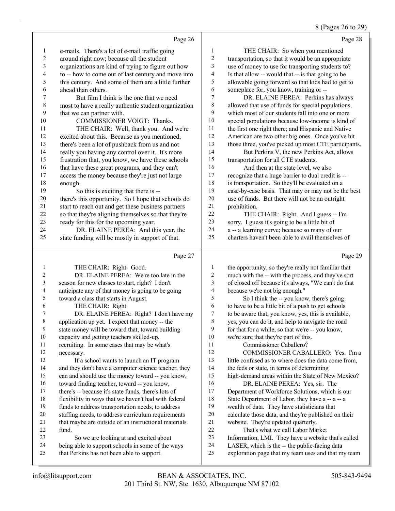8 (Pages 26 to 29)

|                | Page 26                                                                                                      |                         | Page 28                                                                                             |
|----------------|--------------------------------------------------------------------------------------------------------------|-------------------------|-----------------------------------------------------------------------------------------------------|
| 1              | e-mails. There's a lot of e-mail traffic going                                                               | 1                       | THE CHAIR: So when you mentioned                                                                    |
| $\overline{c}$ | around right now; because all the student                                                                    | $\boldsymbol{2}$        | transportation, so that it would be an appropriate                                                  |
| 3              | organizations are kind of trying to figure out how                                                           | 3                       | use of money to use for transporting students to?                                                   |
| 4              | to -- how to come out of last century and move into                                                          | 4                       | Is that allow -- would that -- is that going to be                                                  |
| 5              | this century. And some of them are a little further                                                          | 5                       | allowable going forward so that kids had to get to                                                  |
| 6              | ahead than others.                                                                                           | 6                       | someplace for, you know, training or --                                                             |
| 7              | But film I think is the one that we need                                                                     | $\boldsymbol{7}$        | DR. ELAINE PEREA: Perkins has always                                                                |
| $\,$ $\,$      | most to have a really authentic student organization                                                         | $\,$ $\,$               | allowed that use of funds for special populations,                                                  |
| 9              | that we can partner with.                                                                                    | 9                       | which most of our students fall into one or more                                                    |
| 10             | COMMISSIONER VOIGT: Thanks.                                                                                  | $10\,$                  | special populations because low-income is kind of                                                   |
| 11             | THE CHAIR: Well, thank you. And we're                                                                        | 11                      | the first one right there; and Hispanic and Native                                                  |
| 12             | excited about this. Because as you mentioned,                                                                | 12                      | American are two other big ones. Once you've hit                                                    |
| 13             | there's been a lot of pushback from us and not                                                               | 13                      | those three, you've picked up most CTE participants.                                                |
| 14             | really you having any control over it. It's more                                                             | 14                      | But Perkins V, the new Perkins Act, allows                                                          |
| 15             | frustration that, you know, we have these schools                                                            | 15                      | transportation for all CTE students.                                                                |
| 16             | that have these great programs, and they can't                                                               | 16                      | And then at the state level, we also                                                                |
| 17             | access the money because they're just not large                                                              | 17                      | recognize that a huge barrier to dual credit is --                                                  |
| $18\,$         | enough.                                                                                                      | $18\,$                  | is transportation. So they'll be evaluated on a                                                     |
| 19             | So this is exciting that there is --                                                                         | 19                      | case-by-case basis. That may or may not be the best                                                 |
| $20\,$         | there's this opportunity. So I hope that schools do                                                          | $20\,$                  | use of funds. But there will not be an outright                                                     |
| 21             | start to reach out and get these business partners                                                           | 21                      | prohibition.                                                                                        |
| 22             | so that they're aligning themselves so that they're                                                          | 22                      | THE CHAIR: Right. And I guess -- I'm                                                                |
| 23             | ready for this for the upcoming year.                                                                        | 23                      | sorry. I guess it's going to be a little bit of                                                     |
| 24             | DR. ELAINE PEREA: And this year, the                                                                         | 24                      | a -- a learning curve; because so many of our                                                       |
| 25             | state funding will be mostly in support of that.                                                             | 25                      | charters haven't been able to avail themselves of                                                   |
|                |                                                                                                              |                         |                                                                                                     |
|                |                                                                                                              |                         |                                                                                                     |
|                | Page 27                                                                                                      |                         | Page 29                                                                                             |
| 1              | THE CHAIR: Right. Good.                                                                                      | 1                       | the opportunity, so they're really not familiar that                                                |
| 2              | DR. ELAINE PEREA: We're too late in the                                                                      | $\overline{c}$          | much with the -- with the process, and they've sort                                                 |
| 3              | season for new classes to start, right? I don't                                                              | $\overline{\mathbf{3}}$ | of closed off because it's always, "We can't do that                                                |
| 4              | anticipate any of that money is going to be going                                                            | $\overline{\mathbf{4}}$ | because we're not big enough."                                                                      |
| 5              | toward a class that starts in August.                                                                        | 5                       | So I think the -- you know, there's going                                                           |
| 6              | THE CHAIR: Right.                                                                                            | 6                       | to have to be a little bit of a push to get schools                                                 |
| 7              | DR. ELAINE PEREA: Right? I don't have my                                                                     | $\tau$                  | to be aware that, you know, yes, this is available,                                                 |
| 8              | application up yet. I expect that money -- the                                                               | 8                       | yes, you can do it, and help to navigate the road                                                   |
| 9              | state money will be toward that, toward building                                                             | 9                       | for that for a while, so that we're -- you know,                                                    |
| $10\,$         | capacity and getting teachers skilled-up,                                                                    | 10                      | we're sure that they're part of this.                                                               |
| 11             | recruiting. In some cases that may be what's                                                                 | 11                      | Commissioner Caballero?                                                                             |
| 12             | necessary.                                                                                                   | 12                      | COMMISSIONER CABALLERO: Yes. I'm a                                                                  |
| 13             | If a school wants to launch an IT program                                                                    | 13                      | little confused as to where does the data come from,                                                |
| 14             | and they don't have a computer science teacher, they                                                         | 14                      | the feds or state, in terms of determining                                                          |
| 15<br>16       | can and should use the money toward -- you know,                                                             | 15<br>16                | high-demand areas within the State of New Mexico?                                                   |
| 17             | toward finding teacher, toward -- you know,                                                                  | $17$                    | DR. ELAINE PEREA: Yes, sir. The                                                                     |
| 18             | there's -- because it's state funds, there's lots of<br>flexibility in ways that we haven't had with federal | 18                      | Department of Workforce Solutions, which is our<br>State Department of Labor, they have a -- a -- a |
| 19             | funds to address transportation needs, to address                                                            | 19                      | wealth of data. They have statisticians that                                                        |
| $20\,$         | staffing needs, to address curriculum requirements                                                           | $20\,$                  | calculate those data, and they're published on their                                                |
| 21             | that maybe are outside of an instructional materials                                                         | 21                      | website. They're updated quarterly.                                                                 |
| $22\,$         | fund.                                                                                                        | $22\,$                  | That's what we call Labor Market                                                                    |
| 23             | So we are looking at and excited about                                                                       | 23                      | Information, LMI. They have a website that's called                                                 |
| 24             | being able to support schools in some of the ways                                                            | 24                      | LASER, which is the -- the public-facing data                                                       |
| 25             | that Perkins has not been able to support.                                                                   | 25                      | exploration page that my team uses and that my team                                                 |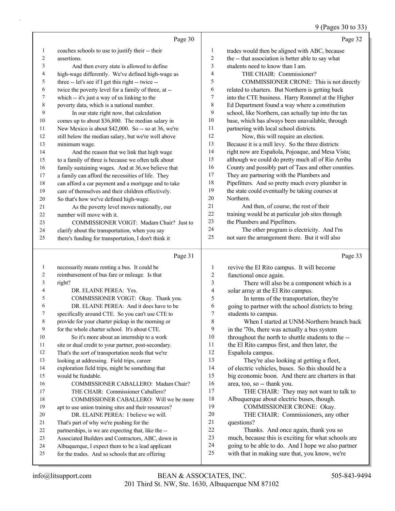#### 9 (Pages 30 to 33)

|              |                                                                                                       |                          | $(1450 \text{ so } 100)$                                                                             |
|--------------|-------------------------------------------------------------------------------------------------------|--------------------------|------------------------------------------------------------------------------------------------------|
|              | Page 30                                                                                               |                          | Page 32                                                                                              |
| 1            | coaches schools to use to justify their -- their                                                      | 1                        | trades would then be aligned with ABC, because                                                       |
| 2            | assertions.                                                                                           | $\overline{2}$           | the -- that association is better able to say what                                                   |
| 3            | And then every state is allowed to define                                                             | $\mathfrak{Z}$           | students need to know than I am.                                                                     |
| 4            | high-wage differently. We've defined high-wage as                                                     | $\overline{4}$           | THE CHAIR: Commissioner?                                                                             |
| 5            | three -- let's see if I get this right -- twice --                                                    | 5                        | COMMISSIONER CRONE: This is not directly                                                             |
| 6            | twice the poverty level for a family of three, at --                                                  | 6                        | related to charters. But Northern is getting back                                                    |
| 7            | which -- it's just a way of us linking to the                                                         | 7                        | into the CTE business. Harry Rommel at the Higher                                                    |
| 8            | poverty data, which is a national number.                                                             | $\,$ $\,$                | Ed Department found a way where a constitution                                                       |
| 9            | In our state right now, that calculation                                                              | 9                        | school, like Northern, can actually tap into the tax                                                 |
| 10           | comes up to about \$36,800. The median salary in                                                      | 10                       | base, which has always been unavailable, through                                                     |
| 11           | New Mexico is about \$42,000. So -- so at 36, we're                                                   | 11                       | partnering with local school districts.                                                              |
| 12           | still below the median salary, but we're well above                                                   | 12                       | Now, this will require an election.                                                                  |
| 13           | minimum wage.                                                                                         | 13                       | Because it is a mill levy. So the three districts                                                    |
| 14           | And the reason that we link that high wage                                                            | 14                       | right now are Española, Pojoaque, and Mesa Vista;                                                    |
| 15           | to a family of three is because we often talk about                                                   | 15                       | although we could do pretty much all of Rio Arriba                                                   |
| 16           | family sustaining wages. And at 36, we believe that                                                   | 16                       | County and possibly part of Taos and other counties.                                                 |
| 17           | a family can afford the necessities of life. They                                                     | 17                       | They are partnering with the Plumbers and                                                            |
| 18           | can afford a car payment and a mortgage and to take                                                   | 18                       | Pipefitters. And so pretty much every plumber in                                                     |
| 19           | care of themselves and their children effectively.                                                    | 19                       | the state could eventually be taking courses at                                                      |
| 20           | So that's how we've defined high-wage.                                                                | 20                       | Northern.                                                                                            |
| 21           | As the poverty level moves nationally, our                                                            | 21                       | And then, of course, the rest of their                                                               |
| 22           | number will move with it.                                                                             | 22                       | training would be at particular job sites through                                                    |
| 23           | COMMISSIONER VOIGT: Madam Chair? Just to                                                              | 23                       | the Plumbers and Pipefitters.                                                                        |
| 24           | clarify about the transportation, when you say                                                        | 24                       | The other program is electricity. And I'm                                                            |
| 25           | there's funding for transportation, I don't think it                                                  | 25                       | not sure the arrangement there. But it will also                                                     |
|              |                                                                                                       |                          |                                                                                                      |
|              | Page 31                                                                                               |                          | Page 33                                                                                              |
|              |                                                                                                       |                          |                                                                                                      |
| $\mathbf{1}$ | necessarily means renting a bus. It could be                                                          | $\mathbf{1}$             | revive the El Rito campus. It will become                                                            |
| 2            | reimbursement of bus fare or mileage. Is that                                                         | $\overline{c}$           | functional once again.                                                                               |
| 3<br>4       | right?                                                                                                | 3                        | There will also be a component which is a                                                            |
| 5            | DR. ELAINE PEREA: Yes.                                                                                | $\overline{\mathcal{L}}$ | solar array at the El Rito campus.                                                                   |
| 6            | COMMISSIONER VOIGT: Okay. Thank you.<br>DR. ELAINE PEREA: And it does have to be                      | 5<br>6                   | In terms of the transportation, they're                                                              |
| 7            |                                                                                                       | 7                        | going to partner with the school districts to bring                                                  |
| 8            | specifically around CTE. So you can't use CTE to                                                      | $\,8\,$                  | students to campus.<br>When I started at UNM-Northern branch back                                    |
| 9            | provide for your charter pickup in the morning or<br>for the whole charter school. It's about CTE.    | 9                        |                                                                                                      |
| 10           | So it's more about an internship to a work                                                            | 10                       | in the '70s, there was actually a bus system<br>throughout the north to shuttle students to the --   |
| 11           | site or dual credit to your partner, post-secondary.                                                  | 11                       | the El Rito campus first, and then later, the                                                        |
| 12           | That's the sort of transportation needs that we're                                                    | 12                       | Española campus.                                                                                     |
| 13           | looking at addressing. Field trips, career                                                            | 13                       | They're also looking at getting a fleet,                                                             |
| 14           | exploration field trips, might be something that                                                      | 14                       | of electric vehicles, buses. So this should be a                                                     |
| 15           | would be fundable.                                                                                    | 15                       | big economic boon. And there are charters in that                                                    |
| 16           | COMMISSIONER CABALLERO: Madam Chair?                                                                  | 16                       | area, too, so -- thank you.                                                                          |
| 17           | THE CHAIR: Commissioner Caballero?                                                                    | $17$                     | THE CHAIR: They may not want to talk to                                                              |
| 18           | COMMISSIONER CABALLERO: Will we be more                                                               | $18\,$                   | Albuquerque about electric buses, though.                                                            |
| 19           | apt to use union training sites and their resources?                                                  | 19                       | COMMISSIONER CRONE: Okay.                                                                            |
| 20           | DR. ELAINE PEREA: I believe we will.                                                                  | $20\,$                   | THE CHAIR: Commissioners, any other                                                                  |
| 21           | That's part of why we're pushing for the                                                              | 21                       | questions?                                                                                           |
| 22           | partnerships, is we are expecting that, like the --                                                   | 22                       | Thanks. And once again, thank you so                                                                 |
| 23           | Associated Builders and Contractors, ABC, down in                                                     | 23                       | much, because this is exciting for what schools are                                                  |
| 24<br>25     | Albuquerque, I expect them to be a lead applicant<br>for the trades. And so schools that are offering | 24<br>25                 | going to be able to do. And I hope we also partner<br>with that in making sure that, you know, we're |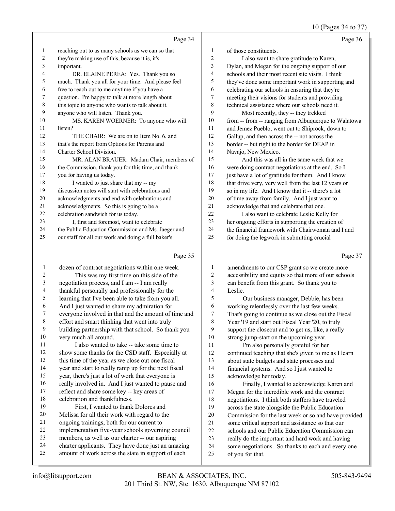10 (Pages 34 to 37)

| Page 34                                             |                                                   | Page 36                                              |
|-----------------------------------------------------|---------------------------------------------------|------------------------------------------------------|
|                                                     | 1                                                 | of those constituents.                               |
| they're making use of this, because it is, it's     | 2                                                 | I also want to share gratitude to Karen,             |
| important.                                          | 3                                                 | Dylan, and Megan for the ongoing support of our      |
| DR. ELAINE PEREA: Yes. Thank you so                 | 4                                                 | schools and their most recent site visits. I think   |
| much. Thank you all for your time. And please feel  | 5                                                 | they've done some important work in supporting and   |
| free to reach out to me anytime if you have a       | 6                                                 | celebrating our schools in ensuring that they're     |
| question. I'm happy to talk at more length about    | 7                                                 | meeting their visions for students and providing     |
| this topic to anyone who wants to talk about it,    | 8                                                 | technical assistance where our schools need it.      |
| anyone who will listen. Thank you.                  | 9                                                 | Most recently, they -- they trekked                  |
| MS. KAREN WOERNER: To anyone who will               | 10                                                | from -- from -- ranging from Albuquerque to Walatowa |
| listen?                                             | 11                                                | and Jemez Pueblo, went out to Shiprock, down to      |
| THE CHAIR: We are on to Item No. 6, and             | 12                                                | Gallup, and then across the -- not across the        |
| that's the report from Options for Parents and      | 13                                                | border -- but right to the border for DEAP in        |
| Charter School Division.                            | 14                                                | Navajo, New Mexico.                                  |
| MR. ALAN BRAUER: Madam Chair, members of            | 15                                                | And this was all in the same week that we            |
| the Commission, thank you for this time, and thank  | 16                                                | were doing contract negotiations at the end. So I    |
| you for having us today.                            | 17                                                | just have a lot of gratitude for them. And I know    |
| I wanted to just share that my -- my                | 18                                                | that drive very, very well from the last 12 years or |
| discussion notes will start with celebrations and   | 19                                                | so in my life. And I know that it -- there's a lot   |
| acknowledgments and end with celebrations and       | 20                                                | of time away from family. And I just want to         |
| acknowledgments. So this is going to be a           | 21                                                | acknowledge that and celebrate that one.             |
| celebration sandwich for us today.                  | 22                                                | I also want to celebrate Leslie Kelly for            |
| I, first and foremost, want to celebrate            | 23                                                | her ongoing efforts in supporting the creation of    |
| the Public Education Commission and Ms. Jaeger and  | 24                                                | the financial framework with Chairwoman and Land     |
| our staff for all our work and doing a full baker's | 25                                                | for doing the legwork in submitting crucial          |
|                                                     | reaching out to as many schools as we can so that |                                                      |

# Page 35

|                | Page 35                                              |    | Page 37                                              |
|----------------|------------------------------------------------------|----|------------------------------------------------------|
| 1              | dozen of contract negotiations within one week.      | 1  | amendments to our CSP grant so we create more        |
| $\overline{2}$ | This was my first time on this side of the           | 2  | accessibility and equity so that more of our schools |
| 3              | negotiation process, and I am -- I am really         | 3  | can benefit from this grant. So thank you to         |
| 4              | thankful personally and professionally for the       | 4  | Leslie.                                              |
| 5              | learning that I've been able to take from you all.   | 5  | Our business manager, Debbie, has been               |
| 6              | And I just wanted to share my admiration for         | 6  | working relentlessly over the last few weeks.        |
| 7              | everyone involved in that and the amount of time and | 7  | That's going to continue as we close out the Fiscal  |
| 8              | effort and smart thinking that went into truly       | 8  | Year '19 and start out Fiscal Year '20, to truly     |
| 9              | building partnership with that school. So thank you  | 9  | support the closeout and to get us, like, a really   |
| 10             | very much all around.                                | 10 | strong jump-start on the upcoming year.              |
| 11             | I also wanted to take -- take some time to           | 11 | I'm also personally grateful for her                 |
| 12             | show some thanks for the CSD staff. Especially at    | 12 | continued teaching that she's given to me as I learn |
| 13             | this time of the year as we close out one fiscal     | 13 | about state budgets and state processes and          |
| 14             | year and start to really ramp up for the next fiscal | 14 | financial systems. And so I just wanted to           |
| 15             | year, there's just a lot of work that everyone is    | 15 | acknowledge her today.                               |
| 16             | really involved in. And I just wanted to pause and   | 16 | Finally, I wanted to acknowledge Karen and           |
| 17             | reflect and share some key -- key areas of           | 17 | Megan for the incredible work and the contract       |
| 18             | celebration and thankfulness.                        | 18 | negotiations. I think both staffers have traveled    |
| 19             | First, I wanted to thank Dolores and                 | 19 | across the state alongside the Public Education      |
| 20             | Melissa for all their work with regard to the        | 20 | Commission for the last week or so and have provided |
| 21             | ongoing trainings, both for our current to           | 21 | some critical support and assistance so that our     |
| 22             | implementation five-year schools governing council   | 22 | schools and our Public Education Commission can      |
| 23             | members, as well as our charter -- our aspiring      | 23 | really do the important and hard work and having     |
| 24             | charter applicants. They have done just an amazing   | 24 | some negotiations. So thanks to each and every one   |
| 25             | amount of work across the state in support of each   | 25 | of you for that.                                     |
|                |                                                      |    |                                                      |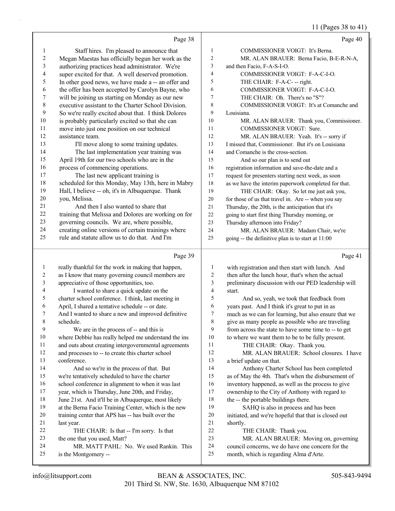#### 11 (Pages 38 to 41)

|              |                                                                          |                | $11 \text{ (14500,00)}$                                        |
|--------------|--------------------------------------------------------------------------|----------------|----------------------------------------------------------------|
|              | Page 38                                                                  |                | Page 40                                                        |
| 1            | Staff hires. I'm pleased to announce that                                | 1              | COMMISSIONER VOIGT: It's Berna.                                |
| 2            | Megan Maestas has officially begun her work as the                       | 2              | MR. ALAN BRAUER: Berna Facio, B-E-R-N-A,                       |
| 3            | authorizing practices head administrator. We're                          | 3              | and then Facio, F-A-S-I-O.                                     |
| 4            | super excited for that. A well deserved promotion.                       | 4              | COMMISSIONER VOIGT: F-A-C-I-O.                                 |
| 5            | In other good news, we have made a -- an offer and                       | 5              | THE CHAIR: F-A-C- -- right.                                    |
| 6            | the offer has been accepted by Carolyn Bayne, who                        | 6              | COMMISSIONER VOIGT: F-A-C-I-O.                                 |
| 7            | will be joining us starting on Monday as our new                         | 7              | THE CHAIR: Oh. There's no "S"?                                 |
| 8            | executive assistant to the Charter School Division.                      | 8              | COMMISSIONER VOIGT: It's at Comanche and                       |
| 9            | So we're really excited about that. I think Dolores                      | 9              | Louisiana.                                                     |
| 10           | is probably particularly excited so that she can                         | 10             | MR. ALAN BRAUER: Thank you, Commissioner.                      |
| 11           | move into just one position on our technical                             | 11             | COMMISSIONER VOIGT: Sure.                                      |
| 12           | assistance team.                                                         | 12             | MR. ALAN BRAUER: Yeah. It's -- sorry if                        |
| 13           | I'll move along to some training updates.                                | 13             | I missed that, Commissioner. But it's on Louisiana             |
| 14           | The last implementation year training was                                | 14             | and Comanche is the cross-section.                             |
| 15           | April 19th for our two schools who are in the                            | 15             | And so our plan is to send out                                 |
| 16           | process of commencing operations.                                        | 16             | registration information and save-the-date and a               |
| 17           | The last new applicant training is                                       | $17$           | request for presenters starting next week, as soon             |
| 18           | scheduled for this Monday, May 13th, here in Mabry                       | 18             | as we have the interim paperwork completed for that.           |
| 19           | Hall, I believe -- oh, it's in Albuquerque. Thank                        | 19             | THE CHAIR: Okay. So let me just ask you,                       |
| 20           | you, Melissa.                                                            | 20             | for those of us that travel in. Are -- when you say            |
| 21           | And then I also wanted to share that                                     | $21\,$         | Thursday, the 20th, is the anticipation that it's              |
| 22           | training that Melissa and Dolores are working on for                     | 22             | going to start first thing Thursday morning, or                |
| 23           | governing councils. We are, where possible,                              | 23             | Thursday afternoon into Friday?                                |
| 24           | creating online versions of certain trainings where                      | 24             | MR. ALAN BRAUER: Madam Chair, we're                            |
| 25           | rule and statute allow us to do that. And I'm                            | 25             | going -- the definitive plan is to start at 11:00              |
|              | Page 39                                                                  |                | Page 41                                                        |
| $\mathbf{1}$ | really thankful for the work in making that happen,                      | $\mathbf{1}$   | with registration and then start with lunch. And               |
| 2            | as I know that many governing council members are                        | $\overline{c}$ | then after the lunch hour, that's when the actual              |
| 3            | appreciative of those opportunities, too.                                | 3              | preliminary discussion with our PED leadership will            |
| 4            | I wanted to share a quick update on the                                  | $\overline{4}$ | start.                                                         |
| 5            | charter school conference. I think, last meeting in                      | 5              | And so, yeah, we took that feedback from                       |
| 6            | April, I shared a tentative schedule -- or date.                         | 6              | years past. And I think it's great to put in as                |
| 7            | And I wanted to share a new and improved definitive                      | $\overline{7}$ | much as we can for learning, but also ensure that we           |
| 8            | schedule.                                                                | 8              | give as many people as possible who are traveling              |
| 9            | We are in the process of -- and this is                                  | 9              | from across the state to have some time to -- to get           |
| 10           | where Debbie has really helped me understand the ins                     | 10             | to where we want them to be to be fully present.               |
| 11           | and outs about creating intergovernmental agreements                     | 11             | THE CHAIR: Okay. Thank you.                                    |
| 12           | and processes to -- to create this charter school                        | 12             | MR. ALAN BRAUER: School closures. I have                       |
| 13           | conference.                                                              | 13             | a brief update on that.                                        |
| 14           | And so we're in the process of that. But                                 | 14             | Anthony Charter School has been completed                      |
| 15           | we're tentatively scheduled to have the charter                          | 15             | as of May the 4th. That's when the disbursement of             |
| 16           | school conference in alignment to when it was last                       | 16             | inventory happened, as well as the process to give             |
| 17           | year, which is Thursday, June 20th, and Friday,                          | $17\,$         | ownership to the City of Anthony with regard to                |
| 18           | June 21st. And it'll be in Albuquerque, most likely                      | $18\,$         | the -- the portable buildings there.                           |
| 19           | at the Berna Facio Training Center, which is the new                     | 19             | SAHQ is also in process and has been                           |
| 20           | training center that APS has -- has built over the                       | 20             | initiated, and we're hopeful that that is closed out           |
| 21           | last year.                                                               | 21             | shortly.                                                       |
|              |                                                                          |                |                                                                |
| 22<br>23     | THE CHAIR: Is that -- I'm sorry. Is that<br>the one that you used, Matt? | 22<br>23       | THE CHAIR: Thank you.<br>MR. ALAN BRAUER: Moving on, governing |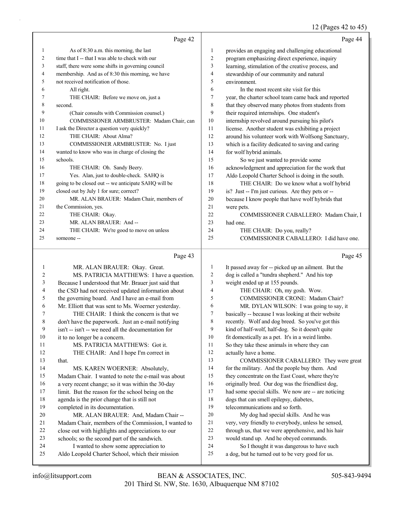# 12 (Pages 42 to 45)

|    | Page 42                                              |    | Page 44                                              |
|----|------------------------------------------------------|----|------------------------------------------------------|
| 1  | As of 8:30 a.m. this morning, the last               | 1  | provides an engaging and challenging educational     |
| 2  | time that I -- that I was able to check with our     | 2  | program emphasizing direct experience, inquiry       |
| 3  | staff, there were some shifts in governing council   | 3  | learning, stimulation of the creative process, and   |
| 4  | membership. And as of 8:30 this morning, we have     | 4  | stewardship of our community and natural             |
| 5  | not received notification of those.                  | 5  | environment.                                         |
| 6  | All right.                                           | 6  | In the most recent site visit for this               |
| 7  | THE CHAIR: Before we move on, just a                 | 7  | year, the charter school team came back and reported |
| 8  | second.                                              | 8  | that they observed many photos from students from    |
| 9  | (Chair consults with Commission counsel.)            | 9  | their required internships. One student's            |
| 10 | COMMISSIONER ARMBRUSTER: Madam Chair, can            | 10 | internship revolved around pursuing his pilot's      |
| 11 | I ask the Director a question very quickly?          | 11 | license. Another student was exhibiting a project    |
| 12 | THE CHAIR: About Alma?                               | 12 | around his volunteer work with Wolfsong Sanctuary,   |
| 13 | COMMISSIONER ARMBRUSTER: No. I just                  | 13 | which is a facility dedicated to saving and caring   |
| 14 | wanted to know who was in charge of closing the      | 14 | for wolf hybrid animals.                             |
| 15 | schools.                                             | 15 | So we just wanted to provide some                    |
| 16 | THE CHAIR: Oh. Sandy Beery.                          | 16 | acknowledgment and appreciation for the work that    |
| 17 | Yes. Alan, just to double-check. SAHQ is             | 17 | Aldo Leopold Charter School is doing in the south.   |
| 18 | going to be closed out -- we anticipate SAHQ will be | 18 | THE CHAIR: Do we know what a wolf hybrid             |
| 19 | closed out by July 1 for sure; correct?              | 19 | is? Just -- I'm just curious. Are they pets or --    |
| 20 | MR. ALAN BRAUER: Madam Chair, members of             | 20 | because I know people that have wolf hybrids that    |
| 21 | the Commission, yes.                                 | 21 | were pets.                                           |
| 22 | THE CHAIR: Okay.                                     | 22 | COMMISSIONER CABALLERO: Madam Chair, I               |
| 23 | MR. ALAN BRAUER: And-                                | 23 | had one.                                             |
| 24 | THE CHAIR: We're good to move on unless              | 24 | THE CHAIR: Do you, really?                           |
| 25 | someone --                                           | 25 | COMMISSIONER CABALLERO: I did have one.              |
|    |                                                      |    |                                                      |

# Page 43

| 1  | MR. ALAN BRAUER: Okay. Great.                       | 1  | It passed away for -- picked up an ailment. But the |
|----|-----------------------------------------------------|----|-----------------------------------------------------|
| 2  | MS. PATRICIA MATTHEWS: I have a question.           | 2  | dog is called a "tundra shepherd." And his top      |
| 3  | Because I understood that Mr. Brauer just said that | 3  | weight ended up at 155 pounds.                      |
| 4  | the CSD had not received updated information about  | 4  | THE CHAIR: Oh, my gosh. Wow.                        |
| 5  | the governing board. And I have an e-mail from      | 5  | <b>COMMISSIONER CRONE: Madam Chair?</b>             |
| 6  | Mr. Elliott that was sent to Ms. Woerner yesterday. | 6  | MR. DYLAN WILSON: I was going to say, it            |
| 7  | THE CHAIR: I think the concern is that we           | 7  | basically -- because I was looking at their website |
| 8  | don't have the paperwork. Just an e-mail notifying  | 8  | recently. Wolf and dog breed. So you've got this    |
| 9  | isn't -- isn't -- we need all the documentation for | 9  | kind of half-wolf, half-dog. So it doesn't quite    |
| 10 | it to no longer be a concern.                       | 10 | fit domestically as a pet. It's in a weird limbo.   |
| 11 | MS. PATRICIA MATTHEWS: Got it.                      | 11 | So they take these animals in where they can        |
| 12 | THE CHAIR: And I hope I'm correct in                | 12 | actually have a home.                               |
| 13 | that.                                               | 13 | COMMISSIONER CABALLERO: They were great             |
| 14 | MS. KAREN WOERNER: Absolutely,                      | 14 | for the military. And the people buy them. And      |
| 15 | Madam Chair. I wanted to note the e-mail was about  | 15 | they concentrate on the East Coast, where they're   |
| 16 | a very recent change; so it was within the 30-day   | 16 | originally bred. Our dog was the friendliest dog,   |
| 17 | limit. But the reason for the school being on the   | 17 | had some special skills. We now are -- are noticing |
| 18 | agenda is the prior change that is still not        | 18 | dogs that can smell epilepsy, diabetes,             |
| 19 | completed in its documentation.                     | 19 | telecommunications and so forth.                    |
| 20 | MR. ALAN BRAUER: And, Madam Chair --                | 20 | My dog had special skills. And he was               |
| 21 | Madam Chair, members of the Commission, I wanted to | 21 | very, very friendly to everybody, unless he sensed, |
| 22 | close out with highlights and appreciations to our  | 22 | through us, that we were apprehensive, and his hair |
| 23 | schools; so the second part of the sandwich.        | 23 | would stand up. And he obeyed commands.             |
| 24 | I wanted to show some appreciation to               | 24 | So I thought it was dangerous to have such          |
| 25 | Aldo Leopold Charter School, which their mission    | 25 | a dog, but he turned out to be very good for us.    |
|    |                                                     |    |                                                     |

Page 45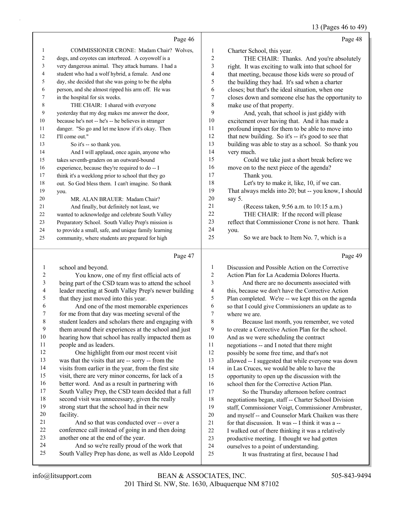13 (Pages 46 to 49)

|             |                                                                                                   |                         | 13 (Pages 46 to 49)                                                                  |
|-------------|---------------------------------------------------------------------------------------------------|-------------------------|--------------------------------------------------------------------------------------|
|             | Page 46                                                                                           |                         | Page 48                                                                              |
| 1           | COMMISSIONER CRONE: Madam Chair? Wolves,                                                          | 1                       | Charter School, this year.                                                           |
| 2           | dogs, and coyotes can interbreed. A coyowolf is a                                                 | $\overline{\mathbf{c}}$ | THE CHAIR: Thanks. And you're absolutely                                             |
| 3           | very dangerous animal. They attack humans. I had a                                                | 3                       | right. It was exciting to walk into that school for                                  |
| 4           | student who had a wolf hybrid, a female. And one                                                  | 4                       | that meeting, because those kids were so proud of                                    |
| 5           | day, she decided that she was going to be the alpha                                               | 5                       | the building they had. It's sad when a charter                                       |
| 6           | person, and she almost ripped his arm off. He was                                                 | 6                       | closes; but that's the ideal situation, when one                                     |
| 7           | in the hospital for six weeks.                                                                    | 7                       | closes down and someone else has the opportunity to                                  |
| $\,$ 8 $\,$ | THE CHAIR: I shared with everyone                                                                 | 8                       | make use of that property.                                                           |
| 9           | yesterday that my dog makes me answer the door,                                                   | 9                       | And, yeah, that school is just giddy with                                            |
| 10          | because he's not -- he's -- he believes in stranger                                               | 10                      | excitement over having that. And it has made a                                       |
| 11          | danger. "So go and let me know if it's okay. Then                                                 | 11                      | profound impact for them to be able to move into                                     |
| 12          | I'll come out."                                                                                   | 12                      | that new building. So it's -- it's good to see that                                  |
| 13          | So it's -- so thank you.                                                                          | 13                      | building was able to stay as a school. So thank you                                  |
| 14          | And I will applaud, once again, anyone who                                                        | 14                      | very much.                                                                           |
| 15          | takes seventh-graders on an outward-bound                                                         | 15                      | Could we take just a short break before we                                           |
| 16          | experience, because they're required to do -- I                                                   | 16                      | move on to the next piece of the agenda?                                             |
| 17          | think it's a weeklong prior to school that they go                                                | 17                      | Thank you.                                                                           |
| 18          | out. So God bless them. I can't imagine. So thank                                                 | 18                      | Let's try to make it, like, 10, if we can.                                           |
| 19          | you.                                                                                              | 19                      | That always melds into 20; but -- you know, I should                                 |
| 20          | MR. ALAN BRAUER: Madam Chair?                                                                     | 20                      | say 5.                                                                               |
| 21          | And finally, but definitely not least, we                                                         | 21                      | (Recess taken, 9:56 a.m. to 10:15 a.m.)                                              |
| 22          | wanted to acknowledge and celebrate South Valley                                                  | 22                      | THE CHAIR: If the record will please                                                 |
| 23          | Preparatory School. South Valley Prep's mission is                                                | 23                      | reflect that Commissioner Crone is not here. Thank                                   |
| 24          | to provide a small, safe, and unique family learning                                              | 24                      | you.                                                                                 |
| 25          | community, where students are prepared for high                                                   | 25                      | So we are back to Item No. 7, which is a                                             |
|             | Page 47                                                                                           |                         | Page 49                                                                              |
| 1           | school and beyond.                                                                                | 1                       | Discussion and Possible Action on the Corrective                                     |
| 2           | You know, one of my first official acts of                                                        | 2                       | Action Plan for La Academia Dolores Huerta.                                          |
| 3           | being part of the CSD team was to attend the school                                               | 3                       | And there are no documents associated with                                           |
| 4           | leader meeting at South Valley Prep's newer building                                              | 4                       | this, because we don't have the Corrective Action                                    |
| 5           | that they just moved into this year.                                                              | 5                       | Plan completed. We're -- we kept this on the agenda                                  |
| 6           | And one of the most memorable experiences                                                         | 6                       | so that I could give Commissioners an update as to                                   |
| 7           | for me from that day was meeting several of the                                                   | 7                       | where we are.                                                                        |
| 8           | student leaders and scholars there and engaging with                                              | 8                       | Because last month, you remember, we voted                                           |
| 9           | them around their experiences at the school and just                                              | 9                       | to create a Corrective Action Plan for the school.                                   |
| 10          | hearing how that school has really impacted them as                                               | 10                      | And as we were scheduling the contract                                               |
| 11          | people and as leaders.                                                                            | 11                      | negotiations -- and I noted that there might                                         |
| 12          | One highlight from our most recent visit                                                          | 12                      | possibly be some free time, and that's not                                           |
| 13          | was that the visits that are -- sorry -- from the                                                 | 13                      | allowed -- I suggested that while everyone was down                                  |
| 14          | visits from earlier in the year, from the first site                                              | 14                      | in Las Cruces, we would be able to have the                                          |
| 15          | visit, there are very minor concerns, for lack of a                                               | 15                      | opportunity to open up the discussion with the                                       |
| 16          | better word. And as a result in partnering with                                                   | 16                      | school then for the Corrective Action Plan.                                          |
| 17          | South Valley Prep, the CSD team decided that a full                                               | 17                      | So the Thursday afternoon before contract                                            |
| 18          | second visit was unnecessary, given the really                                                    | 18                      | negotiations began, staff -- Charter School Division                                 |
| 19          | strong start that the school had in their new                                                     | 19                      | staff, Commissioner Voigt, Commissioner Armbruster,                                  |
| 20          | facility.                                                                                         | 20                      | and myself -- and Counselor Mark Chaiken was there                                   |
| 21          | And so that was conducted over -- over a                                                          | 21                      | for that discussion. It was -- I think it was a --                                   |
| 22          | conference call instead of going in and then doing                                                | 22                      | I walked out of there thinking it was a relatively                                   |
| 23<br>24    | another one at the end of the year.                                                               | 23                      | productive meeting. I thought we had gotten                                          |
|             | And so we're really proud of the work that<br>South Valley Prep has done, as well as Aldo Leopold | 24<br>25                | ourselves to a point of understanding.<br>It was frustrating at first, because I had |
| 25          |                                                                                                   |                         |                                                                                      |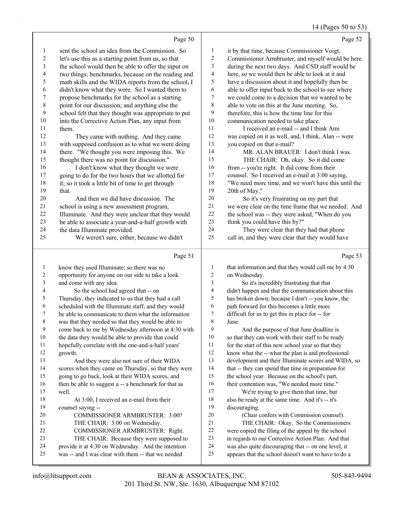# 14 (Pages 50 to 53)

|                          | Page 50                                                                                                  |                          | Page 52                                                                                                      |
|--------------------------|----------------------------------------------------------------------------------------------------------|--------------------------|--------------------------------------------------------------------------------------------------------------|
| $\mathbf{1}$             | sent the school an idea from the Commission. So                                                          | 1                        | it by that time, because Commissioner Voigt,                                                                 |
| $\boldsymbol{2}$         | let's use this as a starting point from us, so that                                                      | $\overline{\mathbf{c}}$  | Commissioner Armbruster, and myself would be here                                                            |
| 3                        | the school would then be able to offer the input on                                                      | 3                        | during the next two days. And CSD staff would be                                                             |
| 4                        | two things; benchmarks, because on the reading and                                                       | $\overline{\mathcal{L}}$ | here, so we would then be able to look at it and                                                             |
| 5                        | math skills and the WIDA reports from the school, I                                                      | 5                        | have a discussion about it and hopefully then be                                                             |
| 6                        | didn't know what they were. So I wanted them to                                                          | 6                        | able to offer input back to the school to see where                                                          |
| 7                        | propose benchmarks for the school as a starting                                                          | 7                        | we could come to a decision that we wanted to be                                                             |
| $\,$ $\,$                | point for our discussion; and anything else the                                                          | 8                        | able to vote on this at the June meeting. So,                                                                |
| 9                        | school felt that they thought was appropriate to put                                                     | 9                        | therefore, this is how the time line for this                                                                |
| $10\,$                   | into the Corrective Action Plan, any input from                                                          | 10                       | communication needed to take place.                                                                          |
| 11                       | them.                                                                                                    | 11                       | I received an e-mail -- and I think Ami                                                                      |
| 12                       | They came with nothing. And they came                                                                    | 12                       | was copied on it as well, and, I think, Alan -- were                                                         |
| 13                       | with supposed confusion as to what we were doing                                                         | 13                       | you copied on that e-mail?                                                                                   |
| 14                       | there. "We thought you were imposing this. We                                                            | 14                       | MR. ALAN BRAUER: I don't think I was.                                                                        |
| 15                       | thought there was no point for discussion."                                                              | 15                       | THE CHAIR: Oh, okay. So it did come                                                                          |
| 16                       | I don't know what they thought we were                                                                   | 16                       | from -- you're right. It did come from their                                                                 |
| 17                       | going to do for the two hours that we allotted for                                                       | 17                       | counsel. So I received an e-mail at 3:00 saying,                                                             |
| $18\,$                   | it; so it took a little bit of time to get through                                                       | 18                       | "We need more time, and we won't have this until the                                                         |
| 19                       | that.                                                                                                    | 19                       | 20th of May."                                                                                                |
| $20\,$                   | And then we did have discussion. The                                                                     | 20                       | So it's very frustrating on my part that                                                                     |
| $21\,$                   | school is using a new assessment program,                                                                | 21                       | we were clear on the time frame that we needed. And                                                          |
| $22\,$                   | Illuminate. And they were unclear that they would                                                        | 22                       | the school was -- they were asked, "When do you                                                              |
| 23                       | be able to associate a year-and-a-half growth with                                                       | 23                       | think you could have this by?"                                                                               |
| 24                       | the data Illuminate provided.                                                                            | 24                       | They were clear that they had that phone                                                                     |
| 25                       | We weren't sure, either, because we didn't                                                               | 25                       | call in, and they were clear that they would have                                                            |
|                          |                                                                                                          |                          |                                                                                                              |
|                          | Page 51                                                                                                  |                          | Page 53                                                                                                      |
| $\mathbf{1}$             |                                                                                                          | $\mathbf{1}$             |                                                                                                              |
| $\sqrt{2}$               | know they used Illuminate; so there was no<br>opportunity for anyone on our side to take a look          | $\overline{c}$           | that information and that they would call me by 4:30<br>on Wednesday.                                        |
| $\mathfrak{Z}$           | and come with any idea.                                                                                  | $\mathfrak{Z}$           | So it's incredibly frustrating that that                                                                     |
| $\overline{\mathcal{L}}$ | So the school had agreed that -- on                                                                      | $\overline{4}$           | didn't happen and that the communication about this                                                          |
| 5                        | Thursday, they indicated to us that they had a call                                                      | 5                        | has broken down; because I don't -- you know, the                                                            |
| 6                        | scheduled with the Illuminate staff, and they would                                                      | 6                        | path forward for this becomes a little more                                                                  |
| 7                        | be able to communicate to them what the information                                                      | $\boldsymbol{7}$         | difficult for us to get this in place for -- for                                                             |
| 8                        | was that they needed so that they would be able to                                                       | $\,$ 8 $\,$              | June.                                                                                                        |
| 9                        | come back to me by Wednesday afternoon at 4:30 with                                                      | 9                        | And the purpose of that June deadline is                                                                     |
| $10\,$                   | the data they would be able to provide that could                                                        | 10                       | so that they can work with their staff to be ready                                                           |
| 11                       | hopefully correlate with the one-and-a-half years'                                                       | 11                       | for the start of this new school year so that they                                                           |
| 12                       | growth.                                                                                                  | 12                       | know what the -- what the plan is and professional                                                           |
| 13                       | And they were also not sure of their WIDA                                                                | 13                       | development and their Illuminate scores and WIDA, so                                                         |
| 14                       | scores when they came on Thursday, so that they were                                                     | 14                       | that -- they can spend that time in preparation for                                                          |
| 15                       | going to go back, look at their WIDA scores, and                                                         | 15                       | the school year. Because on the school's part,                                                               |
| 16                       | then be able to suggest a -- a benchmark for that as                                                     | 16                       | their contention was, "We needed more time."                                                                 |
| 17                       | well.                                                                                                    | 17                       | We're trying to give them that time, but                                                                     |
| 18                       | At 3:00, I received an e-mail from their                                                                 | $18\,$                   | also be ready at the same time. And it's -- it's                                                             |
| 19                       | counsel saying --                                                                                        | 19                       | discouraging.                                                                                                |
| 20                       | COMMISSIONER ARMBRUSTER: 3:00?                                                                           | $20\,$                   | (Chair confers with Commission counsel).                                                                     |
| 21                       | THE CHAIR: 3:00 on Wednesday.                                                                            | 21                       | THE CHAIR: Okay. So the Commissioners                                                                        |
| 22                       | COMMISSIONER ARMBRUSTER: Right.                                                                          | $22\,$                   | were copied the filing of the appeal by the school                                                           |
| 23                       | THE CHAIR: Because they were supposed to                                                                 | 23                       | in regards to our Corrective Action Plan. And that                                                           |
| 24<br>25                 | provide it at 4:30 on Wednesday. And the intention<br>was -- and I was clear with them -- that we needed | 24<br>25                 | was also quite discouraging that -- on one level, it<br>appears that the school doesn't want to have to do a |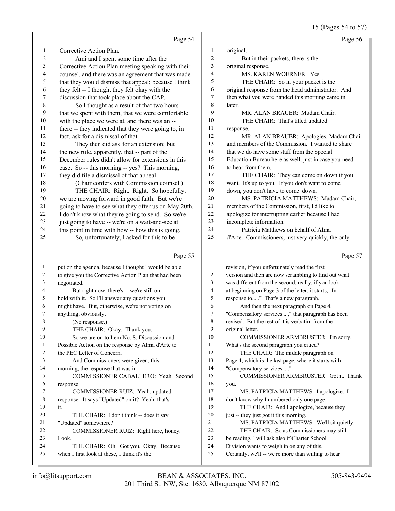15 (Pages 54 to 57)

|                         | Page 54                                                                         |                         | Page 56                                                                                    |
|-------------------------|---------------------------------------------------------------------------------|-------------------------|--------------------------------------------------------------------------------------------|
| 1                       | Corrective Action Plan.                                                         | $\mathbf{1}$            | original.                                                                                  |
| $\overline{\mathbf{c}}$ | Ami and I spent some time after the                                             | $\overline{\mathbf{c}}$ | But in their packets, there is the                                                         |
| 3                       | Corrective Action Plan meeting speaking with their                              | 3                       | original response.                                                                         |
| 4                       | counsel, and there was an agreement that was made                               | 4                       | MS. KAREN WOERNER: Yes.                                                                    |
| 5                       | that they would dismiss that appeal; because I think                            | 5                       | THE CHAIR: So in your packet is the                                                        |
| 6                       | they felt -- I thought they felt okay with the                                  | 6                       | original response from the head administrator. And                                         |
| 7                       | discussion that took place about the CAP.                                       | 7                       | then what you were handed this morning came in                                             |
| $\,$ $\,$               | So I thought as a result of that two hours                                      | 8                       | later.                                                                                     |
| 9                       | that we spent with them, that we were comfortable                               | 9                       | MR. ALAN BRAUER: Madam Chair.                                                              |
| $10\,$                  | with the place we were at, and there was an --                                  | 10                      | THE CHAIR: That's titled updated                                                           |
| 11                      | there -- they indicated that they were going to, in                             | 11                      | response.                                                                                  |
| 12                      | fact, ask for a dismissal of that.                                              | 12                      | MR. ALAN BRAUER: Apologies, Madam Chair                                                    |
| 13                      | They then did ask for an extension; but                                         | 13                      | and members of the Commission. I wanted to share                                           |
| 14                      | the new rule, apparently, that -- part of the                                   | 14                      | that we do have some staff from the Special                                                |
| 15                      | December rules didn't allow for extensions in this                              | 15                      | Education Bureau here as well, just in case you need                                       |
| 16                      | case. So -- this morning -- yes? This morning,                                  | 16                      | to hear from them.                                                                         |
| 17                      | they did file a dismissal of that appeal.                                       | 17                      | THE CHAIR: They can come on down if you                                                    |
| 18                      | (Chair confers with Commission counsel.)                                        | 18                      | want. It's up to you. If you don't want to come                                            |
| 19                      | THE CHAIR: Right. Right. So hopefully,                                          | 19                      | down, you don't have to come down.                                                         |
| $20\,$                  | we are moving forward in good faith. But we're                                  | 20                      | MS. PATRICIA MATTHEWS: Madam Chair,                                                        |
| 21                      | going to have to see what they offer us on May 20th.                            | $21\,$                  | members of the Commission, first, I'd like to                                              |
| $22\,$                  | I don't know what they're going to send. So we're                               | 22                      | apologize for interrupting earlier because I had                                           |
| 23                      | just going to have -- we're on a wait-and-see at                                | 23                      | incomplete information.                                                                    |
| 24                      | this point in time with how -- how this is going.                               | 24                      | Patricia Matthews on behalf of Alma                                                        |
| 25                      | So, unfortunately, I asked for this to be                                       | 25                      | d'Arte. Commissioners, just very quickly, the only                                         |
|                         | Page 55                                                                         |                         | Page 57                                                                                    |
| $\mathbf{1}$            | put on the agenda, because I thought I would be able                            | 1                       | revision, if you unfortunately read the first                                              |
| 2                       | to give you the Corrective Action Plan that had been                            | 2                       | version and then are now scrambling to find out what                                       |
| 3                       | negotiated.                                                                     | 3                       | was different from the second, really, if you look                                         |
| 4                       | But right now, there's -- we're still on                                        | 4                       | at beginning on Page 3 of the letter, it starts, "In                                       |
| 5                       | hold with it. So I'll answer any questions you                                  | 5                       | response to ." That's a new paragraph.                                                     |
| 6                       | might have. But, otherwise, we're not voting on                                 | 6                       | And then the next paragraph on Page 4,                                                     |
| 7                       | anything, obviously.                                                            | 7                       |                                                                                            |
|                         |                                                                                 |                         |                                                                                            |
|                         |                                                                                 |                         | "Compensatory services ," that paragraph has been                                          |
| 8<br>9                  | (No response.)                                                                  | $\,$ $\,$<br>9          | revised. But the rest of it is verbatim from the                                           |
| 10                      | THE CHAIR: Okay. Thank you.                                                     | 10                      | original letter.                                                                           |
| 11                      | So we are on to Item No. 8, Discussion and                                      | 11                      | COMMISSIONER ARMBRUSTER: I'm sorry.                                                        |
| 12                      | Possible Action on the response by Alma d'Arte to<br>the PEC Letter of Concern. | 12                      | What's the second paragraph you citied?                                                    |
| 13                      |                                                                                 | 13                      | THE CHAIR: The middle paragraph on<br>Page 4, which is the last page, where it starts with |
| 14                      | And Commissioners were given, this                                              | 14                      |                                                                                            |
| 15                      | morning, the response that was in --<br>COMMISSIONER CABALLERO: Yeah. Second    | 15                      | "Compensatory services ."                                                                  |
| 16                      | response.                                                                       | 16                      | COMMISSIONER ARMBRUSTER: Got it. Thank<br>you.                                             |
| 17                      | COMMISSIONER RUIZ: Yeah, updated                                                | 17                      | MS. PATRICIA MATTHEWS: I apologize. I                                                      |
| 18                      | response. It says "Updated" on it? Yeah, that's                                 | 18                      | don't know why I numbered only one page.                                                   |
| 19                      | it.                                                                             | 19                      | THE CHAIR: And I apologize, because they                                                   |
| 20                      | THE CHAIR: I don't think -- does it say                                         | 20                      | just -- they just got it this morning.                                                     |
| 21                      | "Updated" somewhere?                                                            | 21                      | MS. PATRICIA MATTHEWS: We'll sit quietly.                                                  |
| 22                      | COMMISSIONER RUIZ: Right here, honey.                                           | $22\,$                  | THE CHAIR: So as Commissioners may still                                                   |
| 23                      | Look.                                                                           | $23\,$                  | be reading, I will ask also if Charter School                                              |
| 24                      | THE CHAIR: Oh. Got you. Okay. Because                                           | 24                      | Division wants to weigh in on any of this.                                                 |
| 25                      | when I first look at these, I think it's the                                    | 25                      | Certainly, we'll -- we're more than willing to hear                                        |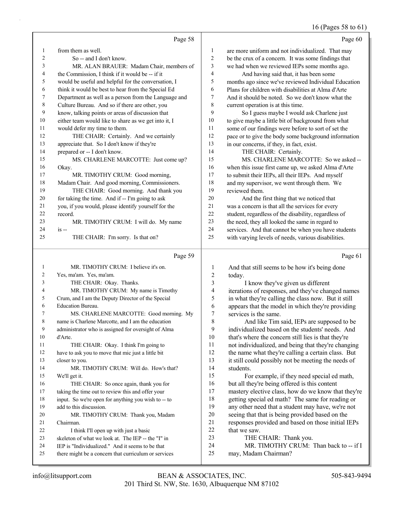#### 16 (Pages 58 to 61)

|              | Page 58                                                                        |                | Page 60                                                                                               |
|--------------|--------------------------------------------------------------------------------|----------------|-------------------------------------------------------------------------------------------------------|
| $\mathbf{1}$ | from them as well.                                                             | $\mathbf{1}$   | are more uniform and not individualized. That may                                                     |
| 2            | So -- and I don't know.                                                        | $\overline{c}$ | be the crux of a concern. It was some findings that                                                   |
| 3            | MR. ALAN BRAUER: Madam Chair, members of                                       | 3              | we had when we reviewed IEPs some months ago.                                                         |
| 4            | the Commission, I think if it would be -- if it                                | 4              | And having said that, it has been some                                                                |
| 5            | would be useful and helpful for the conversation, I                            | 5              | months ago since we've reviewed Individual Education                                                  |
| 6            | think it would be best to hear from the Special Ed                             | 6              | Plans for children with disabilities at Alma d'Arte                                                   |
| 7            | Department as well as a person from the Language and                           | 7              | And it should be noted. So we don't know what the                                                     |
| 8            | Culture Bureau. And so if there are other, you                                 | 8              | current operation is at this time.                                                                    |
| 9            | know, talking points or areas of discussion that                               | 9              | So I guess maybe I would ask Charlene just                                                            |
| 10           | either team would like to share as we get into it, I                           | 10             | to give maybe a little bit of background from what                                                    |
| 11           | would defer my time to them.                                                   | 11             | some of our findings were before to sort of set the                                                   |
| 12           | THE CHAIR: Certainly. And we certainly                                         | 12             | pace or to give the body some background information                                                  |
| 13           | appreciate that. So I don't know if they're                                    | 13             | in our concerns, if they, in fact, exist.                                                             |
| 14           | prepared or -- I don't know.                                                   | 14             | THE CHAIR: Certainly.                                                                                 |
| 15           | MS. CHARLENE MARCOTTE: Just come up?                                           | 15             | MS. CHARLENE MARCOTTE: So we asked --                                                                 |
| 16           | Okay.                                                                          | 16             | when this issue first came up, we asked Alma d'Arte                                                   |
| 17           | MR. TIMOTHY CRUM: Good morning,                                                | 17             | to submit their IEPs, all their IEPs. And myself                                                      |
| 18           | Madam Chair. And good morning, Commissioners.                                  | 18             | and my supervisor, we went through them. We                                                           |
| 19           | THE CHAIR: Good morning. And thank you                                         | 19             | reviewed them.                                                                                        |
| 20           | for taking the time. And if -- I'm going to ask                                | $20\,$         | And the first thing that we noticed that                                                              |
| 21           | you, if you would, please identify yourself for the                            | 21             | was a concern is that all the services for every                                                      |
| 22           | record.                                                                        | 22             | student, regardless of the disability, regardless of                                                  |
| 23           | MR. TIMOTHY CRUM: I will do. My name                                           | 23             | the need, they all looked the same in regard to                                                       |
| 24           | $is -$                                                                         | 24             | services. And that cannot be when you have students                                                   |
| 25           | THE CHAIR: I'm sorry. Is that on?                                              | 25             | with varying levels of needs, various disabilities.                                                   |
|              | Page 59                                                                        |                | Page 61                                                                                               |
| $\mathbf{1}$ | MR. TIMOTHY CRUM: I believe it's on.                                           | 1              | And that still seems to be how it's being done                                                        |
| 2            | Yes, ma'am. Yes, ma'am.                                                        | 2              | today.                                                                                                |
| 3            | THE CHAIR: Okay. Thanks.                                                       | 3              | I know they've given us different                                                                     |
| 4            | MR. TIMOTHY CRUM: My name is Timothy                                           | 4              | iterations of responses, and they've changed names                                                    |
| 5            | Crum, and I am the Deputy Director of the Special                              | 5              | in what they're calling the class now. But it still                                                   |
| 6            | Education Bureau.                                                              | 6              | appears that the model in which they're providing                                                     |
| 7            | MS. CHARLENE MARCOTTE: Good morning. My                                        | 7              | services is the same.                                                                                 |
| 8            | name is Charlene Marcotte, and I am the education                              | 8              | And like Tim said, IEPs are supposed to be                                                            |
| 9            | administrator who is assigned for oversight of Alma                            | 9              | individualized based on the students' needs. And                                                      |
| 10           | d'Arte.                                                                        | 10             | that's where the concern still lies is that they're                                                   |
| 11           | THE CHAIR: Okay. I think I'm going to                                          | 11             | not individualized, and being that they're changing                                                   |
| 12           | have to ask you to move that mic just a little bit                             | 12             | the name what they're calling a certain class. But                                                    |
| 13           | closer to you.                                                                 | 13             | it still could possibly not be meeting the needs of                                                   |
| 14           | MR. TIMOTHY CRUM: Will do. How's that?                                         | 14             | students.                                                                                             |
| 15           | We'll get it.                                                                  | 15             | For example, if they need special ed math,                                                            |
| 16           | THE CHAIR: So once again, thank you for                                        | 16             | but all they're being offered is this content                                                         |
| 17           | taking the time out to review this and offer your                              | 17<br>18       | mastery elective class, how do we know that they're                                                   |
| 18<br>19     | input. So we're open for anything you wish to -- to<br>add to this discussion. | 19             | getting special ed math? The same for reading or<br>any other need that a student may have, we're not |
|              |                                                                                |                |                                                                                                       |

- 20 MR. TIMOTHY CRUM: Thank you, Madam Chairman. 22 I think I'll open up with just a basic
- skeleton of what we look at. The IEP -- the "I" in
- IEP is "Individualized." And it seems to be that
- there might be a concern that curriculum or services
- 201 Third St. NW, Ste. 1630, Albuquerque NM 87102 info@litsupport.com BEAN & ASSOCIATES, INC. 505-843-9494

 seeing that that is being provided based on the 21 responses provided and based on those initial IEPs<br>22 that we saw.

24 MR. TIMOTHY CRUM: Than back to -- if I

that we saw.

may, Madam Chairman?

23 THE CHAIR: Thank you.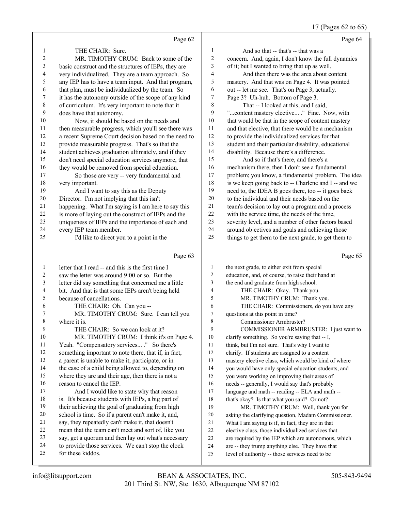### 17 (Pages 62 to 65)

|              | Page 62                                                                                                   |                          | Page 64                                                                                                |
|--------------|-----------------------------------------------------------------------------------------------------------|--------------------------|--------------------------------------------------------------------------------------------------------|
| 1            | THE CHAIR: Sure.                                                                                          | 1                        | And so that -- that's -- that was a                                                                    |
| 2            | MR. TIMOTHY CRUM: Back to some of the                                                                     | $\overline{c}$           | concern. And, again, I don't know the full dynamics                                                    |
| 3            | basic construct and the structures of IEPs, they are                                                      | 3                        | of it; but I wanted to bring that up as well.                                                          |
| 4            | very individualized. They are a team approach. So                                                         | $\overline{\mathcal{L}}$ | And then there was the area about content                                                              |
| 5            | any IEP has to have a team input. And that program,                                                       | 5                        | mastery. And that was on Page 4. It was pointed                                                        |
| 6            | that plan, must be individualized by the team. So                                                         | 6                        | out -- let me see. That's on Page 3, actually.                                                         |
| 7            | it has the autonomy outside of the scope of any kind                                                      | 7                        | Page 3? Uh-huh. Bottom of Page 3.                                                                      |
| $\,$ 8 $\,$  | of curriculum. It's very important to note that it                                                        | 8                        | That -- I looked at this, and I said,                                                                  |
| 9            | does have that autonomy.                                                                                  | 9                        | "content mastery elective ." Fine. Now, with                                                           |
| 10           | Now, it should be based on the needs and                                                                  | $10\,$                   | that would be that in the scope of content mastery                                                     |
| 11           | then measurable progress, which you'll see there was                                                      | $11\,$                   | and that elective, that there would be a mechanism                                                     |
| 12           | a recent Supreme Court decision based on the need to                                                      | 12                       | to provide the individualized services for that                                                        |
| 13           | provide measurable progress. That's so that the                                                           | 13                       | student and their particular disability, educational                                                   |
| 14           | student achieves graduation ultimately, and if they                                                       | 14                       | disability. Because there's a difference.                                                              |
| 15           | don't need special education services anymore, that                                                       | 15                       | And so if that's there, and there's a                                                                  |
| 16           | they would be removed from special education.                                                             | 16                       | mechanism there, then I don't see a fundamental                                                        |
| 17           | So those are very -- very fundamental and                                                                 | 17                       | problem; you know, a fundamental problem. The idea                                                     |
| 18           | very important.                                                                                           | 18                       | is we keep going back to -- Charlene and I -- and we                                                   |
| 19           | And I want to say this as the Deputy                                                                      | 19                       | need to, the IDEA B goes there, too -- it goes back                                                    |
| $20\,$       | Director. I'm not implying that this isn't                                                                | $20\,$                   | to the individual and their needs based on the                                                         |
| 21           | happening. What I'm saying is I am here to say this                                                       | 21                       | team's decision to lay out a program and a process                                                     |
| 22           | is more of laying out the construct of IEPs and the                                                       | $22\,$                   | with the service time, the needs of the time,                                                          |
| 23           | uniqueness of IEPs and the importance of each and                                                         | 23                       | severity level, and a number of other factors based                                                    |
| 24           | every IEP team member.                                                                                    | 24                       | around objectives and goals and achieving those                                                        |
| 25           | I'd like to direct you to a point in the                                                                  | 25                       | things to get them to the next grade, to get them to                                                   |
|              |                                                                                                           |                          |                                                                                                        |
|              | Page 63                                                                                                   |                          | Page 65                                                                                                |
| $\mathbf{1}$ | letter that I read -- and this is the first time I                                                        | 1                        | the next grade, to either exit from special                                                            |
| 2            | saw the letter was around 9:00 or so. But the                                                             | $\overline{c}$           | education, and, of course, to raise their hand at                                                      |
| 3            | letter did say something that concerned me a little                                                       | 3                        | the end and graduate from high school.                                                                 |
| 4            | bit. And that is that some IEPs aren't being held                                                         | 4                        | THE CHAIR: Okay. Thank you.                                                                            |
| 5            | because of cancellations.                                                                                 | 5                        | MR. TIMOTHY CRUM: Thank you.                                                                           |
| 6            | THE CHAIR: Oh. Can you --                                                                                 | 6                        | THE CHAIR: Commissioners, do you have any                                                              |
| $\sqrt{ }$   | MR. TIMOTHY CRUM: Sure. I can tell you                                                                    | 7                        | questions at this point in time?                                                                       |
| 8            | where it is.                                                                                              | 8                        | Commissioner Armbruster?                                                                               |
| 9            | THE CHAIR: So we can look at it?                                                                          | 9                        | COMMISSIONER ARMBRUSTER: I just want to                                                                |
| 10           | MR. TIMOTHY CRUM: I think it's on Page 4.                                                                 | 10                       | clarify something. So you're saying that -- I,                                                         |
| 11           | Yeah. "Compensatory services ." So there's                                                                | 11                       | think, but I'm not sure. That's why I want to                                                          |
| 12           | something important to note there, that if, in fact,                                                      | 12                       | clarify. If students are assigned to a content                                                         |
| 13           | a parent is unable to make it, participate, or in                                                         | 13                       | mastery elective class, which would be kind of where                                                   |
| 14           | the case of a child being allowed to, depending on                                                        | 14                       | you would have only special education students, and                                                    |
| 15           | where they are and their age, then there is not a                                                         | 15                       | you were working on improving their areas of                                                           |
| 16           | reason to cancel the IEP.                                                                                 | 16                       | needs -- generally, I would say that's probably                                                        |
| 17           | And I would like to state why that reason                                                                 | 17                       | language and math -- reading -- ELA and math --                                                        |
| 18           | is. It's because students with IEPs, a big part of                                                        | 18                       | that's okay? Is that what you said? Or not?                                                            |
| 19           | their achieving the goal of graduating from high                                                          | 19                       | MR. TIMOTHY CRUM: Well, thank you for                                                                  |
| 20           | school is time. So if a parent can't make it, and,                                                        | 20                       | asking the clarifying question, Madam Commissioner.                                                    |
| 21           | say, they repeatedly can't make it, that doesn't                                                          | 21                       | What I am saying is if, in fact, they are in that                                                      |
| 22           | mean that the team can't meet and sort of, like you                                                       | 22                       | elective class, those individualized services that                                                     |
| 23<br>24     | say, get a quorum and then lay out what's necessary<br>to provide those services. We can't stop the clock | 23<br>24                 | are required by the IEP which are autonomous, which<br>are -- they trump anything else. They have that |

level of authority -- those services need to be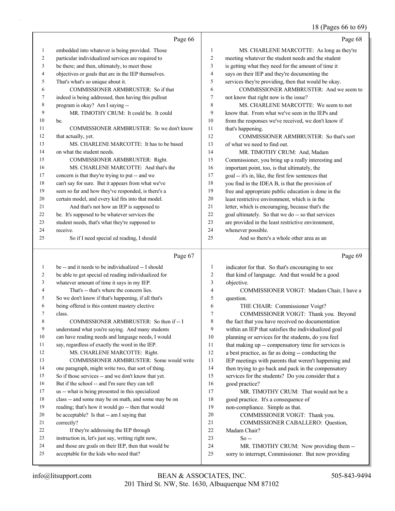#### 18 (Pages 66 to 69)

|                | Page 66                                              |                         | Page 68                                              |
|----------------|------------------------------------------------------|-------------------------|------------------------------------------------------|
| $\mathbf{1}$   | embedded into whatever is being provided. Those      | $\mathbf{1}$            | MS. CHARLENE MARCOTTE: As long as they're            |
| 2              | particular individualized services are required to   | $\overline{2}$          | meeting whatever the student needs and the student   |
| 3              | be there; and then, ultimately, to meet those        | 3                       | is getting what they need for the amount of time it  |
| 4              | objectives or goals that are in the IEP themselves.  | $\overline{4}$          | says on their IEP and they're documenting the        |
| 5              | That's what's so unique about it.                    | 5                       | services they're providing, then that would be okay. |
| 6              | COMMISSIONER ARMBRUSTER: So if that                  | 6                       | COMMISSIONER ARMBRUSTER: And we seem to              |
| 7              | indeed is being addressed, then having this pullout  | $\overline{7}$          | not know that right now is the issue?                |
| $\,$ 8 $\,$    | program is okay? Am I saying --                      | 8                       | MS. CHARLENE MARCOTTE: We seem to not                |
| 9              | MR. TIMOTHY CRUM: It could be. It could              | 9                       | know that. From what we've seen in the IEPs and      |
| 10             | be.                                                  | 10                      | from the responses we've received, we don't know if  |
| 11             | COMMISSIONER ARMBRUSTER: So we don't know            | 11                      | that's happening.                                    |
| 12             | that actually, yet.                                  | 12                      | COMMISSIONER ARMBRUSTER: So that's sort              |
| 13             | MS. CHARLENE MARCOTTE: It has to be based            | 13                      | of what we need to find out.                         |
| 14             | on what the student needs.                           | 14                      | MR. TIMOTHY CRUM: And, Madam                         |
| 15             | COMMISSIONER ARMBRUSTER: Right.                      | 15                      | Commissioner, you bring up a really interesting and  |
| 16             | MS. CHARLENE MARCOTTE: And that's the                | 16                      | important point, too, is that ultimately, the        |
| 17             | concern is that they're trying to put -- and we      | 17                      | goal -- it's in, like, the first few sentences that  |
| 18             | can't say for sure. But it appears from what we've   | 18                      | you find in the IDEA B, is that the provision of     |
| 19             | seen so far and how they've responded, is there's a  | 19                      | free and appropriate public education is done in the |
| 20             | certain model, and every kid fits into that model.   | 20                      | least restrictive environment, which is in the       |
| 21             | And that's not how an IEP is supposed to             | 21                      | letter, which is encouraging, because that's the     |
| 22             | be. It's supposed to be whatever services the        | 22                      | goal ultimately. So that we do -- so that services   |
| 23             | student needs, that's what they're supposed to       | 23                      | are provided in the least restrictive environment,   |
| 24             | receive.                                             | 24                      | whenever possible.                                   |
| 25             | So if I need special ed reading, I should            | 25                      | And so there's a whole other area as an              |
|                | Page 67                                              |                         | Page 69                                              |
| $\mathbf{1}$   | be -- and it needs to be individualized -- I should  | 1                       | indicator for that. So that's encouraging to see     |
| $\overline{2}$ | be able to get special ed reading individualized for | $\mathfrak{2}$          | that kind of language. And that would be a good      |
| 3              | whatever amount of time it says in my IEP.           | 3                       | objective.                                           |
| $\overline{4}$ | That's -- that's where the concern lies.             | $\overline{\mathbf{4}}$ | COMMISSIONER VOIGT: Madam Chair, I have a            |
| 5              | So we don't know if that's happening, if all that's  | 5                       | question.                                            |
| 6              | being offered is this content mastery elective       | 6                       | THE CHAIR: Commissioner Voigt?                       |
| 7              | class.                                               | $\overline{7}$          | COMMISSIONER VOIGT: Thank you. Beyond                |
| 8              | COMMISSIONER ARMBRUSTER: So then if -- I             | 8                       | the fact that you have received no documentation     |

#### understand what you're saying. And many students

can have reading needs and language needs, I would

 say, regardless of exactly the word in the IEP. 12 MS. CHARLENE MARCOTTE: Right.

# 13 COMMISSIONER ARMBRUSTER: Some would write

- one paragraph, might write two, that sort of thing. So if those services -- and we don't know that yet.
- But if the school -- and I'm sure they can tell
- us -- what is being presented in this specialized
- class -- and some may be on math, and some may be on
- reading; that's how it would go -- then that would
- be acceptable? Is that -- am I saying that
- correctly?
- 22 If they're addressing the IEP through
- instruction in, let's just say, writing right now, and those are goals on their IEP, then that would be
- acceptable for the kids who need that?
- within an IEP that satisfies the individualized goal planning or services for the students, do you feel 11 that making up -- compensatory time for services is a best practice, as far as doing -- conducting the
- IEP meetings with parents that weren't happening and 14 then trying to go back and pack in the compensatory
- services for the students? Do you consider that a good practice?

17 MR. TIMOTHY CRUM: That would not be a good practice. It's a consequence of

- non-compliance. Simple as that.
- 20 COMMISSIONER VOIGT: Thank you.
- 21 COMMISSIONER CABALLERO: Question,<br>22 Madam Chair?
	- Madam Chair?
- $23 \text{ So} -$
- 24 MR. TIMOTHY CRUM: Now providing them -- sorry to interrupt, Commissioner. But now providing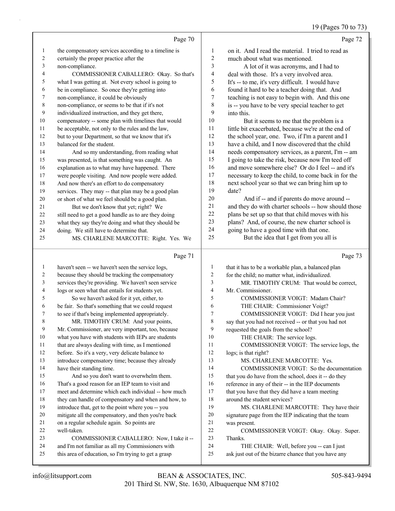# 19 (Pages 70 to 73)

|                | Page 70                                              |                | Page 72                                              |
|----------------|------------------------------------------------------|----------------|------------------------------------------------------|
| 1              | the compensatory services according to a timeline is | 1              | on it. And I read the material. I tried to read as   |
| 2              | certainly the proper practice after the              | $\overline{2}$ | much about what was mentioned.                       |
| 3              | non-compliance.                                      | 3              | A lot of it was acronyms, and I had to               |
| $\overline{4}$ | COMMISSIONER CABALLERO: Okay. So that's              | 4              | deal with those. It's a very involved area.          |
| 5              | what I was getting at. Not every school is going to  | 5              | It's -- to me, it's very difficult. I would have     |
| 6              | be in compliance. So once they're getting into       | 6              | found it hard to be a teacher doing that. And        |
| 7              | non-compliance, it could be obviously                | $\overline{7}$ | teaching is not easy to begin with. And this one     |
| 8              | non-compliance, or seems to be that if it's not      | 8              | is -- you have to be very special teacher to get     |
| 9              | individualized instruction, and they get there,      | 9              | into this.                                           |
| 10             | compensatory -- some plan with timelines that would  | 10             | But it seems to me that the problem is a             |
| 11             | be acceptable, not only to the rules and the law,    | 11             | little bit exacerbated, because we're at the end of  |
| 12             | but to your Department, so that we know that it's    | 12             | the school year, one. Two, if I'm a parent and I     |
| 13             | balanced for the student.                            | 13             | have a child, and I now discovered that the child    |
| 14             | And so my understanding, from reading what           | 14             | needs compensatory services, as a parent, I'm -- am  |
| 15             | was presented, is that something was caught. An      | 15             | I going to take the risk, because now I'm teed off   |
| 16             | explanation as to what may have happened. There      | 16             | and move somewhere else? Or do I feel -- and it's    |
| 17             | were people visiting. And now people were added.     | 17             | necessary to keep the child, to come back in for the |
| 18             | And now there's an effort to do compensatory         | 18             | next school year so that we can bring him up to      |
| 19             | services. They may -- that plan may be a good plan   | 19             | date?                                                |
| 20             | or short of what we feel should be a good plan.      | 20             | And if -- and if parents do move around --           |
| 21             | But we don't know that yet; right? We                | 21             | and they do with charter schools -- how should those |
| 22             | still need to get a good handle as to are they doing | 22             | plans be set up so that that child moves with his    |
| 23             | what they say they're doing and what they should be  | 23             | plans? And, of course, the new charter school is     |
| 24             | doing. We still have to determine that.              | 24             | going to have a good time with that one.             |
| 25             | MS. CHARLENE MARCOTTE: Right. Yes. We                | 25             | But the idea that I get from you all is              |
|                | Page 71                                              |                | Page 73                                              |
| 1              | haven't seen -- we haven't seen the service logs,    | 1              | that it has to be a workable plan, a balanced plan   |

| 2  | because they should be tracking the compensatory     | 2  | for the child; no matter what, individualized.       |
|----|------------------------------------------------------|----|------------------------------------------------------|
| 3  | services they're providing. We haven't seen service  | 3  | MR. TIMOTHY CRUM: That would be correct,             |
| 4  | logs or seen what that entails for students yet.     | 4  | Mr. Commissioner.                                    |
| 5  | So we haven't asked for it yet, either, to           | 5  | COMMISSIONER VOIGT: Madam Chair?                     |
| 6  | be fair. So that's something that we could request   | 6  | THE CHAIR: Commissioner Voigt?                       |
| 7  | to see if that's being implemented appropriately.    | 7  | COMMISSIONER VOIGT: Did I hear you just              |
| 8  | MR. TIMOTHY CRUM: And your points,                   | 8  | say that you had not received -- or that you had not |
| 9  | Mr. Commissioner, are very important, too, because   | 9  | requested the goals from the school?                 |
| 10 | what you have with students with IEPs are students   | 10 | THE CHAIR: The service logs.                         |
| 11 | that are always dealing with time, as I mentioned    | 11 | COMMISSIONER VOIGT: The service logs, the            |
| 12 | before. So it's a very, very delicate balance to     | 12 | logs; is that right?                                 |
| 13 | introduce compensatory time; because they already    | 13 | MS. CHARLENE MARCOTTE: Yes.                          |
| 14 | have their standing time.                            | 14 | COMMISSIONER VOIGT: So the documentation             |
| 15 | And so you don't want to overwhelm them.             | 15 | that you do have from the school, does it -- do they |
| 16 | That's a good reason for an IEP team to visit and    | 16 | reference in any of their -- in the IEP documents    |
| 17 | meet and determine which each individual -- how much | 17 | that you have that they did have a team meeting      |
| 18 | they can handle of compensatory and when and how, to | 18 | around the student services?                         |
| 19 | introduce that, get to the point where you -- you    | 19 | MS. CHARLENE MARCOTTE: They have their               |
| 20 | mitigate all the compensatory, and then you're back  | 20 | signature page from the IEP indicating that the team |
| 21 | on a regular schedule again. So points are           | 21 | was present.                                         |
| 22 | well-taken.                                          | 22 | COMMISSIONER VOIGT: Okay. Okay. Super.               |
| 23 | COMMISSIONER CABALLERO: Now, I take it --            | 23 | Thanks.                                              |
| 24 | and I'm not familiar as all my Commissioners with    | 24 | THE CHAIR: Well, before you -- can I just            |
| 25 | this area of education, so I'm trying to get a grasp | 25 | ask just out of the bizarre chance that you have any |
|    |                                                      |    |                                                      |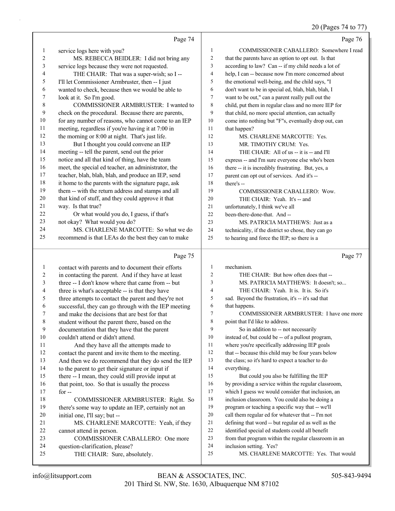### 20 (Pages 74 to 77)

|              | Page 74                                                         |                         | Page 76                                                           |
|--------------|-----------------------------------------------------------------|-------------------------|-------------------------------------------------------------------|
| 1            | service logs here with you?                                     | $\mathbf{1}$            | COMMISSIONER CABALLERO: Somewhere I read                          |
| 2            | MS. REBECCA BEIDLER: I did not bring any                        | $\overline{c}$          | that the parents have an option to opt out. Is that               |
| 3            | service logs because they were not requested.                   | 3                       | according to law? Can -- if my child needs a lot of               |
| 4            | THE CHAIR: That was a super-wish; so I --                       | $\overline{\mathbf{4}}$ | help, I can -- because now I'm more concerned about               |
| 5            | I'll let Commissioner Armbruster, then -- I just                | 5                       | the emotional well-being, and the child says, "I                  |
| 6            | wanted to check, because then we would be able to               | 6                       | don't want to be in special ed, blah, blah, blah, I               |
| 7            | look at it. So I'm good.                                        | 7                       | want to be out," can a parent really pull out the                 |
| $\,8\,$      | COMMISSIONER ARMBRUSTER: I wanted to                            | $\,$ 8 $\,$             | child, put them in regular class and no more IEP for              |
| 9            | check on the procedural. Because there are parents,             | 9                       | that child, no more special attention, can actually               |
| 10           | for any number of reasons, who cannot come to an IEP            | 10                      | come into nothing but "F"s, eventually drop out, can              |
| 11           | meeting, regardless if you're having it at 7:00 in              | 11                      | that happen?                                                      |
| 12           | the morning or 8:00 at night. That's just life.                 | 12                      | MS. CHARLENE MARCOTTE: Yes.                                       |
| 13           | But I thought you could convene an IEP                          | 13                      | MR. TIMOTHY CRUM: Yes.                                            |
| 14           | meeting -- tell the parent, send out the prior                  | 14                      | THE CHAIR: All of us -- it is -- and I'll                         |
| 15           | notice and all that kind of thing, have the team                | 15                      | express -- and I'm sure everyone else who's been                  |
| 16           | meet, the special ed teacher, an administrator, the             | 16                      | there -- it is incredibly frustrating. But, yes, a                |
| 17           | teacher, blah, blah, blah, and produce an IEP, send             | 17                      | parent can opt out of services. And it's --                       |
| 18           | it home to the parents with the signature page, ask             | 18                      | there's --                                                        |
| 19           | them -- with the return address and stamps and all              | 19                      | COMMISSIONER CABALLERO: Wow.                                      |
| 20           | that kind of stuff, and they could approve it that              | 20                      | THE CHAIR: Yeah. It's -- and                                      |
| 21           | way. Is that true?                                              | 21                      | unfortunately, I think we've all                                  |
| 22           | Or what would you do, I guess, if that's                        | 22                      | been-there-done-that. And --                                      |
| 23           | not okay? What would you do?                                    | 23                      | MS. PATRICIA MATTHEWS: Just as a                                  |
| 24           | MS. CHARLENE MARCOTTE: So what we do                            | 24                      | technicality, if the district so chose, they can go               |
| 25           | recommend is that LEAs do the best they can to make             | 25                      | to hearing and force the IEP; so there is a                       |
|              | Page 75                                                         |                         | Page 77                                                           |
| 1            | contact with parents and to document their efforts              |                         |                                                                   |
|              |                                                                 | $\mathbf{1}$            | mechanism.                                                        |
| 2            | in contacting the parent. And if they have at least             | $\overline{c}$          | THE CHAIR: But how often does that --                             |
| 3            | three -- I don't know where that came from -- but               | 3                       | MS. PATRICIA MATTHEWS: It doesn't; so                             |
| 4            | three is what's acceptable -- is that they have                 | 4                       | THE CHAIR: Yeah. It is. It is. So it's                            |
| 5            | three attempts to contact the parent and they're not            | 5                       | sad. Beyond the frustration, it's -- it's sad that                |
| 6            | successful, they can go through with the IEP meeting            | 6                       | that happens.                                                     |
| 7            | and make the decisions that are best for that                   | 7                       | COMMISSIONER ARMBRUSTER: I have one more                          |
| 8            | student without the parent there, based on the                  | $\,$ 8 $\,$             | point that I'd like to address.                                   |
| $\mathbf{9}$ | documentation that they have that the parent                    | 9                       | So in addition to -- not necessarily                              |
| 10           | couldn't attend or didn't attend.                               | 10                      | instead of, but could be -- of a pullout program,                 |
| 11           | And they have all the attempts made to                          | 11                      | where you're specifically addressing IEP goals                    |
| 12           | contact the parent and invite them to the meeting.              | 12                      | that -- because this child may be four years below                |
| 13           | And then we do recommend that they do send the IEP              | 13                      | the class; so it's hard to expect a teacher to do                 |
| 14           | to the parent to get their signature or input if                | 14                      | everything.                                                       |
| 15           | there -- I mean, they could still provide input at              | 15                      | But could you also be fulfilling the IEP                          |
| 16           | that point, too. So that is usually the process                 | 16                      | by providing a service within the regular classroom,              |
| 17           | for $-$                                                         | 17                      | which I guess we would consider that inclusion, an                |
| 18           | COMMISSIONER ARMBRUSTER: Right. So                              | 18                      | inclusion classroom. You could also be doing a                    |
| 19           | there's some way to update an IEP, certainly not an             | 19                      | program or teaching a specific way that -- we'll                  |
| 20           | initial one, I'll say; but --                                   | 20                      | call them regular ed for whatever that -- I'm not                 |
| 21           | MS. CHARLENE MARCOTTE: Yeah, if they                            | 21                      | defining that word -- but regular ed as well as the               |
| 22           | cannot attend in person.                                        | 22                      | identified special ed students could all benefit                  |
| 23           | COMMISSIONER CABALLERO: One more                                | 23                      | from that program within the regular classroom in an              |
| 24<br>25     | question-clarification, please?<br>THE CHAIR: Sure, absolutely. | 24<br>25                | inclusion setting. Yes?<br>MS. CHARLENE MARCOTTE: Yes. That would |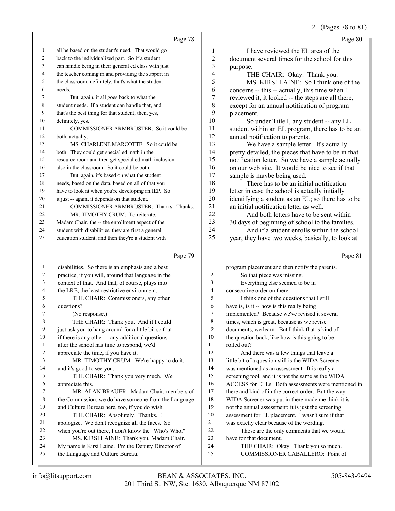21 (Pages 78 to 81)

|    |                                                      |                | 21 (Pages 70 to 01                                  |
|----|------------------------------------------------------|----------------|-----------------------------------------------------|
|    | Page 78                                              |                | Page 80                                             |
| 1  | all be based on the student's need. That would go    | 1              | I have reviewed the EL area of the                  |
| 2  | back to the individualized part. So if a student     | $\overline{2}$ | document several times for the school for this      |
| 3  | can handle being in their general ed class with just | 3              | purpose.                                            |
| 4  | the teacher coming in and providing the support in   | 4              | THE CHAIR: Okay. Thank you.                         |
| 5  | the classroom, definitely, that's what the student   | 5              | MS. KIRSI LAINE: So I think one of the              |
| 6  | needs.                                               | 6              | concerns -- this -- actually, this time when I      |
| 7  | But, again, it all goes back to what the             | $\overline{7}$ | reviewed it, it looked -- the steps are all there,  |
| 8  | student needs. If a student can handle that, and     | 8              | except for an annual notification of program        |
| 9  | that's the best thing for that student, then, yes,   | 9              | placement.                                          |
| 10 | definitely, yes.                                     | 10             | So under Title I, any student -- any EL             |
| 11 | COMMISSIONER ARMBRUSTER: So it could be              | 11             | student within an EL program, there has to be an    |
| 12 | both, actually.                                      | 12             | annual notification to parents.                     |
| 13 | MS. CHARLENE MARCOTTE: So it could be                | 13             | We have a sample letter. It's actually              |
| 14 | both. They could get special ed math in the          | 14             | pretty detailed, the pieces that have to be in that |
| 15 | resource room and then get special ed math inclusion | 15             | notification letter. So we have a sample actually   |
| 16 | also in the classroom. So it could be both.          | 16             | on our web site. It would be nice to see if that    |
| 17 | But, again, it's based on what the student           | 17             | sample is maybe being used.                         |
| 18 | needs, based on the data, based on all of that you   | 18             | There has to be an initial notification             |
| 19 | have to look at when you're developing an IEP. So    | 19             | letter in case the school is actually initially     |
| 20 | it just -- again, it depends on that student.        | 20             | identifying a student as an EL; so there has to be  |
| 21 | COMMISSIONER ARMBRUSTER: Thanks. Thanks.             | 21             | an initial notification letter as well.             |
| 22 | MR. TIMOTHY CRUM: To reiterate,                      | 22             | And both letters have to be sent within             |
| 23 | Madam Chair, the -- the enrollment aspect of the     | 23             | 30 days of beginning of school to the families.     |
| 24 | student with disabilities, they are first a general  | 24             | And if a student enrolls within the school          |
| 25 | education student, and then they're a student with   | 25             | year, they have two weeks, basically, to look at    |
|    |                                                      |                |                                                     |

# Page 79

|    | Page 79                                              |                | Page 81                                             |
|----|------------------------------------------------------|----------------|-----------------------------------------------------|
| 1  | disabilities. So there is an emphasis and a best     | 1              | program placement and then notify the parents.      |
| 2  | practice, if you will, around that language in the   | $\overline{2}$ | So that piece was missing.                          |
| 3  | context of that. And that, of course, plays into     | 3              | Everything else seemed to be in                     |
| 4  | the LRE, the least restrictive environment.          | 4              | consecutive order on there.                         |
| 5  | THE CHAIR: Commissioners, any other                  | 5              | I think one of the questions that I still           |
| 6  | questions?                                           | 6              | have is, is it -- how is this really being          |
| 7  | (No response.)                                       | 7              | implemented? Because we've revised it several       |
| 8  | THE CHAIR: Thank you. And if I could                 | 8              | times, which is great, because as we revise         |
| 9  | just ask you to hang around for a little bit so that | 9              | documents, we learn. But I think that is kind of    |
| 10 | if there is any other -- any additional questions    | 10             | the question back, like how is this going to be     |
| 11 | after the school has time to respond, we'd           | 11             | rolled out?                                         |
| 12 | appreciate the time, if you have it.                 | 12             | And there was a few things that leave a             |
| 13 | MR. TIMOTHY CRUM: We're happy to do it,              | 13             | little bit of a question still is the WIDA Screener |
| 14 | and it's good to see you.                            | 14             | was mentioned as an assessment. It is really a      |
| 15 | THE CHAIR: Thank you very much. We                   | 15             | screening tool, and it is not the same as the WIDA  |
| 16 | appreciate this.                                     | 16             | ACCESS for ELLs. Both assessments were mentioned in |
| 17 | MR. ALAN BRAUER: Madam Chair, members of             | 17             | there and kind of in the correct order. But the way |
| 18 | the Commission, we do have someone from the Language | 18             | WIDA Screener was put in there made me think it is  |
| 19 | and Culture Bureau here, too, if you do wish.        | 19             | not the annual assessment; it is just the screening |
| 20 | THE CHAIR: Absolutely. Thanks. I                     | 20             | assessment for EL placement. I wasn't sure if that  |
| 21 | apologize. We don't recognize all the faces. So      | 21             | was exactly clear because of the wording.           |
| 22 | when you're out there, I don't know the "Who's Who." | 22             | Those are the only comments that we would           |
| 23 | MS. KIRSI LAINE: Thank you, Madam Chair.             | 23             | have for that document.                             |
| 24 | My name is Kirsi Laine. I'm the Deputy Director of   | 24             | THE CHAIR: Okay. Thank you so much.                 |
| 25 | the Language and Culture Bureau.                     | 25             | COMMISSIONER CABALLERO: Point of                    |
|    |                                                      |                |                                                     |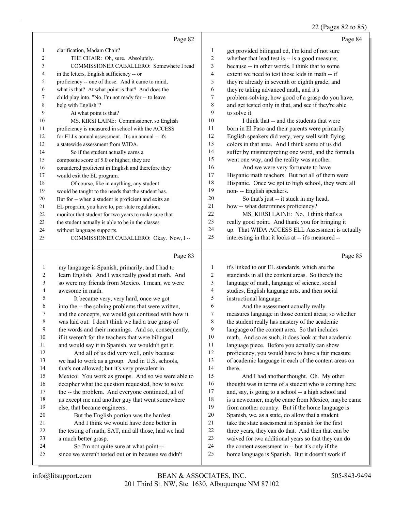# 22 (Pages 82 to 85)

|                | Page 82                                              |    | Page 84                                              |
|----------------|------------------------------------------------------|----|------------------------------------------------------|
| 1              | clarification, Madam Chair?                          | 1  | get provided bilingual ed, I'm kind of not sure      |
| $\overline{c}$ | THE CHAIR: Oh, sure. Absolutely.                     | 2  | whether that lead test is -- is a good measure;      |
| 3              | COMMISSIONER CABALLERO: Somewhere I read             | 3  | because -- in other words, I think that to some      |
| 4              | in the letters, English sufficiency -- or            | 4  | extent we need to test those kids in math -- if      |
| 5              | proficiency -- one of those. And it came to mind,    | 5  | they're already in seventh or eighth grade, and      |
| 6              | what is that? At what point is that? And does the    | 6  | they're taking advanced math, and it's               |
| 7              | child play into, "No, I'm not ready for -- to leave  | 7  | problem-solving, how good of a grasp do you have,    |
| 8              | help with English"?                                  | 8  | and get tested only in that, and see if they're able |
| 9              | At what point is that?                               | 9  | to solve it.                                         |
| 10             | MS. KIRSI LAINE: Commissioner, so English            | 10 | I think that -- and the students that were           |
| 11             | proficiency is measured in school with the ACCESS    | 11 | born in El Paso and their parents were primarily     |
| 12             | for ELLs annual assessment. It's an annual -- it's   | 12 | English speakers did very, very well with flying     |
| 13             | a statewide assessment from WIDA.                    | 13 | colors in that area. And I think some of us did      |
| 14             | So if the student actually earns a                   | 14 | suffer by misinterpreting one word, and the formula  |
| 15             | composite score of 5.0 or higher, they are           | 15 | went one way, and the reality was another.           |
| 16             | considered proficient in English and therefore they  | 16 | And we were very fortunate to have                   |
| 17             | would exit the EL program.                           | 17 | Hispanic math teachers. But not all of them were     |
| 18             | Of course, like in anything, any student             | 18 | Hispanic. Once we got to high school, they were all  |
| 19             | would be taught to the needs that the student has.   | 19 | non- -- English speakers.                            |
| 20             | But for -- when a student is proficient and exits an | 20 | So that's just -- it stuck in my head,               |
| 21             | EL program, you have to, per state regulation,       | 21 | how -- what determines proficiency?                  |
| 22             | monitor that student for two years to make sure that | 22 | MS. KIRSI LAINE: No. I think that's a                |
| 23             | the student actually is able to be in the classes    | 23 | really good point. And thank you for bringing it     |
| 24             | without language supports.                           | 24 | up. That WIDA ACCESS ELL Assessment is actually      |
| 25             | COMMISSIONER CABALLERO: Okay. Now, I--               | 25 | interesting in that it looks at -- it's measured --  |
|                |                                                      |    |                                                      |

|                | Page 83                                             |              | Page 85                                              |
|----------------|-----------------------------------------------------|--------------|------------------------------------------------------|
| 1              | my language is Spanish, primarily, and I had to     | $\mathbf{1}$ | it's linked to our EL standards, which are the       |
| $\overline{c}$ | learn English. And I was really good at math. And   | 2            | standards in all the content areas. So there's the   |
| 3              | so were my friends from Mexico. I mean, we were     | 3            | language of math, language of science, social        |
| 4              | awesome in math.                                    | 4            | studies, English language arts, and then social      |
| 5              | It became very, very hard, once we got              | 5            | instructional language.                              |
| 6              | into the -- the solving problems that were written, | 6            | And the assessment actually really                   |
| 7              | and the concepts, we would get confused with how it | 7            | measures language in those content areas; so whether |
| 8              | was laid out. I don't think we had a true grasp of  | 8            | the student really has mastery of the academic       |
| 9              | the words and their meanings. And so, consequently, | 9            | language of the content area. So that includes       |
| 10             | if it weren't for the teachers that were bilingual  | 10           | math. And so as such, it does look at that academic  |
| 11             | and would say it in Spanish, we wouldn't get it.    | 11           | language piece. Before you actually can show         |
| 12             | And all of us did very well, only because           | 12           | proficiency, you would have to have a fair measure   |
| 13             | we had to work as a group. And in U.S. schools,     | 13           | of academic language in each of the content areas on |
| 14             | that's not allowed; but it's very prevalent in      | 14           | there.                                               |
| 15             | Mexico. You work as groups. And so we were able to  | 15           | And I had another thought. Oh. My other              |
| 16             | decipher what the question requested, how to solve  | 16           | thought was in terms of a student who is coming here |
| 17             | the -- the problem. And everyone continued, all of  | 17           | and, say, is going to a school -- a high school and  |
| 18             | us except me and another guy that went somewhere    | 18           | is a newcomer, maybe came from Mexico, maybe came    |
| 19             | else, that became engineers.                        | 19           | from another country. But if the home language is    |
| 20             | But the English portion was the hardest.            | 20           | Spanish, we, as a state, do allow that a student     |
| 21             | And I think we would have done better in            | 21           | take the state assessment in Spanish for the first   |
| 22             | the testing of math, SAT, and all those, had we had | 22           | three years, they can do that. And then that can be  |
| 23             | a much better grasp.                                | 23           | waived for two additional years so that they can do  |
| 24             | So I'm not quite sure at what point --              | 24           | the content assessment in -- but it's only if the    |
| 25             | since we weren't tested out or in because we didn't | 25           | home language is Spanish. But it doesn't work if     |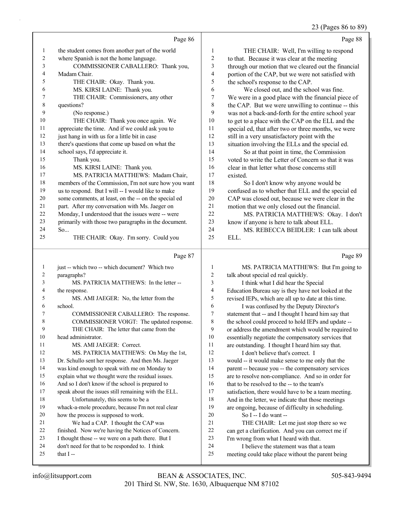23 (Pages 86 to 89)

|              |                                                               |                  | $23$ (Fages ou to 67)                                                                        |
|--------------|---------------------------------------------------------------|------------------|----------------------------------------------------------------------------------------------|
|              | Page 86                                                       |                  | Page 88                                                                                      |
| 1            | the student comes from another part of the world              | 1                | THE CHAIR: Well, I'm willing to respond                                                      |
| 2            | where Spanish is not the home language.                       | $\sqrt{2}$       | to that. Because it was clear at the meeting                                                 |
| 3            | COMMISSIONER CABALLERO: Thank you,                            | 3                | through our motion that we cleared out the financial                                         |
| 4            | Madam Chair.                                                  | $\overline{4}$   | portion of the CAP, but we were not satisfied with                                           |
| 5            | THE CHAIR: Okay. Thank you.                                   | 5                | the school's response to the CAP.                                                            |
| 6            | MS. KIRSI LAINE: Thank you.                                   | 6                | We closed out, and the school was fine.                                                      |
| 7            | THE CHAIR: Commissioners, any other                           | $\boldsymbol{7}$ | We were in a good place with the financial piece of                                          |
| $\,$ 8 $\,$  | questions?                                                    | $\,$ 8 $\,$      | the CAP. But we were unwilling to continue -- this                                           |
| 9            | (No response.)                                                | 9                | was not a back-and-forth for the entire school year                                          |
| 10           | THE CHAIR: Thank you once again. We                           | 10               | to get to a place with the CAP on the ELL and the                                            |
| 11           | appreciate the time. And if we could ask you to               | 11               | special ed, that after two or three months, we were                                          |
| 12           | just hang in with us for a little bit in case                 | 12               | still in a very unsatisfactory point with the                                                |
| 13           | there's questions that come up based on what the              | 13               | situation involving the ELLs and the special ed.                                             |
| 14           | school says, I'd appreciate it.                               | 14               | So at that point in time, the Commission                                                     |
| 15           | Thank you.                                                    | 15               | voted to write the Letter of Concern so that it was                                          |
| 16           | MS. KIRSI LAINE: Thank you.                                   | 16               | clear in that letter what those concerns still                                               |
| 17           | MS. PATRICIA MATTHEWS: Madam Chair,                           | 17               | existed.                                                                                     |
| 18           | members of the Commission, I'm not sure how you want          | $18\,$           | So I don't know why anyone would be                                                          |
| 19           | us to respond. But I will -- I would like to make             | 19               | confused as to whether that ELL and the special ed                                           |
| 20           | some comments, at least, on the -- on the special ed          | $20\,$           | CAP was closed out, because we were clear in the                                             |
| 21           | part. After my conversation with Ms. Jaeger on                | 21               | motion that we only closed out the financial.                                                |
| 22           | Monday, I understood that the issues were -- were             | 22               | MS. PATRICIA MATTHEWS: Okay. I don't                                                         |
| 23           | primarily with those two paragraphs in the document.          | 23               | know if anyone is here to talk about ELL.                                                    |
| 24           | So                                                            | 24               | MS. REBECCA BEIDLER: I can talk about                                                        |
| 25           | THE CHAIR: Okay. I'm sorry. Could you                         | 25               | ELL.                                                                                         |
|              | Page 87                                                       |                  | Page 89                                                                                      |
| $\mathbf{1}$ | just -- which two -- which document? Which two                | 1                | MS. PATRICIA MATTHEWS: But I'm going to                                                      |
| 2            | paragraphs?                                                   | 2                | talk about special ed real quickly.                                                          |
| 3            | MS. PATRICIA MATTHEWS: In the letter --                       | 3                | I think what I did hear the Special                                                          |
| 4            | the response.                                                 | $\overline{4}$   | Education Bureau say is they have not looked at the                                          |
| 5            | MS. AMI JAEGER: No, the letter from the                       | $\sqrt{5}$       | revised IEPs, which are all up to date at this time.                                         |
| 6            | school.                                                       | 6                | I was confused by the Deputy Director's                                                      |
| 7            | COMMISSIONER CABALLERO: The response.                         | $\boldsymbol{7}$ | statement that -- and I thought I heard him say that                                         |
| 8            | COMMISSIONER VOIGT: The updated response.                     | 8                | the school could proceed to hold IEPs and update --                                          |
| 9            | THE CHAIR: The letter that came from the                      | 9                | or address the amendment which would be required to                                          |
| 10           | head administrator.                                           | 10               | essentially negotiate the compensatory services that                                         |
| 11           | MS. AMI JAEGER: Correct.                                      | 11               | are outstanding. I thought I heard him say that.                                             |
| 12           | MS. PATRICIA MATTHEWS: On May the 1st,                        | 12               | I don't believe that's correct. I                                                            |
| 13           | Dr. Schullo sent her response. And then Ms. Jaeger            | 13               | would -- it would make sense to me only that the                                             |
| 14           | was kind enough to speak with me on Monday to                 | 14               | parent -- because you -- the compensatory services                                           |
| 15           | explain what we thought were the residual issues.             | 15               | are to resolve non-compliance. And so in order for                                           |
| 16           | And so I don't know if the school is prepared to              | 16               | that to be resolved to the -- to the team's                                                  |
| $17\,$       |                                                               | 17               | satisfaction, there would have to be a team meeting.                                         |
|              | speak about the issues still remaining with the ELL.          |                  |                                                                                              |
| 18           | Unfortunately, this seems to be a                             | 18               | And in the letter, we indicate that those meetings                                           |
| 19           | whack-a-mole procedure, because I'm not real clear            | 19               | are ongoing, because of difficulty in scheduling.                                            |
| 20           | how the process is supposed to work.                          | $20\,$           | So I -- I do want --                                                                         |
| 21           | We had a CAP. I thought the CAP was                           | 21               | THE CHAIR: Let me just stop there so we                                                      |
| $22\,$       | finished. Now we're having the Notices of Concern.            | 22               | can get a clarification. And you can correct me if                                           |
| 23           | I thought those -- we were on a path there. But I             | 23               | I'm wrong from what I heard with that.                                                       |
| 24<br>25     | don't need for that to be responded to. I think<br>that $I -$ | 24<br>25         | I believe the statement was that a team<br>meeting could take place without the parent being |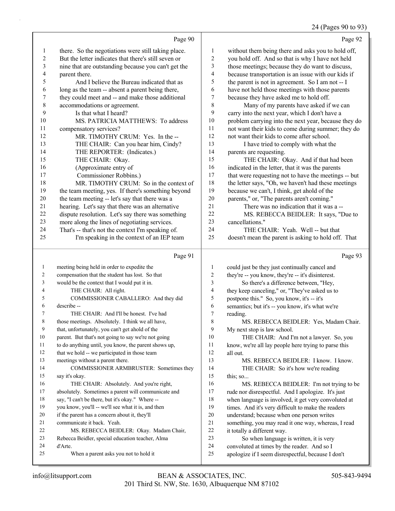|    |                                                      |    | 24 (Pages 90 to 93)                                                                                                                                                                                                                                                                           |
|----|------------------------------------------------------|----|-----------------------------------------------------------------------------------------------------------------------------------------------------------------------------------------------------------------------------------------------------------------------------------------------|
|    | Page 90                                              |    | Page 92                                                                                                                                                                                                                                                                                       |
|    | there. So the negotiations were still taking place.  |    | without them being there and asks you to hold off,                                                                                                                                                                                                                                            |
|    | But the letter indicates that there's still seven or |    | you hold off. And so that is why I have not held                                                                                                                                                                                                                                              |
|    | nine that are outstanding because you can't get the  |    | those meetings; because they do want to discuss,                                                                                                                                                                                                                                              |
|    | parent there.                                        | 4  | because transportation is an issue with our kids if                                                                                                                                                                                                                                           |
|    | And I believe the Bureau indicated that as           |    | the parent is not in agreement. So I am not -- I                                                                                                                                                                                                                                              |
| 6  | long as the team -- absent a parent being there,     | b  | have not held those meetings with those parents                                                                                                                                                                                                                                               |
|    | they could meet and -- and make those additional     |    | because they have asked me to hold off.                                                                                                                                                                                                                                                       |
| 8  | accommodations or agreement.                         | 8  | Many of my parents have asked if we can                                                                                                                                                                                                                                                       |
| 9  | Is that what I heard?                                | 9  | carry into the next year, which I don't have a                                                                                                                                                                                                                                                |
| 10 | MS. PATRICIA MATTHEWS: To address                    | 10 | problem carrying into the next year, because they do                                                                                                                                                                                                                                          |
| 11 |                                                      | 11 | $\frac{1}{2}$ and $\frac{1}{2}$ and $\frac{1}{2}$ and $\frac{1}{2}$ and $\frac{1}{2}$ and $\frac{1}{2}$ and $\frac{1}{2}$ and $\frac{1}{2}$ and $\frac{1}{2}$ and $\frac{1}{2}$ and $\frac{1}{2}$ and $\frac{1}{2}$ and $\frac{1}{2}$ and $\frac{1}{2}$ and $\frac{1}{2}$ and $\frac{1}{2}$ a |

doesn't mean the parent is asking to hold off. That

| 11 | compensatory services?                             | 11 | not want their kids to come during summer; they do   |
|----|----------------------------------------------------|----|------------------------------------------------------|
| 12 | MR. TIMOTHY CRUM: Yes. In the --                   | 12 | not want their kids to come after school.            |
| 13 | THE CHAIR: Can you hear him, Cindy?                | 13 | I have tried to comply with what the                 |
| 14 | THE REPORTER: (Indicates.)                         | 14 | parents are requesting.                              |
| 15 | THE CHAIR: Okay.                                   | 15 | THE CHAIR: Okay. And if that had been                |
| 16 | (Approximate entry of                              | 16 | indicated in the letter, that it was the parents     |
| 17 | Commissioner Robbins.)                             | 17 | that were requesting not to have the meetings -- but |
| 18 | MR. TIMOTHY CRUM: So in the context of             | 18 | the letter says, "Oh, we haven't had these meetings  |
| 19 | the team meeting, yes. If there's something beyond | 19 | because we can't, I think, get ahold of the          |
| 20 | the team meeting -- let's say that there was a     | 20 | parents," or, "The parents aren't coming."           |
| 21 | hearing. Let's say that there was an alternative   | 21 | There was no indication that it was a --             |
| 22 | dispute resolution. Let's say there was something  | 22 | MS. REBECCA BEIDLER: It says, "Due to                |
| 23 | more along the lines of negotiating services.      | 23 | cancellations."                                      |
| 24 | That's -- that's not the context I'm speaking of.  | 24 | THE CHAIR: Yeah. Well -- but that                    |

25 I'm speaking in the context of an IEP team

|    | Page 91                                              |    | Page 93                                              |
|----|------------------------------------------------------|----|------------------------------------------------------|
| 1  | meeting being held in order to expedite the          | 1  | could just be they just continually cancel and       |
| 2  | compensation that the student has lost. So that      | 2  | they're -- you know, they're -- it's disinterest.    |
| 3  | would be the context that I would put it in.         | 3  | So there's a difference between, "Hey,               |
| 4  | THE CHAIR: All right.                                | 4  | they keep canceling," or, "They've asked us to       |
| 5  | COMMISSIONER CABALLERO: And they did                 | 5  | postpone this." So, you know, it's -- it's           |
| 6  | describe --                                          | 6  | semantics; but it's -- you know, it's what we're     |
| 7  | THE CHAIR: And I'll be honest. I've had              | 7  | reading.                                             |
| 8  | those meetings. Absolutely. I think we all have,     | 8  | MS. REBECCA BEIDLER: Yes, Madam Chair.               |
| 9  | that, unfortunately, you can't get ahold of the      | 9  | My next stop is law school.                          |
| 10 | parent. But that's not going to say we're not going  | 10 | THE CHAIR: And I'm not a lawyer. So, you             |
| 11 | to do anything until, you know, the parent shows up, | 11 | know, we're all lay people here trying to parse this |
| 12 | that we hold -- we participated in those team        | 12 | all out.                                             |
| 13 | meetings without a parent there.                     | 13 | MS. REBECCA BEIDLER: I know. I know.                 |
| 14 | <b>COMMISSIONER ARMBRUSTER: Sometimes they</b>       | 14 | THE CHAIR: So it's how we're reading                 |
| 15 | say it's okay.                                       | 15 | this; so                                             |
| 16 | THE CHAIR: Absolutely. And you're right,             | 16 | MS. REBECCA BEIDLER: I'm not trying to be            |
| 17 | absolutely. Sometimes a parent will communicate and  | 17 | rude nor disrespectful. And I apologize. It's just   |
| 18 | say, "I can't be there, but it's okay." Where --     | 18 | when language is involved, it get very convoluted at |
| 19 | you know, you'll -- we'll see what it is, and then   | 19 | times. And it's very difficult to make the readers   |
| 20 | if the parent has a concern about it, they'll        | 20 | understand; because when one person writes           |
| 21 | communicate it back. Yeah.                           | 21 | something, you may read it one way, whereas, I read  |
| 22 | MS. REBECCA BEIDLER: Okay. Madam Chair,              | 22 | it totally a different way.                          |
| 23 | Rebecca Beidler, special education teacher, Alma     | 23 | So when language is written, it is very              |
| 24 | d'Arte.                                              | 24 | convoluted at times by the reader. And so I          |
| 25 | When a parent asks you not to hold it                | 25 | apologize if I seem disrespectful, because I don't   |
|    |                                                      |    |                                                      |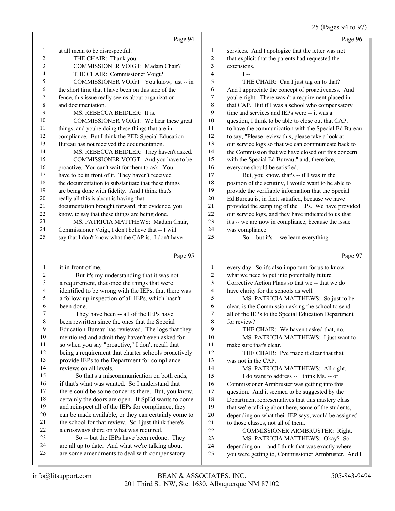### 25 (Pages 94 to 97)

|                | Page 94                                                                                       |                         | Page 96                                                                               |
|----------------|-----------------------------------------------------------------------------------------------|-------------------------|---------------------------------------------------------------------------------------|
| $\mathbf{1}$   | at all mean to be disrespectful.                                                              | 1                       | services. And I apologize that the letter was not                                     |
| $\overline{2}$ | THE CHAIR: Thank you.                                                                         | $\overline{c}$          | that explicit that the parents had requested the                                      |
| 3              | COMMISSIONER VOIGT: Madam Chair?                                                              | 3                       | extensions.                                                                           |
| 4              | THE CHAIR: Commissioner Voigt?                                                                | $\overline{\mathbf{4}}$ | $I -$                                                                                 |
| 5              | COMMISSIONER VOIGT: You know, just -- in                                                      | 5                       | THE CHAIR: Can I just tag on to that?                                                 |
| 6              | the short time that I have been on this side of the                                           | 6                       | And I appreciate the concept of proactiveness. And                                    |
| 7              | fence, this issue really seems about organization                                             | 7                       | you're right. There wasn't a requirement placed in                                    |
| $\,$ 8 $\,$    | and documentation.                                                                            | $\,8\,$                 | that CAP. But if I was a school who compensatory                                      |
| 9              | MS. REBECCA BEIDLER: It is.                                                                   | 9                       | time and services and IEPs were -- it was a                                           |
| 10             | COMMISSIONER VOIGT: We hear these great                                                       | $10\,$                  | question, I think to be able to close out that CAP,                                   |
| 11             | things, and you're doing these things that are in                                             | 11                      | to have the communication with the Special Ed Bureau                                  |
| 12             | compliance. But I think the PED Special Education                                             | 12                      | to say, "Please review this, please take a look at                                    |
| 13             | Bureau has not received the documentation.                                                    | 13                      | our service logs so that we can communicate back to                                   |
| 14             | MS. REBECCA BEIDLER: They haven't asked.                                                      | 14                      | the Commission that we have closed out this concern                                   |
| 15             | COMMISSIONER VOIGT: And you have to be                                                        | 15                      | with the Special Ed Bureau," and, therefore,                                          |
| 16             | proactive. You can't wait for them to ask. You                                                | 16                      | everyone should be satisfied.                                                         |
| 17             | have to be in front of it. They haven't received                                              | 17                      | But, you know, that's -- if I was in the                                              |
| 18             | the documentation to substantiate that these things                                           | $18\,$                  | position of the scrutiny, I would want to be able to                                  |
| 19             | are being done with fidelity. And I think that's                                              | 19                      | provide the verifiable information that the Special                                   |
| 20             | really all this is about is having that                                                       | 20                      | Ed Bureau is, in fact, satisfied, because we have                                     |
| 21             | documentation brought forward, that evidence, you                                             | 21                      | provided the sampling of the IEPs. We have provided                                   |
| 22             | know, to say that these things are being done.                                                | 22                      | our service logs, and they have indicated to us that                                  |
| 23             | MS. PATRICIA MATTHEWS: Madam Chair,                                                           | 23                      | it's -- we are now in compliance, because the issue                                   |
| 24             | Commissioner Voigt, I don't believe that -- I will                                            | 24                      | was compliance.                                                                       |
| 25             | say that I don't know what the CAP is. I don't have                                           | 25                      | So -- but it's -- we learn everything                                                 |
|                |                                                                                               |                         |                                                                                       |
|                | Page 95                                                                                       |                         | Page 97                                                                               |
| $\mathbf{1}$   | it in front of me.                                                                            | 1                       | every day. So it's also important for us to know                                      |
| $\overline{c}$ | But it's my understanding that it was not                                                     | $\sqrt{2}$              | what we need to put into potentially future                                           |
| 3              | a requirement, that once the things that were                                                 | 3                       | Corrective Action Plans so that we -- that we do                                      |
| 4              | identified to be wrong with the IEPs, that there was                                          | $\overline{4}$          | have clarity for the schools as well.                                                 |
| 5              | a follow-up inspection of all IEPs, which hasn't                                              | 5                       | MS. PATRICIA MATTHEWS: So just to be                                                  |
| 6              | been done.                                                                                    | 6                       | clear, is the Commission asking the school to send                                    |
| 7              | They have been -- all of the IEPs have                                                        | 7                       | all of the IEPs to the Special Education Department                                   |
| 8              | been rewritten since the ones that the Special                                                | $\,$ $\,$               | for review?                                                                           |
| $\overline{9}$ | Education Bureau has reviewed. The logs that they                                             | 9                       | THE CHAIR: We haven't asked that, no.                                                 |
| $10\,$         | mentioned and admit they haven't even asked for --                                            | 10                      | MS. PATRICIA MATTHEWS: I just want to                                                 |
| 11             | so when you say "proactive," I don't recall that                                              | 11                      | make sure that's clear.                                                               |
| 12             | being a requirement that charter schools proactively                                          | 12                      | THE CHAIR: I've made it clear that that                                               |
| 13             | provide IEPs to the Department for compliance                                                 | 13                      | was not in the CAP.                                                                   |
| 14             | reviews on all levels.                                                                        | 14                      | MS. PATRICIA MATTHEWS: All right.                                                     |
| 15             | So that's a miscommunication on both ends,                                                    | 15                      | I do want to address -- I think Ms. -- or                                             |
| 16             | if that's what was wanted. So I understand that                                               | 16                      | Commissioner Armbruster was getting into this                                         |
| 17             | there could be some concerns there. But, you know,                                            | 17                      | question. And it seemed to be suggested by the                                        |
| 18             | certainly the doors are open. If SpEd wants to come                                           | 18                      | Department representatives that this mastery class                                    |
| 19             | and reinspect all of the IEPs for compliance, they                                            | 19                      | that we're talking about here, some of the students,                                  |
| 20             | can be made available, or they can certainly come to                                          | $20\,$                  | depending on what their IEP says, would be assigned                                   |
| 21             | the school for that review. So I just think there's                                           | 21                      | to those classes, not all of them.                                                    |
| 22             | a crossways there on what was required.                                                       | 22                      | COMMISSIONER ARMBRUSTER: Right.                                                       |
| 23<br>24       | So -- but the IEPs have been redone. They<br>are all up to date. And what we're talking about | 23<br>24                | MS. PATRICIA MATTHEWS: Okay? So<br>depending on -- and I think that was exactly where |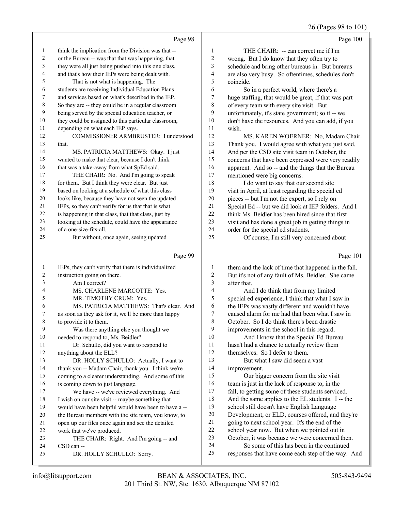26 (Pages 98 to 101)

|              | Page 98                                              |                         | Page 100                                                                                     |
|--------------|------------------------------------------------------|-------------------------|----------------------------------------------------------------------------------------------|
| $\mathbf{1}$ | think the implication from the Division was that --  | $\mathbf{1}$            | THE CHAIR: -- can correct me if I'm                                                          |
| 2            | or the Bureau -- was that that was happening, that   | $\boldsymbol{2}$        | wrong. But I do know that they often try to                                                  |
| 3            | they were all just being pushed into this one class, | 3                       | schedule and bring other bureaus in. But bureaus                                             |
| 4            | and that's how their IEPs were being dealt with.     | $\overline{\mathbf{4}}$ | are also very busy. So oftentimes, schedules don't                                           |
| 5            | That is not what is happening. The                   | 5                       | coincide.                                                                                    |
| 6            | students are receiving Individual Education Plans    | 6                       | So in a perfect world, where there's a                                                       |
| 7            | and services based on what's described in the IEP.   | $\tau$                  | huge staffing, that would be great, if that was part                                         |
| 8            | So they are -- they could be in a regular classroom  | $\,$ 8 $\,$             | of every team with every site visit. But                                                     |
| 9            | being served by the special education teacher, or    | 9                       | unfortunately, it's state government; so it -- we                                            |
| 10           | they could be assigned to this particular classroom, | 10                      | don't have the resources. And you can add, if you                                            |
| 11           | depending on what each IEP says.                     | 11                      | wish.                                                                                        |
| 12           | COMMISSIONER ARMBRUSTER: I understood                | 12                      | MS. KAREN WOERNER: No, Madam Chair.                                                          |
| 13           | that.                                                | 13                      | Thank you. I would agree with what you just said.                                            |
| 14           | MS. PATRICIA MATTHEWS: Okay. I just                  | 14                      | And per the CSD site visit team in October, the                                              |
| 15           | wanted to make that clear, because I don't think     | 15                      | concerns that have been expressed were very readily                                          |
| 16           | that was a take-away from what SpEd said.            | 16                      | apparent. And so -- and the things that the Bureau                                           |
| 17           | THE CHAIR: No. And I'm going to speak                | 17                      | mentioned were big concerns.                                                                 |
| 18           | for them. But I think they were clear. But just      | 18                      | I do want to say that our second site                                                        |
| 19           | based on looking at a schedule of what this class    | 19                      | visit in April, at least regarding the special ed                                            |
| 20           | looks like, because they have not seen the updated   | 20                      | pieces -- but I'm not the expert, so I rely on                                               |
| 21           | IEPs, so they can't verify for us that that is what  | 21                      | Special Ed -- but we did look at IEP folders. And I                                          |
| 22           | is happening in that class, that that class, just by | 22                      | think Ms. Beidler has been hired since that first                                            |
| 23           | looking at the schedule, could have the appearance   | 23                      | visit and has done a great job in getting things in                                          |
| 24           | of a one-size-fits-all.                              | 24                      | order for the special ed students.                                                           |
| 25           | But without, once again, seeing updated              | 25                      | Of course, I'm still very concerned about                                                    |
|              |                                                      |                         |                                                                                              |
|              |                                                      |                         |                                                                                              |
|              | Page 99                                              |                         | Page 101                                                                                     |
| 1            | IEPs, they can't verify that there is individualized | 1                       | them and the lack of time that happened in the fall.                                         |
| 2            | instruction going on there.                          | $\sqrt{2}$              | But it's not of any fault of Ms. Beidler. She came                                           |
| 3            | Am I correct?                                        | 3                       | after that.                                                                                  |
| 4            | MS. CHARLENE MARCOTTE: Yes.                          | $\overline{\mathbf{4}}$ | And I do think that from my limited                                                          |
| 5            | MR. TIMOTHY CRUM: Yes.                               | 5                       | special ed experience, I think that what I saw in                                            |
| 6            | MS. PATRICIA MATTHEWS: That's clear. And             | 6                       | the IEPs was vastly different and wouldn't have                                              |
| 7            | as soon as they ask for it, we'll be more than happy | 7                       | caused alarm for me had that been what I saw in                                              |
| 8            | to provide it to them.                               | 8                       | October. So I do think there's been drastic                                                  |
| 9            | Was there anything else you thought we               | 9                       | improvements in the school in this regard.                                                   |
| 10           | needed to respond to, Ms. Beidler?                   | 10                      | And I know that the Special Ed Bureau                                                        |
| 11           | Dr. Schullo, did you want to respond to              | 11                      | hasn't had a chance to actually review them                                                  |
| 12           | anything about the ELL?                              | 12                      | themselves. So I defer to them.                                                              |
| 13           | DR. HOLLY SCHULLO: Actually, I want to               | 13                      | But what I saw did seem a vast                                                               |
| 14           | thank you -- Madam Chair, thank you. I think we're   | 14                      | improvement.                                                                                 |
| 15           | coming to a clearer understanding. And some of this  | 15                      | Our bigger concern from the site visit                                                       |
| 16           | is coming down to just language.                     | 16                      | team is just in the lack of response to, in the                                              |
| 17           | We have -- we've reviewed everything. And            | 17<br>$18\,$            | fall, to getting some of these students serviced.                                            |
| 18           | I wish on our site visit -- maybe something that     | 19                      | And the same applies to the EL students. I -- the                                            |
| 19<br>20     | would have been helpful would have been to have a -- | 20                      | school still doesn't have English Language                                                   |
| 21           | the Bureau members with the site team, you know, to  | 21                      | Development, or ELD, courses offered, and they're                                            |
|              | open up our files once again and see the detailed    | 22                      | going to next school year. It's the end of the                                               |
| 22<br>23     | work that we've produced.                            | 23                      | school year now. But when we pointed out in                                                  |
| 24           | THE CHAIR: Right. And I'm going -- and<br>CSD can -- | 24                      | October, it was because we were concerned then.<br>So some of this has been in the continued |
| 25           | DR. HOLLY SCHULLO: Sorry.                            | 25                      | responses that have come each step of the way. And                                           |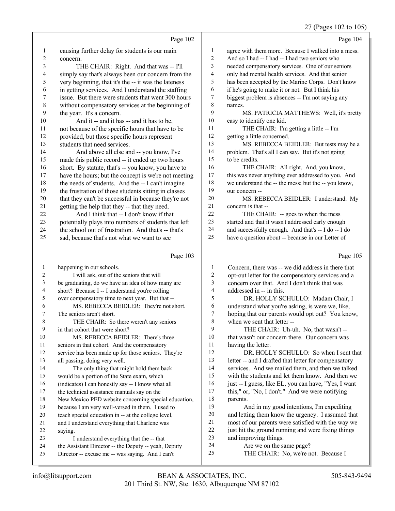#### 27 (Pages 102 to 105)

|                |                                                                                                          |              | $27$ (Pages $102$ to $105$                                                                           |
|----------------|----------------------------------------------------------------------------------------------------------|--------------|------------------------------------------------------------------------------------------------------|
|                | Page 102                                                                                                 |              | Page 104                                                                                             |
| 1              | causing further delay for students is our main                                                           | $\mathbf{1}$ | agree with them more. Because I walked into a mess.                                                  |
| $\overline{c}$ | concern.                                                                                                 | 2            | And so I had -- I had -- I had two seniors who                                                       |
| 3              | THE CHAIR: Right. And that was -- I'll                                                                   | 3            | needed compensatory services. One of our seniors                                                     |
| 4              | simply say that's always been our concern from the                                                       | 4            | only had mental health services. And that senior                                                     |
| 5              | very beginning, that it's the -- it was the lateness                                                     | 5            | has been accepted by the Marine Corps. Don't know                                                    |
| 6              | in getting services. And I understand the staffing                                                       | 6            | if he's going to make it or not. But I think his                                                     |
| 7              | issue. But there were students that went 300 hours                                                       | 7            | biggest problem is absences -- I'm not saying any                                                    |
| $\,$ 8 $\,$    | without compensatory services at the beginning of                                                        | 8            | names.                                                                                               |
| 9              | the year. It's a concern.                                                                                | 9            | MS. PATRICIA MATTHEWS: Well, it's pretty                                                             |
| 10             | And it -- and it has -- and it has to be,                                                                | 10           | easy to identify one kid.                                                                            |
| 11             | not because of the specific hours that have to be                                                        | 11           | THE CHAIR: I'm getting a little -- I'm                                                               |
| 12             | provided, but those specific hours represent                                                             | 12           | getting a little concerned.                                                                          |
| 13             | students that need services.                                                                             | 13           | MS. REBECCA BEIDLER: But tests may be a                                                              |
| 14             | And above all else and -- you know, I've                                                                 | 14           | problem. That's all I can say. But it's not going                                                    |
| 15             | made this public record -- it ended up two hours                                                         | 15           | to be credits.                                                                                       |
| 16             | short. By statute, that's -- you know, you have to                                                       | 16           | THE CHAIR: All right. And, you know,                                                                 |
| 17             | have the hours; but the concept is we're not meeting                                                     | 17           | this was never anything ever addressed to you. And                                                   |
| 18             | the needs of students. And the -- I can't imagine                                                        | $18\,$       | we understand the -- the mess; but the -- you know,                                                  |
| 19             | the frustration of those students sitting in classes                                                     | 19           | our concern --                                                                                       |
| $20\,$         | that they can't be successful in because they're not                                                     | $20\,$       | MS. REBECCA BEIDLER: I understand. My                                                                |
| 21             | getting the help that they -- that they need.                                                            | 21           | concern is that --                                                                                   |
| 22             | And I think that -- I don't know if that                                                                 | 22           | THE CHAIR: -- goes to when the mess                                                                  |
| 23             | potentially plays into numbers of students that left                                                     | 23           | started and that it wasn't addressed early enough                                                    |
| 24             | the school out of frustration. And that's -- that's                                                      | 24           | and successfully enough. And that's -- I do -- I do                                                  |
| 25             | sad, because that's not what we want to see                                                              | 25           | have a question about -- because in our Letter of                                                    |
|                |                                                                                                          |              |                                                                                                      |
|                | Page 103                                                                                                 |              | Page 105                                                                                             |
| $\mathbf{1}$   |                                                                                                          | 1            |                                                                                                      |
| 2              | happening in our schools.                                                                                |              | Concern, there was -- we did address in there that                                                   |
| 3              | I will ask, out of the seniors that will                                                                 | 2<br>3       | opt-out letter for the compensatory services and a<br>concern over that. And I don't think that was  |
| 4              | be graduating, do we have an idea of how many are                                                        | 4            | addressed in -- in this.                                                                             |
| 5              | short? Because I -- I understand you're rolling                                                          | 5            | DR. HOLLY SCHULLO: Madam Chair, I                                                                    |
| 6              | over compensatory time to next year. But that --<br>MS. REBECCA BEIDLER: They're not short.              | 6            |                                                                                                      |
| 7              | The seniors aren't short.                                                                                | 7            | understand what you're asking, is were we, like,<br>hoping that our parents would opt out? You know, |
| 8              | THE CHAIR: So there weren't any seniors                                                                  | 8            | when we sent that letter --                                                                          |
| 9              | in that cohort that were short?                                                                          | 9            | THE CHAIR: Uh-uh. No, that wasn't --                                                                 |
| 10             | MS. REBECCA BEIDLER: There's three                                                                       | 10           | that wasn't our concern there. Our concern was                                                       |
| 11             | seniors in that cohort. And the compensatory                                                             | 11           | having the letter.                                                                                   |
| 12             | service has been made up for those seniors. They're                                                      | 12           | DR. HOLLY SCHULLO: So when I sent that                                                               |
| 13             | all passing, doing very well.                                                                            | 13           | letter -- and I drafted that letter for compensatory                                                 |
| 14             | The only thing that might hold them back                                                                 | 14           | services. And we mailed them, and then we talked                                                     |
| 15             | would be a portion of the State exam, which                                                              | 15           | with the students and let them know. And then we                                                     |
| 16             | (indicates) I can honestly say -- I know what all                                                        | 16           | just -- I guess, like EL, you can have, "Yes, I want                                                 |
| 17             | the technical assistance manuals say on the                                                              | 17           | this," or, "No, I don't." And we were notifying                                                      |
| 18             | New Mexico PED website concerning special education,                                                     | 18           | parents.                                                                                             |
| 19             | because I am very well-versed in them. I used to                                                         | 19           | And in my good intentions, I'm expediting                                                            |
| $20\,$         | teach special education in -- at the college level,                                                      | $20\,$       | and letting them know the urgency. I assumed that                                                    |
| 21             | and I understand everything that Charlene was                                                            | 21           | most of our parents were satisfied with the way we                                                   |
| 22             | saying.                                                                                                  | $22\,$       | just hit the ground running and were fixing things                                                   |
| 23             | I understand everything that the -- that                                                                 | 23           | and improving things.                                                                                |
| 24<br>25       | the Assistant Director -- the Deputy -- yeah, Deputy<br>Director -- excuse me -- was saying. And I can't | 24<br>25     | Are we on the same page?<br>THE CHAIR: No, we're not. Because I                                      |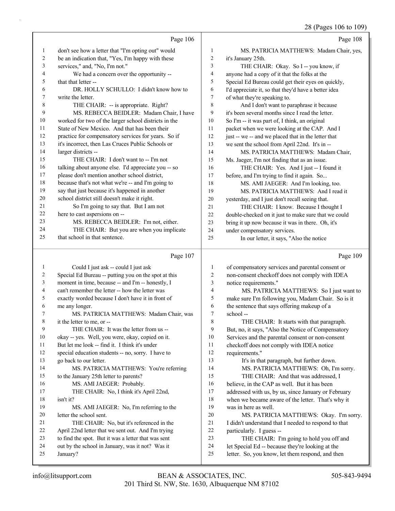|              |                                                                       |                | 28 (Pages 106 to 109)                                                                                  |
|--------------|-----------------------------------------------------------------------|----------------|--------------------------------------------------------------------------------------------------------|
|              | Page 106                                                              |                | Page 108                                                                                               |
| $\mathbf{1}$ | don't see how a letter that "I'm opting out" would                    | 1              | MS. PATRICIA MATTHEWS: Madam Chair, yes,                                                               |
| 2            | be an indication that, "Yes, I'm happy with these                     | $\overline{c}$ | it's January 25th.                                                                                     |
| 3            | services," and, "No, I'm not."                                        | 3              | THE CHAIR: Okay. So I -- you know, if                                                                  |
| 4            | We had a concern over the opportunity --                              | 4              | anyone had a copy of it that the folks at the                                                          |
| 5            | that that letter --                                                   | 5              | Special Ed Bureau could get their eyes on quickly,                                                     |
| 6            | DR. HOLLY SCHULLO: I didn't know how to                               | 6              | I'd appreciate it, so that they'd have a better idea                                                   |
| 7            | write the letter.                                                     | 7              | of what they're speaking to.                                                                           |
| 8            | THE CHAIR: -- is appropriate. Right?                                  | 8              | And I don't want to paraphrase it because                                                              |
| 9            | MS. REBECCA BEIDLER: Madam Chair, I have                              | 9              | it's been several months since I read the letter.                                                      |
| 10           | worked for two of the larger school districts in the                  | 10             | So I'm -- it was part of, I think, an original                                                         |
| 11           | State of New Mexico. And that has been their                          | 11             | packet when we were looking at the CAP. And I                                                          |
| 12           | practice for compensatory services for years. So if                   | 12             | just -- we -- and we placed that in the letter that                                                    |
| 13           | it's incorrect, then Las Cruces Public Schools or                     | 13             | we sent the school from April 22nd. It's in --                                                         |
| 14           | larger districts --                                                   | 14             | MS. PATRICIA MATTHEWS: Madam Chair,                                                                    |
| 15           | THE CHAIR: I don't want to -- I'm not                                 | 15             | Ms. Jaeger, I'm not finding that as an issue.                                                          |
| 16           | talking about anyone else. I'd appreciate you -- so                   | 16             | THE CHAIR: Yes. And I just -- I found it                                                               |
| 17           | please don't mention another school district,                         | 17             | before, and I'm trying to find it again. So                                                            |
| 18           | because that's not what we're -- and I'm going to                     | 18             | MS. AMI JAEGER: And I'm looking, too.                                                                  |
| 19           | say that just because it's happened in another                        | 19             | MS. PATRICIA MATTHEWS: And I read it                                                                   |
| 20           | school district still doesn't make it right.                          | 20             | yesterday, and I just don't recall seeing that.                                                        |
| 21           | So I'm going to say that. But I am not                                | 21             | THE CHAIR: I know. Because I thought I                                                                 |
| 22           | here to cast aspersions on --                                         | 22             | double-checked on it just to make sure that we could                                                   |
| 23           | MS. REBECCA BEIDLER: I'm not, either.                                 | 23             | bring it up now because it was in there. Oh, it's                                                      |
| 24           | THE CHAIR: But you are when you implicate                             | 24             | under compensatory services.                                                                           |
| 25           | that school in that sentence.                                         | 25             | In our letter, it says, "Also the notice                                                               |
|              | Page 107                                                              |                | Page 109                                                                                               |
| 1            | Could I just ask -- could I just ask                                  | 1              | of compensatory services and parental consent or                                                       |
| 2            | Special Ed Bureau -- putting you on the spot at this                  | 2              | non-consent checkoff does not comply with IDEA                                                         |
| 3            | moment in time, because -- and I'm -- honestly, I                     | 3              | notice requirements."                                                                                  |
| 4            | can't remember the letter -- how the letter was                       | $\overline{4}$ | MS. PATRICIA MATTHEWS: So I just want to                                                               |
| 5            | exactly worded because I don't have it in front of                    | 5              | make sure I'm following you, Madam Chair. So is it                                                     |
| 6            | me any longer.                                                        | 6              | the sentence that says offering makeup of a                                                            |
| 7            | MS. PATRICIA MATTHEWS: Madam Chair, was                               | 7              | school-                                                                                                |
| 8            |                                                                       | 8              |                                                                                                        |
| 9            | it the letter to me, or --<br>THE CHAIR: It was the letter from us -- | 9              | THE CHAIR: It starts with that paragraph.                                                              |
| 10           | okay -- yes. Well, you were, okay, copied on it.                      | 10             | But, no, it says, "Also the Notice of Compensatory<br>Services and the parental consent or non-consent |
| 11           | But let me look -- find it. I think it's under                        | 11             |                                                                                                        |
| 12           |                                                                       | 12             | checkoff does not comply with IDEA notice                                                              |
| 13           | special education students -- no, sorry. I have to                    | 13             | requirements."                                                                                         |
| 14           | go back to our letter.                                                | 14             | It's in that paragraph, but further down.                                                              |
| 15           | MS. PATRICIA MATTHEWS: You're referring                               | 15             | MS. PATRICIA MATTHEWS: Oh, I'm sorry.                                                                  |
| 16           | to the January 25th letter to parents?<br>MS. AMI JAEGER: Probably.   | 16             | THE CHAIR: And that was addressed, I                                                                   |
| 17           | THE CHAIR: No, I think it's April 22nd,                               | 17             | believe, in the CAP as well. But it has been                                                           |
| 18           | isn't it?                                                             | 18             | addressed with us, by us, since January or February                                                    |
| 19           | MS. AMI JAEGER: No, I'm referring to the                              | 19             | when we became aware of the letter. That's why it<br>was in here as well.                              |
| 20           | letter the school sent.                                               | $20\,$         | MS. PATRICIA MATTHEWS: Okay. I'm sorry.                                                                |
|              |                                                                       |                |                                                                                                        |

21 THE CHAIR: No, but it's referenced in the<br>22 April 22nd letter that we sent out. And I'm trying April 22nd letter that we sent out. And I'm trying to find the spot. But it was a letter that was sent 21 I didn't understand that I needed to respond to that<br>22 narticularly. I guess -particularly. I guess --

- out by the school in January, was it not? Was it
- January?
- 23 THE CHAIR: I'm going to hold you off and let Special Ed -- because they're looking at the
- letter. So, you know, let them respond, and then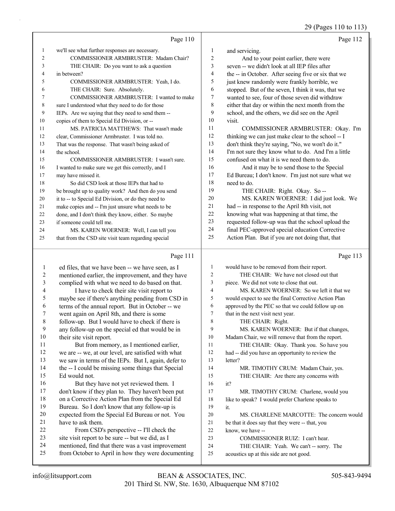29 (Pages 110 to 113)

|                |                                                     |                | 29 (Pages 110 to 11:                                 |
|----------------|-----------------------------------------------------|----------------|------------------------------------------------------|
|                | Page 110                                            |                | Page 112                                             |
| $\mathbf{1}$   | we'll see what further responses are necessary.     | 1              | and servicing.                                       |
| 2              | COMMISSIONER ARMBRUSTER: Madam Chair?               | $\overline{2}$ | And to your point earlier, there were                |
| 3              | THE CHAIR: Do you want to ask a question            | 3              | seven -- we didn't look at all IEP files after       |
| 4              | in between?                                         | 4              | the -- in October. After seeing five or six that we  |
| 5              | COMMISSIONER ARMBRUSTER: Yeah, I do.                | 5              | just knew randomly were frankly horrible, we         |
| 6              | THE CHAIR: Sure. Absolutely.                        | 6              | stopped. But of the seven, I think it was, that we   |
| $\tau$         | COMMISSIONER ARMBRUSTER: I wanted to make           | $\tau$         | wanted to see, four of those seven did withdraw      |
| 8              | sure I understood what they need to do for those    | $\,$ 8 $\,$    | either that day or within the next month from the    |
| 9              | IEPs. Are we saying that they need to send them --  | 9              | school, and the others, we did see on the April      |
| $10\,$         | copies of them to Special Ed Division, or --        | $10\,$         | visit.                                               |
| 11             | MS. PATRICIA MATTHEWS: That wasn't made             | 11             | COMMISSIONER ARMBRUSTER: Okay. I'm                   |
| 12             | clear, Commissioner Armbruster. I was told no.      | 12             | thinking we can just make clear to the school -- I   |
| 13             | That was the response. That wasn't being asked of   | 13             | don't think they're saying, "No, we won't do it."    |
| 14             | the school.                                         | 14             | I'm not sure they know what to do. And I'm a little  |
| 15             | COMMISSIONER ARMBRUSTER: I wasn't sure.             | 15             | confused on what it is we need them to do.           |
| 16             | I wanted to make sure we get this correctly, and I  | 16             | And it may be to send those to the Special           |
| 17             | may have missed it.                                 | 17             | Ed Bureau; I don't know. I'm just not sure what we   |
| 18             | So did CSD look at those IEPs that had to           | 18             | need to do.                                          |
| 19             | be brought up to quality work? And then do you send | 19             | THE CHAIR: Right. Okay. So --                        |
| 20             | it to -- to Special Ed Division, or do they need to | 20             | MS. KAREN WOERNER: I did just look. We               |
| 21             | make copies and -- I'm just unsure what needs to be | 21             | had -- in response to the April 8th visit, not       |
| 22             | done, and I don't think they know, either. So maybe | 22             | knowing what was happening at that time, the         |
| 23             | if someone could tell me.                           | 23             | requested follow-up was that the school upload the   |
| 24             | MS. KAREN WOERNER: Well, I can tell you             | 24             | final PEC-approved special education Corrective      |
| 25             | that from the CSD site visit team regarding special | 25             | Action Plan. But if you are not doing that, that     |
|                | Page 111                                            |                | Page 113                                             |
| $\mathbf{1}$   | ed files, that we have been -- we have seen, as I   | $\mathbf{1}$   | would have to be removed from their report.          |
| $\overline{c}$ | mentioned earlier, the improvement, and they have   | $\sqrt{2}$     | THE CHAIR: We have not closed out that               |
| $\mathfrak{Z}$ | complied with what we need to do based on that.     | 3              | piece. We did not vote to close that out.            |
| 4              | I have to check their site visit report to          | $\overline{4}$ | MS. KAREN WOERNER: So we left it that we             |
| 5              | maybe see if there's anything pending from CSD in   | 5              | would expect to see the final Corrective Action Plan |
| 6              | terms of the annual report. But in October -- we    | 6              | approved by the PEC so that we could follow up on    |
| 7              | went again on April 8th, and there is some          | $\tau$         | that in the next visit next year.                    |
| 8              | follow-up. But I would have to check if there is    | 8              | THE CHAIR: Right.                                    |
| 9              | any follow-up on the special ed that would be in    | $\mathbf{Q}$   | MS. KAREN WOERNER: But if that changes,              |

 any follow-up on the special ed that would be in their site visit report. 11 But from memory, as I mentioned earlier, we are -- we, at our level, are satisfied with what we saw in terms of the IEPs. But I, again, defer to 14 the -- I could be missing some things that Special Ed would not. 16 But they have not yet reviewed them. I don't know if they plan to. They haven't been put on a Corrective Action Plan from the Special Ed Bureau. So I don't know that any follow-up is expected from the Special Ed Bureau or not. You have to ask them. 22 From CSD's perspective -- I'll check the site visit report to be sure -- but we did, as I mentioned, find that there was a vast improvement from October to April in how they were documenting 9 MS. KAREN WOERNER: But if that changes, Madam Chair, we will remove that from the report. 11 THE CHAIR: Okay. Thank you. So have you had -- did you have an opportunity to review the letter? 14 MR. TIMOTHY CRUM: Madam Chair, yes. 15 THE CHAIR: Are there any concerns with it? 17 MR. TIMOTHY CRUM: Charlene, would you 18 like to speak? I would prefer Charlene speaks to it. 20 MS. CHARLENE MARCOTTE: The concern would be that it does say that they were -- that, you know, we have -- 23 COMMISSIONER RUIZ: I can't hear. 24 THE CHAIR: Yeah. We can't -- sorry. The acoustics up at this side are not good.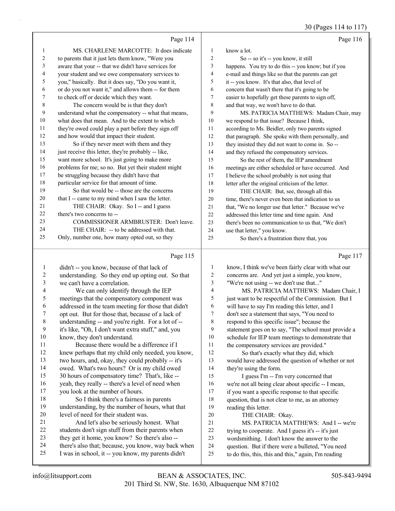30 (Pages 114 to 117)

|              |                                                      |        | 30 (Pages 114 to 117)                                |
|--------------|------------------------------------------------------|--------|------------------------------------------------------|
|              | Page 114                                             |        | Page 116                                             |
| $\mathbf{1}$ | MS. CHARLENE MARCOTTE: It does indicate              | 1      | know a lot.                                          |
| 2            | to parents that it just lets them know, "Were you    | 2      | So -- so it's -- you know, it still                  |
| 3            | aware that your -- that we didn't have services for  | 3      | happens. You try to do this -- you know; but if you  |
| 4            | your student and we owe compensatory services to     | 4      | e-mail and things like so that the parents can get   |
| 5            | you," basically. But it does say, "Do you want it,   | 5      | it -- you know. It's that also, that level of        |
| 6            | or do you not want it," and allows them -- for them  | 6      | concern that wasn't there that it's going to be      |
| 7            | to check off or decide which they want.              | 7      | easier to hopefully get these parents to sign off,   |
| 8            | The concern would be is that they don't              | 8      | and that way, we won't have to do that.              |
| 9            | understand what the compensatory -- what that means, | 9      | MS. PATRICIA MATTHEWS: Madam Chair, may              |
| 10           | what does that mean. And to the extent to which      | $10\,$ | we respond to that issue? Because I think,           |
| 11           | they're owed could play a part before they sign off  | 11     | according to Ms. Beidler, only two parents signed    |
| 12           | and how would that impact their student.             | 12     | that paragraph. She spoke with them personally, and  |
| 13           | So if they never meet with them and they             | 13     | they insisted they did not want to come in. So --    |
| 14           | just receive this letter, they're probably -- like,  | 14     | and they refused the compensatory services.          |
| 15           | want more school. It's just going to make more       | 15     | So the rest of them, the IEP amendment               |
| 16           | problems for me; so no. But yet their student might  | 16     | meetings are either scheduled or have occurred. And  |
| 17           | be struggling because they didn't have that          | 17     | I believe the school probably is not using that      |
| 18           | particular service for that amount of time.          | 18     | letter after the original criticism of the letter.   |
| 19           | So that would be -- those are the concerns           | 19     | THE CHAIR: But, see, through all this                |
| 20           | that I -- came to my mind when I saw the letter.     | 20     | time, there's never even been that indication to us  |
| 21           | THE CHAIR: Okay. So I -- and I guess                 | 21     | that, "We no longer use that letter." Because we've  |
| 22           | there's two concerns to --                           | 22     | addressed this letter time and time again. And       |
| 23           | COMMISSIONER ARMBRUSTER: Don't leave.                | 23     | there's been no communication to us that, "We don't  |
| 24           | THE CHAIR: -- to be addressed with that.             | 24     | use that letter," you know.                          |
| 25           | Only, number one, how many opted out, so they        | 25     | So there's a frustration there that, you             |
|              |                                                      |        |                                                      |
|              | Page 115                                             |        | Page 117                                             |
| 1            | didn't -- you know, because of that lack of          | 1      | know, I think we've been fairly clear with what our  |
| 2            | understanding. So they end up opting out. So that    | 2      | concerns are. And yet just a simple, you know,       |
| 3            | we can't have a correlation.                         | 3      | "We're not using -- we don't use that"               |
| 4            | We can only identify through the IEP                 | 4      | MS. PATRICIA MATTHEWS: Madam Chair, I                |
| 5            | meetings that the compensatory component was         | 5      | just want to be respectful of the Commission. But I  |
| 6            | addressed in the team meeting for those that didn't  | 6      | will have to say I'm reading this letter, and I      |
|              | opt out. But for those that, because of a lack of    | 7      | don't see a statement that says, "You need to        |
| 8            | understanding -- and you're right. For a lot of --   | 8      | respond to this specific issue"; because the         |
| 9            | it's like, "Oh, I don't want extra stuff," and, you  | 9      | statement goes on to say, "The school must provide a |
| 10           | know, they don't understand.                         | 10     | schedule for IEP team meetings to demonstrate that   |
| 11           | Because there would be a difference if I             | 11     | the compensatory services are provided."             |
| 12           | knew perhaps that my child only needed, you know,    | 12     | So that's exactly what they did, which               |
| 13           | two hours, and, okay, they could probably -- it's    | 13     | would have addressed the question of whether or not  |
| 14           | owed. What's two hours? Or is my child owed          | 14     | they're using the form.                              |
| 15           | 30 hours of compensatory time? That's, like --       | 15     | I guess I'm -- I'm very concerned that               |
| 16           | yeah, they really -- there's a level of need when    | 16     | we're not all being clear about specific -- I mean,  |
| 17           | you look at the number of hours.                     | 17     | if you want a specific response to that specific     |
| 18           | So I think there's a fairness in parents             | 18     | question, that is not clear to me, as an attorney    |
| 19           | understanding, by the number of hours, what that     | 19     | reading this letter.                                 |
| 20           | level of need for their student was.                 | 20     | THE CHAIR: Okav.                                     |

- 20 THE CHAIR: Okay.
- 21 MS. PATRICIA MATTHEWS: And I -- we're<br>22 trying to cooperate. And I guess it's -- it's just trying to cooperate. And I guess it's -- it's just
- wordsmithing. I don't know the answer to the
- question. But if there were a bulleted, "You need
- to do this, this, this and this," again, I'm reading

21 And let's also be seriously honest. What students don't sign stuff from their parents when they get it home, you know? So there's also -- there's also that; because, you know, way back when I was in school, it -- you know, my parents didn't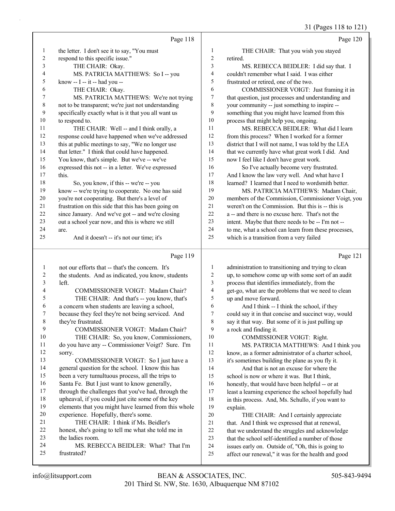31 (Pages 118 to 121)

|                  |                                                         |                | $31 \text{ (14500 110 10 121)}$                                                                           |
|------------------|---------------------------------------------------------|----------------|-----------------------------------------------------------------------------------------------------------|
|                  | Page 118                                                |                | Page 120                                                                                                  |
| 1                | the letter. I don't see it to say, "You must            | 1              | THE CHAIR: That you wish you stayed                                                                       |
| $\boldsymbol{2}$ | respond to this specific issue."                        | $\overline{c}$ | retired.                                                                                                  |
| 3                | THE CHAIR: Okay.                                        | 3              | MS. REBECCA BEIDLER: I did say that. I                                                                    |
| 4                | MS. PATRICIA MATTHEWS: So I -- you                      | 4              | couldn't remember what I said. I was either                                                               |
| 5                | know -- I -- it -- had you --                           | 5              | frustrated or retired, one of the two.                                                                    |
| 6                | THE CHAIR: Okay.                                        | 6              | COMMISSIONER VOIGT: Just framing it in                                                                    |
| 7                | MS. PATRICIA MATTHEWS: We're not trying                 | 7              | that question, just processes and understanding and                                                       |
| $\,$ 8 $\,$      | not to be transparent; we're just not understanding     | 8              | your community -- just something to inspire --                                                            |
| 9                | specifically exactly what is it that you all want us    | 9              | something that you might have learned from this                                                           |
| 10               | to respond to.                                          | 10             | process that might help you, ongoing.                                                                     |
| 11               | THE CHAIR: Well -- and I think orally, a                | 11             | MS. REBECCA BEIDLER: What did I learn                                                                     |
| 12               | response could have happened when we've addressed       | 12             | from this process? When I worked for a former                                                             |
| 13               | this at public meetings to say, "We no longer use       | 13             | district that I will not name, I was told by the LEA                                                      |
| 14               | that letter." I think that could have happened.         | 14             | that we currently have what great work I did. And                                                         |
| 15               | You know, that's simple. But we've -- we've             | 15             | now I feel like I don't have great work.                                                                  |
| 16               | expressed this not -- in a letter. We've expressed      | 16             | So I've actually become very frustrated.                                                                  |
| 17               | this.                                                   | 17             | And I know the law very well. And what have I                                                             |
| 18               | So, you know, if this -- we're -- you                   | 18             | learned? I learned that I need to wordsmith better.                                                       |
| 19               | know -- we're trying to cooperate. No one has said      | 19             | MS. PATRICIA MATTHEWS: Madam Chair,                                                                       |
| 20               | you're not cooperating. But there's a level of          | 20             | members of the Commission, Commissioner Voigt, you                                                        |
| 21               | frustration on this side that this has been going on    | 21             | weren't on the Commission. But this is -- this is                                                         |
| 22               | since January. And we've got -- and we're closing       | 22             | a -- and there is no excuse here. That's not the                                                          |
| 23<br>24         | out a school year now, and this is where we still       | 23<br>24       | intent. Maybe that there needs to be -- I'm not --                                                        |
| 25               | are.<br>And it doesn't -- it's not our time; it's       | 25             | to me, what a school can learn from these processes,<br>which is a transition from a very failed          |
|                  |                                                         |                |                                                                                                           |
|                  |                                                         |                |                                                                                                           |
|                  | Page 119                                                |                |                                                                                                           |
|                  |                                                         |                | Page 121                                                                                                  |
| $\mathbf{1}$     | not our efforts that -- that's the concern. It's        | 1              | administration to transitioning and trying to clean                                                       |
| $\sqrt{2}$       | the students. And as indicated, you know, students      | 2              | up, to somehow come up with some sort of an audit                                                         |
| 3                | left.                                                   | 3              | process that identifies immediately, from the                                                             |
| 4                | COMMISSIONER VOIGT: Madam Chair?                        | 4              | get-go, what are the problems that we need to clean                                                       |
| 5<br>6           | THE CHAIR: And that's -- you know, that's               | 5              | up and move forward.                                                                                      |
| 7                | a concern when students are leaving a school,           | 6<br>7         | And I think -- I think the school, if they                                                                |
|                  | because they feel they're not being serviced. And       | 8              | could say it in that concise and succinct way, would                                                      |
| 8<br>9           | they're frustrated.<br>COMMISSIONER VOIGT: Madam Chair? | 9              | say it that way. But some of it is just pulling up                                                        |
| $10\,$           | THE CHAIR: So, you know, Commissioners,                 | 10             | a rock and finding it.<br>COMMISSIONER VOIGT: Right.                                                      |
| 11               | do you have any -- Commissioner Voigt? Sure. I'm        | 11             | MS. PATRICIA MATTHEWS: And I think you                                                                    |
| 12               | sorry.                                                  | 12             | know, as a former administrator of a charter school,                                                      |
| 13               | COMMISSIONER VOIGT: So I just have a                    | 13             | it's sometimes building the plane as you fly it.                                                          |
| 14               | general question for the school. I know this has        | 14             | And that is not an excuse for where the                                                                   |
| 15               | been a very tumultuous process, all the trips to        | 15             | school is now or where it was. But I think,                                                               |
| 16               | Santa Fe. But I just want to know generally,            | 16             | honestly, that would have been helpful -- or at                                                           |
| 17               | through the challenges that you've had, through the     | 17             | least a learning experience the school hopefully had                                                      |
| $18\,$           | upheaval, if you could just cite some of the key        | 18             | in this process. And, Ms. Schullo, if you want to                                                         |
| 19               | elements that you might have learned from this whole    | 19             | explain.                                                                                                  |
| $20\,$           | experience. Hopefully, there's some.                    | 20             | THE CHAIR: And I certainly appreciate                                                                     |
| 21               | THE CHAIR: I think if Ms. Beidler's                     | $21\,$         | that. And I think we expressed that at renewal,                                                           |
| 22               | honest, she's going to tell me what she told me in      | $22\,$         | that we understand the struggles and acknowledge                                                          |
| 23               | the ladies room.                                        | 23             | that the school self-identified a number of those                                                         |
| 24<br>25         | MS. REBECCA BEIDLER: What? That I'm<br>frustrated?      | 24<br>25       | issues early on. Outside of, "Oh, this is going to<br>affect our renewal," it was for the health and good |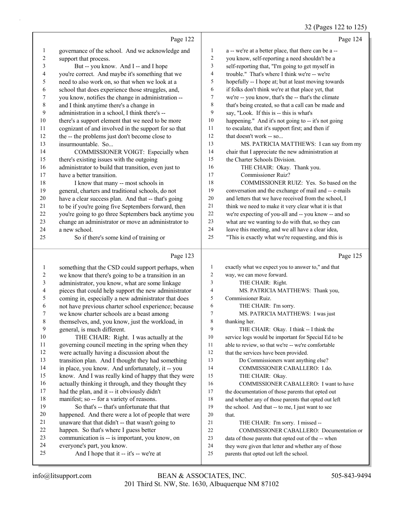#### 32 (Pages 122 to 125)

|                          |                                                      |                  | $32$ (Pages 122 to 125)                              |
|--------------------------|------------------------------------------------------|------------------|------------------------------------------------------|
|                          | Page 122                                             |                  | Page 124                                             |
| $\mathbf{1}$             | governance of the school. And we acknowledge and     | 1                | a -- we're at a better place, that there can be a -- |
| $\boldsymbol{2}$         | support that process.                                | $\boldsymbol{2}$ | you know, self-reporting a need shouldn't be a       |
| 3                        | But -- you know. And I -- and I hope                 | 3                | self-reporting that, "I'm going to get myself in     |
| 4                        | you're correct. And maybe it's something that we     | $\overline{4}$   | trouble." That's where I think we're -- we're        |
| 5                        | need to also work on, so that when we look at a      | 5                | hopefully -- I hope at; but at least moving towards  |
| 6                        | school that does experience those struggles, and,    | 6                | if folks don't think we're at that place yet, that   |
| 7                        | you know, notifies the change in administration --   | $\tau$           | we're -- you know, that's the -- that's the climate  |
| $\,$ $\,$                | and I think anytime there's a change in              | $\,$ 8 $\,$      | that's being created, so that a call can be made and |
| 9                        | administration in a school, I think there's --       | 9                | say, "Look. If this is -- this is what's             |
| 10                       | there's a support element that we need to be more    | 10               | happening." And it's not going to -- it's not going  |
| 11                       | cognizant of and involved in the support for so that | 11               | to escalate, that it's support first; and then if    |
| 12                       | the -- the problems just don't become close to       | 12               | that doesn't work -- so                              |
| 13                       | insurmountable. So                                   | 13               | MS. PATRICIA MATTHEWS: I can say from my             |
| 14                       | COMMISSIONER VOIGT: Especially when                  | 14               | chair that I appreciate the new administration at    |
| 15                       | there's existing issues with the outgoing            | 15               | the Charter Schools Division.                        |
| 16                       | administrator to build that transition, even just to | 16               | THE CHAIR: Okay. Thank you.                          |
| 17                       | have a better transition.                            | 17               | Commissioner Ruiz?                                   |
| 18                       | I know that many -- most schools in                  | 18               | COMMISSIONER RUIZ: Yes. So based on the              |
| 19                       | general, charters and traditional schools, do not    | 19               | conversation and the exchange of mail and -- e-mails |
| 20                       | have a clear success plan. And that -- that's going  | 20               | and letters that we have received from the school, I |
| 21                       | to be if you're going five Septembers forward, then  | 21               | think we need to make it very clear what it is that  |
| 22                       | you're going to go three Septembers back anytime you | $22\,$           | we're expecting of you-all and -- you know -- and so |
| 23                       | change an administrator or move an administrator to  | 23               | what are we wanting to do with that, so they can     |
| 24                       | a new school.                                        | 24               | leave this meeting, and we all have a clear idea,    |
| 25                       | So if there's some kind of training or               | 25               | "This is exactly what we're requesting, and this is  |
|                          | Page 123                                             |                  | Page 125                                             |
| $\mathbf{1}$             | something that the CSD could support perhaps, when   | $\mathbf{1}$     | exactly what we expect you to answer to," and that   |
| $\overline{c}$           | we know that there's going to be a transition in an  | $\overline{c}$   | way, we can move forward.                            |
| 3                        | administrator, you know, what are some linkage       | 3                | THE CHAIR: Right.                                    |
| $\overline{\mathcal{A}}$ | pieces that could help support the new administrator | $\overline{4}$   | MS. PATRICIA MATTHEWS: Thank you,                    |
| 5                        | coming in, especially a new administrator that does  | 5                | Commissioner Ruiz.                                   |
| 6                        | not have previous charter school experience; because | 6                | THE CHAIR: I'm sorry.                                |
| 7                        | we know charter schools are a beast among            | $\overline{7}$   | MS. PATRICIA MATTHEWS: I was just                    |
| 8                        | themselves, and, you know, just the workload, in     | 8                | thanking her.                                        |
| 9                        | general, is much different.                          | 9                | THE CHAIR: Okay. I think -- I think the              |
| 10                       | THE CHAIR: Right. I was actually at the              | $10\,$           | service logs would be important for Special Ed to be |
| 11                       | governing council meeting in the spring when they    | 11               | able to review, so that we're -- we're comfortable   |
| 12                       | were actually having a discussion about the          | 12               | that the services have been provided.                |
| 13                       | transition plan. And I thought they had something    | 13               | Do Commissioners want anything else?                 |
| 14                       | in place, you know. And unfortunately, it -- you     | 14               | COMMISSIONER CABALLERO: I do.                        |
| 15                       | know. And I was really kind of happy that they were  | 15               | THE CHAIR: Okay.                                     |
| 16                       | actually thinking it through, and they thought they  | 16               | COMMISSIONER CABALLERO: I want to have               |
| 17                       | had the plan, and it -- it obviously didn't          | 17               | the documentation of those parents that opted out    |
| 18                       | manifest; so -- for a variety of reasons.            | 18               | and whether any of those parents that opted out left |
| 19                       | So that's -- that's unfortunate that that            | 19               | the school. And that -- to me, I just want to see    |
| 20                       | happened. And there were a lot of people that were   | $20\,$           | that.                                                |
| 21                       | unaware that that didn't -- that wasn't going to     | 21               | THE CHAIR: I'm sorry. I missed --                    |
| 22                       | happen. So that's where I guess better               | $22\,$           | COMMISSIONER CABALLERO: Documentation or             |

- communication is -- is important, you know, on
- 24 everyone's part, you know.<br>25 And I hope that it --
- And I hope that it -- it's -- we're at

 data of those parents that opted out of the -- when they were given that letter and whether any of those

parents that opted out left the school.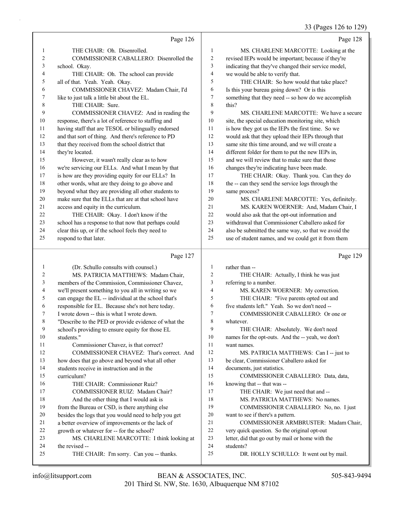33 (Pages 126 to 129)

|              | Page 126                                                                                                     |                | Page 128                                                           |
|--------------|--------------------------------------------------------------------------------------------------------------|----------------|--------------------------------------------------------------------|
| 1            | THE CHAIR: Oh. Disenrolled.                                                                                  | $\mathbf{1}$   | MS. CHARLENE MARCOTTE: Looking at the                              |
| 2            | COMMISSIONER CABALLERO: Disenrolled the                                                                      | $\overline{c}$ | revised IEPs would be important; because if they're                |
| 3            | school. Okay.                                                                                                | 3              | indicating that they've changed their service model,               |
| 4            | THE CHAIR: Oh. The school can provide                                                                        | $\overline{4}$ | we would be able to verify that.                                   |
| 5            | all of that. Yeah. Yeah. Okay.                                                                               | 5              | THE CHAIR: So how would that take place?                           |
| 6            | COMMISSIONER CHAVEZ: Madam Chair, I'd                                                                        | 6              | Is this your bureau going down? Or is this                         |
| 7            | like to just talk a little bit about the EL.                                                                 | 7              | something that they need -- so how do we accomplish                |
| 8            | THE CHAIR: Sure.                                                                                             | 8              | this?                                                              |
| 9            | COMMISSIONER CHAVEZ: And in reading the                                                                      | 9              | MS. CHARLENE MARCOTTE: We have a secure                            |
| 10           | response, there's a lot of reference to staffing and                                                         | 10             | site, the special education monitoring site, which                 |
| 11           | having staff that are TESOL or bilingually endorsed                                                          | 11             | is how they got us the IEPs the first time. So we                  |
| 12           | and that sort of thing. And there's reference to PD                                                          | 12             | would ask that they upload their IEPs through that                 |
| 13           | that they received from the school district that                                                             | 13             | same site this time around, and we will create a                   |
| 14           | they're located.                                                                                             | 14             | different folder for them to put the new IEPs in,                  |
| 15           | However, it wasn't really clear as to how                                                                    | 15             | and we will review that to make sure that those                    |
| 16           | we're servicing our ELLs. And what I mean by that                                                            | 16             | changes they're indicating have been made.                         |
| 17           | is how are they providing equity for our ELLs? In                                                            | 17             | THE CHAIR: Okay. Thank you. Can they do                            |
| 18<br>19     | other words, what are they doing to go above and                                                             | 18<br>19       | the -- can they send the service logs through the                  |
| 20           | beyond what they are providing all other students to<br>make sure that the ELLs that are at that school have | 20             | same process?<br>MS. CHARLENE MARCOTTE: Yes, definitely.           |
| 21           | access and equity in the curriculum.                                                                         | 21             | MS. KAREN WOERNER: And, Madam Chair, I                             |
| 22           | THE CHAIR: Okay. I don't know if the                                                                         | 22             | would also ask that the opt-out information and                    |
| 23           | school has a response to that now that perhaps could                                                         | 23             | withdrawal that Commissioner Caballero asked for                   |
| 24           | clear this up, or if the school feels they need to                                                           | 24             | also be submitted the same way, so that we avoid the               |
| 25           | respond to that later.                                                                                       | 25             | use of student names, and we could get it from them                |
|              |                                                                                                              |                |                                                                    |
|              |                                                                                                              |                |                                                                    |
|              | Page 127                                                                                                     |                | Page 129                                                           |
| $\mathbf{1}$ | (Dr. Schullo consults with counsel.)                                                                         | $\mathbf{1}$   | rather than --                                                     |
| 2            | MS. PATRICIA MATTHEWS: Madam Chair,                                                                          | $\overline{c}$ | THE CHAIR: Actually, I think he was just                           |
| 3            | members of the Commission, Commissioner Chavez,                                                              | 3              | referring to a number.                                             |
| 4            | we'll present something to you all in writing so we                                                          | $\overline{4}$ | MS. KAREN WOERNER: My correction.                                  |
| 5            | can engage the EL -- individual at the school that's                                                         | 5              | THE CHAIR: "Five parents opted out and                             |
| 6            | responsible for EL. Because she's not here today.                                                            | 6              | five students left." Yeah. So we don't need --                     |
| 7            | I wrote down -- this is what I wrote down.                                                                   | 7              | COMMISSIONER CABALLERO: Or one or                                  |
| 8            | "Describe to the PED or provide evidence of what the                                                         | 8              | whatever.                                                          |
| 9            | school's providing to ensure equity for those EL                                                             | 9              | THE CHAIR: Absolutely. We don't need                               |
| 10           | students."                                                                                                   | 10             | names for the opt-outs. And the -- yeah, we don't                  |
| 11           | Commissioner Chavez, is that correct?                                                                        | 11             | want names.                                                        |
| 12           | COMMISSIONER CHAVEZ: That's correct. And                                                                     | 12             | MS. PATRICIA MATTHEWS: Can I -- just to                            |
| 13           | how does that go above and beyond what all other                                                             | 13<br>14       | be clear, Commissioner Caballero asked for                         |
| 14<br>15     | students receive in instruction and in the<br>curriculum?                                                    | 15             | documents, just statistics.                                        |
| 16           | THE CHAIR: Commissioner Ruiz?                                                                                | 16             | COMMISSIONER CABALLERO: Data, data,                                |
| 17           | COMMISSIONER RUIZ: Madam Chair?                                                                              | 17             | knowing that -- that was --<br>THE CHAIR: We just need that and -- |
| 18           | And the other thing that I would ask is                                                                      | 18             | MS. PATRICIA MATTHEWS: No names.                                   |
| 19           | from the Bureau or CSD, is there anything else                                                               | 19             | COMMISSIONER CABALLERO: No, no. I just                             |
| 20           | besides the logs that you would need to help you get                                                         | 20             | want to see if there's a pattern.                                  |
| 21           | a better overview of improvements or the lack of                                                             | 21             | COMMISSIONER ARMBRUSTER: Madam Chair,                              |
| 22           | growth or whatever for -- for the school?                                                                    | 22             | very quick question. So the original opt-out                       |
| 23           | MS. CHARLENE MARCOTTE: I think looking at                                                                    | 23             | letter, did that go out by mail or home with the                   |
| 24<br>25     | the revised --<br>THE CHAIR: I'm sorry. Can you -- thanks.                                                   | 24<br>25       | students?<br>DR. HOLLY SCHULLO: It went out by mail.               |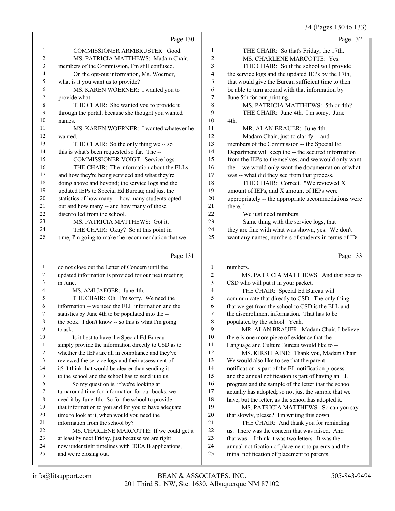34 (Pages 130 to 133)

|                | Page 130                                           |                | Page 132                                             |
|----------------|----------------------------------------------------|----------------|------------------------------------------------------|
| 1              | COMMISSIONER ARMBRUSTER: Good.                     | 1              | THE CHAIR: So that's Friday, the 17th.               |
| $\overline{c}$ | MS. PATRICIA MATTHEWS: Madam Chair,                | $\overline{c}$ | MS. CHARLENE MARCOTTE: Yes.                          |
| 3              | members of the Commission, I'm still confused.     | 3              | THE CHAIR: So if the school will provide             |
| 4              | On the opt-out information, Ms. Woerner,           | $\overline{4}$ | the service logs and the updated IEPs by the 17th,   |
| 5              | what is it you want us to provide?                 | 5              | that would give the Bureau sufficient time to then   |
| 6              | MS. KAREN WOERNER: I wanted you to                 | 6              | be able to turn around with that information by      |
| 7              | provide what --                                    | 7              | June 5th for our printing.                           |
| 8              | THE CHAIR: She wanted you to provide it            | 8              | MS. PATRICIA MATTHEWS: 5th or 4th?                   |
| 9              | through the portal, because she thought you wanted | 9              | THE CHAIR: June 4th. I'm sorry. June                 |
| 10             | names.                                             | 10             | 4th.                                                 |
| 11             | MS. KAREN WOERNER: I wanted whatever he            | 11             | MR. ALAN BRAUER: June 4th.                           |
| 12             | wanted.                                            | 12             | Madam Chair, just to clarify -- and                  |
| 13             | THE CHAIR: So the only thing we -- so              | 13             | members of the Commission -- the Special Ed          |
| 14             | this is what's been requested so far. The --       | 14             | Department will keep the -- the secured information  |
| 15             | COMMISSIONER VOIGT: Service logs.                  | 15             | from the IEPs to themselves, and we would only want  |
| 16             | THE CHAIR: The information about the ELLs          | 16             | the -- we would only want the documentation of what  |
| 17             | and how they're being serviced and what they're    | 17             | was -- what did they see from that process.          |
| 18             | doing above and beyond; the service logs and the   | 18             | THE CHAIR: Correct. "We reviewed X                   |
| 19             | updated IEPs to Special Ed Bureau; and just the    | 19             | amount of IEPs, and X amount of IEPs were            |
| 20             | statistics of how many -- how many students opted  | 20             | appropriately -- the appropriate accommodations were |
| 21             | out and how many -- and how many of those          | 2.1            | there."                                              |
| 22             | disenrolled from the school.                       | 22             | We just need numbers.                                |
| 23             | MS. PATRICIA MATTHEWS: Got it.                     | 23             | Same thing with the service logs, that               |
| 24             | THE CHAIR: Okay? So at this point in               | 24             | they are fine with what was shown, yes. We don't     |
| 25             | time, I'm going to make the recommendation that we | 25             | want any names, numbers of students in terms of ID   |
|                | Page 131                                           |                | Page 133                                             |

# Page 131

|    | do not close out the Letter of Concern until the     | 1  | numbers.                                             |
|----|------------------------------------------------------|----|------------------------------------------------------|
| 2  | updated information is provided for our next meeting | 2  | MS. PATRICIA MATTHEWS: And that goes to              |
| 3  | in June.                                             | 3  | CSD who will put it in your packet.                  |
| 4  | MS. AMI JAEGER: June 4th.                            | 4  | THE CHAIR: Special Ed Bureau will                    |
| 5  | THE CHAIR: Oh. I'm sorry. We need the                | 5  | communicate that directly to CSD. The only thing     |
| 6  | information -- we need the ELL information and the   | 6  | that we get from the school to CSD is the ELL and    |
| 7  | statistics by June 4th to be populated into the --   | 7  | the disenrollment information. That has to be        |
| 8  | the book. I don't know -- so this is what I'm going  | 8  | populated by the school. Yeah.                       |
| 9  | to ask.                                              | 9  | MR. ALAN BRAUER: Madam Chair, I believe              |
| 10 | Is it best to have the Special Ed Bureau             | 10 | there is one more piece of evidence that the         |
| 11 | simply provide the information directly to CSD as to | 11 | Language and Culture Bureau would like to --         |
| 12 | whether the IEPs are all in compliance and they've   | 12 | MS. KIRSI LAINE: Thank you, Madam Chair.             |
| 13 | reviewed the service logs and their assessment of    | 13 | We would also like to see that the parent            |
| 14 | it? I think that would be clearer than sending it    | 14 | notification is part of the EL notification process  |
| 15 | to the school and the school has to send it to us.   | 15 | and the annual notification is part of having an EL  |
| 16 | So my question is, if we're looking at               | 16 | program and the sample of the letter that the school |
| 17 | turnaround time for information for our books, we    | 17 | actually has adopted; so not just the sample that we |
| 18 | need it by June 4th. So for the school to provide    | 18 | have, but the letter, as the school has adopted it.  |
| 19 | that information to you and for you to have adequate | 19 | MS. PATRICIA MATTHEWS: So can you say                |
| 20 | time to look at it, when would you need the          | 20 | that slowly, please? I'm writing this down.          |
| 21 | information from the school by?                      | 21 | THE CHAIR: And thank you for reminding               |
| 22 | MS. CHARLENE MARCOTTE: If we could get it            | 22 | us. There was the concern that was raised. And       |
| 23 | at least by next Friday, just because we are right   | 23 | that was -- I think it was two letters. It was the   |
| 24 | now under tight timelines with IDEA B applications,  | 24 | annual notification of placement to parents and the  |
| 25 | and we're closing out.                               | 25 | initial notification of placement to parents.        |
|    |                                                      |    |                                                      |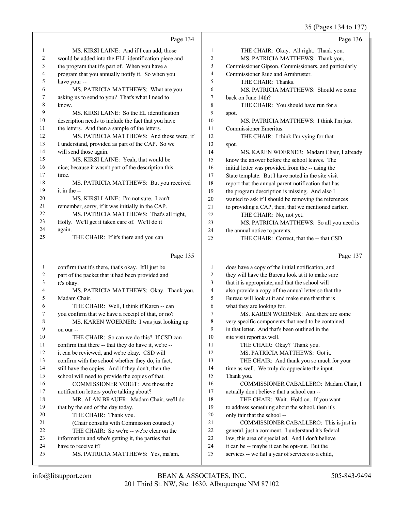35 (Pages 134 to 137)

|    | Page 134                                             |                          | Page 136                                             |
|----|------------------------------------------------------|--------------------------|------------------------------------------------------|
| 1  | MS. KIRSI LAINE: And if I can add, those             | $\mathbf{1}$             | THE CHAIR: Okay. All right. Thank you.               |
| 2  | would be added into the ELL identification piece and | $\overline{c}$           | MS. PATRICIA MATTHEWS: Thank you,                    |
| 3  | the program that it's part of. When you have a       | 3                        | Commissioner Gipson, Commissioners, and particularly |
| 4  | program that you annually notify it. So when you     | $\overline{\mathcal{L}}$ | Commissioner Ruiz and Armbruster.                    |
| 5  | have your --                                         | 5                        | THE CHAIR: Thanks.                                   |
| 6  | MS. PATRICIA MATTHEWS: What are you                  | 6                        | MS. PATRICIA MATTHEWS: Should we come                |
| 7  | asking us to send to you? That's what I need to      | $\tau$                   | back on June 14th?                                   |
| 8  | know.                                                | $\,$ 8 $\,$              | THE CHAIR: You should have run for a                 |
| 9  | MS. KIRSI LAINE: So the EL identification            | 9                        | spot.                                                |
| 10 | description needs to include the fact that you have  | 10                       | MS. PATRICIA MATTHEWS: I think I'm just              |
| 11 | the letters. And then a sample of the letters.       | 11                       | Commissioner Emeritus.                               |
| 12 | MS. PATRICIA MATTHEWS: And those were, if            | 12                       | THE CHAIR: I think I'm vying for that                |
| 13 | I understand, provided as part of the CAP. So we     | 13                       | spot.                                                |
| 14 | will send those again.                               | 14                       | MS. KAREN WOERNER: Madam Chair, I already            |
| 15 | MS. KIRSI LAINE: Yeah, that would be                 | 15                       | know the answer before the school leaves. The        |
| 16 | nice; because it wasn't part of the description this | 16                       | initial letter was provided from the -- using the    |
| 17 | time.                                                | 17                       | State template. But I have noted in the site visit   |
| 18 | MS. PATRICIA MATTHEWS: But you received              | 18                       | report that the annual parent notification that has  |
| 19 | it in the --                                         | 19                       | the program description is missing. And also I       |
| 20 | MS. KIRSI LAINE: I'm not sure. I can't               | 20                       | wanted to ask if I should be removing the references |
| 21 | remember, sorry, if it was initially in the CAP.     | 21                       | to providing a CAP, then, that we mentioned earlier. |
| 22 | MS. PATRICIA MATTHEWS: That's all right,             | 22                       | THE CHAIR: No, not yet.                              |
| 23 | Holly. We'll get it taken care of. We'll do it       | 23                       | MS. PATRICIA MATTHEWS: So all you need is            |
| 24 | again.                                               | 24                       | the annual notice to parents.                        |
| 25 | THE CHAIR: If it's there and you can                 | 25                       | THE CHAIR: Correct, that the -- that CSD             |
|    |                                                      |                          |                                                      |
|    | Page 135                                             |                          | Page 137                                             |
| 1  | confirm that it's there, that's okay. It'll just be  | $\mathbf{1}$             | does have a copy of the initial notification, and    |
| 2  | part of the packet that it had been provided and     | $\overline{2}$           | they will have the Bureau look at it to make sure    |
| 3  | it's okay.                                           | 3                        | that it is appropriate, and that the school will     |
| 4  | MS. PATRICIA MATTHEWS: Okay. Thank you,              |                          |                                                      |
| 5  |                                                      | $\overline{\mathcal{L}}$ | also provide a copy of the annual letter so that the |
|    | Madam Chair.                                         | 5                        | Bureau will look at it and make sure that that is    |
| 6  | THE CHAIR: Well, I think if Karen -- can             | 6                        | what they are looking for.                           |
| 7  | you confirm that we have a receipt of that, or no?   | 7                        | MS. KAREN WOERNER: And there are some                |
| 8  | MS. KAREN WOERNER: I was just looking up             | 8                        | very specific components that need to be contained   |
| 9  | on our --                                            | 9                        | in that letter. And that's been outlined in the      |
| 10 | THE CHAIR: So can we do this? If CSD can             | 10                       | site visit report as well.                           |
| 11 | confirm that there -- that they do have it, we're -- | 11                       | THE CHAIR: Okay? Thank you.                          |
| 12 | it can be reviewed, and we're okay. CSD will         | 12                       | MS. PATRICIA MATTHEWS: Got it.                       |
| 13 | confirm with the school whether they do, in fact,    | 13                       | THE CHAIR: And thank you so much for your            |
| 14 | still have the copies. And if they don't, then the   | 14                       | time as well. We truly do appreciate the input.      |
| 15 | school will need to provide the copies of that.      | 15                       | Thank you.                                           |
| 16 | COMMISSIONER VOIGT: Are those the                    | 16                       | COMMISSIONER CABALLERO: Madam Chair, I               |
| 17 | notification letters you're talking about?           | 17                       | actually don't believe that a school can --          |
| 18 | MR. ALAN BRAUER: Madam Chair, we'll do               | 18                       | THE CHAIR: Wait. Hold on. If you want                |
| 19 | that by the end of the day today.                    | 19                       | to address something about the school, then it's     |
| 20 | THE CHAIR: Thank you.                                | 20                       | only fair that the school --                         |
| 21 | (Chair consults with Commission counsel.)            | 21                       | COMMISSIONER CABALLERO: This is just in              |
| 22 | THE CHAIR: So we're -- we're clear on the            | 22                       | general, just a comment. I understand it's federal   |
| 23 | information and who's getting it, the parties that   | 23                       | law, this area of special ed. And I don't believe    |
| 24 | have to receive it?                                  | 24                       | it can be -- maybe it can be opt-out. But the        |
| 25 | MS. PATRICIA MATTHEWS: Yes, ma'am.                   | 25                       | services -- we fail a year of services to a child,   |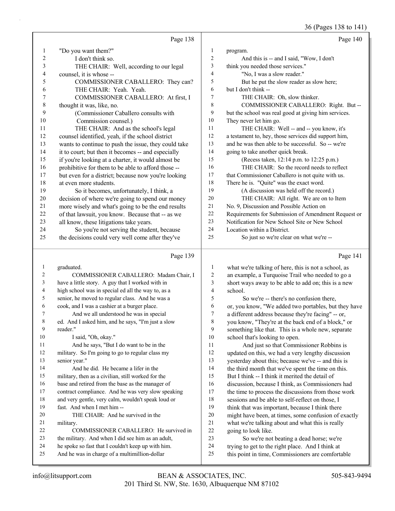|              |                                                      |                | 36 (Pages 138 to 141)                                |
|--------------|------------------------------------------------------|----------------|------------------------------------------------------|
|              | Page 138                                             |                | Page 140                                             |
| $\mathbf{1}$ | "Do you want them?"                                  | 1              | program.                                             |
| $\mathbf{2}$ | I don't think so.                                    | $\mathbf{2}$   | And this is -- and I said, "Wow, I don't             |
| 3            | THE CHAIR: Well, according to our legal              | 3              | think you needed those services."                    |
| 4            | counsel, it is whose --                              | $\overline{4}$ | "No, I was a slow reader."                           |
| 5            | COMMISSIONER CABALLERO: They can?                    | 5              | But he put the slow reader as slow here;             |
| 6            | THE CHAIR: Yeah. Yeah.                               | 6              | but I don't think --                                 |
| 7            | COMMISSIONER CABALLERO: At first, I                  | 7              | THE CHAIR: Oh, slow thinker.                         |
| $\,$ $\,$    | thought it was, like, no.                            | 8              | COMMISSIONER CABALLERO: Right. But --                |
| 9            | (Commissioner Caballero consults with                | 9              | but the school was real good at giving him services. |
| 10           | Commission counsel.)                                 | 10             | They never let him go.                               |
| 11           | THE CHAIR: And as the school's legal                 | 11             | THE CHAIR: Well -- and -- you know, it's             |
| 12           | counsel identified, yeah, if the school district     | 12             | a testament to, hey, those services did support him, |
| 13           | wants to continue to push the issue, they could take | 13             | and he was then able to be successful. So -- we're   |
| 14           | it to court; but then it becomes -- and especially   | 14             | going to take another quick break.                   |
| 15           | if you're looking at a charter, it would almost be   | 15             | (Recess taken, 12:14 p.m. to 12:25 p.m.)             |
| 16           | prohibitive for them to be able to afford those --   | 16             | THE CHAIR: So the record needs to reflect            |
| 17           | but even for a district; because now you're looking  | 17             | that Commissioner Caballero is not quite with us.    |
| 18           | at even more students.                               | 18             | There he is. "Quite" was the exact word.             |
| 19           | So it becomes, unfortunately, I think, a             | 19             | (A discussion was held off the record.)              |
| 20           | decision of where we're going to spend our money     | 20             | THE CHAIR: All right. We are on to Item              |
| 21           | more wisely and what's going to be the end results   | 21             | No. 9, Discussion and Possible Action on             |
| 22           | of that lawsuit, you know. Because that -- as we     | 22             | Requirements for Submission of Amendment Request or  |
| 23           | all know, these litigations take years.              | 23             | Notification for New School Site or New School       |
| 24           | So you're not serving the student, because           | 24             | Location within a District.                          |
| 25           | the decisions could very well come after they've     | 25             | So just so we're clear on what we're --              |
|              | Page 139                                             |                | Page 141                                             |
| 1            | graduated.                                           | $\mathbf{1}$   | what we're talking of here, this is not a school, as |
| 2            | COMMISSIONER CABALLERO: Madam Chair, I               | $\overline{2}$ | an example, a Turquoise Trail who needed to go a     |
| 3            | have a little story. A guy that I worked with in     | 3              | short ways away to be able to add on; this is a new  |
| 4            | high school was in special ed all the way to, as a   | $\overline{4}$ | school.                                              |
| 5            | senior, he moved to regular class. And he was a      | 5              | So we're -- there's no confusion there,              |
| 6            | cook, and I was a cashier at a burger place.         | 6              | or, you know, "We added two portables, but they have |
| 7            | And we all understood he was in special              | 7              | a different address because they're facing" -- or,   |
| 8            | ed. And I asked him, and he says, "I'm just a slow   | 8              | you know, "They're at the back end of a block," or   |
| 9            | reader."                                             | 9              | something like that. This is a whole new, separate   |
| 10           | I said, "Oh, okay."                                  | 10             | school that's looking to open.                       |
| 11           | And he says, "But I do want to be in the             | 11             | And just so that Commissioner Robbins is             |
| 12           | military. So I'm going to go to regular class my     | 12             | updated on this, we had a very lengthy discussion    |
| 13           | senior year."                                        | 13             | yesterday about this; because we've -- and this is   |
| 14           | And he did. He became a lifer in the                 | 14             | the third month that we've spent the time on this.   |
| 15           | military, then as a civilian, still worked for the   | 15             | But I think -- I think it merited the detail of      |
| 16           | base and retired from the base as the manager of     | 16             | discussion, because I think, as Commissioners had    |
| 17           | contract compliance. And he was very slow speaking   | 17             | the time to process the discussions from those work  |
| 18           | and very gentle, very calm, wouldn't speak loud or   | 18             | sessions and be able to self-reflect on those, I     |
| 19           | fast. And when I met him --                          | 19             | think that was important, because I think there      |
| 20           | THE CHAIR: And he survived in the                    | $20\,$         | might have been, at times, some confusion of exactly |
| 21           | military.                                            | 21             | what we're talking about and what this is really     |
| 22           | COMMISSIONER CABALLERO: He survived in               | 22             | going to look like.                                  |
| 23           | the military. And when I did see him as an adult,    | 23             | So we're not beating a dead horse; we're             |

 he spoke so fast that I couldn't keep up with him. And he was in charge of a multimillion-dollar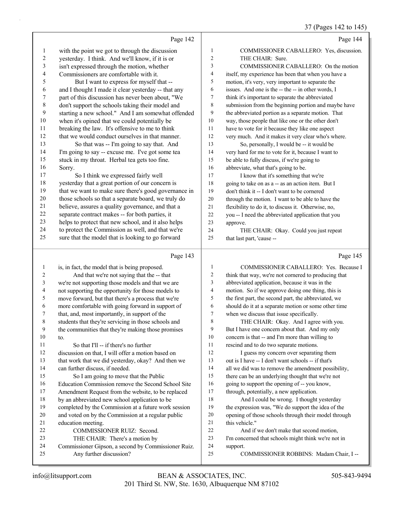## 37 (Pages 142 to 145)

|                          |                                                                                |                | 3/ (rages 142 to 145)                                |
|--------------------------|--------------------------------------------------------------------------------|----------------|------------------------------------------------------|
|                          | Page 142                                                                       |                | Page 144                                             |
| $\mathbf{1}$             | with the point we got to through the discussion                                | $\mathbf{1}$   | COMMISSIONER CABALLERO: Yes, discussion.             |
| $\overline{c}$           | yesterday. I think. And we'll know, if it is or                                | $\overline{c}$ | THE CHAIR: Sure.                                     |
| $\mathfrak{Z}$           | isn't expressed through the motion, whether                                    | 3              | COMMISSIONER CABALLERO: On the motion                |
| $\overline{\mathcal{L}}$ | Commissioners are comfortable with it.                                         | 4              | itself, my experience has been that when you have a  |
| 5                        | But I want to express for myself that --                                       | 5              | motion, it's very, very important to separate the    |
| 6                        | and I thought I made it clear yesterday -- that any                            | 6              | issues. And one is the -- the -- in other words, I   |
| $\boldsymbol{7}$         | part of this discussion has never been about, "We                              | 7              | think it's important to separate the abbreviated     |
| $\,$ $\,$                | don't support the schools taking their model and                               | $\,$ 8 $\,$    | submission from the beginning portion and maybe have |
| 9                        | starting a new school." And I am somewhat offended                             | 9              | the abbreviated portion as a separate motion. That   |
| $10\,$                   | when it's opined that we could potentially be                                  | 10             | way, those people that like one or the other don't   |
| 11                       | breaking the law. It's offensive to me to think                                | 11             | have to vote for it because they like one aspect     |
| 12                       | that we would conduct ourselves in that manner.                                | 12             | very much. And it makes it very clear who's where.   |
| 13                       | So that was -- I'm going to say that. And                                      | 13             | So, personally, I would be -- it would be            |
| 14                       | I'm going to say -- excuse me. I've got some tea                               | 14             | very hard for me to vote for it, because I want to   |
| 15                       | stuck in my throat. Herbal tea gets too fine.                                  | 15             | be able to fully discuss, if we're going to          |
| 16                       | Sorry.                                                                         | 16             | abbreviate, what that's going to be.                 |
| 17                       | So I think we expressed fairly well                                            | 17             | I know that it's something that we're                |
| 18                       | yesterday that a great portion of our concern is                               | 18             | going to take on as a -- as an action item. But I    |
| 19                       | that we want to make sure there's good governance in                           | 19             | don't think it -- I don't want to be cornered        |
| $20\,$                   | those schools so that a separate board, we truly do                            | 20             | through the motion. I want to be able to have the    |
| 21                       | believe, assures a quality governance, and that a                              | 21             | flexibility to do it, to discuss it. Otherwise, no,  |
| 22                       | separate contract makes -- for both parties, it                                | 22             | you -- I need the abbreviated application that you   |
| 23                       | helps to protect that new school, and it also helps                            | 23             | approve.                                             |
| 24                       | to protect the Commission as well, and that we're                              | 24             | THE CHAIR: Okay. Could you just repeat               |
| 25                       | sure that the model that is looking to go forward                              | 25             | that last part, 'cause --                            |
|                          | Page 143                                                                       |                | Page 145                                             |
| $\mathbf{1}$             | is, in fact, the model that is being proposed.                                 | 1              | COMMISSIONER CABALLERO: Yes. Because I               |
| 2                        | And that we're not saying that the -- that                                     | $\overline{c}$ | think that way, we're not cornered to producing that |
| $\mathfrak z$            | we're not supporting those models and that we are                              | 3              | abbreviated application, because it was in the       |
| 4                        | not supporting the opportunity for those models to                             | $\overline{4}$ | motion. So if we approve doing one thing, this is    |
| 5                        | move forward, but that there's a process that we're                            | 5              | the first part, the second part, the abbreviated, we |
| 6                        | more comfortable with going forward in support of                              | 6              | should do it at a separate motion or some other time |
| 7                        | that, and, most importantly, in support of the                                 | 7              | when we discuss that issue specifically.             |
| 8                        | students that they're servicing in those schools and                           | 8              | THE CHAIR: Okay. And I agree with you.               |
| 9                        | the communities that they're making those promises                             | 9              | But I have one concern about that. And my only       |
| $10\,$                   | to.                                                                            | 10             | concern is that -- and I'm more than willing to      |
| 11                       | So that I'll -- if there's no further                                          | 11             | rescind and to do two separate motions.              |
| 12                       | discussion on that, I will offer a motion based on                             | 12             | I guess my concern over separating them              |
| 13                       | that work that we did yesterday, okay? And then we                             | 13             | out is I have -- I don't want schools -- if that's   |
| 14                       |                                                                                |                |                                                      |
| 15                       | can further discuss, if needed.                                                | 14             | all we did was to remove the amendment possibility,  |
|                          | So I am going to move that the Public                                          | 15             | there can be an underlying thought that we're not    |
| 16                       | Education Commission remove the Second School Site                             | 16             | going to support the opening of -- you know,         |
| 17                       | Amendment Request from the website, to be replaced                             | 17             | through, potentially, a new application.             |
| 18                       | by an abbreviated new school application to be                                 | 18             | And I could be wrong. I thought yesterday            |
| 19                       | completed by the Commission at a future work session                           | 19             | the expression was, "We do support the idea of the   |
| 20                       | and voted on by the Commission at a regular public                             | 20             | opening of those schools through their model through |
| 21                       | education meeting.                                                             | 21             | this vehicle."                                       |
| 22                       | COMMISSIONER RUIZ: Second.                                                     | 22             | And if we don't make that second motion,             |
| 23                       | THE CHAIR: There's a motion by                                                 | 23             | I'm concerned that schools might think we're not in  |
| 24<br>25                 | Commissioner Gipson, a second by Commissioner Ruiz.<br>Any further discussion? | 24<br>25       | support.<br>COMMISSIONER ROBBINS: Madam Chair, I --  |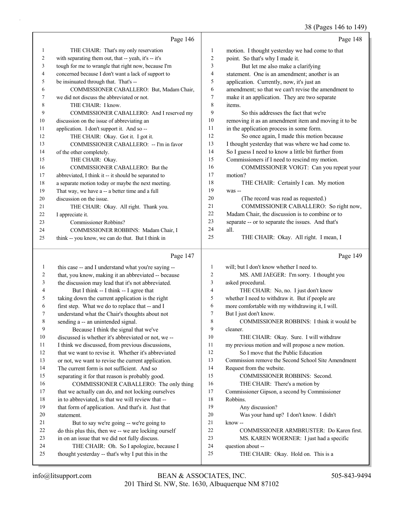#### 38 (Pages 146 to 149)

|    | Page 146                                             |                | Page 148                                             |
|----|------------------------------------------------------|----------------|------------------------------------------------------|
| 1  | THE CHAIR: That's my only reservation                | 1              | motion. I thought yesterday we had come to that      |
| 2  | with separating them out, that -- yeah, it's -- it's | $\overline{2}$ | point. So that's why I made it.                      |
| 3  | tough for me to wrangle that right now, because I'm  | 3              | But let me also make a clarifying                    |
| 4  | concerned because I don't want a lack of support to  | 4              | statement. One is an amendment; another is an        |
| 5  | be insinuated through that. That's --                | 5              | application. Currently, now, it's just an            |
| 6  | COMMISSIONER CABALLERO: But, Madam Chair,            | 6              | amendment; so that we can't revise the amendment to  |
| 7  | we did not discuss the abbreviated or not.           | 7              | make it an application. They are two separate        |
| 8  | THE CHAIR: I know.                                   | 8              | items.                                               |
| 9  | COMMISSIONER CABALLERO: And I reserved my            | 9              | So this addresses the fact that we're                |
| 10 | discussion on the issue of abbreviating an           | 10             | removing it as an amendment item and moving it to be |
| 11 | application. I don't support it. And so --           | 11             | in the application process in some form.             |
| 12 | THE CHAIR: Okay. Got it. I got it.                   | 12             | So once again, I made this motion because            |
| 13 | COMMISSIONER CABALLERO: -- I'm in favor              | 13             | I thought yesterday that was where we had come to.   |
| 14 | of the other completely.                             | 14             | So I guess I need to know a little bit further from  |
| 15 | THE CHAIR: Okay.                                     | 15             | Commissioners if I need to rescind my motion.        |
| 16 | COMMISSIONER CABALLERO: But the                      | 16             | COMMISSIONER VOIGT: Can you repeat your              |
| 17 | abbreviated, I think it -- it should be separated to | 17             | motion?                                              |
| 18 | a separate motion today or maybe the next meeting.   | 18             | THE CHAIR: Certainly I can. My motion                |
| 19 | That way, we have a -- a better time and a full      | 19             | was --                                               |
| 20 | discussion on the issue.                             | 20             | (The record was read as requested.)                  |
| 21 | THE CHAIR: Okay. All right. Thank you.               | 21             | COMMISSIONER CABALLERO: So right now,                |
| 22 | I appreciate it.                                     | 22             | Madam Chair, the discussion is to combine or to      |
| 23 | Commissioner Robbins?                                | 23             | separate -- or to separate the issues. And that's    |
| 24 | COMMISSIONER ROBBINS: Madam Chair, I                 | 24             | all.                                                 |
| 25 | think -- you know, we can do that. But I think in    | 25             | THE CHAIR: Okay. All right. I mean, I                |
|    | Page 147                                             |                | Page $149$                                           |
|    | this case -- and I understand what you're saving --  |                | will; but I don't know whether I need to.            |

2 that, you know, making it an abbreviated -- because 3 the discussion may lead that it's not abbreviated. 4 But I think -- I think -- I agree that 5 taking down the current application is the right 6 first step. What we do to replace that -- and I 7 understand what the Chair's thoughts about not 8 sending a -- an unintended signal. 9 Because I think the signal that we've 10 discussed is whether it's abbreviated or not, we -- 11 I think we discussed, from previous discussions, 12 that we want to revise it. Whether it's abbreviated 13 or not, we want to revise the current application. 14 The current form is not sufficient. And so 15 separating it for that reason is probably good. 16 COMMISSIONER CABALLERO: The only thing 17 that we actually can do, and not locking ourselves 18 in to abbreviated, is that we will review that -- 19 that form of application. And that's it. Just that 21 But to say we're going -- we're going to 22 do this plus this, then we -- we are locking ourself 23 in on an issue that we did not fully discuss. 24 THE CHAIR: Oh. So I apologize, because I 2 MS. AMI JAEGER: I'm sorry. I thought you 3 asked procedural. 4 THE CHAIR: No, no. I just don't know 5 whether I need to withdraw it. But if people are 6 more comfortable with my withdrawing it, I will. 7 But I just don't know. 8 COMMISSIONER ROBBINS: I think it would be 9 cleaner. 10 THE CHAIR: Okay. Sure. I will withdraw 11 my previous motion and will propose a new motion. 12 So I move that the Public Education 13 Commission remove the Second School Site Amendment 14 Request from the website. 15 COMMISSIONER ROBBINS: Second. 16 THE CHAIR: There's a motion by 17 Commissioner Gipson, a second by Commissioner 18 Robbins. 19 Any discussion? 20 Was your hand up? I don't know. I didn't 21 know -- 22 COMMISSIONER ARMBRUSTER: Do Karen first. 23 MS. KAREN WOERNER: I just had a specific 24 question about --

25 thought yesterday -- that's why I put this in the

20 statement.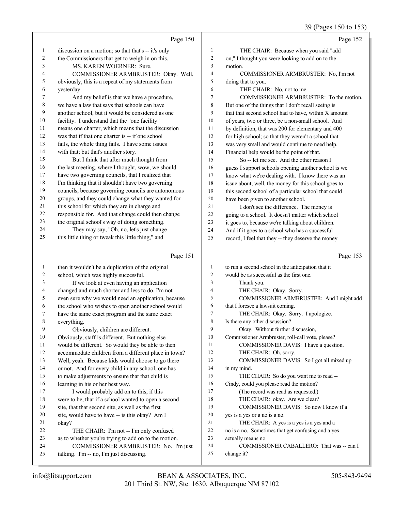## 39 (Pages 150 to 153)

|          | Page 150                                                                                               |                | Page 152                                                                                                  |
|----------|--------------------------------------------------------------------------------------------------------|----------------|-----------------------------------------------------------------------------------------------------------|
| 1        | discussion on a motion; so that that's -- it's only                                                    | 1              | THE CHAIR: Because when you said "add                                                                     |
| 2        | the Commissioners that get to weigh in on this.                                                        | $\overline{2}$ | on," I thought you were looking to add on to the                                                          |
| 3        | MS. KAREN WOERNER: Sure.                                                                               | 3              | motion.                                                                                                   |
| 4        | COMMISSIONER ARMBRUSTER: Okay. Well,                                                                   | $\overline{4}$ | COMMISSIONER ARMBRUSTER: No, I'm not                                                                      |
| 5        | obviously, this is a repeat of my statements from                                                      | 5              | doing that to you.                                                                                        |
| 6        | yesterday.                                                                                             | 6              | THE CHAIR: No, not to me.                                                                                 |
| 7        | And my belief is that we have a procedure,                                                             | $\tau$         | COMMISSIONER ARMBRUSTER: To the motion.                                                                   |
| 8        | we have a law that says that schools can have                                                          | 8              | But one of the things that I don't recall seeing is                                                       |
| 9        | another school, but it would be considered as one                                                      | 9              | that that second school had to have, within X amount                                                      |
| 10       | facility. I understand that the "one facility"                                                         | 10             | of years, two or three, be a non-small school. And                                                        |
| 11       | means one charter, which means that the discussion                                                     | 11             | by definition, that was 200 for elementary and 400                                                        |
| 12       | was that if that one charter is -- if one school                                                       | 12             | for high school; so that they weren't a school that                                                       |
| 13       | fails, the whole thing fails. I have some issues                                                       | 13             | was very small and would continue to need help.                                                           |
| 14       | with that; but that's another story.                                                                   | 14             | Financial help would be the point of that.                                                                |
| 15<br>16 | But I think that after much thought from                                                               | 15             | So -- let me see. And the other reason I                                                                  |
| 17       | the last meeting, where I thought, wow, we should<br>have two governing councils, that I realized that | 16<br>17       | guess I support schools opening another school is we                                                      |
| 18       | I'm thinking that it shouldn't have two governing                                                      | 18             | know what we're dealing with. I know there was an<br>issue about, well, the money for this school goes to |
| 19       | councils, because governing councils are autonomous                                                    | 19             | this second school of a particular school that could                                                      |
| 20       | groups, and they could change what they wanted for                                                     | 20             | have been given to another school.                                                                        |
| 21       | this school for which they are in charge and                                                           | 21             | I don't see the difference. The money is                                                                  |
| 22       | responsible for. And that change could then change                                                     | 22             | going to a school. It doesn't matter which school                                                         |
| 23       | the original school's way of doing something.                                                          | 23             | it goes to, because we're talking about children.                                                         |
| 24       | They may say, "Oh, no, let's just change                                                               | 24             | And if it goes to a school who has a successful                                                           |
| 25       | this little thing or tweak this little thing," and                                                     | 25             | record, I feel that they -- they deserve the money                                                        |
|          |                                                                                                        |                |                                                                                                           |
|          |                                                                                                        |                |                                                                                                           |
|          | Page 151                                                                                               |                | Page 153                                                                                                  |
| 1        | then it wouldn't be a duplication of the original                                                      | 1              | to run a second school in the anticipation that it                                                        |
| 2        | school, which was highly successful.                                                                   | $\overline{2}$ | would be as successful as the first one.                                                                  |
| 3        | If we look at even having an application                                                               | 3              | Thank you.                                                                                                |
| 4        | changed and much shorter and less to do, I'm not                                                       | 4              | THE CHAIR: Okay. Sorry.                                                                                   |
| 5        | even sure why we would need an application, because                                                    | 5              | COMMISSIONER ARMBRUSTER: And I might add                                                                  |
| 6        | the school who wishes to open another school would                                                     | 6              | that I foresee a lawsuit coming.                                                                          |
| 7        | have the same exact program and the same exact                                                         | 7              | THE CHAIR: Okay. Sorry. I apologize.                                                                      |
| 8        | everything.                                                                                            | 8              | Is there any other discussion?                                                                            |
| 9        | Obviously, children are different.                                                                     | 9              | Okay. Without further discussion,                                                                         |
| 10       | Obviously, staff is different. But nothing else                                                        | 10             | Commissioner Armbruster, roll-call vote, please?                                                          |
| 11       | would be different. So would they be able to then                                                      | 11             | COMMISSIONER DAVIS: I have a question.                                                                    |
| 12       | accommodate children from a different place in town?                                                   | 12             | THE CHAIR: Oh, sorry.                                                                                     |
| 13       | Well, yeah. Because kids would choose to go there                                                      | 13             | COMMISSIONER DAVIS: So I got all mixed up                                                                 |
| 14       | or not. And for every child in any school, one has                                                     | 14             | in my mind.                                                                                               |
| 15       | to make adjustments to ensure that that child is                                                       | 15             | THE CHAIR: So do you want me to read --                                                                   |
| 16       | learning in his or her best way.                                                                       | 16             | Cindy, could you please read the motion?                                                                  |
| 17       | I would probably add on to this, if this                                                               | 17             | (The record was read as requested.)                                                                       |
| 18       | were to be, that if a school wanted to open a second                                                   | 18             | THE CHAIR: okay. Are we clear?                                                                            |
| 19       | site, that that second site, as well as the first                                                      | 19             | COMMISSIONER DAVIS: So now I know if a                                                                    |
| 20       | site, would have to have -- is this okay? Am I                                                         | 20             | yes is a yes or a no is a no.                                                                             |
| 21       | okay?                                                                                                  | 21             | THE CHAIR: A yes is a yes is a yes and a                                                                  |
| 22<br>23 | THE CHAIR: I'm not -- I'm only confused                                                                | 22<br>23       | no is a no. Sometimes that get confusing and a yes                                                        |
| 24       | as to whether you're trying to add on to the motion.                                                   | 24             | actually means no.                                                                                        |
| 25       | COMMISSIONER ARMBRUSTER: No. I'm just<br>talking. I'm -- no, I'm just discussing.                      | 25             | COMMISSIONER CABALLERO: That was -- can I<br>change it?                                                   |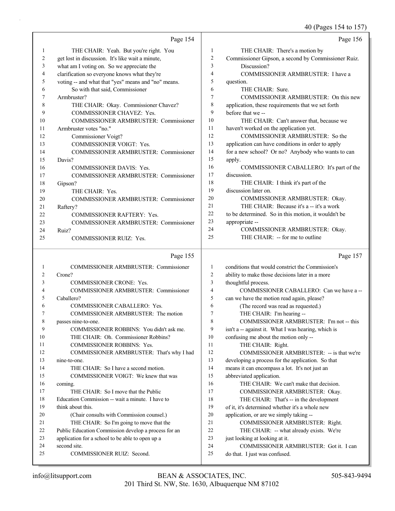40 (Pages 154 to 157)

|    | Page 154                                            |                | Page 156                                            |
|----|-----------------------------------------------------|----------------|-----------------------------------------------------|
|    | THE CHAIR: Yeah. But you're right. You              | -1             | THE CHAIR: There's a motion by                      |
| 2  | get lost in discussion. It's like wait a minute,    | $\overline{c}$ | Commissioner Gipson, a second by Commissioner Ruiz. |
| 3  | what am I voting on. So we appreciate the           | 3              | Discussion?                                         |
| 4  | clarification so everyone knows what they're        | 4              | COMMISSIONER ARMBRUSTER: I have a                   |
| 5  | voting -- and what that "yes" means and "no" means. | 5              | question.                                           |
| 6  | So with that said, Commissioner                     | 6              | THE CHAIR: Sure.                                    |
| 7  | Armbruster?                                         | 7              | COMMISSIONER ARMBRUSTER: On this new                |
| 8  | THE CHAIR: Okay. Commissioner Chavez?               | 8              | application, these requirements that we set forth   |
| 9  | <b>COMMISSIONER CHAVEZ: Yes.</b>                    | 9              | before that we --                                   |
| 10 | <b>COMMISSIONER ARMBRUSTER: Commissioner</b>        | 10             | THE CHAIR: Can't answer that, because we            |
| 11 | Armbruster votes "no."                              | 11             | haven't worked on the application yet.              |
| 12 | Commissioner Voigt?                                 | 12             | COMMISSIONER ARMBRUSTER: So the                     |
| 13 | COMMISSIONER VOIGT: Yes.                            | 13             | application can have conditions in order to apply   |
| 14 | <b>COMMISSIONER ARMBRUSTER: Commissioner</b>        | 14             | for a new school? Or no? Anybody who wants to can   |
| 15 | Davis?                                              | 15             | apply.                                              |
| 16 | <b>COMMISSIONER DAVIS: Yes.</b>                     | 16             | COMMISSIONER CABALLERO: It's part of the            |
| 17 | <b>COMMISSIONER ARMBRUSTER: Commissioner</b>        | 17             | discussion.                                         |
| 18 | Gipson?                                             | 18             | THE CHAIR: I think it's part of the                 |
| 19 | THE CHAIR: Yes.                                     | 19             | discussion later on.                                |
| 20 | COMMISSIONER ARMBRUSTER: Commissioner               | 20             | COMMISSIONER ARMBRUSTER: Okay.                      |
| 21 | Raftery?                                            | 21             | THE CHAIR: Because it's a -- it's a work            |
| 22 | <b>COMMISSIONER RAFTERY: Yes.</b>                   | 22             | to be determined. So in this motion, it wouldn't be |
| 23 | <b>COMMISSIONER ARMBRUSTER: Commissioner</b>        | 23             | appropriate --                                      |
| 24 | Ruiz?                                               | 24             | COMMISSIONER ARMBRUSTER: Okay.                      |
| 25 | <b>COMMISSIONER RUIZ: Yes.</b>                      | 25             | THE CHAIR: -- for me to outline                     |
|    | Page 155                                            |                | Page 157                                            |
|    |                                                     |                |                                                     |

|    | <b>COMMISSIONER ARMBRUSTER: Commissioner</b>         | 1  | conditions that would constrict the Commission's    |
|----|------------------------------------------------------|----|-----------------------------------------------------|
| 2  | Crone?                                               | 2  | ability to make those decisions later in a more     |
| 3  | <b>COMMISSIONER CRONE: Yes.</b>                      | 3  | thoughtful process.                                 |
| 4  | <b>COMMISSIONER ARMBRUSTER: Commissioner</b>         | 4  | COMMISSIONER CABALLERO: Can we have a --            |
| 5  | Caballero?                                           | 5  | can we have the motion read again, please?          |
| 6  | COMMISSIONER CABALLERO: Yes.                         | 6  | (The record was read as requested.)                 |
| 7  | COMMISSIONER ARMBRUSTER: The motion                  | 7  | THE CHAIR: I'm hearing --                           |
| 8  | passes nine-to-one.                                  | 8  | COMMISSIONER ARMBRUSTER: I'm not -- this            |
| 9  | COMMISSIONER ROBBINS: You didn't ask me.             | 9  | isn't a -- against it. What I was hearing, which is |
| 10 | THE CHAIR: Oh. Commissioner Robbins?                 | 10 | confusing me about the motion only --               |
| 11 | <b>COMMISSIONER ROBBINS: Yes.</b>                    | 11 | THE CHAIR: Right.                                   |
| 12 | COMMISSIONER ARMBRUSTER: That's why I had            | 12 | COMMISSIONER ARMBRUSTER: -- is that we're           |
| 13 | nine-to-one.                                         | 13 | developing a process for the application. So that   |
| 14 | THE CHAIR: So I have a second motion.                | 14 | means it can encompass a lot. It's not just an      |
| 15 | COMMISSIONER VOIGT: We knew that was                 | 15 | abbreviated application.                            |
| 16 | coming.                                              | 16 | THE CHAIR: We can't make that decision.             |
| 17 | THE CHAIR: So I move that the Public                 | 17 | COMMISSIONER ARMBRUSTER: Okay.                      |
| 18 | Education Commission -- wait a minute. I have to     | 18 | THE CHAIR: That's -- in the development             |
| 19 | think about this.                                    | 19 | of it, it's determined whether it's a whole new     |
| 20 | (Chair consults with Commission counsel.)            | 20 | application, or are we simply taking --             |
| 21 | THE CHAIR: So I'm going to move that the             | 21 | COMMISSIONER ARMBRUSTER: Right.                     |
| 22 | Public Education Commission develop a process for an | 22 | THE CHAIR: -- what already exists. We're            |
| 23 | application for a school to be able to open up a     | 23 | just looking at looking at it.                      |
| 24 | second site.                                         | 24 | COMMISSIONER ARMBRUSTER: Got it. I can              |
| 25 | <b>COMMISSIONER RUIZ: Second.</b>                    | 25 | do that. I just was confused.                       |
|    |                                                      |    |                                                     |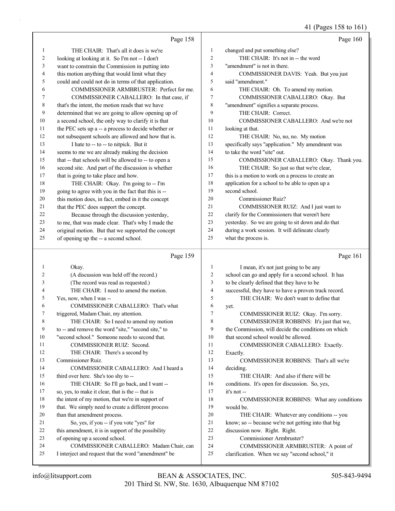#### 41 (Pages 158 to 161)

|    | Page 158                                             |    | Page 160                                           |
|----|------------------------------------------------------|----|----------------------------------------------------|
| 1  | THE CHAIR: That's all it does is we're               | 1  | changed and put something else?                    |
| 2  | looking at looking at it. So I'm not -- I don't      | 2  | THE CHAIR: It's not in -- the word                 |
| 3  | want to constrain the Commission in putting into     | 3  | "amendment" is not in there.                       |
| 4  | this motion anything that would limit what they      | 4  | COMMISSIONER DAVIS: Yeah. But you just             |
| 5  | could and could not do in terms of that application. | 5  | said "amendment."                                  |
| 6  | COMMISSIONER ARMBRUSTER: Perfect for me.             | 6  | THE CHAIR: Oh. To amend my motion.                 |
| 7  | COMMISSIONER CABALLERO: In that case, if             | 7  | COMMISSIONER CABALLERO: Okay. But                  |
| 8  | that's the intent, the motion reads that we have     | 8  | "amendment" signifies a separate process.          |
| 9  | determined that we are going to allow opening up of  | 9  | THE CHAIR: Correct.                                |
| 10 | a second school, the only way to clarify it is that  | 10 | COMMISSIONER CABALLERO: And we're not              |
| 11 | the PEC sets up a -- a process to decide whether or  | 11 | looking at that.                                   |
| 12 | not subsequent schools are allowed and how that is.  | 12 | THE CHAIR: No, no, no. My motion                   |
| 13 | I hate to -- to -- to nitpick. But it                | 13 | specifically says "application." My amendment was  |
| 14 | seems to me we are already making the decision       | 14 | to take the word "site" out.                       |
| 15 | that -- that schools will be allowed to -- to open a | 15 | COMMISSIONER CABALLERO: Okay. Thank you.           |
| 16 | second site. And part of the discussion is whether   | 16 | THE CHAIR: So just so that we're clear,            |
| 17 | that is going to take place and how.                 | 17 | this is a motion to work on a process to create an |
| 18 | THE CHAIR: Okay. I'm going to -- I'm                 | 18 | application for a school to be able to open up a   |
| 19 | going to agree with you in the fact that this is --  | 19 | second school.                                     |
| 20 | this motion does, in fact, embed in it the concept   | 20 | Commissioner Ruiz?                                 |
| 21 | that the PEC does support the concept.               | 21 | COMMISSIONER RUIZ: And I just want to              |
| 22 | Because through the discussion yesterday,            | 22 | clarify for the Commissioners that weren't here    |
| 23 | to me, that was made clear. That's why I made the    | 23 | yesterday. So we are going to sit down and do that |
| 24 | original motion. But that we supported the concept   | 24 | during a work session. It will delineate clearly   |
| 25 | of opening up the -- a second school.                | 25 | what the process is.                               |

#### Page 159

1 Okay. 2 (A discussion was held off the record.) 3 (The record was read as requested.) 4 THE CHAIR: I need to amend the motion. 5 Yes, now, when I was -- 6 COMMISSIONER CABALLERO: That's what 7 triggered, Madam Chair, my attention. 8 THE CHAIR: So I need to amend my motion 9 to -- and remove the word "site," "second site," to 10 "second school." Someone needs to second that. 11 COMMISSIONER RUIZ: Second. 12 THE CHAIR: There's a second by 13 Commissioner Ruiz. 14 COMMISSIONER CABALLERO: And I heard a 15 third over here. She's too shy to -- 16 THE CHAIR: So I'll go back, and I want --17 so, yes, to make it clear, that is the -- that is 18 the intent of my motion, that we're in support of 19 that. We simply need to create a different process 20 than that amendment process. 21 So, yes, if you -- if you vote "yes" for 22 this amendment, it is in support of the possibility 23 of opening up a second school. 24 COMMISSIONER CABALLERO: Madam Chair, can 25 I interject and request that the word "amendment" be 1 I mean, it's not just going to be any 2 school can go and apply for a second school. It has 3 to be clearly defined that they have to be 4 successful, they have to have a proven track record. 5 THE CHAIR: We don't want to define that 6 yet. 7 COMMISSIONER RUIZ: Okay. I'm sorry. 8 COMMISSIONER ROBBINS: It's just that we, 9 the Commission, will decide the conditions on which 10 that second school would be allowed. 11 COMMISSIONER CABALLERO: Exactly. 12 Exactly. 13 COMMISSIONER ROBBINS: That's all we're 14 deciding. 15 THE CHAIR: And also if there will be 16 conditions. It's open for discussion. So, yes, 17 it's not -- 18 COMMISSIONER ROBBINS: What any conditions 19 would be. 20 THE CHAIR: Whatever any conditions -- you 21 know; so -- because we're not getting into that big 22 discussion now. Right. Right. 23 Commissioner Armbruster? 24 COMMISSIONER ARMBRUSTER: A point of 25 clarification. When we say "second school," it

Page 161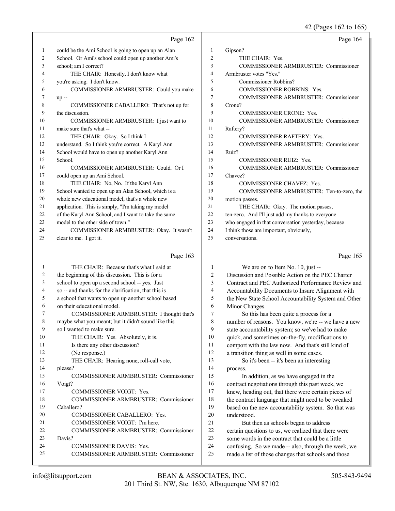42 (Pages 162 to 165)

|                | Page 162                                                                 |                | Page 164                                                                                                   |
|----------------|--------------------------------------------------------------------------|----------------|------------------------------------------------------------------------------------------------------------|
| $\mathbf{1}$   | could be the Ami School is going to open up an Alan                      | 1              | Gipson?                                                                                                    |
| 2              | School. Or Ami's school could open up another Ami's                      | $\overline{2}$ | THE CHAIR: Yes.                                                                                            |
| 3              | school; am I correct?                                                    | 3              | COMMISSIONER ARMBRUSTER: Commissioner                                                                      |
| 4              | THE CHAIR: Honestly, I don't know what                                   | $\overline{4}$ | Armbruster votes "Yes."                                                                                    |
| 5              | you're asking. I don't know.                                             | 5              | Commissioner Robbins?                                                                                      |
| 6              | COMMISSIONER ARMBRUSTER: Could you make                                  | 6              | COMMISSIONER ROBBINS: Yes.                                                                                 |
| 7              | $up -$                                                                   | 7              | COMMISSIONER ARMBRUSTER: Commissioner                                                                      |
| 8              | COMMISSIONER CABALLERO: That's not up for                                | 8              | Crone?                                                                                                     |
| 9              | the discussion.                                                          | 9              | <b>COMMISSIONER CRONE: Yes.</b>                                                                            |
| 10             | COMMISSIONER ARMBRUSTER: I just want to                                  | 10             | COMMISSIONER ARMBRUSTER: Commissioner                                                                      |
| 11             | make sure that's what --                                                 | 11             | Raftery?                                                                                                   |
| 12             | THE CHAIR: Okay. So I think I                                            | 12             | COMMISSIONER RAFTERY: Yes.                                                                                 |
| 13             | understand. So I think you're correct. A Karyl Ann                       | 13             | COMMISSIONER ARMBRUSTER: Commissioner                                                                      |
| 14             | School would have to open up another Karyl Ann                           | 14             | Ruiz?                                                                                                      |
| 15             | School.                                                                  | 15             | <b>COMMISSIONER RUIZ: Yes.</b>                                                                             |
| 16             | COMMISSIONER ARMBRUSTER: Could. Or I                                     | 16             | COMMISSIONER ARMBRUSTER: Commissioner                                                                      |
| 17             | could open up an Ami School.                                             | 17             | Chavez?                                                                                                    |
| 18             | THE CHAIR: No, No. If the Karyl Ann                                      | 18             | COMMISSIONER CHAVEZ: Yes.                                                                                  |
| 19             | School wanted to open up an Alan School, which is a                      | 19             | COMMISSIONER ARMBRUSTER: Ten-to-zero, the                                                                  |
| 20             | whole new educational model, that's a whole new                          | 20             | motion passes.                                                                                             |
| 21             | application. This is simply, "I'm taking my model                        | 21             | THE CHAIR: Okay. The motion passes,                                                                        |
| 22             | of the Karyl Ann School, and I want to take the same                     | 22             | ten-zero. And I'll just add my thanks to everyone                                                          |
| 23             | model to the other side of town."                                        | 23             | who engaged in that conversation yesterday, because                                                        |
| 24             | COMMISSIONER ARMBRUSTER: Okay. It wasn't                                 | 24             | I think those are important, obviously,                                                                    |
| 25             | clear to me. I got it.                                                   | 25             | conversations.                                                                                             |
|                |                                                                          |                |                                                                                                            |
|                | Page 163                                                                 |                | Page 165                                                                                                   |
| 1              | THE CHAIR: Because that's what I said at                                 | 1              | We are on to Item No. 10, just --                                                                          |
| 2              | the beginning of this discussion. This is for a                          | 2              | Discussion and Possible Action on the PEC Charter                                                          |
| 3              | school to open up a second school -- yes. Just                           | 3              | Contract and PEC Authorized Performance Review and                                                         |
| 4              | so -- and thanks for the clarification, that this is                     | 4              | Accountability Documents to Insure Alignment with                                                          |
| 5              | a school that wants to open up another school based                      | 5              | the New State School Accountability System and Other                                                       |
| 6              | on their educational model.                                              | 6              | Minor Changes.                                                                                             |
| 7              | COMMISSIONER ARMBRUSTER: I thought that's                                | 7              | So this has been quite a process for a                                                                     |
| $8\phantom{1}$ | maybe what you meant; but it didn't sound like this                      | $\,$ 8 $\,$    | number of reasons. You know, we're -- we have a new                                                        |
| 9              | so I wanted to make sure.                                                | 9              | state accountability system; so we've had to make                                                          |
| 10             | THE CHAIR: Yes. Absolutely, it is.                                       | 10             | quick, and sometimes on-the-fly, modifications to                                                          |
| 11             | Is there any other discussion?                                           | 11             | comport with the law now. And that's still kind of                                                         |
| 12             | (No response.)                                                           | 12             | a transition thing as well in some cases.                                                                  |
| 13             | THE CHAIR: Hearing none, roll-call vote,                                 | 13             | So it's been -- it's been an interesting                                                                   |
| 14             | please?                                                                  | 14             | process.                                                                                                   |
| 15             | COMMISSIONER ARMBRUSTER: Commissioner                                    | 15             | In addition, as we have engaged in the                                                                     |
| 16             | Voigt?                                                                   | 16             | contract negotiations through this past week, we                                                           |
| 17             | COMMISSIONER VOIGT: Yes.                                                 | 17             | knew, heading out, that there were certain pieces of                                                       |
| 18             | COMMISSIONER ARMBRUSTER: Commissioner                                    | 18             | the contract language that might need to be tweaked                                                        |
| 19             | Caballero?                                                               | 19             | based on the new accountability system. So that was                                                        |
| 20             | COMMISSIONER CABALLERO: Yes.                                             | 20             | understood.                                                                                                |
| 21             | COMMISSIONER VOIGT: I'm here.                                            | 21             | But then as schools began to address                                                                       |
| 22             | COMMISSIONER ARMBRUSTER: Commissioner                                    | 22             | certain questions to us, we realized that there were                                                       |
| 23<br>24       | Davis?                                                                   | 23             | some words in the contract that could be a little                                                          |
| 25             | <b>COMMISSIONER DAVIS: Yes.</b><br>COMMISSIONER ARMBRUSTER: Commissioner | 24<br>25       | confusing. So we made -- also, through the week, we<br>made a list of those changes that schools and those |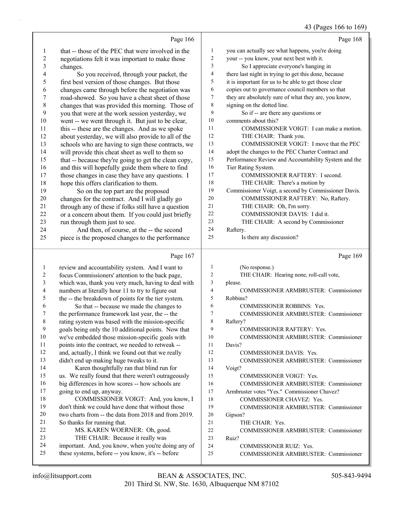#### 43 (Pages 166 to 169)

|                         | Page 166                                                                                                |                | Page 168                                                         |
|-------------------------|---------------------------------------------------------------------------------------------------------|----------------|------------------------------------------------------------------|
| 1                       | that -- those of the PEC that were involved in the                                                      | 1              | you can actually see what happens, you're doing                  |
| $\overline{\mathbf{c}}$ | negotiations felt it was important to make those                                                        | $\overline{c}$ | your -- you know, your next best with it.                        |
| 3                       | changes.                                                                                                | 3              | So I appreciate everyone's hanging in                            |
| 4                       | So you received, through your packet, the                                                               | 4              | there last night in trying to get this done, because             |
| 5                       | first best version of those changes. But those                                                          | 5              | it is important for us to be able to get those clear             |
| 6                       | changes came through before the negotiation was                                                         | 6              | copies out to governance council members so that                 |
| 7                       | road-showed. So you have a cheat sheet of those                                                         | 7              | they are absolutely sure of what they are, you know,             |
| 8                       | changes that was provided this morning. Those of                                                        | 8              | signing on the dotted line.                                      |
| 9                       | you that were at the work session yesterday, we                                                         | 9              | So if -- are there any questions or                              |
| 10                      | went -- we went through it. But just to be clear,                                                       | 10             | comments about this?                                             |
| 11                      | this -- these are the changes. And as we spoke                                                          | 11             | COMMISSIONER VOIGT: I can make a motion.                         |
| 12                      | about yesterday, we will also provide to all of the                                                     | 12             | THE CHAIR: Thank you.                                            |
| 13                      |                                                                                                         | 13             | COMMISSIONER VOIGT: I move that the PEC                          |
| 14                      | schools who are having to sign these contracts, we                                                      | 14             | adopt the changes to the PEC Charter Contract and                |
| 15                      | will provide this cheat sheet as well to them so                                                        | 15             |                                                                  |
|                         | that -- because they're going to get the clean copy,                                                    | 16             | Performance Review and Accountability System and the             |
| 16                      | and this will hopefully guide them where to find                                                        | 17             | Tier Rating System.                                              |
| 17                      | those changes in case they have any questions. I                                                        |                | COMMISSIONER RAFTERY: I second.                                  |
| 18                      | hope this offers clarification to them.                                                                 | 18             | THE CHAIR: There's a motion by                                   |
| 19                      | So on the top part are the proposed                                                                     | 19             | Commissioner Voigt, a second by Commissioner Davis.              |
| 20                      | changes for the contract. And I will gladly go                                                          | 20             | COMMISSIONER RAFTERY: No, Raftery.                               |
| 21                      | through any of these if folks still have a question                                                     | 21             | THE CHAIR: Oh, I'm sorry.                                        |
| 22                      | or a concern about them. If you could just briefly                                                      | 22             | COMMISSIONER DAVIS: I did it.                                    |
| 23                      | run through them just to see.                                                                           | 23             | THE CHAIR: A second by Commissioner                              |
| 24                      | And then, of course, at the -- the second                                                               | 24             | Raftery.                                                         |
| 25                      | piece is the proposed changes to the performance                                                        | 25             | Is there any discussion?                                         |
|                         |                                                                                                         |                |                                                                  |
|                         |                                                                                                         |                |                                                                  |
|                         | Page 167                                                                                                |                | Page 169                                                         |
| 1                       | review and accountability system. And I want to                                                         | 1              | (No response.)                                                   |
| $\boldsymbol{2}$        | focus Commissioners' attention to the back page,                                                        | $\sqrt{2}$     | THE CHAIR: Hearing none, roll-call vote,                         |
| 3                       | which was, thank you very much, having to deal with                                                     | 3              | please.                                                          |
| 4                       | numbers at literally hour 11 to try to figure out                                                       | $\overline{4}$ | COMMISSIONER ARMBRUSTER: Commissioner                            |
| 5                       | the -- the breakdown of points for the tier system.                                                     | 5              | Robbins?                                                         |
| 6                       | So that -- because we made the changes to                                                               | 6              | <b>COMMISSIONER ROBBINS: Yes.</b>                                |
| 7                       | the performance framework last year, the -- the                                                         | 7              | COMMISSIONER ARMBRUSTER: Commissioner                            |
| 8                       | rating system was based with the mission-specific                                                       | 8              | Raftery?                                                         |
| 9                       | goals being only the 10 additional points. Now that                                                     | 9              | <b>COMMISSIONER RAFTERY: Yes.</b>                                |
| 10                      | we've embedded those mission-specific goals with                                                        | 10             | <b>COMMISSIONER ARMBRUSTER: Commissioner</b>                     |
| 11                      | points into the contract, we needed to retweak --                                                       | 11             | Davis?                                                           |
| 12                      | and, actually, I think we found out that we really                                                      | 12             | COMMISSIONER DAVIS: Yes.                                         |
| 13                      | didn't end up making huge tweaks to it.                                                                 | 13             | <b>COMMISSIONER ARMBRUSTER: Commissioner</b>                     |
| 14                      | Karen thoughtfully ran that blind run for                                                               | 14             | Voigt?                                                           |
| 15                      | us. We really found that there weren't outrageously                                                     | 15             | <b>COMMISSIONER VOIGT: Yes.</b>                                  |
| 16                      | big differences in how scores -- how schools are                                                        | 16             | COMMISSIONER ARMBRUSTER: Commissioner                            |
| 17                      | going to end up, anyway.                                                                                | 17             | Armbruster votes "Yes." Commissioner Chavez?                     |
| 18                      | COMMISSIONER VOIGT: And, you know, I                                                                    | 18             | COMMISSIONER CHAVEZ: Yes.                                        |
| 19                      | don't think we could have done that without those                                                       | 19             | COMMISSIONER ARMBRUSTER: Commissioner                            |
| 20                      | two charts from -- the data from 2018 and from 2019.                                                    | 20             |                                                                  |
| 21                      |                                                                                                         | 21             | Gipson?<br>THE CHAIR: Yes.                                       |
| 22                      | So thanks for running that.                                                                             | 22             |                                                                  |
| 23                      | MS. KAREN WOERNER: Oh, good.                                                                            | 23             | COMMISSIONER ARMBRUSTER: Commissioner<br>Ruiz?                   |
| 24                      | THE CHAIR: Because it really was                                                                        | 24             |                                                                  |
| 25                      | important. And, you know, when you're doing any of<br>these systems, before -- you know, it's -- before | 25             | COMMISSIONER RUIZ: Yes.<br>COMMISSIONER ARMBRUSTER: Commissioner |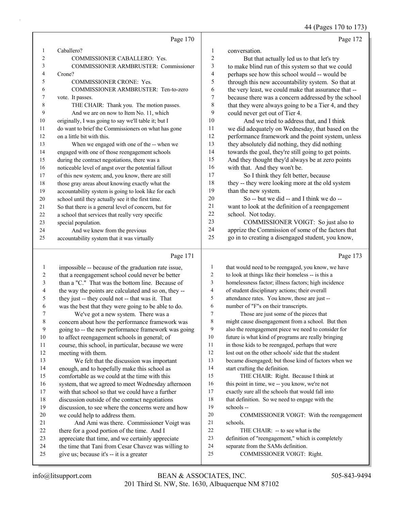44 (Pages 170 to 173)

|    | Page 170                                             |                | Page 172                                             |
|----|------------------------------------------------------|----------------|------------------------------------------------------|
| 1  | Caballero?                                           | 1              | conversation.                                        |
| 2  | <b>COMMISSIONER CABALLERO: Yes.</b>                  | $\overline{2}$ | But that actually led us to that let's try           |
| 3  | <b>COMMISSIONER ARMBRUSTER: Commissioner</b>         | 3              | to make blind run of this system so that we could    |
| 4  | Crone?                                               | 4              | perhaps see how this school would -- would be        |
| 5  | <b>COMMISSIONER CRONE: Yes.</b>                      | 5              | through this new accountability system. So that at   |
| 6  | COMMISSIONER ARMBRUSTER: Ten-to-zero                 | 6              | the very least, we could make that assurance that -- |
| 7  | vote. It passes.                                     | 7              | because there was a concern addressed by the school  |
| 8  | THE CHAIR: Thank you. The motion passes.             | 8              | that they were always going to be a Tier 4, and they |
| 9  | And we are on now to Item No. 11, which              | 9              | could never get out of Tier 4.                       |
| 10 | originally, I was going to say we'll table it; but I | 10             | And we tried to address that, and I think            |
| 11 | do want to brief the Commissioners on what has gone  | 11             | we did adequately on Wednesday, that based on the    |
| 12 | on a little bit with this.                           | 12             | performance framework and the point system, unless   |
| 13 | When we engaged with one of the -- when we           | 13             | they absolutely did nothing, they did nothing        |
| 14 | engaged with one of those reengagement schools       | 14             | towards the goal, they're still going to get points. |
| 15 | during the contract negotiations, there was a        | 15             | And they thought they'd always be at zero points     |
| 16 | noticeable level of angst over the potential fallout | 16             | with that. And they won't be.                        |
| 17 | of this new system; and, you know, there are still   | 17             | So I think they felt better, because                 |
| 18 | those gray areas about knowing exactly what the      | 18             | they -- they were looking more at the old system     |
| 19 | accountability system is going to look like for each | 19             | than the new system.                                 |
| 20 | school until they actually see it the first time.    | 20             | So -- but we did -- and I think we do --             |
| 21 | So that there is a general level of concern, but for | 21             | want to look at the definition of a reengagement     |
| 22 | a school that services that really very specific     | 22             | school. Not today.                                   |
| 23 | special population.                                  | 23             | COMMISSIONER VOIGT: So just also to                  |
| 24 | And we knew from the previous                        | 24             | apprize the Commission of some of the factors that   |
| 25 | accountability system that it was virtually          | 25             | go in to creating a disengaged student, you know,    |
|    |                                                      |                |                                                      |

# Page 171 |

|    | Page 171                                             |                | Page 173                                             |
|----|------------------------------------------------------|----------------|------------------------------------------------------|
| 1  | impossible -- because of the graduation rate issue,  | 1              | that would need to be reengaged, you know, we have   |
| 2  | that a reengagement school could never be better     | $\overline{c}$ | to look at things like their homeless -- is this a   |
| 3  | than a "C." That was the bottom line. Because of     | 3              | homelessness factor; illness factors; high incidence |
| 4  | the way the points are calculated and so on, they -- | 4              | of student disciplinary actions; their overall       |
| 5  | they just -- they could not -- that was it. That     | 5              | attendance rates. You know, those are just --        |
| 6  | was the best that they were going to be able to do.  | 6              | number of "F"s on their transcripts.                 |
| 7  | We've got a new system. There was a                  | 7              | Those are just some of the pieces that               |
| 8  | concern about how the performance framework was      | 8              | might cause disengagement from a school. But then    |
| 9  | going to -- the new performance framework was going  | 9              | also the reengagement piece we need to consider for  |
| 10 | to affect reengagement schools in general; of        | 10             | future is what kind of programs are really bringing  |
| 11 | course, this school, in particular, because we were  | 11             | in those kids to be reengaged, perhaps that were     |
| 12 | meeting with them.                                   | 12             | lost out on the other schools' side that the student |
| 13 | We felt that the discussion was important            | 13             | became disengaged; but those kind of factors when we |
| 14 | enough, and to hopefully make this school as         | 14             | start crafting the definition.                       |
| 15 | comfortable as we could at the time with this        | 15             | THE CHAIR: Right. Because I think at                 |
| 16 | system, that we agreed to meet Wednesday afternoon   | 16             | this point in time, we -- you know, we're not        |
| 17 | with that school so that we could have a further     | 17             | exactly sure all the schools that would fall into    |
| 18 | discussion outside of the contract negotiations      | 18             | that definition. So we need to engage with the       |
| 19 | discussion, to see where the concerns were and how   | 19             | schools --                                           |
| 20 | we could help to address them.                       | 20             | COMMISSIONER VOIGT: With the reengagement            |
| 21 | And Ami was there. Commissioner Voigt was            | 21             | schools.                                             |
| 22 | there for a good portion of the time. And I          | 22             | THE CHAIR: -- to see what is the                     |
| 23 | appreciate that time, and we certainly appreciate    | 23             | definition of "reengagement," which is completely    |
| 24 | the time that Tani from Cesar Chavez was willing to  | 24             | separate from the SAMs definition.                   |
| 25 | give us; because it's -- it is a greater             | 25             | COMMISSIONER VOIGT: Right.                           |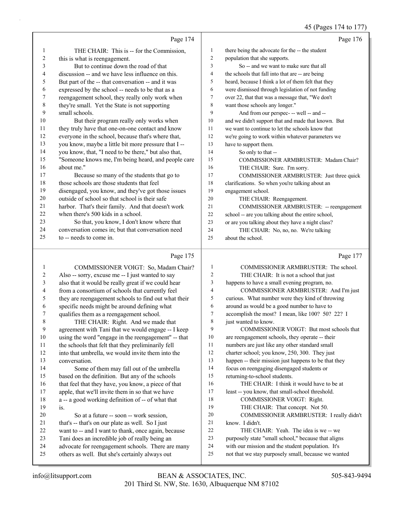#### 45 (Pages 174 to 177)

|    | Page 174                                             |                | Page 176                                            |
|----|------------------------------------------------------|----------------|-----------------------------------------------------|
| 1  | THE CHAIR: This is -- for the Commission,            | 1              | there being the advocate for the -- the student     |
| 2  | this is what is reengagement.                        | $\overline{2}$ | population that she supports.                       |
| 3  | But to continue down the road of that                | 3              | So -- and we want to make sure that all             |
| 4  | discussion -- and we have less influence on this.    | $\overline{4}$ | the schools that fall into that are -- are being    |
| 5  | But part of the -- that conversation -- and it was   | 5              | heard, because I think a lot of them felt that they |
| 6  | expressed by the school -- needs to be that as a     | 6              | were dismissed through legislation of not funding   |
| 7  | reengagement school, they really only work when      | $\overline{7}$ | over 22, that that was a message that, "We don't    |
| 8  | they're small. Yet the State is not supporting       | 8              | want those schools any longer."                     |
| 9  | small schools.                                       | 9              | And from our perspec- -- well -- and --             |
| 10 | But their program really only works when             | 10             | and we didn't support that and made that known. But |
| 11 | they truly have that one-on-one contact and know     | 11             | we want to continue to let the schools know that    |
| 12 | everyone in the school, because that's where that,   | 12             | we're going to work within whatever parameters we   |
| 13 | you know, maybe a little bit more pressure that I -- | 13             | have to support them.                               |
| 14 | you know, that, "I need to be there," but also that, | 14             | So only to that --                                  |
| 15 | "Someone knows me, I'm being heard, and people care  | 15             | COMMISSIONER ARMBRUSTER: Madam Chair?               |
| 16 | about me."                                           | 16             | THE CHAIR: Sure. I'm sorry.                         |
| 17 | Because so many of the students that go to           | 17             | COMMISSIONER ARMBRUSTER: Just three quick           |
| 18 | those schools are those students that feel           | 18             | clarifications. So when you're talking about an     |
| 19 | disengaged, you know, and they've got those issues   | 19             | engagement school.                                  |
| 20 | outside of school so that school is their safe       | 20             | THE CHAIR: Reengagement.                            |
| 21 | harbor. That's their family. And that doesn't work   | 21             | COMMISSIONER ARMBRUSTER: -- reengagement            |
| 22 | when there's 500 kids in a school.                   | 22             | school -- are you talking about the entire school,  |
| 23 | So that, you know, I don't know where that           | 23             | or are you talking about they have a night class?   |
| 24 | conversation comes in; but that conversation need    | 24             | THE CHAIR: No, no, no. We're talking                |
| 25 | to -- needs to come in.                              | 25             | about the school.                                   |
|    | Page 175                                             |                | Page 177                                            |
| 1  | COMMISSIONER VOIGT: So, Madam Chair?                 | -1             | COMMISSIONER ARMBRUSTER: The school.                |
| 2  | Also -- sorry, excuse me -- I just wanted to say     | 2              | THE CHAIR: It is not a school that just             |
|    | also that it would be really great if we could hear  | 3              | hannens to have a small evening program no          |

 also that it would be really great if we could hear from a consortium of schools that currently feel

- they are reengagement schools to find out what their
- specific needs might be around defining what

 qualifies them as a reengagement school. 8 THE CHAIR: Right. And we made that agreement with Tani that we would engage -- I keep using the word "engage in the reengagement" -- that the schools that felt that they preliminarily fell into that umbrella, we would invite them into the

 conversation. 14 Some of them may fall out of the umbrella based on the definition. But any of the schools 16 that feel that they have, you know, a piece of that apple, that we'll invite them in so that we have a -- a good working definition of -- of what that

- is.
- 20 So at a future -- soon -- work session,
- that's -- that's on our plate as well. So I just
- want to -- and I want to thank, once again, because
- Tani does an incredible job of really being an
- advocate for reengagement schools. There are many
- others as well. But she's certainly always out
- happens to have a small evening program, no. 4 COMMISSIONER ARMBRUSTER: And I'm just
- curious. What number were they kind of throwing
- around as would be a good number to have to accomplish the most? I mean, like 100? 50? 22? I
- 8 iust wanted to know.
- 9 COMMISSIONER VOIGT: But most schools that are reengagement schools, they operate -- their numbers are just like any other standard small 12 charter school; you know, 250, 300. They just happen -- their mission just happens to be that they focus on reengaging disengaged students or returning-to-school students. 16 THE CHAIR: I think it would have to be at least -- you know, that small-school threshold. 18 COMMISSIONER VOIGT: Right. 19 THE CHAIR: That concept. Not 50. 20 COMMISSIONER ARMBRUSTER: I really didn't know. I didn't. 22 THE CHAIR: Yeah. The idea is we -- we purposely state "small school," because that aligns
- with our mission and the student population. It's
- not that we stay purposely small, because we wanted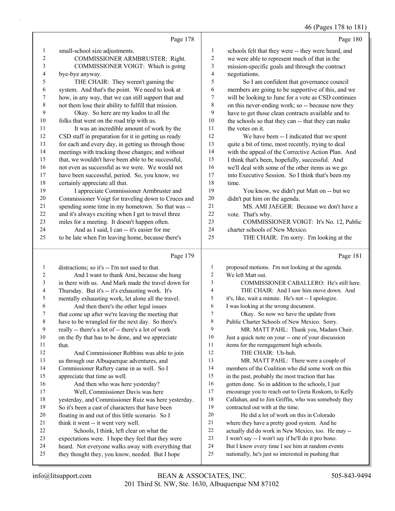# 46 (Pages 178 to 181)

|              | Page 178                                             |    | Page 180                                            |
|--------------|------------------------------------------------------|----|-----------------------------------------------------|
| $\mathbf{1}$ | small-school size adjustments.                       | 1  | schools felt that they were -- they were heard, and |
| 2            | COMMISSIONER ARMBRUSTER: Right.                      | 2  | we were able to represent much of that in the       |
| 3            | COMMISSIONER VOIGT: Which is going                   | 3  | mission-specific goals and through the contract     |
| 4            | bye-bye anyway.                                      | 4  | negotiations.                                       |
| 5            | THE CHAIR: They weren't gaming the                   | 5  | So I am confident that governance council           |
| 6            | system. And that's the point. We need to look at     | 6  | members are going to be supportive of this, and we  |
| 7            | how, in any way, that we can still support that and  | 7  | will be looking to June for a vote as CSD continues |
| 8            | not them lose their ability to fulfill that mission. | 8  | on this never-ending work; so -- because now they   |
| 9            | Okay. So here are my kudos to all the                | 9  | have to get those clean contracts available and to  |
| 10           | folks that went on the road trip with us.            | 10 | the schools so that they can -- that they can make  |
| 11           | It was an incredible amount of work by the           | 11 | the votes on it.                                    |
| 12           | CSD staff in preparation for it in getting us ready  | 12 | We have been -- I indicated that we spent           |
| 13           | for each and every day, in getting us through those  | 13 | quite a bit of time, most recently, trying to deal  |
| 14           | meetings with tracking those changes; and without    | 14 | with the appeal of the Corrective Action Plan. And  |
| 15           | that, we wouldn't have been able to be successful,   | 15 | I think that's been, hopefully, successful. And     |
| 16           | not even as successful as we were. We would not      | 16 | we'll deal with some of the other items as we go    |
| 17           | have been successful, period. So, you know, we       | 17 | into Executive Session. So I think that's been my   |
| 18           | certainly appreciate all that.                       | 18 | time.                                               |
| 19           | I appreciate Commissioner Armbruster and             | 19 | You know, we didn't put Matt on -- but we           |
| 20           | Commissioner Voigt for traveling down to Cruces and  | 20 | didn't put him on the agenda.                       |
| 21           | spending some time in my hometown. So that was --    | 21 | MS. AMI JAEGER: Because we don't have a             |
| 22           | and it's always exciting when I get to travel three  | 22 | vote. That's why.                                   |
| 23           | miles for a meeting. It doesn't happen often.        | 23 | COMMISSIONER VOIGT: It's No. 12, Public             |
| 24           | And as I said, I can -- it's easier for me           | 24 | charter schools of New Mexico.                      |
| 25           | to be late when I'm leaving home, because there's    | 25 | THE CHAIR: I'm sorry. I'm looking at the            |
|              | Page 179                                             |    | Page 181                                            |
|              |                                                      |    |                                                     |

| -1 | distractions; so it's -- I'm not used to that.       | 1              | proposed motions. I'm not looking at the agenda.     |
|----|------------------------------------------------------|----------------|------------------------------------------------------|
| 2  | And I want to thank Ami, because she hung            | $\overline{2}$ | We left Matt out.                                    |
| 3  | in there with us. And Mark made the travel down for  | 3              | COMMISSIONER CABALLERO: He's still here.             |
| 4  | Thursday. But it's -- it's exhausting work. It's     | $\overline{4}$ | THE CHAIR: And I saw him move down. And              |
| 5  | mentally exhausting work, let alone all the travel.  | 5              | it's, like, wait a minute. He's not -- I apologize.  |
| 6  | And then there's the other legal issues              | 6              | I was looking at the wrong document.                 |
| 7  | that come up after we're leaving the meeting that    | 7              | Okay. So now we have the update from                 |
| 8  | have to be wrangled for the next day. So there's     | 8              | Public Charter Schools of New Mexico. Sorry.         |
| 9  | really -- there's a lot of -- there's a lot of work  | 9              | MR. MATT PAHL: Thank you, Madam Chair.               |
| 10 | on the fly that has to be done, and we appreciate    | 10             | Just a quick note on your -- one of your discussion  |
| 11 | that.                                                | 11             | items for the reengagement high schools.             |
| 12 | And Commissioner Robbins was able to join            | 12             | THE CHAIR: Uh-huh.                                   |
| 13 | us through our Albuquerque adventures, and           | 13             | MR. MATT PAHL: There were a couple of                |
| 14 | Commissioner Raftery came in as well. So I           | 14             | members of the Coalition who did some work on this   |
| 15 | appreciate that time as well.                        | 15             | in the past, probably the most traction that has     |
| 16 | And then who was here yesterday?                     | 16             | gotten done. So in addition to the schools, I just   |
| 17 | Well, Commissioner Davis was here                    | 17             | encourage you to reach out to Greta Roskom, to Kelly |
| 18 | yesterday, and Commissioner Ruiz was here yesterday. | 18             | Callahan, and to Jim Griffin, who was somebody they  |
| 19 | So it's been a cast of characters that have been     | 19             | contracted out with at the time.                     |
| 20 | floating in and out of this little scenario. So I    | 20             | He did a lot of work on this in Colorado             |
| 21 | think it went -- it went very well.                  | 21             | where they have a pretty good system. And he         |
| 22 | Schools, I think, left clear on what the             | 22             | actually did do work in New Mexico, too. He may --   |
| 23 | expectations were. I hope they feel that they were   | 23             | I won't say -- I won't say if he'll do it pro bono.  |
| 24 | heard. Not everyone walks away with everything that  | 24             | But I know every time I see him at random events     |
| 25 | they thought they, you know, needed. But I hope      | 25             | nationally, he's just so interested in pushing that  |
|    |                                                      |                |                                                      |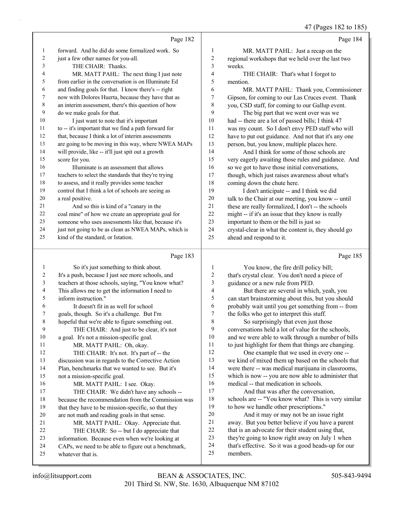47 (Pages 182 to 185)

|    | Page 182                                             |                | Page 184                                             |
|----|------------------------------------------------------|----------------|------------------------------------------------------|
| 1  | forward. And he did do some formalized work. So      | 1              | MR. MATT PAHL: Just a recap on the                   |
| 2  | just a few other names for you-all.                  | $\overline{c}$ | regional workshops that we held over the last two    |
| 3  | THE CHAIR: Thanks.                                   | 3              | weeks.                                               |
| 4  | MR. MATT PAHL: The next thing I just note            | 4              | THE CHAIR: That's what I forgot to                   |
| 5  | from earlier in the conversation is on Illuminate Ed | 5              | mention.                                             |
| 6  | and finding goals for that. I know there's -- right  | 6              | MR. MATT PAHL: Thank you, Commissioner               |
| 7  | now with Dolores Huerta, because they have that as   | 7              | Gipson, for coming to our Las Cruces event. Thank    |
| 8  | an interim assessment, there's this question of how  | 8              | you, CSD staff, for coming to our Gallup event.      |
| 9  | do we make goals for that.                           | 9              | The big part that we went over was we                |
| 10 | I just want to note that it's important              | 10             | had -- there are a lot of passed bills; I think 47   |
| 11 | to -- it's important that we find a path forward for | 11             | was my count. So I don't envy PED staff who will     |
| 12 | that, because I think a lot of interim assessments   | 12             | have to put out guidance. And not that it's any one  |
| 13 | are going to be moving in this way, where NWEA MAPs  | 13             | person, but, you know, multiple places here.         |
| 14 | will provide, like -- it'll just spit out a growth   | 14             | And I think for some of those schools are            |
| 15 | score for you.                                       | 15             | very eagerly awaiting those rules and guidance. And  |
| 16 | Illuminate is an assessment that allows              | 16             | so we got to have those initial conversations,       |
| 17 | teachers to select the standards that they're trying | 17             | though, which just raises awareness about what's     |
| 18 | to assess, and it really provides some teacher       | 18             | coming down the chute here.                          |
| 19 | control that I think a lot of schools are seeing as  | 19             | I don't anticipate -- and I think we did             |
| 20 | a real positive.                                     | 20             | talk to the Chair at our meeting, you know -- until  |
| 21 | And so this is kind of a "canary in the              | 21             | these are really formalized, I don't -- the schools  |
| 22 | coal mine" of how we create an appropriate goal for  | 22             | might -- if it's an issue that they know is really   |
| 23 | someone who uses assessments like that, because it's | 23             | important to them or the bill is just so             |
| 24 | just not going to be as clean as NWEA MAPs, which is | 24             | crystal-clear in what the content is, they should go |
| 25 | kind of the standard, or Istation.                   | 25             | ahead and respond to it.                             |
|    | Page 183                                             |                | Page 185                                             |

## Page 183 |

| $\mathbf{1}$ | So it's just something to think about.              |    | You know, the fire drill policy bill;                |
|--------------|-----------------------------------------------------|----|------------------------------------------------------|
| 2            | It's a push, because I just see more schools, and   | 2  | that's crystal clear. You don't need a piece of      |
| 3            | teachers at those schools, saying, "You know what?  | 3  | guidance or a new rule from PED.                     |
| 4            | This allows me to get the information I need to     | 4  | But there are several in which, yeah, you            |
| 5            | inform instruction."                                | 5  | can start brainstorming about this, but you should   |
| 6            | It doesn't fit in as well for school                | 6  | probably wait until you get something from -- from   |
| 7            | goals, though. So it's a challenge. But I'm         | 7  | the folks who get to interpret this stuff.           |
| 8            | hopeful that we're able to figure something out.    | 8  | So surprisingly that even just those                 |
| 9            | THE CHAIR: And just to be clear, it's not           | 9  | conversations held a lot of value for the schools,   |
| 10           | a goal. It's not a mission-specific goal.           | 10 | and we were able to walk through a number of bills   |
| 11           | MR. MATT PAHL: Oh, okay.                            | 11 | to just highlight for them that things are changing. |
| 12           | THE CHAIR: It's not. It's part of -- the            | 12 | One example that we used in every one --             |
| 13           | discussion was in regards to the Corrective Action  | 13 | we kind of mixed them up based on the schools that   |
| 14           | Plan, benchmarks that we wanted to see. But it's    | 14 | were there -- was medical marijuana in classrooms,   |
| 15           | not a mission-specific goal.                        | 15 | which is now -- you are now able to administer that  |
| 16           | MR. MATT PAHL: I see. Okay.                         | 16 | medical -- that medication in schools.               |
| 17           | THE CHAIR: We didn't have any schools --            | 17 | And that was after the conversation,                 |
| 18           | because the recommendation from the Commission was  | 18 | schools are -- "You know what? This is very similar  |
| 19           | that they have to be mission-specific, so that they | 19 | to how we handle other prescriptions."               |
| 20           | are not math and reading goals in that sense.       | 20 | And it may or may not be an issue right              |
| 21           | MR. MATT PAHL: Okay. Appreciate that.               | 21 | away. But you better believe if you have a parent    |
| 22           | THE CHAIR: So -- but I do appreciate that           | 22 | that is an advocate for their student using that,    |
| 23           | information. Because even when we're looking at     | 23 | they're going to know right away on July 1 when      |
| 24           | CAPs, we need to be able to figure out a benchmark, | 24 | that's effective. So it was a good heads-up for our  |
| 25           | whatever that is.                                   | 25 | members.                                             |
|              |                                                     |    |                                                      |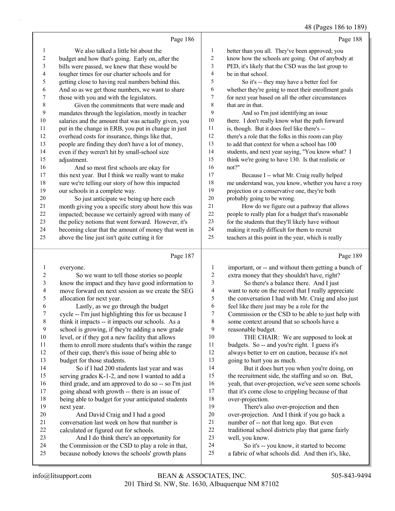# 48 (Pages 186 to 189)

|                         | Page 186                                                                                       |                          | Page 188                                                     |
|-------------------------|------------------------------------------------------------------------------------------------|--------------------------|--------------------------------------------------------------|
| 1                       | We also talked a little bit about the                                                          | $\mathbf{1}$             | better than you all. They've been approved; you              |
| $\boldsymbol{2}$        | budget and how that's going. Early on, after the                                               | 2                        | know how the schools are going. Out of anybody at            |
| $\mathfrak{Z}$          | bills were passed, we knew that these would be                                                 | 3                        | PED, it's likely that the CSD was the last group to          |
| 4                       | tougher times for our charter schools and for                                                  | 4                        | be in that school.                                           |
| 5                       | getting close to having real numbers behind this.                                              | 5                        | So it's -- they may have a better feel for                   |
| 6                       | And so as we get those numbers, we want to share                                               | 6                        | whether they're going to meet their enrollment goals         |
| $\tau$                  | those with you and with the legislators.                                                       | 7                        | for next year based on all the other circumstances           |
| $\,$ $\,$               | Given the commitments that were made and                                                       | 8                        | that are in that.                                            |
| 9                       | mandates through the legislation, mostly in teacher                                            | 9                        | And so I'm just identifying an issue                         |
| $10\,$                  | salaries and the amount that was actually given, you                                           | $10\,$                   | there. I don't really know what the path forward             |
| 11                      | put in the change in ERB, you put in change in just                                            | 11                       | is, though. But it does feel like there's --                 |
| 12                      | overhead costs for insurance, things like that,                                                | 12                       | there's a role that the folks in this room can play          |
| 13                      | people are finding they don't have a lot of money,                                             | 13                       | to add that context for when a school has 100                |
| 14                      | even if they weren't hit by small-school size                                                  | 14                       | students, and next year saying, "You know what? I            |
| 15                      | adjustment.                                                                                    | 15                       | think we're going to have 130. Is that realistic or          |
| 16                      | And so most first schools are okay for                                                         | 16                       | not?"                                                        |
| 17                      | this next year. But I think we really want to make                                             | 17                       | Because I -- what Mr. Craig really helped                    |
| $18\,$                  | sure we're telling our story of how this impacted                                              | 18                       | me understand was, you know, whether you have a rosy         |
| 19                      | our schools in a complete way.                                                                 | 19                       | projection or a conservative one, they're both               |
| $20\,$                  | So just anticipate we being up here each                                                       | $20\,$                   | probably going to be wrong.                                  |
| 21                      | month giving you a specific story about how this was                                           | $21\,$                   | How do we figure out a pathway that allows                   |
| $22\,$                  | impacted; because we certainly agreed with many of                                             | $22\,$                   | people to really plan for a budget that's reasonable         |
| 23                      | the policy notions that went forward. However, it's                                            | 23                       | for the students that they'll likely have without            |
| 24                      | becoming clear that the amount of money that went in                                           | $24\,$                   | making it really difficult for them to recruit               |
| 25                      | above the line just isn't quite cutting it for                                                 | 25                       | teachers at this point in the year, which is really          |
|                         |                                                                                                |                          |                                                              |
|                         | Page 187                                                                                       |                          | Page 189                                                     |
| $\mathbf{1}$            | everyone.                                                                                      | $\mathbf{1}$             | important, or -- and without them getting a bunch of         |
| $\overline{\mathbf{c}}$ | So we want to tell those stories so people                                                     | $\overline{c}$           | extra money that they shouldn't have, right?                 |
| $\mathfrak{Z}$          | know the impact and they have good information to                                              | 3                        | So there's a balance there. And I just                       |
| $\overline{4}$          | move forward on next session as we create the SEG                                              | $\overline{\mathcal{A}}$ | want to note on the record that I really appreciate          |
| 5                       | allocation for next year.                                                                      | 5                        | the conversation I had with Mr. Craig and also just          |
| 6                       | Lastly, as we go through the budget                                                            | 6                        | feel like there just may be a role for the                   |
| 7                       | cycle -- I'm just highlighting this for us because I                                           | 7                        | Commission or the CSD to be able to just help with           |
| $\,$ $\,$               | think it impacts -- it impacts our schools. As a                                               | $\,$ $\,$                | some context around that so schools have a                   |
| 9                       | school is growing, if they're adding a new grade                                               | 9                        | reasonable budget.                                           |
| $10\,$                  | level, or if they got a new facility that allows                                               | 10                       | THE CHAIR: We are supposed to look at                        |
| 11                      | them to enroll more students that's within the range                                           | 11                       | budgets. So -- and you're right. I guess it's                |
| 12                      | of their cap, there's this issue of being able to                                              | 12                       | always better to err on caution, because it's not            |
| 13                      | budget for those students.                                                                     | 13                       | going to hurt you as much.                                   |
| 14                      | So if I had 200 students last year and was                                                     | 14                       | But it does hurt you when you're doing, on                   |
| 15                      | serving grades K-1-2, and now I wanted to add a                                                | 15                       | the recruitment side, the staffing and so on. But,           |
| 16                      | third grade, and am approved to do so -- so I'm just                                           | 16                       | yeah, that over-projection, we've seen some schools          |
| 17                      | going ahead with growth -- there is an issue of                                                | 17                       | that it's come close to crippling because of that            |
| 18                      | being able to budget for your anticipated students                                             | 18                       | over-projection.                                             |
| 19                      | next year.                                                                                     | 19                       | There's also over-projection and then                        |
| 20                      | And David Craig and I had a good                                                               | $20\,$                   | over-projection. And I think if you go back a                |
| 21                      | conversation last week on how that number is                                                   | 21                       | number of -- not that long ago. But even                     |
| 22<br>23                | calculated or figured out for schools.                                                         | $22\,$<br>23             | traditional school districts play that game fairly           |
| 24                      | And I do think there's an opportunity for<br>the Commission or the CSD to play a role in that, | 24                       | well, you know.<br>So it's -- you know, it started to become |
| 25                      | because nobody knows the schools' growth plans                                                 | $25\,$                   | a fabric of what schools did. And then it's, like,           |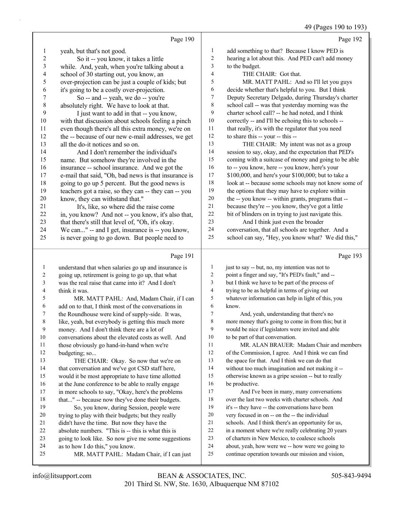49 (Pages 190 to 193)

|                         |                                                      |                | $\tau$ /1 agos 170 to 179<br>Page 192                |
|-------------------------|------------------------------------------------------|----------------|------------------------------------------------------|
|                         | Page 190                                             |                |                                                      |
| 1                       | yeah, but that's not good.                           | $\mathbf{1}$   | add something to that? Because I know PED is         |
| $\overline{\mathbf{c}}$ | So it -- you know, it takes a little                 | $\sqrt{2}$     | hearing a lot about this. And PED can't add money    |
| 3                       | while. And, yeah, when you're talking about a        | $\mathfrak{Z}$ | to the budget.                                       |
| 4                       | school of 30 starting out, you know, an              | $\overline{4}$ | THE CHAIR: Got that.                                 |
| 5                       | over-projection can be just a couple of kids; but    | 5              | MR. MATT PAHL: And so I'll let you guys              |
| 6                       | it's going to be a costly over-projection.           | 6              | decide whether that's helpful to you. But I think    |
| $\boldsymbol{7}$        | So -- and -- yeah, we do -- you're                   | 7              | Deputy Secretary Delgado, during Thursday's charter  |
| $\,$ $\,$               | absolutely right. We have to look at that.           | $\,$ $\,$      | school call -- was that yesterday morning was the    |
| 9                       | I just want to add in that -- you know,              | 9              | charter school call? -- he had noted, and I think    |
| 10                      | with that discussion about schools feeling a pinch   | 10             | correctly -- and I'll be echoing this to schools --  |
| 11                      | even though there's all this extra money, we're on   | 11             | that really, it's with the regulator that you need   |
| 12                      | the -- because of our new e-mail addresses, we get   | $12\,$         | to share this -- your -- this --                     |
| 13                      | all the do-it notices and so on.                     | 13             | THE CHAIR: My intent was not as a group              |
| 14                      | And I don't remember the individual's                | 14             | session to say, okay, and the expectation that PED's |
| 15                      | name. But somehow they're involved in the            | 15             | coming with a suitcase of money and going to be able |
| 16                      | insurance -- school insurance. And we got the        | 16             | to -- you know, here -- you know, here's your        |
| 17                      | e-mail that said, "Oh, bad news is that insurance is | $17\,$         | \$100,000, and here's your \$100,000; but to take a  |
| 18                      | going to go up 5 percent. But the good news is       | $18\,$         | look at -- because some schools may not know some of |
| 19                      | teachers got a raise, so they can -- they can -- you | 19             | the options that they may have to explore within     |
| $20\,$                  | know, they can withstand that."                      | $20\,$         | the -- you know -- within grants, programs that --   |
| 21                      | It's, like, so where did the raise come              | 21             | because they're -- you know, they've got a little    |
| 22                      | in, you know? And not -- you know, it's also that,   | 22             | bit of blinders on in trying to just navigate this.  |
| 23                      | that there's still that level of, "Oh, it's okay.    | 23             | And I think just even the broader                    |
| 24                      | We can" -- and I get, insurance is -- you know,      | 24             | conversation, that all schools are together. And a   |
| 25                      | is never going to go down. But people need to        | 25             | school can say, "Hey, you know what? We did this,"   |
|                         | Page 191                                             |                | Page 193                                             |
| $\mathbf{1}$            | understand that when salaries go up and insurance is | $\mathbf{1}$   | just to say -- but, no, my intention was not to      |
| $\sqrt{2}$              | going up, retirement is going to go up, that what    | $\overline{c}$ | point a finger and say, "It's PED's fault," and --   |
| 3                       | was the real raise that came into it? And I don't    | 3              | but I think we have to be part of the process of     |
| 4                       | think it was.                                        | $\overline{4}$ | trying to be as helpful in terms of giving out       |
| 5                       | MR. MATT PAHL: And, Madam Chair, if I can            | $\sqrt{5}$     | whatever information can help in light of this, you  |
| 6                       | add on to that, I think most of the conversations in | 6              | know.                                                |
| $\tau$                  | the Roundhouse were kind of supply-side. It was,     | $\overline{7}$ | And, yeah, understanding that there's no             |
| 8                       | like, yeah, but everybody is getting this much more  | 8              | more money that's going to come in from this; but it |
| $\boldsymbol{9}$        | money. And I don't think there are a lot of          | 9              | would be nice if legislators were invited and able   |
| $10\,$                  | conversations about the elevated costs as well. And  | 10             | to be part of that conversation.                     |
| 11                      | those obviously go hand-in-hand when we're           | 11             | MR. ALAN BRAUER: Madam Chair and members             |
| 12                      | budgeting; so                                        | 12             | of the Commission, I agree. And I think we can find  |
| 13                      | THE CHAIR: Okay. So now that we're on                | 13             | the space for that. And I think we can do that       |
| 14                      | that conversation and we've got CSD staff here,      | 14             | without too much imagination and not making it --    |
| 15                      | would it be most appropriate to have time allotted   | 15             | otherwise known as a gripe session -- but to really  |
| 16                      | at the June conference to be able to really engage   | 16             | be productive.                                       |
| 17                      | in more schools to say, "Okay, here's the problems   | 17             | And I've been in many, many conversations            |
| $18\,$                  | that" -- because now they've done their budgets.     | 18             | over the last two weeks with charter schools. And    |

- 19 So, you know, during Session, people were trying to play with their budgets; but they really
- didn't have the time. But now they have the absolute numbers. "This is -- this is what this is
- going to look like. So now give me some suggestions
- as to how I do this," you know.
- 25 MR. MATT PAHL: Madam Chair, if I can just
- it's -- they have -- the conversations have been very focused in on -- on the -- the individual
- schools. And I think there's an opportunity for us,
- in a moment where we're really celebrating 20 years
- of charters in New Mexico, to coalesce schools
- about, yeah, how were we -- how were we going to
- continue operation towards our mission and vision,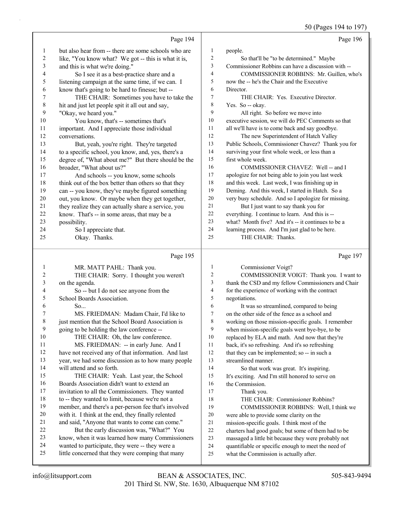50 (Pages 194 to 197)

|                       |                                                                                                      |                | 50 (Pages 194 to 197)                                                                         |
|-----------------------|------------------------------------------------------------------------------------------------------|----------------|-----------------------------------------------------------------------------------------------|
|                       | Page 194                                                                                             |                | Page 196                                                                                      |
| 1                     | but also hear from -- there are some schools who are                                                 | 1              | people.                                                                                       |
| 2                     | like, "You know what? We got -- this is what it is,                                                  | 2              | So that'll be "to be determined." Maybe                                                       |
| 3                     | and this is what we're doing."                                                                       | 3              | Commissioner Robbins can have a discussion with --                                            |
| 4                     | So I see it as a best-practice share and a                                                           | 4              | COMMISSIONER ROBBINS: Mr. Guillen, who's                                                      |
| 5                     | listening campaign at the same time, if we can. I                                                    | 5              | now the -- he's the Chair and the Executive                                                   |
| 6                     | know that's going to be hard to finesse; but --                                                      | 6              | Director.                                                                                     |
| 7                     | THE CHAIR: Sometimes you have to take the                                                            | 7              | THE CHAIR: Yes. Executive Director.                                                           |
| 8                     | hit and just let people spit it all out and say,                                                     | 8              | Yes. So -- okay.                                                                              |
| 9                     | "Okay, we heard you."                                                                                | 9              | All right. So before we move into                                                             |
| 10                    | You know, that's -- sometimes that's                                                                 | 10             | executive session, we will do PEC Comments so that                                            |
| 11                    | important. And I appreciate those individual                                                         | 11             | all we'll have is to come back and say goodbye.                                               |
| 12                    | conversations.                                                                                       | 12             | The new Superintendent of Hatch Valley                                                        |
| 13                    | But, yeah, you're right. They're targeted                                                            | 13             | Public Schools, Commissioner Chavez? Thank you for                                            |
| 14                    | to a specific school, you know, and, yes, there's a                                                  | 14             | surviving your first whole week, or less than a                                               |
| 15                    | degree of, "What about me?" But there should be the                                                  | 15             | first whole week.                                                                             |
| 16                    | broader, "What about us?"                                                                            | 16             | COMMISSIONER CHAVEZ: Well -- and I                                                            |
| 17                    | And schools -- you know, some schools                                                                | 17             | apologize for not being able to join you last week                                            |
| 18                    | think out of the box better than others so that they                                                 | 18             | and this week. Last week, I was finishing up in                                               |
| 19                    | can -- you know, they've maybe figured something                                                     | 19             | Deming. And this week, I started in Hatch. So a                                               |
| 20                    | out, you know. Or maybe when they get together,                                                      | 20             | very busy schedule. And so I apologize for missing.                                           |
| 21                    | they realize they can actually share a service, you                                                  | 21             | But I just want to say thank you for                                                          |
| 22                    | know. That's -- in some areas, that may be a                                                         | 22             | everything. I continue to learn. And this is --                                               |
| 23                    | possibility.                                                                                         | 23             | what? Month five? And it's -- it continues to be a                                            |
| 24                    | So I appreciate that.                                                                                | 24             | learning process. And I'm just glad to be here.                                               |
| 25                    | Okay. Thanks.                                                                                        | 25             | THE CHAIR: Thanks.                                                                            |
|                       |                                                                                                      |                |                                                                                               |
|                       | Page 195                                                                                             |                | Page 197                                                                                      |
|                       |                                                                                                      | 1              |                                                                                               |
| $\mathbf{1}$          | MR. MATT PAHL: Thank you.                                                                            | 2              | Commissioner Voigt?                                                                           |
| $\boldsymbol{2}$<br>3 | THE CHAIR: Sorry. I thought you weren't                                                              | 3              | COMMISSIONER VOIGT: Thank you. I want to                                                      |
| 4                     | on the agenda.                                                                                       | 4              | thank the CSD and my fellow Commissioners and Chair                                           |
| 5                     | So -- but I do not see anyone from the<br>School Boards Association.                                 | 5              | for the experience of working with the contract<br>negotiations.                              |
| 6                     | So                                                                                                   | 6              | It was so streamlined, compared to being                                                      |
| 7                     | MS. FRIEDMAN: Madam Chair, I'd like to                                                               | $\overline{7}$ | on the other side of the fence as a school and                                                |
| 8                     | just mention that the School Board Association is                                                    | 8              | working on those mission-specific goals. I remember                                           |
| 9                     | going to be holding the law conference --                                                            | 9              | when mission-specific goals went bye-bye, to be                                               |
| 10                    | THE CHAIR: Oh, the law conference.                                                                   | 10             | replaced by ELA and math. And now that they're                                                |
| 11                    | MS. FRIEDMAN: -- in early June. And I                                                                | 11             | back, it's so refreshing. And it's so refreshing                                              |
| 12                    | have not received any of that information. And last                                                  | 12             | that they can be implemented; so -- in such a                                                 |
| 13                    | year, we had some discussion as to how many people                                                   | 13             | streamlined manner.                                                                           |
| 14                    | will attend and so forth.                                                                            | 14             | So that work was great. It's inspiring.                                                       |
| 15                    | THE CHAIR: Yeah. Last year, the School                                                               | 15             | It's exciting. And I'm still honored to serve on                                              |
| 16                    | Boards Association didn't want to extend an                                                          | 16             | the Commission.                                                                               |
| 17                    | invitation to all the Commissioners. They wanted                                                     | 17             | Thank you.                                                                                    |
| 18                    | to -- they wanted to limit, because we're not a                                                      | 18             | THE CHAIR: Commissioner Robbins?                                                              |
| 19                    | member, and there's a per-person fee that's involved                                                 | 19             | COMMISSIONER ROBBINS: Well, I think we                                                        |
| 20                    | with it. I think at the end, they finally relented                                                   | 20             | were able to provide some clarity on the                                                      |
| 21                    | and said, "Anyone that wants to come can come."                                                      | 21             | mission-specific goals. I think most of the                                                   |
| 22                    | But the early discussion was, "What?" You                                                            | 22             | charters had good goals; but some of them had to be                                           |
| 23                    | know, when it was learned how many Commissioners                                                     | 23             | massaged a little bit because they were probably not                                          |
| 24<br>25              | wanted to participate, they were -- they were a<br>little concerned that they were comping that many | 24<br>25       | quantifiable or specific enough to meet the need of<br>what the Commission is actually after. |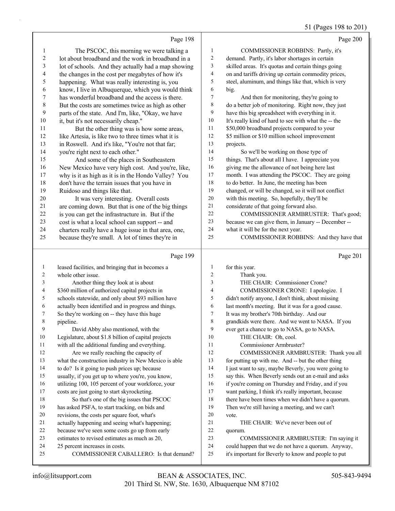## 51 (Pages 198 to 201)

|                |                                                                           |                | $51 \text{ (1450)}$ 120 to 201                                                                             |
|----------------|---------------------------------------------------------------------------|----------------|------------------------------------------------------------------------------------------------------------|
|                | Page 198                                                                  |                | Page 200                                                                                                   |
| 1              | The PSCOC, this morning we were talking a                                 | $\mathbf{1}$   | COMMISSIONER ROBBINS: Partly, it's                                                                         |
| 2              | lot about broadband and the work in broadband in a                        | $\overline{c}$ | demand. Partly, it's labor shortages in certain                                                            |
| 3              | lot of schools. And they actually had a map showing                       | 3              | skilled areas. It's quotas and certain things going                                                        |
| 4              | the changes in the cost per megabytes of how it's                         | 4              | on and tariffs driving up certain commodity prices,                                                        |
| 5              | happening. What was really interesting is, you                            | 5              | steel, aluminum, and things like that, which is very                                                       |
| 6              | know, I live in Albuquerque, which you would think                        | 6              | big.                                                                                                       |
| 7              | has wonderful broadband and the access is there.                          | $\tau$         | And then for monitoring, they're going to                                                                  |
| 8              | But the costs are sometimes twice as high as other                        | $\,$ $\,$      | do a better job of monitoring. Right now, they just                                                        |
| 9              | parts of the state. And I'm, like, "Okay, we have                         | 9              | have this big spreadsheet with everything in it.                                                           |
| 10             | it, but it's not necessarily cheap."                                      | 10             | It's really kind of hard to see with what the -- the                                                       |
| 11             | But the other thing was is how some areas,                                | 11             | \$50,000 broadband projects compared to your                                                               |
| 12             | like Artesia, is like two to three times what it is                       | 12             | \$5 million or \$10 million school improvement                                                             |
| 13             | in Roswell. And it's like, "You're not that far;                          | 13             | projects.                                                                                                  |
| 14             | you're right next to each other."                                         | 14             | So we'll be working on those type of                                                                       |
| 15             | And some of the places in Southeastern                                    | 15             | things. That's about all I have. I appreciate you                                                          |
| 16             | New Mexico have very high cost. And you're, like,                         | 16             | giving me the allowance of not being here last                                                             |
| 17             | why is it as high as it is in the Hondo Valley? You                       | $17\,$         | month. I was attending the PSCOC. They are going                                                           |
| 18             | don't have the terrain issues that you have in                            | $18\,$         | to do better. In June, the meeting has been                                                                |
| 19             | Ruidoso and things like that.                                             | 19             | changed, or will be changed, so it will not conflict                                                       |
| 20             | It was very interesting. Overall costs                                    | $20\,$         | with this meeting. So, hopefully, they'll be                                                               |
| 21             | are coming down. But that is one of the big things                        | 21             | considerate of that going forward also.                                                                    |
| 22             | is you can get the infrastructure in. But if the                          | 22             | COMMISSIONER ARMBRUSTER: That's good;                                                                      |
| 23             | cost is what a local school can support -- and                            | 23             | because we can give them, in January -- December --                                                        |
| 24             | charters really have a huge issue in that area, one,                      | 24             | what it will be for the next year.                                                                         |
| 25             | because they're small. A lot of times they're in                          | 25             | COMMISSIONER ROBBINS: And they have that                                                                   |
|                |                                                                           |                |                                                                                                            |
|                | Page 199                                                                  |                | Page 201                                                                                                   |
| $\mathbf{1}$   | leased facilities, and bringing that in becomes a                         | $\mathbf{1}$   | for this year.                                                                                             |
| $\overline{c}$ | whole other issue.                                                        | $\overline{c}$ | Thank you.                                                                                                 |
| 3              | Another thing they look at is about                                       | 3              | THE CHAIR: Commissioner Crone?                                                                             |
| 4              | \$360 million of authorized capital projects in                           | 4              | COMMISSIONER CRONE: I apologize. I                                                                         |
| 5              | schools statewide, and only about \$93 million have                       | 5              | didn't notify anyone, I don't think, about missing                                                         |
| 6              | actually been identified and in progress and things.                      | 6              | last month's meeting. But it was for a good cause.                                                         |
| 7              | So they're working on -- they have this huge                              | 7              | It was my brother's 70th birthday. And our                                                                 |
| 8              | pipeline.                                                                 | 8              | grandkids were there. And we went to NASA. If you                                                          |
| 9              | David Abby also mentioned, with the                                       | 9              | ever get a chance to go to NASA, go to NASA.                                                               |
| 10             | Legislature, about \$1.8 billion of capital projects                      | 10             | THE CHAIR: Oh, cool.                                                                                       |
| 11             | with all the additional funding and everything.                           | 11             | Commissioner Armbruster?                                                                                   |
| 12             | Are we really reaching the capacity of                                    | 12             | COMMISSIONER ARMBRUSTER: Thank you all                                                                     |
| 13             | what the construction industry in New Mexico is able                      | 13             | for putting up with me. And -- but the other thing                                                         |
| 14             | to do? Is it going to push prices up; because                             | 14             | I just want to say, maybe Beverly, you were going to                                                       |
| 15             | usually, if you get up to where you're, you know,                         | 15             | say this. When Beverly sends out an e-mail and asks                                                        |
| 16             | utilizing 100, 105 percent of your workforce, your                        | 16             | if you're coming on Thursday and Friday, and if you                                                        |
| 17             | costs are just going to start skyrocketing.                               | 17             | want parking, I think it's really important, because                                                       |
| 18             | So that's one of the big issues that PSCOC                                | 18             | there have been times when we didn't have a quorum.                                                        |
| 19             | has asked PSFA, to start tracking, on bids and                            | 19             | Then we're still having a meeting, and we can't                                                            |
| 20             | revisions, the costs per square foot, what's                              | $20\,$         | vote.                                                                                                      |
| 21             | actually happening and seeing what's happening;                           | 21             | THE CHAIR: We've never been out of                                                                         |
| 22             | because we've seen some costs go up from early                            | 22             | quorum.                                                                                                    |
| 23             | estimates to revised estimates as much as 20,                             | 23             | COMMISSIONER ARMBRUSTER: I'm saying it                                                                     |
|                |                                                                           |                |                                                                                                            |
| 24             |                                                                           | 24             |                                                                                                            |
| 25             | 25 percent increases in costs.<br>COMMISSIONER CABALLERO: Is that demand? | 25             | could happen that we do not have a quorum. Anyway,<br>it's important for Beverly to know and people to put |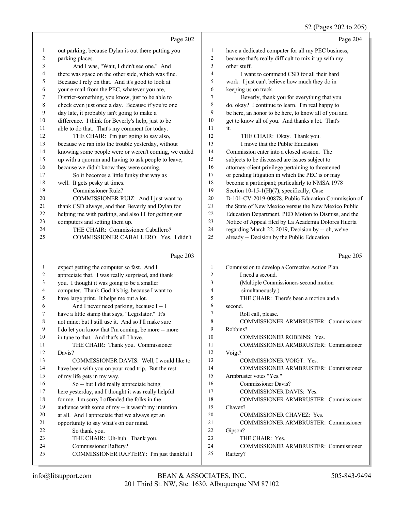# 52 (Pages 202 to 205)

|                         | Page 202                                             |                         | Page 204                                             |
|-------------------------|------------------------------------------------------|-------------------------|------------------------------------------------------|
| 1                       | out parking; because Dylan is out there putting you  | $\mathbf{1}$            | have a dedicated computer for all my PEC business,   |
| $\overline{\mathbf{c}}$ | parking places.                                      | $\boldsymbol{2}$        | because that's really difficult to mix it up with my |
| 3                       | And I was, "Wait, I didn't see one." And             | $\overline{\mathbf{3}}$ | other stuff.                                         |
| 4                       | there was space on the other side, which was fine.   | $\overline{4}$          | I want to commend CSD for all their hard             |
| 5                       | Because I rely on that. And it's good to look at     | 5                       | work. I just can't believe how much they do in       |
| 6                       | your e-mail from the PEC, whatever you are,          | 6                       | keeping us on track.                                 |
| 7                       | District-something, you know, just to be able to     | 7                       | Beverly, thank you for everything that you           |
| $\,8\,$                 | check even just once a day. Because if you're one    | $\,$ $\,$               | do, okay? I continue to learn. I'm real happy to     |
| 9                       | day late, it probably isn't going to make a          | 9                       | be here, an honor to be here, to know all of you and |
| $10\,$                  | difference. I think for Beverly's help, just to be   | 10                      | get to know all of you. And thanks a lot. That's     |
| 11                      | able to do that. That's my comment for today.        | 11                      | it.                                                  |
| 12                      | THE CHAIR: I'm just going to say also,               | 12                      | THE CHAIR: Okay. Thank you.                          |
| 13                      | because we ran into the trouble yesterday, without   | 13                      | I move that the Public Education                     |
| 14                      | knowing some people were or weren't coming, we ended | 14                      | Commission enter into a closed session. The          |
| 15                      | up with a quorum and having to ask people to leave,  | 15                      | subjects to be discussed are issues subject to       |
| 16                      | because we didn't know they were coming.             | 16                      | attorney-client privilege pertaining to threatened   |
| 17                      | So it becomes a little funky that way as             | 17                      | or pending litigation in which the PEC is or may     |
| 18                      | well. It gets pesky at times.                        | 18                      | become a participant; particularly to NMSA 1978      |
| 19                      | Commissioner Ruiz?                                   | 19                      | Section 10-15-1(H)(7), specifically, Case            |
| 20                      | COMMISSIONER RUIZ: And I just want to                | 20                      | D-101-CV-2019-00878, Public Education Commission of  |
| 21                      | thank CSD always, and then Beverly and Dylan for     | 21                      | the State of New Mexico versus the New Mexico Public |
| 22                      | helping me with parking, and also IT for getting our | 22                      | Education Department, PED Motion to Dismiss, and the |
| 23                      | computers and setting them up.                       | 23<br>24                | Notice of Appeal filed by La Academia Dolores Huerta |
| 24                      | THE CHAIR: Commissioner Caballero?                   | 25                      | regarding March 22, 2019, Decision by -- oh, we've   |
| 25                      | COMMISSIONER CABALLERO: Yes. I didn't                |                         | already -- Decision by the Public Education          |
|                         | Page 203                                             |                         | Page 205                                             |
|                         |                                                      |                         |                                                      |
| 1                       | expect getting the computer so fast. And I           | $\mathbf{1}$            | Commission to develop a Corrective Action Plan.      |
| 2                       | appreciate that. I was really surprised, and thank   | $\overline{c}$          | I need a second.                                     |
| 3                       | you. I thought it was going to be a smaller          | 3                       | (Multiple Commissioners second motion                |
| 4                       | computer. Thank God it's big, because I want to      | 4                       | simultaneously.)                                     |
| 5                       | have large print. It helps me out a lot.             | 5                       | THE CHAIR: There's been a motion and a               |
| 6                       | And I never need parking, because I -- I             | 6                       | second.                                              |
| 7                       | have a little stamp that says, "Legislator." It's    | 7                       | Roll call, please.                                   |
| 8                       | not mine; but I still use it. And so I'll make sure  | 8                       | COMMISSIONER ARMBRUSTER: Commissioner                |
| 9                       | I do let you know that I'm coming, be more -- more   | 9                       | Robbins?                                             |
| 10                      | in tune to that. And that's all I have.              | 10                      | COMMISSIONER ROBBINS: Yes.                           |
| 11                      | THE CHAIR: Thank you. Commissioner                   | 11                      | COMMISSIONER ARMBRUSTER: Commissioner                |
| 12                      | Davis?                                               | 12                      | Voigt?                                               |
| 13                      | COMMISSIONER DAVIS: Well, I would like to            | 13                      | <b>COMMISSIONER VOIGT: Yes.</b>                      |
| 14                      | have been with you on your road trip. But the rest   | 14                      | COMMISSIONER ARMBRUSTER: Commissioner                |
| 15                      | of my life gets in my way.                           | 15                      | Armbruster votes "Yes."                              |
| 16                      | So -- but I did really appreciate being              | 16                      | <b>Commissioner Davis?</b>                           |
| 17                      | here yesterday, and I thought it was really helpful  | 17                      | COMMISSIONER DAVIS: Yes.                             |
| 18                      | for me. I'm sorry I offended the folks in the        | 18<br>19                | <b>COMMISSIONER ARMBRUSTER: Commissioner</b>         |
| 19<br>20                | audience with some of my -- it wasn't my intention   | 20                      | Chavez?                                              |
| 21                      | at all. And I appreciate that we always get an       | 21                      | COMMISSIONER CHAVEZ: Yes.                            |
| 22                      | opportunity to say what's on our mind.               | 22                      | COMMISSIONER ARMBRUSTER: Commissioner                |
| 23                      | So thank you.<br>THE CHAIR: Uh-huh. Thank you.       | 23                      | Gipson?<br>THE CHAIR: Yes.                           |
| 24                      | Commissioner Raftery?                                | 24                      | COMMISSIONER ARMBRUSTER: Commissioner                |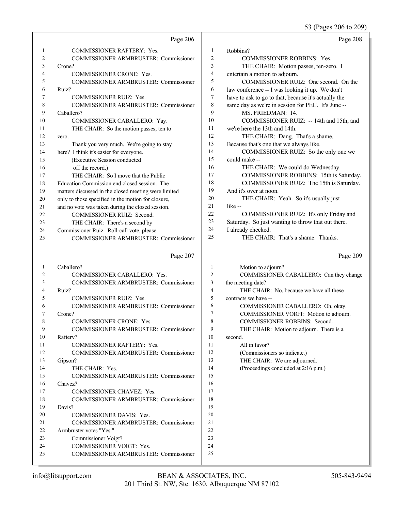53 (Pages 206 to 209)

|              | Page 206                                                          |                         | Page 208                                                                |
|--------------|-------------------------------------------------------------------|-------------------------|-------------------------------------------------------------------------|
| 1            | <b>COMMISSIONER RAFTERY: Yes.</b>                                 | 1                       | Robbins?                                                                |
| 2            | <b>COMMISSIONER ARMBRUSTER: Commissioner</b>                      | $\overline{2}$          | <b>COMMISSIONER ROBBINS: Yes.</b>                                       |
| 3            | Crone?                                                            | 3                       | THE CHAIR: Motion passes, ten-zero. I                                   |
| 4            | <b>COMMISSIONER CRONE: Yes.</b>                                   | 4                       | entertain a motion to adjourn.                                          |
| 5            | COMMISSIONER ARMBRUSTER: Commissioner                             | 5                       | COMMISSIONER RUIZ: One second. On the                                   |
| 6            | Ruiz?                                                             | 6                       | law conference -- I was looking it up. We don't                         |
| 7            | <b>COMMISSIONER RUIZ: Yes.</b>                                    | 7                       | have to ask to go to that, because it's actually the                    |
| 8            | COMMISSIONER ARMBRUSTER: Commissioner                             | 8                       | same day as we're in session for PEC. It's June --                      |
| 9            | Caballero?                                                        | 9                       | MS. FRIEDMAN: 14.                                                       |
| 10           | COMMISSIONER CABALLERO: Yay.                                      | 10                      | COMMISSIONER RUIZ: -- 14th and 15th, and                                |
| 11           | THE CHAIR: So the motion passes, ten to                           | 11                      | we're here the 13th and 14th.                                           |
| 12           | zero.                                                             | 12                      | THE CHAIR: Dang. That's a shame.                                        |
| 13           | Thank you very much. We're going to stay                          | 13                      | Because that's one that we always like.                                 |
| 14           | here? I think it's easier for everyone.                           | 14                      | COMMISSIONER RUIZ: So the only one we                                   |
| 15           | (Executive Session conducted                                      | 15                      | could make --                                                           |
| 16           | off the record.)                                                  | 16                      | THE CHAIR: We could do Wednesday.                                       |
| 17           | THE CHAIR: So I move that the Public                              | 17                      | COMMISSIONER ROBBINS: 15th is Saturday.                                 |
| 18           | Education Commission end closed session. The                      | 18                      | COMMISSIONER RUIZ: The 15th is Saturday.                                |
| 19           | matters discussed in the closed meeting were limited              | 19                      | And it's over at noon.                                                  |
| 20           | only to those specified in the motion for closure,                | 20                      | THE CHAIR: Yeah. So it's usually just                                   |
| 21           | and no vote was taken during the closed session.                  | 21                      | like --                                                                 |
| 22           | COMMISSIONER RUIZ: Second.                                        | 22                      | COMMISSIONER RUIZ: It's only Friday and                                 |
| 23           | THE CHAIR: There's a second by                                    | 23                      | Saturday. So just wanting to throw that out there.                      |
| 24           | Commissioner Ruiz. Roll-call vote, please.                        | 24                      | I already checked.                                                      |
| 25           | COMMISSIONER ARMBRUSTER: Commissioner                             | 25                      | THE CHAIR: That's a shame. Thanks.                                      |
|              |                                                                   |                         |                                                                         |
|              |                                                                   |                         |                                                                         |
|              | Page 207                                                          |                         | Page 209                                                                |
| $\mathbf{1}$ | Caballero?                                                        | $\mathbf{1}$            |                                                                         |
| 2            | COMMISSIONER CABALLERO: Yes.                                      | $\sqrt{2}$              | Motion to adjourn?                                                      |
| 3            |                                                                   | $\overline{\mathbf{3}}$ | COMMISSIONER CABALLERO: Can they change                                 |
| 4            | COMMISSIONER ARMBRUSTER: Commissioner                             | $\overline{4}$          | the meeting date?                                                       |
| 5            | Ruiz?<br><b>COMMISSIONER RUIZ: Yes.</b>                           | 5                       | THE CHAIR: No, because we have all these<br>contracts we have --        |
| 6            |                                                                   | 6                       |                                                                         |
| 7            | COMMISSIONER ARMBRUSTER: Commissioner<br>Crone?                   | $\overline{7}$          | COMMISSIONER CABALLERO: Oh, okay.                                       |
| 8            |                                                                   | 8                       | COMMISSIONER VOIGT: Motion to adjourn.<br>COMMISSIONER ROBBINS: Second. |
| 9            | COMMISSIONER CRONE: Yes.<br>COMMISSIONER ARMBRUSTER: Commissioner | 9                       |                                                                         |
| 10           | Raftery?                                                          | 10                      | THE CHAIR: Motion to adjourn. There is a<br>second.                     |
| 11           | COMMISSIONER RAFTERY: Yes.                                        | 11                      | All in favor?                                                           |
| 12           | COMMISSIONER ARMBRUSTER: Commissioner                             | 12                      | (Commissioners so indicate.)                                            |
| 13           | Gipson?                                                           | 13                      | THE CHAIR: We are adjourned.                                            |
| 14           | THE CHAIR: Yes.                                                   | 14                      | (Proceedings concluded at 2:16 p.m.)                                    |
| 15           | COMMISSIONER ARMBRUSTER: Commissioner                             | 15                      |                                                                         |
| 16           | Chavez?                                                           | 16                      |                                                                         |
| 17           | COMMISSIONER CHAVEZ: Yes.                                         | 17                      |                                                                         |
| 18           | COMMISSIONER ARMBRUSTER: Commissioner                             | 18                      |                                                                         |
| 19           | Davis?                                                            | 19                      |                                                                         |
| 20           | COMMISSIONER DAVIS: Yes.                                          | 20                      |                                                                         |
| 21           | <b>COMMISSIONER ARMBRUSTER: Commissioner</b>                      | 21                      |                                                                         |
| 22           | Armbruster votes "Yes."                                           | 22                      |                                                                         |
| 23           | Commissioner Voigt?                                               | 23                      |                                                                         |
| 24           | COMMISSIONER VOIGT: Yes.                                          | 24                      |                                                                         |
| 25           | COMMISSIONER ARMBRUSTER: Commissioner                             | 25                      |                                                                         |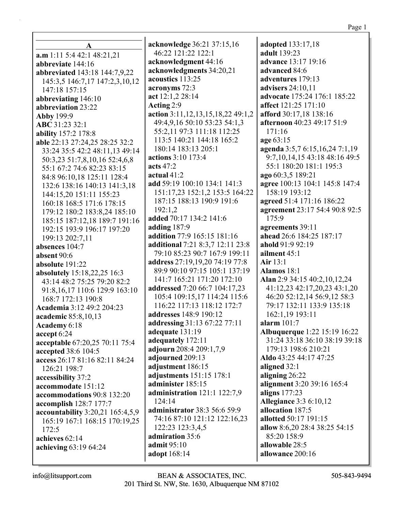$\mathbf{A}$  $a.m 1:11 5:4 42:1 48:21.21$ abbreviate 144:16 abbreviated 143:18 144:7,9,22 145:3,5 146:7,17 147:2,3,10,12 147:18 157:15 abbreviating  $146:10$ abbreviation 23:22 **Abby 199:9** ABC 31:23 32:1 **ability** 157:2 178:8 able 22:13 27:24,25 28:25 32:2 33:24 35:5 42:2 48:11,13 49:14 50:3,23 51:7,8,10,16 52:4,6,8 55:1 67:2 74:6 82:23 83:15 84:8 96:10,18 125:11 128:4 132:6 138:16 140:13 141:3.18 144:15.20 151:11 155:23 160:18 168:5 171:6 178:15 179:12 180:2 183:8,24 185:10 185:15 187:12,18 189:7 191:16 192:15 193:9 196:17 197:20 199:13 202:7,11 absences  $104:7$ absent  $90:6$ absolute 191:22 absolutely 15:18,22,25 16:3 43:14 48:2 75:25 79:20 82:2 91:8,16,17 110:6 129:9 163:10 168:7 172:13 190:8 Academia 3:12 49:2 204:23 academic 85:8,10,13 Academy 6:18 accept 6:24 acceptable 67:20,25 70:11 75:4 accepted 38:6 104:5 access 26:17 81:16 82:11 84:24 126:21 198:7 accessibility 37:2 accommodate 151:12 accommodations 90:8 132:20 **accomplish** 128:7 177:7 accountability 3:20,21 165:4,5,9 165:19 167:1 168:15 170:19,25  $172:5$ achieves  $62:14$ achieving 63:19 64:24

acknowledge 36:21 37:15,16 46:22 121:22 122:1 acknowledgment 44:16 acknowledgments 34:20,21 acoustics 113:25 acronyms 72:3 act  $12:1.2 28:14$ Acting 2:9 action  $3:11,12,13,15,18,22$  49:1,2 49:4,9,16 50:10 53:23 54:1,3 55:2,11 97:3 111:18 112:25 113:5 140:21 144:18 165:2 180:14 183:13 205:1 actions 3:10 173:4 acts  $47:2$ actual  $41:2$ add 59:19 100:10 134:1 141:3 151:17.23 152:1.2 153:5 164:22 187:15 188:13 190:9 191:6  $192:1.2$ added 70:17 134:2 141:6 adding  $187:9$ addition 77:9 165:15 181:16 additional 7:21 8:3,7 12:11 23:8 79:10 85:23 90:7 167:9 199:11 address 27:19,19,20 74:19 77:8 89:9 90:10 97:15 105:1 137:19 141:7 165:21 171:20 172:10 addressed 7:20 66:7 104:17,23 105:4 109:15,17 114:24 115:6 116:22 117:13 118:12 172:7 addresses 148:9 190:12 addressing 31:13 67:22 77:11 adequate 131:19 adequately 172:11 adjourn 208:4 209:1,7,9 adjourned 209:13 adjustment 186:15 adjustments 151:15 178:1 administer 185:15 administration 121:1 122:7,9 124:14 **administrator** 38:3 56:6 59:9 74:16 87:10 121:12 122:16,23 122:23 123:3,4,5 admiration 35:6 admit 95:10 adopt 168:14

adopted 133:17,18 adult 139:23 **advance** 13:17 19:16 advanced 84:6 adventures 179:13 advisers  $24:10,11$ advocate 175:24 176:1 185:22 affect 121:25 171:10 afford 30:17.18 138:16 afternoon 40:23 49:17 51:9  $171:16$ age 63:15 agenda 3:5,7 6:15,16,24 7:1,19 9:7,10,14,15 43:18 48:16 49:5 55:1 180:20 181:1 195:3 ago 60:3.5 189:21 agree 100:13 104:1 145:8 147:4 158:19 193:12 agreed 51:4 171:16 186:22 agreement 23:17 54:4 90:8 92:5 175:9 agreements 39:11 ahead 26:6 184:25 187:17 ahold 91:9 92:19 ailment 45:1 Air  $13:1$ Alamos  $18:1$ Alan 2:9 34:15 40:2,10,12,24 41:12,23 42:17,20,23 43:1,20 46:20 52:12,14 56:9,12 58:3 79:17 132:11 133:9 135:18 162:1,19 193:11 alarm  $101:7$ **Albuquerque** 1:22 15:19 16:22 31:24 33:18 36:10 38:19 39:18 179:13 198:6 210:21 Aldo 43:25 44:17 47:25 aligned 32:1 aligning  $26:22$ alignment 3:20 39:16 165:4 aligns  $177:23$ **Allegiance 3:3 6:10,12** allocation 187:5 allotted 50:17 191:15 allow 8:6,20 28:4 38:25 54:15 85:20 158:9 allowable 28:5 allowance 200:16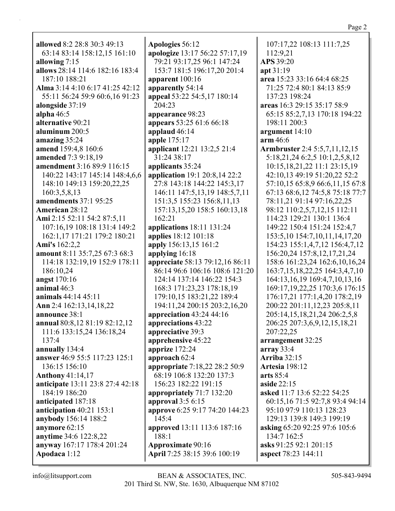allowed 8:2 28:8 30:3 49:13 63:14 83:14 158:12,15 161:10 allowing  $7:15$ allows 28:14 114:6 182:16 183:4 187:10 188:21 Alma 3:14 4:10 6:17 41:25 42:12 55:11 56:24 59:9 60:6,16 91:23 alongside 37:19 alpha  $46:5$ alternative 90:21 aluminum  $200:5$ amazing  $35:24$ amend 159:4,8 160:6 amended 7:3 9:18,19 amendment 3:16 89:9 116:15 140:22 143:17 145:14 148:4.6.6 148:10 149:13 159:20,22,25 160:3.5.8.13 **amendments** 37:1 95:25 **American 28:12** Ami 2:15 52:11 54:2 87:5,11 107:16,19 108:18 131:4 149:2 162:1,17 171:21 179:2 180:21 Ami's 162:2,2 amount 8:11 35:7.25 67:3 68:3 114:18 132:19,19 152:9 178:11 186:10.24 angst 170:16 animal  $46:3$ **animals** 44:14 45:11 Ann 2:4 162:13.14.18.22 announce 38:1 annual 80:8,12 81:19 82:12,12 111:6 133:15,24 136:18,24 137:4 annually 134:4 answer 46:9 55:5 117:23 125:1 136:15 156:10 Anthony  $41:14,17$ **anticipate** 13:11 23:8 27:4 42:18 184:19 186:20 anticipated 187:18 anticipation  $40:21$  153:1 anybody 156:14 188:2 anymore  $62:15$ anytime 34:6 122:8,22 anyway 167:17 178:4 201:24 Apodaca 1:12

Apologies 56:12 apologize 13:17 56:22 57:17,19 79:21 93:17,25 96:1 147:24 153:7 181:5 196:17,20 201:4 apparent  $100:16$ apparently 54:14 appeal 53:22 54:5,17 180:14 204:23 appearance 98:23 appears 53:25 61:6 66:18 applaud  $46:14$ **apple** 175:17 applicant 12:21 13:2,5 21:4 31:24 38:17 applicants 35:24 **application** 19:1 20:8,14 22:2 27:8 143:18 144:22 145:3,17 146:11 147:5,13,19 148:5,7,11 151:3,5 155:23 156:8,11,13 157:13,15,20 158:5 160:13,18  $162:21$ applications  $18:11$  131:24 **applies** 18:12 101:18 apply 156:13,15 161:2 applying 16:18 appreciate 58:13 79:12,16 86:11 86:14 96:6 106:16 108:6 121:20 124:14 137:14 146:22 154:3 168:3 171:23,23 178:18,19 179:10,15 183:21,22 189:4 194:11,24 200:15 203:2,16,20 appreciation  $43:24$  44:16 appreciations 43:22 appreciative 39:3 apprehensive 45:22 apprize  $172:24$ approach 62:4 appropriate 7:18,22 28:2 50:9 68:19 106:8 132:20 137:3 156:23 182:22 191:15 appropriately  $71:7132:20$ approval  $3:56:15$ approve 6:25 9:17 74:20 144:23 145:4 **approved** 13:11 113:6 187:16 188:1 **Approximate 90:16** April 7:25 38:15 39:6 100:19

107:17,22 108:13 111:7,25 112:9,21 APS 39:20 apt 31:19 area 15:23 33:16 64:4 68:25 71:25 72:4 80:1 84:13 85:9 137:23 198:24 areas 16:3 29:15 35:17 58:9 65:15 85:2,7,13 170:18 194:22 198:11 200:3 argument  $14:10$  $arm\,46:6$ **Armbruster** 2:4 5:5,7,11,12,15 5:18,21,24 6:2,5 10:1,2,5,8,12 10:15,18,21,22 11:1 23:15,19 42:10,13 49:19 51:20,22 52:2 57:10,15 65:8,9 66:6,11,15 67:8 67:13 68:6,12 74:5,8 75:18 77:7 78:11,21 91:14 97:16,22,25 98:12 110:2,5,7,12,15 112:11 114:23 129:21 130:1 136:4 149:22 150:4 151:24 152:4,7 153:5, 10 154:7, 10, 11, 14, 17, 20 154:23 155:1,4,7,12 156:4,7,12 156:20,24 157:8,12,17,21,24 158:6 161:23,24 162:6,10,16,24 163:7, 15, 18, 22, 25 164: 3, 4, 7, 10 164:13, 16, 19 169: 4, 7, 10, 13, 16 169:17, 19, 22, 25 170: 3, 6 176: 15 176:17,21 177:1,4,20 178:2,19 200:22 201:11,12,23 205:8,11 205:14,15,18,21,24 206:2,5,8 206:25 207:3,6,9,12,15,18,21 207:22.25 arrangement 32:25  $array 33:4$ Arriba  $32:15$ **Artesia** 198:12 arts  $85:4$ aside  $22:15$ asked 11:7 13:6 52:22 54:25 60:15,16 71:5 92:7,8 93:4 94:14 95:10 97:9 110:13 128:23 129:13 139:8 149:3 199:19 asking 65:20 92:25 97:6 105:6 134:7 162:5 asks 91:25 92:1 201:15 aspect 78:23 144:11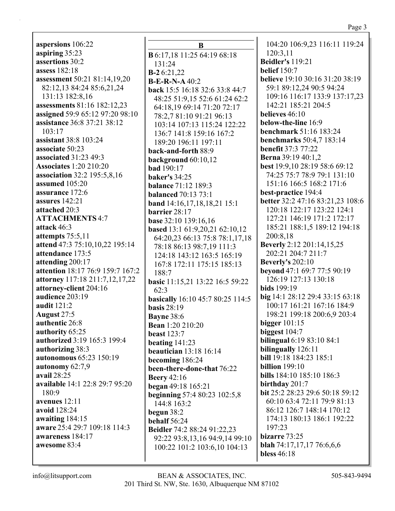**aspersions** 106:22 **aspiring** 35:23 **assertions** 30:2 **assess** 182:18 **assessment** 50:21 81:14,19,20 82:12,13 84:24 85:6,21,24 131:13 182:8,16 **assessments** 81:16 182:12,23 **assigned** 59:9 65:12 97:20 98:10 **assistance** 36:8 37:21 38:12 103:17 **assistant** 38:8 103:24 **associate** 50:23 **associated** 31:23 49:3 **Associates** 1:20 210:20 **association** 32:2 195:5,8,16 **assumed** 105:20 **assurance** 172:6 **assures** 142:21 **attached** 20:3 **ATTACHMENTS** 4:7 **attack** 46:3 **attempts** 75:5,11 **attend** 47:3 75:10,10,22 195:14 **attendance** 173:5 **attending** 200:17 **attention** 18:17 76:9 159:7 167:2 **attorney** 117:18 211:7,12,17,22 **attorney-client** 204:16 **audience** 203:19 **audit** 121:2 **August** 27:5 **authentic** 26:8 **authority** 65:25 **authorized** 3:19 165:3 199:4 **authorizing** 38:3 **autonomous** 65:23 150:19 **autonomy** 62:7,9 **avail** 28:25 **available** 14:1 22:8 29:7 95:20 180:9 **avenues** 12:11 **avoid** 128:24 **awaiting** 184:15 **aware** 25:4 29:7 109:18 114:3

**B B** 6:17,18 11:25 64:19 68:18 131:24 **B-2** 6:21,22 **B-E-R-N-A** 40:2 **back** 15:5 16:18 32:6 33:8 44:7 48:25 51:9,15 52:6 61:24 62:2 64:18,19 69:14 71:20 72:17 78:2,7 81:10 91:21 96:13 103:14 107:13 115:24 122:22 136:7 141:8 159:16 167:2 189:20 196:11 197:11 **back-and-forth** 88:9 **background** 60:10,12 **bad** 190:17 **baker's** 34:25 **balance** 71:12 189:3 **balanced** 70:13 73:1 **band** 14:16,17,18,18,21 15:1 **barrier** 28:17 **base** 32:10 139:16,16 **based** 13:1 61:9,20,21 62:10,12 64:20,23 66:13 75:8 78:1,17,18 78:18 86:13 98:7,19 111:3 124:18 143:12 163:5 165:19 167:8 172:11 175:15 185:13 188:7 **basic** 11:15,21 13:22 16:5 59:22  $62:3$ **basically** 16:10 45:7 80:25 114:5 **basis** 28:19 **Bayne** 38:6 **Bean** 1:20 210:20 **beast** 123:7 **beating** 141:23 **beautician** 13:18 16:14 **becoming** 186:24 **been-there-done-that** 76:22 **Beery** 42:16 **began** 49:18 165:21 **beginning** 57:4 80:23 102:5,8 144:8 163:2 **begun** 38:2 **behalf** 56:24 **Beidler** 74:2 88:24 91:22,23 92:22 93:8,13,16 94:9,14 99:10 100:22 101:2 103:6,10 104:13

104:20 106:9,23 116:11 119:24 120:3,11 **Beidler's** 119:21 **belief** 150:7 **believe** 19:10 30:16 31:20 38:19 59:1 89:12,24 90:5 94:24 109:16 116:17 133:9 137:17,23 142:21 185:21 204:5 **believes** 46:10 **below-the-line** 16:9 **benchmark** 51:16 183:24 **benchmarks** 50:4,7 183:14 **benefit** 37:3 77:22 **Berna** 39:19 40:1,2 **best** 19:9,10 28:19 58:6 69:12 74:25 75:7 78:9 79:1 131:10 151:16 166:5 168:2 171:6 **best-practice** 194:4 **better** 32:2 47:16 83:21,23 108:6 120:18 122:17 123:22 124:1 127:21 146:19 171:2 172:17 185:21 188:1,5 189:12 194:18 200:8,18 **Beverly** 2:12 201:14,15,25 202:21 204:7 211:7 **Beverly's** 202:10 **beyond** 47:1 69:7 77:5 90:19 126:19 127:13 130:18 **bids** 199:19 **big** 14:1 28:12 29:4 33:15 63:18 100:17 161:21 167:16 184:9 198:21 199:18 200:6,9 203:4 **bigger** 101:15 **biggest** 104:7 **bilingual** 6:19 83:10 84:1 **bilingually** 126:11 **bill** 19:18 184:23 185:1 **billion** 199:10 **bills** 184:10 185:10 186:3 **birthday** 201:7 **bit** 25:2 28:23 29:6 50:18 59:12 60:10 63:4 72:11 79:9 81:13 86:12 126:7 148:14 170:12 174:13 180:13 186:1 192:22 197:23 **bizarre** 73:25 **blah** 74:17,17,17 76:6,6,6 **bless** 46:18

**awareness** 184:17 **awesome** 83:4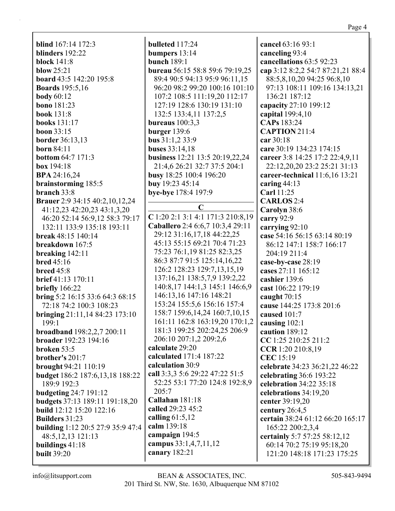| <b>blind</b> 167:14 172:3<br>blinders 192:22               |
|------------------------------------------------------------|
|                                                            |
| <b>block</b> 141:8                                         |
| blow $25:21$                                               |
| <b>board</b> 43:5 142:20 195:8                             |
| <b>Boards</b> 195:5,16                                     |
| body $60:12$                                               |
| <b>bono</b> 181:23                                         |
| book 131:8                                                 |
| books 131:17                                               |
| <b>boon</b> 33:15                                          |
| <b>border</b> 36:13,13                                     |
| born $84:11$                                               |
| <b>bottom 64:7 171:3</b>                                   |
| box 194:18                                                 |
| <b>BPA</b> 24:16,24                                        |
| brainstorming 185:5                                        |
| branch 33:8                                                |
| Brauer 2:9 34:15 40:2,10,12,24                             |
| 41:12,23 42:20,23 43:1,3,20                                |
| 46:20 52:14 56:9,12 58:3 79:17                             |
| 132:11 133:9 135:18 193:11                                 |
| break 48:15 140:14                                         |
| breakdown 167:5                                            |
| breaking $142:11$                                          |
| <b>bred</b> 45:16                                          |
| <b>breed</b> 45:8                                          |
| <b>brief</b> 41:13 170:11                                  |
| briefly 166:22                                             |
|                                                            |
| bring 5:2 16:15 33:6 64:3 68:15<br>72:18 74:2 100:3 108:23 |
|                                                            |
| bringing 21:11,14 84:23 173:10                             |
| 199:1                                                      |
| <b>broadband</b> 198:2,2,7 200:11                          |
| broader 192:23 194:16                                      |
| broken 53:5                                                |
| brother's 201:7                                            |
| brought 94:21 110:19                                       |
| budget 186:2 187:6,13,18 188:22                            |
| 189:9 192:3                                                |
| <b>budgeting 24:7 191:12</b>                               |
| budgets 37:13 189:11 191:18,20                             |
| build 12:12 15:20 122:16                                   |
| <b>Builders 31:23</b>                                      |
| building 1:12 20:5 27:9 35:9 47:4                          |
| 48:5,12,13 121:13                                          |
| buildings 41:18                                            |
| <b>built 39:20</b>                                         |
|                                                            |

**bulleted** 117:24 **bumpers** 13:14 **bunch** 189:1 **bureau** 56:15 58:8 59:6 79:19,25 89:4 90:5 94:13 95:9 96:11,15 96:20 98:2 99:20 100:16 101:10 107:2 108:5 111:19,20 112:17 127:19 128:6 130:19 131:10 132:5 133:4,11 137:2,5 **bureaus** 100:3,3 **burger** 139:6 **bus** 31:1,2 33:9 **buses** 33:14,18 **business** 12:21 13:5 20:19,22,24 21:4,6 26:21 32:7 37:5 204:1 **busy** 18:25 100:4 196:20 **buy** 19:23 45:14 **bye-bye** 178:4 197:9 **C C** 1:20 2:1 3:1 4:1 171:3 210:8,19 **Caballero** 2:4 6:6,7 10:3,4 29:11 29:12 31:16,17,18 44:22,25 45:13 55:15 69:21 70:4 71:23 75:23 76:1,19 81:25 82:3,25 86:3 87:7 91:5 125:14,16,22 126:2 128:23 129:7,13,15,19 137:16,21 138:5,7,9 139:2,22 140:8,17 144:1,3 145:1 146:6,9 146:13,16 147:16 148:21 153:24 155:5,6 156:16 157:4 158:7 159:6,14,24 160:7,10,15 161:11 162:8 163:19,20 170:1,2 181:3 199:25 202:24,25 206:9 206:10 207:1,2 209:2,6 **calculate** 29:20 **calculated** 171:4 187:22 **calculation** 30:9 **call** 3:3,3 5:6 29:22 47:22 51:5 52:25 53:1 77:20 124:8 192:8,9 205:7 **Callahan** 181:18 **called** 29:23 45:2 **calling** 61:5,12 **calm** 139:18 **campaign** 194:5 **campus** 33:1,4,7,11,12 **canary** 182:21

**cancel** 63:16 93:1 **canceling** 93:4 **cancellations** 63:5 92:23 **cap** 3:12 8:2,2 54:7 87:21,21 88:4 88:5,8,10,20 94:25 96:8,10 97:13 108:11 109:16 134:13,21 136:21 187:12 **capacity** 27:10 199:12 **capital** 199:4,10 **CAPs** 183:24 **CAPTION** 211:4 **car** 30:18 **care** 30:19 134:23 174:15 **career** 3:8 14:25 17:2 22:4,9,11 22:12,20,20 23:2 25:21 31:13 **career-technical** 11:6,16 13:21 **caring** 44:13 **Carl** 11:25 **CARLOS** 2:4 **Carolyn** 38:6 **carry** 92:9 **carrying** 92:10 **case** 54:16 56:15 63:14 80:19 86:12 147:1 158:7 166:17 204:19 211:4 **case-by-case** 28:19 **cases** 27:11 165:12 **cashier** 139:6 **cast** 106:22 179:19 **caught** 70:15 **cause** 144:25 173:8 201:6 **caused** 101:7 **causing** 102:1 **caution** 189:12 **CC** 1:25 210:25 211:2 **CCR** 1:20 210:8,19 **CEC** 15:19 **celebrate** 34:23 36:21,22 46:22 **celebrating** 36:6 193:22 **celebration** 34:22 35:18 **celebrations** 34:19,20 **center** 39:19,20 **century** 26:4,5 **certain** 38:24 61:12 66:20 165:17 165:22 200:2,3,4 **certainly** 5:7 57:25 58:12,12 60:14 70:2 75:19 95:18,20 121:20 148:18 171:23 175:25

Page 4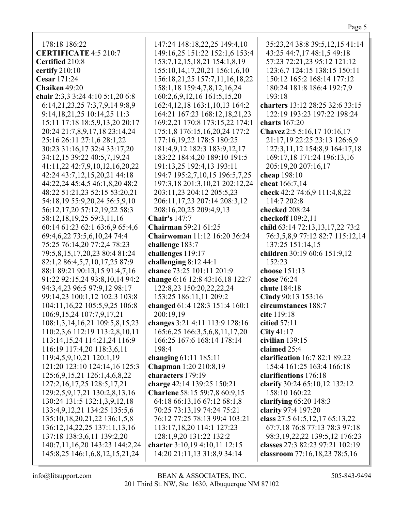| 178:18 186:22<br><b>CERTIFICATE 4:5 210:7</b>                     | 147:24 148:18,22,25 149:4,10<br>149:16,25 151:22 152:1,6 153:4 | 35:23,24 38:8 39:5,12,15 41:14<br>43:25 44:7,17 48:1,5 49:18 |
|-------------------------------------------------------------------|----------------------------------------------------------------|--------------------------------------------------------------|
| Certified 210:8                                                   | 153:7, 12, 15, 18, 21 154: 1, 8, 19                            | 57:23 72:21,23 95:12 121:12                                  |
| certify 210:10                                                    | 155:10, 14, 17, 20, 21 156:1, 6, 10                            | 123:6,7 124:15 138:15 150:11                                 |
| Cesar 171:24                                                      | 156:18,21,25 157:7,11,16,18,22                                 | 150:12 165:2 168:14 177:12                                   |
| Chaiken 49:20                                                     | 158:1,18 159:4,7,8,12,16,24                                    | 180:24 181:8 186:4 192:7,9                                   |
| chair 2:3,3 3:24 4:10 5:1,20 6:8                                  | 160:2,6,9,12,16 161:5,15,20                                    | 193:18                                                       |
| 6:14,21,23,25 7:3,7,9,14 9:8,9                                    | 162:4, 12, 18 163:1, 10, 13 164:2                              | charters 13:12 28:25 32:6 33:15                              |
|                                                                   |                                                                | 122:19 193:23 197:22 198:24                                  |
| 9:14, 18, 21, 25 10:14, 25 11:3<br>15:11 17:18 18:5,9,13,20 20:17 | 164:21 167:23 168:12,18,21,23                                  | charts 167:20                                                |
|                                                                   | 169:2,21 170:8 173:15,22 174:1                                 |                                                              |
| 20:24 21:7,8,9,17,18 23:14,24                                     | 175:1,8 176:15,16,20,24 177:2                                  | Chavez 2:5 5:16,17 10:16,17                                  |
| 25:16 26:11 27:1,6 28:1,22                                        | 177:16,19,22 178:5 180:25                                      | 21:17,19 22:25 23:13 126:6,9                                 |
| 30:23 31:16,17 32:4 33:17,20                                      | 181:4,9,12 182:3 183:9,12,17                                   | 127:3,11,12 154:8,9 164:17,18                                |
| 34:12,15 39:22 40:5,7,19,24                                       | 183:22 184:4,20 189:10 191:5                                   | 169:17,18 171:24 196:13,16                                   |
| 41:11,22 42:7,9,10,12,16,20,22                                    | 191:13,25 192:4,13 193:11                                      | 205:19,20 207:16,17                                          |
| 42:24 43:7,12,15,20,21 44:18                                      | 194:7 195:2,7,10,15 196:5,7,25                                 | cheap 198:10                                                 |
| 44:22,24 45:4,5 46:1,8,20 48:2                                    | 197:3,18 201:3,10,21 202:12,24                                 | cheat 166:7,14                                               |
| 48:22 51:21,23 52:15 53:20,21                                     | 203:11,23 204:12 205:5,23                                      | check 42:2 74:6,9 111:4,8,22                                 |
| 54:18,19 55:9,20,24 56:5,9,10                                     | 206:11,17,23 207:14 208:3,12                                   | 114:7 202:8                                                  |
| 56:12,17,20 57:12,19,22 58:3                                      | 208:16,20,25 209:4,9,13                                        | checked 208:24                                               |
| 58:12,18,19,25 59:3,11,16                                         | <b>Chair's 147:7</b>                                           | checkoff 109:2,11                                            |
| 60:14 61:23 62:1 63:6,9 65:4,6                                    | <b>Chairman</b> 59:21 61:25                                    | child 63:14 72:13,13,17,22 73:2                              |
| 69:4,6,22 73:5,6,10,24 74:4                                       | Chairwoman 11:12 16:20 36:24                                   | 76:3,5,8,9 77:12 82:7 115:12,14                              |
| 75:25 76:14,20 77:2,4 78:23                                       | challenge 183:7                                                | 137:25 151:14,15                                             |
| 79:5,8,15,17,20,23 80:4 81:24                                     | challenges 119:17                                              | children 30:19 60:6 151:9,12                                 |
| 82:1,2 86:4,5,7,10,17,25 87:9                                     | challenging 8:12 44:1                                          | 152:23                                                       |
| 88:1 89:21 90:13,15 91:4,7,16                                     | chance 73:25 101:11 201:9                                      | choose 151:13                                                |
| 91:22 92:15,24 93:8,10,14 94:2                                    | change 6:16 12:8 43:16,18 122:7                                | chose 76:24                                                  |
| 94:3,4,23 96:5 97:9,12 98:17                                      | 122:8,23 150:20,22,22,24                                       | chute 184:18                                                 |
| 99:14,23 100:1,12 102:3 103:8                                     | 153:25 186:11,11 209:2                                         | Cindy 90:13 153:16                                           |
| 104:11,16,22 105:5,9,25 106:8                                     | changed 61:4 128:3 151:4 160:1                                 | circumstances 188:7                                          |
| 106:9,15,24 107:7,9,17,21                                         | 200:19,19                                                      | cite 119:18                                                  |
| 108:1,3,14,16,21 109:5,8,15,23                                    | changes 3:21 4:11 113:9 128:16                                 | citied 57:11                                                 |
| 110:2,3,6 112:19 113:2,8,10,11                                    | 165:6,25 166:3,5,6,8,11,17,20                                  | City $41:17$                                                 |
| 113:14,15,24 114:21,24 116:9                                      | 166:25 167:6 168:14 178:14                                     | civilian 139:15                                              |
| 116:19 117:4,20 118:3,6,11                                        | 198:4                                                          | claimed 25:4                                                 |
| 119:4,5,9,10,21 120:1,19                                          | changing 61:11 185:11                                          | clarification 16:7 82:1 89:22                                |
| 121:20 123:10 124:14,16 125:3                                     | Chapman 1:20 210:8,19                                          | 154:4 161:25 163:4 166:18                                    |
| 125:6,9,15,21 126:1,4,6,8,22                                      | characters 179:19                                              | clarifications 176:18                                        |
| 127:2,16,17,25 128:5,17,21                                        | charge 42:14 139:25 150:21                                     | clarify 30:24 65:10,12 132:12                                |
| 129:2,5,9,17,21 130:2,8,13,16                                     | Charlene 58:15 59:7,8 60:9,15                                  | 158:10 160:22                                                |
| 130:24 131:5 132:1,3,9,12,18                                      | 64:18 66:13,16 67:12 68:1,8                                    | clarifying $65:20$ 148:3                                     |
| 133:4,9,12,21 134:25 135:5,6                                      | 70:25 73:13,19 74:24 75:21                                     | clarity 97:4 197:20                                          |
| 135:10, 18, 20, 21, 22 136:1, 5, 8                                | 76:12 77:25 78:13 99:4 103:21                                  | class 27:5 61:5,12,17 65:13,22                               |
| 136:12, 14, 22, 25 137:11, 13, 16                                 | 113:17,18,20 114:1 127:23                                      | 67:7,18 76:8 77:13 78:3 97:18                                |
| 137:18 138:3,6,11 139:2,20                                        | 128:1,9,20 131:22 132:2                                        | 98:3, 19, 22, 22 139: 5, 12 176: 23                          |
| 140:7,11,16,20 143:23 144:2,24                                    | charter 3:10,19 4:10,11 12:15                                  | classes 27:3 82:23 97:21 102:19                              |
|                                                                   | 14:20 21:11,13 31:8,9 34:14                                    |                                                              |
| 145:8,25 146:1,6,8,12,15,21,24                                    |                                                                | classroom 77:16,18,23 78:5,16                                |

Page 5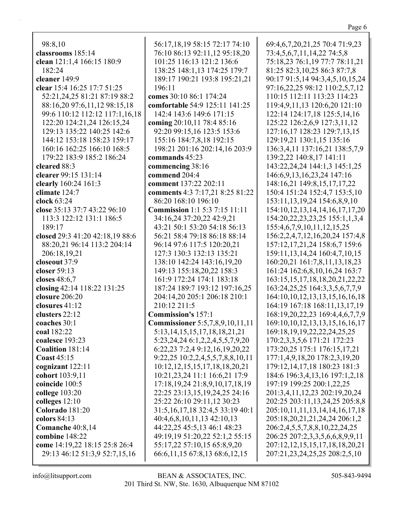| 98:8,10                         |
|---------------------------------|
| classrooms 185:14               |
| clean 121:1,4 166:15 180:9      |
| 182:24                          |
| cleaner 149:9                   |
| clear 15:4 16:25 17:7 51:25     |
| 52:21,24,25 81:21 87:19 88:2    |
| 88:16,20 97:6,11,12 98:15,18    |
| 99:6 110:12 112:12 117:1,16,18  |
| 122:20 124:21,24 126:15,24      |
| 129:13 135:22 140:25 142:6      |
| 144:12 153:18 158:23 159:17     |
|                                 |
| 160:16 162:25 166:10 168:5      |
| 179:22 183:9 185:2 186:24       |
| cleared 88:3                    |
| clearer 99:15 131:14            |
| clearly 160:24 161:3            |
| climate 124:7                   |
| clock 63:24                     |
| close 35:13 37:7 43:22 96:10    |
| 113:3 122:12 131:1 186:5        |
| 189:17                          |
| closed 29:3 41:20 42:18,19 88:6 |
| 88:20,21 96:14 113:2 204:14     |
| 206:18,19,21                    |
| closeout 37:9                   |
| closer 59:13                    |
| closes 48:6,7                   |
| closing 42:14 118:22 131:25     |
| closure 206:20                  |
| closures $41:12$                |
| clusters 22:12                  |
| coaches 30:1                    |
| coal 182:22                     |
| coalesce 193:23                 |
| Coalition 181:14                |
| <b>Coast 45:15</b>              |
| cognizant 122:11                |
| cohort 103:9,11                 |
| coincide 100:5                  |
| college $103:20$                |
| colleges 12:10                  |
| Colorado 181:20                 |
|                                 |
| colors 84:13                    |
| Comanche 40:8,14                |
| combine 148:22                  |
| come 14:19,22 18:15 25:8 26:4   |
| 29:13 46:12 51:3,9 52:7,15,16   |

56:17,18,19 58:15 72:17 74:10 76:10 86:13 92:11,12 95:18,20 101:25 116:13 121:2 136:6 138:25 148:1,13 174:25 179:7 189:17 190:21 193:8 195:21,21 196:11 **comes** 30:10 86:1 174:24 **comfortable** 54:9 125:11 141:25 142:4 143:6 149:6 171:15 **coming** 20:10,11 78:4 85:16 92:20 99:15,16 123:5 153:6 155:16 184:7,8,18 192:15 198:21 201:16 202:14,16 203:9 **commands** 45:23 **commencing** 38:16 **commend** 204:4 **comment** 137:22 202:11 **comments** 4:3 7:17,21 8:25 81:22 86:20 168:10 196:10 **Commission** 1:1 5:3 7:15 11:11 34:16,24 37:20,22 42:9,21 43:21 50:1 53:20 54:18 56:13 56:21 58:4 79:18 86:18 88:14 96:14 97:6 117:5 120:20,21 127:3 130:3 132:13 135:21 138:10 142:24 143:16,19,20 149:13 155:18,20,22 158:3 161:9 172:24 174:1 183:18 187:24 189:7 193:12 197:16,25 204:14,20 205:1 206:18 210:1 210:12 211:5 **Commission's** 157:1 **Commissioner** 5:5,7,8,9,10,11,11 5:13,14,15,15,17,18,18,21,21 5:23,24,24 6:1,2,2,4,5,5,7,9,20 6:22,23 7:2,4 9:12,16,19,20,22 9:22,25 10:2,2,4,5,5,7,8,8,10,11 10:12,12,15,15,17,18,18,20,21 10:21,23,24 11:1 16:6,21 17:9 17:18,19,24 21:8,9,10,17,18,19 22:25 23:13,15,19,24,25 24:16 25:22 26:10 29:11,12 30:23 31:5,16,17,18 32:4,5 33:19 40:1 40:4,6,8,10,11,13 42:10,13 44:22,25 45:5,13 46:1 48:23 49:19,19 51:20,22 52:1,2 55:15 55:17,22 57:10,15 65:8,9,20 66:6,11,15 67:8,13 68:6,12,15

69:4,6,7,20,21,25 70:4 71:9,23 73:4,5,6,7,11,14,22 74:5,8 75:18,23 76:1,19 77:7 78:11,21 81:25 82:3,10,25 86:3 87:7,8 90:17 91:5,14 94:3,4,5,10,15,24 97:16,22,25 98:12 110:2,5,7,12 110:15 112:11 113:23 114:23 119:4,9,11,13 120:6,20 121:10 122:14 124:17,18 125:5,14,16 125:22 126:2,6,9 127:3,11,12 127:16,17 128:23 129:7,13,15 129:19,21 130:1,15 135:16 136:3,4,11 137:16,21 138:5,7,9 139:2,22 140:8,17 141:11 143:22,24,24 144:1,3 145:1,25 146:6,9,13,16,23,24 147:16 148:16,21 149:8,15,17,17,22 150:4 151:24 152:4,7 153:5,10 153:11,13,19,24 154:6,8,9,10 154:10,12,13,14,14,16,17,17,20 154:20,22,23,23,25 155:1,1,3,4 155:4,6,7,9,10,11,12,15,25 156:2,2,4,7,12,16,20,24 157:4,8 157:12,17,21,24 158:6,7 159:6 159:11,13,14,24 160:4,7,10,15 160:20,21 161:7,8,11,13,18,23 161:24 162:6,8,10,16,24 163:7 163:15,15,17,18,18,20,21,22,22 163:24,25,25 164:3,3,5,6,7,7,9 164:10,10,12,13,13,15,16,16,18 164:19 167:18 168:11,13,17,19 168:19,20,22,23 169:4,4,6,7,7,9 169:10,10,12,13,13,15,16,16,17 169:18,19,19,22,22,24,25,25 170:2,3,3,5,6 171:21 172:23 173:20,25 175:1 176:15,17,21 177:1,4,9,18,20 178:2,3,19,20 179:12,14,17,18 180:23 181:3 184:6 196:3,4,13,16 197:1,2,18 197:19 199:25 200:1,22,25 201:3,4,11,12,23 202:19,20,24 202:25 203:11,13,24,25 205:8,8 205:10,11,11,13,14,14,16,17,18 205:18,20,21,21,24,24 206:1,2 206:2,4,5,5,7,8,8,10,22,24,25 206:25 207:2,3,3,5,6,6,8,9,9,11 207:12,12,15,15,17,18,18,20,21 207:21,23,24,25,25 208:2,5,10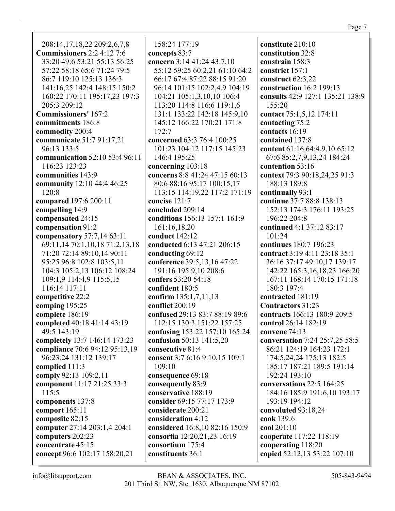208:14,17,18,22 209:2,6,7,8 **Commissioners** 2:2 4:12 7:6 33:20 49:6 53:21 55:13 56:25 57:22 58:18 65:6 71:24 79:5 86:7 119:10 125:13 136:3 141:16,25 142:4 148:15 150:2 160:22 170:11 195:17,23 197:3 205:3 209:12 **Commissioners'** 167:2 **commitments** 186:8 **commodity** 200:4 **communicate** 51:7 91:17,21 96:13 133:5 **communication** 52:10 53:4 96:11 116:23 123:23 **communities** 143:9 **community** 12:10 44:4 46:25 120:8 **compared** 197:6 200:11 **compelling** 14:9 **compensated** 24:15 **compensation** 91:2 **compensatory** 57:7,14 63:11 69:11,14 70:1,10,18 71:2,13,18 71:20 72:14 89:10,14 90:11 95:25 96:8 102:8 103:5,11 104:3 105:2,13 106:12 108:24 109:1,9 114:4,9 115:5,15 116:14 117:11 **competitive** 22:2 **comping** 195:25 **complete** 186:19 **completed** 40:18 41:14 43:19 49:5 143:19 **completely** 13:7 146:14 173:23 **compliance** 70:6 94:12 95:13,19 96:23,24 131:12 139:17 **complied** 111:3 **comply** 92:13 109:2,11 **component** 11:17 21:25 33:3 115:5 **components** 137:8 **comport** 165:11 **composite** 82:15 **computer** 27:14 203:1,4 204:1 **computers** 202:23 **concentrate** 45:15 **concept** 96:6 102:17 158:20,21

158:24 177:19 **concepts** 83:7 **concern** 3:14 41:24 43:7,10 55:12 59:25 60:2,21 61:10 64:2 66:17 67:4 87:22 88:15 91:20 96:14 101:15 102:2,4,9 104:19 104:21 105:1,3,10,10 106:4 113:20 114:8 116:6 119:1,6 131:1 133:22 142:18 145:9,10 145:12 166:22 170:21 171:8 172:7 **concerned** 63:3 76:4 100:25 101:23 104:12 117:15 145:23 146:4 195:25 **concerning** 103:18 **concerns** 8:8 41:24 47:15 60:13 80:6 88:16 95:17 100:15,17 113:15 114:19,22 117:2 171:19 **concise** 121:7 **concluded** 209:14 **conditions** 156:13 157:1 161:9 161:16,18,20 **conduct** 142:12 **conducted** 6:13 47:21 206:15 **conducting** 69:12 **conference** 39:5,13,16 47:22 191:16 195:9,10 208:6 **confers** 53:20 54:18 **confident** 180:5 **confirm** 135:1,7,11,13 **conflict** 200:19 **confused** 29:13 83:7 88:19 89:6 112:15 130:3 151:22 157:25 **confusing** 153:22 157:10 165:24 **confusion** 50:13 141:5,20 **consecutive** 81:4 **consent** 3:7 6:16 9:10,15 109:1 109:10 **consequence** 69:18 **consequently** 83:9 **conservative** 188:19 **consider** 69:15 77:17 173:9 **considerate** 200:21 **consideration** 4:12 **considered** 16:8,10 82:16 150:9 **consortia** 12:20,21,23 16:19 **consortium** 175:4 **constituents** 36:1

**constitute** 210:10 **constitution** 32:8 **constrain** 158:3 **constrict** 157:1 **construct** 62:3,22 **construction** 16:2 199:13 **consults** 42:9 127:1 135:21 138:9 155:20 **contact** 75:1,5,12 174:11 **contacting** 75:2 **contacts** 16:19 **contained** 137:8 **content** 61:16 64:4,9,10 65:12 67:6 85:2,7,9,13,24 184:24 **contention** 53:16 **context** 79:3 90:18,24,25 91:3 188:13 189:8 **continually** 93:1 **continue** 37:7 88:8 138:13 152:13 174:3 176:11 193:25 196:22 204:8 **continued** 4:1 37:12 83:17 101:24 **continues** 180:7 196:23 **contract** 3:19 4:11 23:18 35:1 36:16 37:17 49:10,17 139:17 142:22 165:3,16,18,23 166:20 167:11 168:14 170:15 171:18 180:3 197:4 **contracted** 181:19 **Contractors** 31:23 **contracts** 166:13 180:9 209:5 **control** 26:14 182:19 **convene** 74:13 **conversation** 7:24 25:7,25 58:5 86:21 124:19 164:23 172:1 174:5,24,24 175:13 182:5 185:17 187:21 189:5 191:14 192:24 193:10 **conversations** 22:5 164:25 184:16 185:9 191:6,10 193:17 193:19 194:12 **convoluted** 93:18,24 **cook** 139:6 **cool** 201:10 **cooperate** 117:22 118:19 **cooperating** 118:20 **copied** 52:12,13 53:22 107:10

Page 7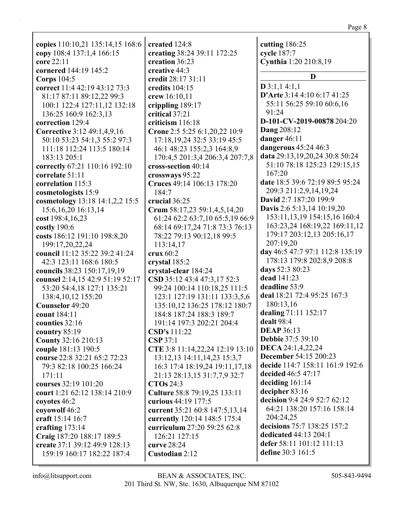| copies 110:10,21 135:14,15 168:6 | created 124:8                   | cutting 186:25                     |
|----------------------------------|---------------------------------|------------------------------------|
| copy 108:4 137:1,4 166:15        | creating 38:24 39:11 172:25     | cycle 187:7                        |
| core 22:11                       | creation 36:23                  | Cynthia 1:20 210:8,19              |
| cornered 144:19 145:2            | creative 44:3                   | D                                  |
| Corps $104:5$                    | credit 28:17 31:11              | $D$ 3:1,1 4:1,1                    |
| correct 11:4 42:19 43:12 73:3    | credits 104:15                  | D'Arte 3:14 4:10 6:17 41:25        |
| 81:17 87:11 89:12,22 99:3        | crew 16:10,11                   |                                    |
| 100:1 122:4 127:11,12 132:18     | crippling 189:17                | 55:11 56:25 59:10 60:6,16<br>91:24 |
| 136:25 160:9 162:3,13            | critical 37:21                  |                                    |
| correction 129:4                 | criticism 116:18                | D-101-CV-2019-00878 204:20         |
| Corrective 3:12 49:1,4,9,16      | Crone 2:5 5:25 6:1,20,22 10:9   | <b>Dang 208:12</b>                 |
| 50:10 53:23 54:1,3 55:2 97:3     | 17:18, 19, 24 32:5 33:19 45:5   | danger 46:11                       |
| 111:18 112:24 113:5 180:14       | 46:1 48:23 155:2,3 164:8,9      | dangerous 45:24 46:3               |
| 183:13 205:1                     | 170:4,5 201:3,4 206:3,4 207:7,8 | data 29:13,19,20,24 30:8 50:24     |
| correctly 67:21 110:16 192:10    | cross-section 40:14             | 51:10 78:18 125:23 129:15,15       |
| correlate 51:11                  | crossways 95:22                 | 167:20                             |
| correlation 115:3                | Cruces 49:14 106:13 178:20      | date 18:5 39:6 72:19 89:5 95:24    |
| cosmetologists 15:9              | 184:7                           | 209:3 211:2,9,14,19,24             |
| cosmetology 13:18 14:1,2,2 15:5  | crucial 36:25                   | David 2:7 187:20 199:9             |
| 15:6, 16, 20 16:13, 14           | Crum 58:17,23 59:1,4,5,14,20    | Davis 2:6 5:13,14 10:19,20         |
| cost 198:4,16,23                 | 61:24 62:2 63:7,10 65:5,19 66:9 | 153:11, 13, 19 154: 15, 16 160: 4  |
| costly 190:6                     | 68:14 69:17,24 71:8 73:3 76:13  | 163:23,24 168:19,22 169:11,12      |
| costs 186:12 191:10 198:8,20     | 78:22 79:13 90:12,18 99:5       | 179:17 203:12,13 205:16,17         |
| 199:17,20,22,24                  | 113:14,17                       | 207:19,20                          |
| council 11:12 35:22 39:2 41:24   | crux 60:2                       | day 46:5 47:7 97:1 112:8 135:19    |
| 42:3 123:11 168:6 180:5          | crystal 185:2                   | 178:13 179:8 202:8,9 208:8         |
| councils 38:23 150:17,19,19      | crystal-clear 184:24            | days 52:3 80:23                    |
| counsel 2:14,15 42:9 51:19 52:17 | CSD 35:12 43:4 47:3,17 52:3     | dead 141:23                        |
| 53:20 54:4,18 127:1 135:21       | 99:24 100:14 110:18,25 111:5    | deadline 53:9                      |
| 138:4, 10, 12 155: 20            | 123:1 127:19 131:11 133:3,5,6   | deal 18:21 72:4 95:25 167:3        |
| Counselor 49:20                  | 135:10,12 136:25 178:12 180:7   | 180:13,16                          |
| count 184:11                     | 184:8 187:24 188:3 189:7        | dealing 71:11 152:17               |
| counties 32:16                   | 191:14 197:3 202:21 204:4       | dealt 98:4                         |
| country 85:19                    | <b>CSD's</b> 111:22             | <b>DEAP</b> 36:13                  |
| <b>County 32:16 210:13</b>       | CSP 37:1                        | <b>Debbie 37:5 39:10</b>           |
| couple 181:13 190:5              | CTE 3:8 11:14,22,24 12:19 13:10 | DECA 24:1,4,22,24                  |
| course 22:8 32:21 65:2 72:23     | 13:12,13 14:11,14,23 15:3,7     | <b>December 54:15 200:23</b>       |
| 79:3 82:18 100:25 166:24         | 16:3 17:4 18:19,24 19:11,17,18  | decide 114:7 158:11 161:9 192:6    |
| 171:11                           | 21:13 28:13,15 31:7,7,9 32:7    | decided 46:5 47:17                 |
| courses 32:19 101:20             | <b>CTOs 24:3</b>                | deciding $161:14$                  |
| court 1:21 62:12 138:14 210:9    | Culture 58:8 79:19,25 133:11    | decipher 83:16                     |
| coyotes 46:2                     | curious 44:19 177:5             | decision 9:4 24:9 52:7 62:12       |
| coyowolf 46:2                    | current 35:21 60:8 147:5,13,14  | 64:21 138:20 157:16 158:14         |
| craft 15:14 16:7                 | currently 120:14 148:5 175:4    | 204:24,25                          |
| crafting $173:14$                | curriculum 27:20 59:25 62:8     | decisions 75:7 138:25 157:2        |
| Craig 187:20 188:17 189:5        | 126:21 127:15                   | dedicated 44:13 204:1              |
| create 37:1 39:12 49:9 128:13    | curve 28:24                     | defer 58:11 101:12 111:13          |
| 159:19 160:17 182:22 187:4       | Custodian 2:12                  | define 30:3 161:5                  |
|                                  |                                 |                                    |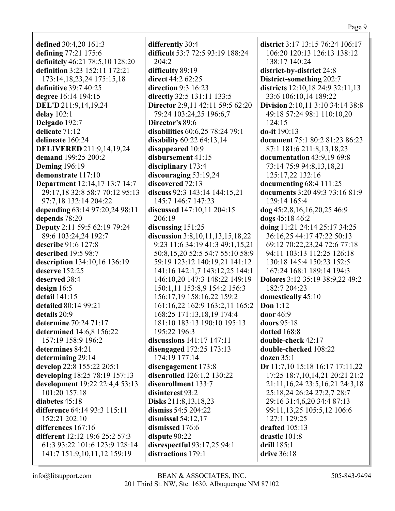**defined** 30:4,20 161:3 **defining** 77:21 175:6 **definitely** 46:21 78:5,10 128:20 **definition** 3:23 152:11 172:21 173:14,18,23,24 175:15,18 **definitive** 39:7 40:25 **degree** 16:14 194:15 **DEL'D** 211:9,14,19,24 **delay** 102:1 **Delgado** 192:7 **delicate** 71:12 **delineate** 160:24 **DELIVERED** 211:9,14,19,24 **demand** 199:25 200:2 **Deming** 196:19 **demonstrate** 117:10 **Department** 12:14,17 13:7 14:7 29:17,18 32:8 58:7 70:12 95:13 97:7,18 132:14 204:22 **depending** 63:14 97:20,24 98:11 **depends** 78:20 **Deputy** 2:11 59:5 62:19 79:24 89:6 103:24,24 192:7 **describe** 91:6 127:8 **described** 19:5 98:7 **description** 134:10,16 136:19 **deserve** 152:25 **deserved** 38:4 **design** 16:5 **detail** 141:15 **detailed** 80:14 99:21 **details** 20:9 **determine** 70:24 71:17 **determined** 14:6,8 156:22 157:19 158:9 196:2 **determines** 84:21 **determining** 29:14 **develop** 22:8 155:22 205:1 **developing** 18:25 78:19 157:13 **development** 19:22 22:4,4 53:13 101:20 157:18 **diabetes** 45:18 **difference** 64:14 93:3 115:11 152:21 202:10 **differences** 167:16 **different** 12:12 19:6 25:2 57:3 61:3 93:22 101:6 123:9 128:14 141:7 151:9,10,11,12 159:19

**differently** 30:4 **difficult** 53:7 72:5 93:19 188:24 204:2 **difficulty** 89:19 **direct** 44:2 62:25 **direction** 9:3 16:23 **directly** 32:5 131:11 133:5 **Director** 2:9,11 42:11 59:5 62:20 79:24 103:24,25 196:6,7 **Director's** 89:6 **disabilities** 60:6,25 78:24 79:1 **disability** 60:22 64:13,14 **disappeared** 10:9 **disbursement** 41:15 **disciplinary** 173:4 **discouraging** 53:19,24 **discovered** 72:13 **discuss** 92:3 143:14 144:15,21 145:7 146:7 147:23 **discussed** 147:10,11 204:15 206:19 **discussing** 151:25 **discussion** 3:8,10,11,13,15,18,22 9:23 11:6 34:19 41:3 49:1,15,21 50:8,15,20 52:5 54:7 55:10 58:9 59:19 123:12 140:19,21 141:12 141:16 142:1,7 143:12,25 144:1 146:10,20 147:3 148:22 149:19 150:1,11 153:8,9 154:2 156:3 156:17,19 158:16,22 159:2 161:16,22 162:9 163:2,11 165:2 168:25 171:13,18,19 174:4 181:10 183:13 190:10 195:13 195:22 196:3 **discussions** 141:17 147:11 **disengaged** 172:25 173:13 174:19 177:14 **disengagement** 173:8 **disenrolled** 126:1,2 130:22 **disenrollment** 133:7 **disinterest** 93:2 **Disks** 211:8,13,18,23 **dismiss** 54:5 204:22 **dismissal** 54:12,17 **dismissed** 176:6 **dispute** 90:22 **disrespectful** 93:17,25 94:1 **distractions** 179:1

**district** 3:17 13:15 76:24 106:17 106:20 120:13 126:13 138:12 138:17 140:24 **district-by-district** 24:8 **District-something** 202:7 **districts** 12:10,18 24:9 32:11,13 33:6 106:10,14 189:22 **Division** 2:10,11 3:10 34:14 38:8 49:18 57:24 98:1 110:10,20 124:15 **do-it** 190:13 **document** 75:1 80:2 81:23 86:23 87:1 181:6 211:8,13,18,23 **documentation** 43:9,19 69:8 73:14 75:9 94:8,13,18,21 125:17,22 132:16 **documenting** 68:4 111:25 **documents** 3:20 49:3 73:16 81:9 129:14 165:4 **dog** 45:2,8,16,16,20,25 46:9 **dogs** 45:18 46:2 **doing** 11:21 24:14 25:17 34:25 36:16,25 44:17 47:22 50:13 69:12 70:22,23,24 72:6 77:18 94:11 103:13 112:25 126:18 130:18 145:4 150:23 152:5 167:24 168:1 189:14 194:3 **Dolores** 3:12 35:19 38:9,22 49:2 182:7 204:23 **domestically** 45:10 **Don** 1:12 **door** 46:9 **doors** 95:18 **dotted** 168:8 **double-check** 42:17 **double-checked** 108:22 **dozen** 35:1 **Dr** 11:7,10 15:18 16:17 17:11,22 17:25 18:7,10,14,21 20:21 21:2 21:11,16,24 23:5,16,21 24:3,18 25:18,24 26:24 27:2,7 28:7 29:16 31:4,6,20 34:4 87:13 99:11,13,25 105:5,12 106:6 127:1 129:25 **drafted** 105:13 **drastic** 101:8 **drill** 185:1 **drive** 36:18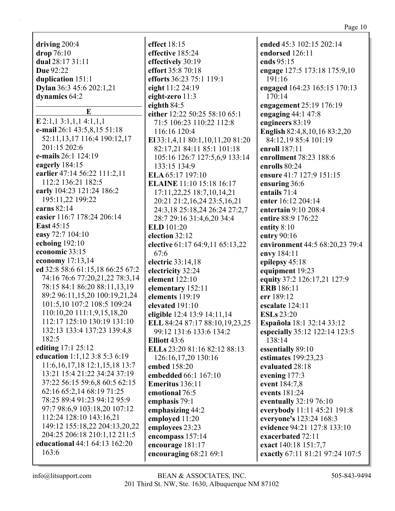|                                    |                                    | Page 10                         |
|------------------------------------|------------------------------------|---------------------------------|
|                                    |                                    |                                 |
| driving 200:4                      | effect 18:15                       | ended 45:3 102:15 202:14        |
| drop 76:10                         | effective 185:24                   | endorsed 126:11                 |
| dual 28:17 31:11                   | effectively 30:19                  | ends 95:15                      |
| Due 92:22                          | effort 35:8 70:18                  | engage 127:5 173:18 175:9,10    |
| duplication 151:1                  | efforts 36:23 75:1 119:1           | 191:16                          |
| Dylan 36:3 45:6 202:1,21           | eight 11:2 24:19                   | engaged 164:23 165:15 170:13    |
| dynamics 64:2                      | eight-zero 11:3                    | 170:14                          |
| E                                  | eighth $84:5$                      | engagement 25:19 176:19         |
|                                    | either 12:22 50:25 58:10 65:1      | engaging $44:147:8$             |
| $E$ 2:1,1 3:1,1,1 4:1,1,1          | 71:5 106:23 110:22 112:8           | engineers 83:19                 |
| e-mail 26:1 43:5,8,15 51:18        | 116:16 120:4                       | English 82:4,8,10,16 83:2,20    |
| 52:11, 13, 17 116: 4 190: 12, 17   | El 33:1,4,11 80:1,10,11,20 81:20   | 84:12,19 85:4 101:19            |
| 201:15 202:6                       | 82:17,21 84:11 85:1 101:18         | enroll 187:11                   |
| e-mails 26:1 124:19                | 105:16 126:7 127:5,6,9 133:14      | enrollment 78:23 188:6          |
| eagerly 184:15                     | 133:15 134:9                       | enrolls 80:24                   |
| earlier 47:14 56:22 111:2,11       | ELA 65:17 197:10                   | ensure 41:7 127:9 151:15        |
| 112:2 136:21 182:5                 | <b>ELAINE</b> 11:10 15:18 16:17    | ensuring 36:6                   |
| early 104:23 121:24 186:2          | 17:11,22,25 18:7,10,14,21          | entails 71:4                    |
| 195:11,22 199:22                   | 20:21 21:2,16,24 23:5,16,21        | enter 16:12 204:14              |
| earns 82:14                        | 24:3, 18 25:18, 24 26: 24 27: 2, 7 | entertain 9:10 208:4            |
| easier 116:7 178:24 206:14         | 28:7 29:16 31:4,6,20 34:4          | entire 88:9 176:22              |
| <b>East 45:15</b>                  | ELD 101:20                         | entity 8:10                     |
| easy 72:7 104:10                   | election 32:12                     | entry 90:16                     |
| echoing $192:10$                   | elective 61:17 64:9,11 65:13,22    | environment 44:5 68:20,23 79:4  |
| economic 33:15                     | 67:6                               | envy 184:11                     |
| economy 17:13,14                   | electric 33:14,18                  | epilepsy 45:18                  |
| ed 32:8 58:6 61:15,18 66:25 67:2   | electricity 32:24                  | equipment 19:23                 |
| 74:16 76:6 77:20,21,22 78:3,14     | element 122:10                     | equity 37:2 126:17,21 127:9     |
| 78:15 84:1 86:20 88:11,13,19       | elementary 152:11                  | <b>ERB</b> 186:11               |
| 89:2 96:11,15,20 100:19,21,24      | elements 119:19                    | err 189:12                      |
| 101:5,10 107:2 108:5 109:24        | elevated 191:10                    | escalate 124:11                 |
| 110:10,20 111:1,9,15,18,20         | eligible 12:4 13:9 14:11,14        | <b>ESLs</b> 23:20               |
| 112:17 125:10 130:19 131:10        | ELL 84:24 87:17 88:10,19,23,25     | Española 18:1 32:14 33:12       |
| 132:13 133:4 137:23 139:4,8        | 99:12 131:6 133:6 134:2            | especially 35:12 122:14 123:5   |
| 182:5                              | Elliott 43:6                       | 138:14                          |
| editing 17:1 25:12                 | ELLs 23:20 81:16 82:12 88:13       | essentially 89:10               |
| education 1:1,12 3:8 5:3 6:19      | 126:16,17,20 130:16                | estimates 199:23,23             |
| 11:6, 16, 17, 18 12:1, 15, 18 13:7 | embed 158:20                       | evaluated 28:18                 |
| 13:21 15:4 21:22 34:24 37:19       | embedded 66:1 167:10               | evening 177:3                   |
| 37:22 56:15 59:6,8 60:5 62:15      | Emeritus 136:11                    | event 184:7,8                   |
| 62:16 65:2,14 68:19 71:25          | emotional 76:5                     | events 181:24                   |
| 78:25 89:4 91:23 94:12 95:9        | emphasis 79:1                      | eventually 32:19 76:10          |
| 97:7 98:6,9 103:18,20 107:12       | emphasizing 44:2                   | everybody 11:11 45:21 191:8     |
| 112:24 128:10 143:16,21            | employed 11:20                     | everyone's 123:24 168:3         |
| 149:12 155:18,22 204:13,20,22      | employees 23:23                    | evidence 94:21 127:8 133:10     |
| 204:25 206:18 210:1,12 211:5       | encompass 157:14                   | exacerbated 72:11               |
| educational 44:1 64:13 162:20      | encourage 181:17                   | exact 140:18 151:7,7            |
| 163:6                              | encouraging 68:21 69:1             | exactly 67:11 81:21 97:24 107:5 |
|                                    |                                    |                                 |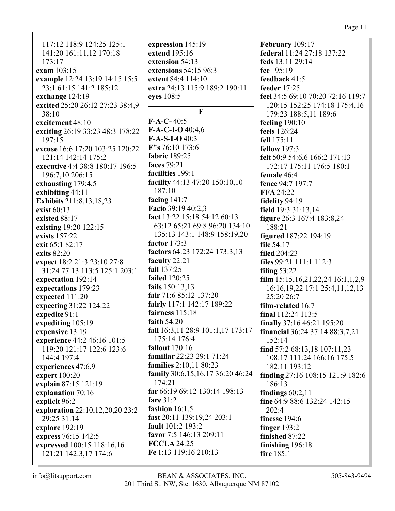| 117:12 118:9 124:25 125:1        | expression 145:19                 | February 109:17                        |
|----------------------------------|-----------------------------------|----------------------------------------|
| 141:20 161:11,12 170:18          | extend 195:16                     | federal 11:24 27:18 137:22             |
| 173:17                           | extension 54:13                   | feds 13:11 29:14                       |
| exam 103:15                      | extensions 54:15 96:3             | fee 195:19                             |
| example 12:24 13:19 14:15 15:5   | extent 84:4 114:10                | feedback 41:5                          |
| 23:1 61:15 141:2 185:12          | extra 24:13 115:9 189:2 190:11    | feeder 17:25                           |
| exchange 124:19                  | eyes 108:5                        | feel 34:5 69:10 70:20 72:16 119:7      |
| excited 25:20 26:12 27:23 38:4,9 |                                   | 120:15 152:25 174:18 175:4,16          |
| 38:10                            | F<br>$F-A-C-40:5$                 | 179:23 188:5,11 189:6                  |
| excitement 48:10                 | F-A-C-I-O 40:4,6                  | feeling $190:10$                       |
| exciting 26:19 33:23 48:3 178:22 | $F-A-S-I-O 40:3$                  | feels 126:24                           |
| 197:15                           | $F''s$ 76:10 173:6                | fell 175:11                            |
| excuse 16:6 17:20 103:25 120:22  |                                   | <b>fellow</b> 197:3                    |
| 121:14 142:14 175:2              | fabric 189:25                     | felt 50:9 54:6,6 166:2 171:13          |
| executive 4:4 38:8 180:17 196:5  | faces 79:21                       | 172:17 175:11 176:5 180:1              |
| 196:7,10 206:15                  | facilities 199:1                  | female 46:4                            |
| exhausting 179:4,5               | facility 44:13 47:20 150:10,10    | fence 94:7 197:7                       |
| exhibiting 44:11                 | 187:10                            | FFA 24:22                              |
| <b>Exhibits</b> 211:8,13,18,23   | facing 141:7                      | fidelity 94:19                         |
| exist 60:13                      | Facio 39:19 40:2,3                | field 19:3 31:13,14                    |
| existed 88:17                    | fact 13:22 15:18 54:12 60:13      | figure 26:3 167:4 183:8,24             |
| existing 19:20 122:15            | 63:12 65:21 69:8 96:20 134:10     | 188:21                                 |
| exists 157:22                    | 135:13 143:1 148:9 158:19,20      | <b>figured</b> 187:22 194:19           |
| exit 65:1 82:17                  | factor $173:3$                    | file 54:17                             |
| exits 82:20                      | factors 64:23 172:24 173:3,13     | <b>filed</b> 204:23                    |
| expect 18:2 21:3 23:10 27:8      | faculty 22:21                     | files 99:21 111:1 112:3                |
| 31:24 77:13 113:5 125:1 203:1    | fail 137:25                       | filing $53:22$                         |
| expectation 192:14               | <b>failed</b> 120:25              | film $15:15,16,21,22,24$ $16:1,1,2,9$  |
| expectations 179:23              | fails 150:13,13                   | 16:16, 19, 22 17:1 25:4, 11, 12, 13    |
| expected 111:20                  | fair 71:6 85:12 137:20            | 25:20 26:7                             |
| expecting 31:22 124:22           | fairly 117:1 142:17 189:22        | film-related 16:7                      |
| expedite 91:1                    | fairness 115:18                   | final $112:24$ $113:5$                 |
| expediting 105:19                | faith 54:20                       | finally 37:16 46:21 195:20             |
| expensive 13:19                  | fall 16:3,11 28:9 101:1,17 173:17 | <b>financial</b> 36:24 37:14 88:3,7,21 |
| experience 44:2 46:16 101:5      | 175:14 176:4                      | 152:14                                 |
| 119:20 121:17 122:6 123:6        | <b>fallout</b> 170:16             | find $57:268:13,18107:11,23$           |
| 144:4 197:4                      | familiar 22:23 29:1 71:24         | 108:17 111:24 166:16 175:5             |
| experiences 47:6,9               | families 2:10,11 80:23            | 182:11 193:12                          |
| expert 100:20                    | family 30:6,15,16,17 36:20 46:24  | finding $27:16$ 108:15 121:9 182:6     |
| explain 87:15 121:19             | 174:21                            | 186:13                                 |
| explanation 70:16                | far 66:19 69:12 130:14 198:13     | findings $60:2,11$                     |
| explicit 96:2                    | fare $31:2$                       | fine 64:9 88:6 132:24 142:15           |
| exploration 22:10,12,20,20 23:2  | fashion $16:1,5$                  | 202:4                                  |
| 29:25 31:14                      | fast 20:11 139:19,24 203:1        | finesse 194:6                          |
| explore 192:19                   | fault 101:2 193:2                 | finger $193:2$                         |
| express 76:15 142:5              | favor 7:5 146:13 209:11           | finished 87:22                         |
| expressed 100:15 118:16,16       | <b>FCCLA 24:25</b>                | finishing $196:18$                     |
| 121:21 142:3,17 174:6            | Fe 1:13 119:16 210:13             | fire 185:1                             |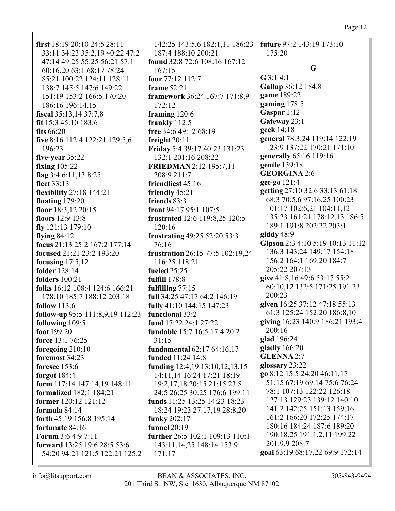# Page 12

| first $18:1920:1024:528:11$                                                                                      | 142:25 143:5,6 182:1,11 186:23                                                                                                     | future 97:2 143:19 173:10                                                                |
|------------------------------------------------------------------------------------------------------------------|------------------------------------------------------------------------------------------------------------------------------------|------------------------------------------------------------------------------------------|
| 33:11 34:23 35:2,19 40:22 47:2                                                                                   | 187:4 188:10 200:21                                                                                                                | 175:20                                                                                   |
| 47:14 49:25 55:25 56:21 57:1                                                                                     | found 32:8 72:6 108:16 167:12                                                                                                      | G                                                                                        |
| 60:16,20 63:1 68:17 78:24<br>85:21 100:22 124:11 128:11<br>138:7 145:5 147:6 149:22<br>151:19 153:2 166:5 170:20 | 167:15<br>four 77:12 112:7<br>frame $52:21$<br>framework 36:24 167:7 171:8,9                                                       | $G$ 3:1 4:1<br>Gallup 36:12 184:8<br>game 189:22                                         |
| 186:16 196:14,15                                                                                                 | 172:12                                                                                                                             | gaming $178:5$                                                                           |
| fiscal 35:13,14 37:7,8                                                                                           | framing 120:6                                                                                                                      | Gaspar 1:12                                                                              |
| fit $15:3$ 45:10 183:6                                                                                           | frankly $112:5$                                                                                                                    | Gateway 23:1                                                                             |
| fits $66:20$                                                                                                     | free 34:6 49:12 68:19                                                                                                              | geek 14:18                                                                               |
| five 8:16 112:4 122:21 129:5,6                                                                                   | freight $20:11$                                                                                                                    | general 78:3,24 119:14 122:19                                                            |
| 196:23                                                                                                           | Friday 5:4 39:17 40:23 131:23                                                                                                      | 123:9 137:22 170:21 171:10                                                               |
| five-year 35:22                                                                                                  | 132:1 201:16 208:22                                                                                                                | generally 65:16 119:16                                                                   |
| <b>fixing</b> 105:22                                                                                             | <b>FRIEDMAN</b> 2:12 195:7,11                                                                                                      | gentle 139:18                                                                            |
| flag $3:46:11,138:25$                                                                                            | 208:9 211:7                                                                                                                        | <b>GEORGINA 2:6</b>                                                                      |
| fleet 33:13                                                                                                      | friendliest 45:16                                                                                                                  | get-go 121:4                                                                             |
| <b>flexibility</b> 27:18 144:21                                                                                  | friendly 45:21                                                                                                                     | getting 27:10 32:6 33:13 61:18                                                           |
| floating $179:20$                                                                                                | friends 83:3                                                                                                                       | 68:3 70:5,6 97:16,25 100:23                                                              |
| floor 18:3,12 20:15                                                                                              | front 94:17 95:1 107:5                                                                                                             | 101:17 102:6,21 104:11,12                                                                |
| floors 12:9 13:8                                                                                                 | frustrated 12:6 119:8,25 120:5                                                                                                     | 135:23 161:21 178:12,13 186:5                                                            |
| fly $121:13$ 179:10                                                                                              | 120:16                                                                                                                             | 189:1 191:8 202:22 203:1                                                                 |
| flying $84:12$                                                                                                   | frustrating 49:25 52:20 53:3                                                                                                       | giddy $48:9$                                                                             |
| focus 21:13 25:2 167:2 177:14                                                                                    | 76:16                                                                                                                              | Gipson 2:3 4:10 5:19 10:13 11:12                                                         |
| focused 21:21 23:2 193:20                                                                                        | frustration 26:15 77:5 102:19,24                                                                                                   | 136:3 143:24 149:17 154:18                                                               |
| focusing $17:5,12$                                                                                               | 116:25 118:21                                                                                                                      | 156:2 164:1 169:20 184:7                                                                 |
| folder 128:14                                                                                                    | fueled $25:25$                                                                                                                     | 205:22 207:13                                                                            |
| <b>folders</b> 100:21                                                                                            | fulfill 178:8                                                                                                                      | give 41:8,16 49:6 53:17 55:2                                                             |
| folks 16:12 108:4 124:6 166:21<br>178:10 185:7 188:12 203:18                                                     | fulfilling 77:15<br>full 34:25 47:17 64:2 146:19                                                                                   | 60:10,12 132:5 171:25 191:23<br>200:23<br>given 16:25 37:12 47:18 55:13                  |
| follow $113:6$<br>follow-up 95:5 111:8,9,19 112:23<br>following 109:5                                            | fully 41:10 144:15 147:23<br>functional 33:2<br>fund 17:22 24:1 27:22                                                              | 61:3 125:24 152:20 186:8,10<br>giving 16:23 140:9 186:21 193:4                           |
| foot 199:20                                                                                                      | fundable 15:7 16:5 17:4 20:2                                                                                                       | 200:16                                                                                   |
| force 13:1 76:25                                                                                                 | 31:15                                                                                                                              | glad 196:24                                                                              |
| foregoing $210:10$<br>foremost 34:23                                                                             | fundamental 62:17 64:16,17<br>funded 11:24 14:8                                                                                    | gladly $166:20$<br><b>GLENNA 2:7</b><br>glossary 23:22                                   |
| foresee 153:6<br>forgot $184:4$<br>form 117:14 147:14,19 148:11<br><b>formalized</b> 182:1 184:21                | funding $12:4,19$ $13:10,12,13,15$<br>14:11,14 16:24 17:21 18:19<br>19:2, 17, 18 20:15 21:15 23:8<br>24:5 26:25 30:25 176:6 199:11 | go 8:12 15:5 24:20 46:11,17<br>51:15 67:19 69:14 75:6 76:24<br>78:1 107:13 122:22 126:18 |
| former 120:12 121:12                                                                                             | funds 11:25 13:25 14:23 18:23                                                                                                      | 127:13 129:23 139:12 140:10                                                              |
| formula 84:14                                                                                                    | 18:24 19:23 27:17,19 28:8,20                                                                                                       | 141:2 142:25 151:13 159:16                                                               |
| forth 45:19 156:8 195:14                                                                                         | funky 202:17                                                                                                                       | 161:2 166:20 172:25 174:17                                                               |
| fortunate 84:16                                                                                                  | <b>funnel</b> 20:19                                                                                                                | 180:16 184:24 187:6 189:20                                                               |
| <b>Forum 3:6 4:9 7:11</b>                                                                                        | further 26:5 102:1 109:13 110:1                                                                                                    | 190:18,25 191:1,2,11 199:22                                                              |
| forward 13:25 19:6 28:5 53:6                                                                                     | 143:11, 14, 25 148:14 153:9                                                                                                        | 201:9,9 208:7                                                                            |
| 54:20 94:21 121:5 122:21 125:2                                                                                   | 171:17                                                                                                                             | goal 63:19 68:17,22 69:9 172:14                                                          |
|                                                                                                                  |                                                                                                                                    |                                                                                          |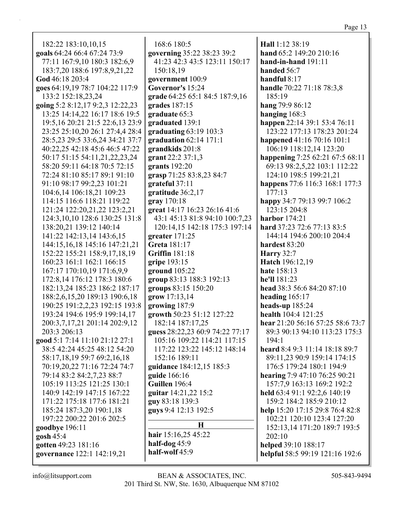182:22 183:10,10,15 **goals** 64:24 66:4 67:24 73:9 77:11 167:9,10 180:3 182:6,9 183:7,20 188:6 197:8,9,21,22 **God** 46:18 203:4 **goes** 64:19,19 78:7 104:22 117:9 133:2 152:18,23,24 **going** 5:2 8:12,17 9:2,3 12:22,23 13:25 14:14,22 16:17 18:6 19:5 19:5,16 20:21 21:5 22:6,13 23:9 23:25 25:10,20 26:1 27:4,4 28:4 28:5,23 29:5 33:6,24 34:21 37:7 40:22,25 42:18 45:6 46:5 47:22 50:17 51:15 54:11,21,22,23,24 58:20 59:11 64:18 70:5 72:15 72:24 81:10 85:17 89:1 91:10 91:10 98:17 99:2,23 101:21 104:6,14 106:18,21 109:23 114:15 116:6 118:21 119:22 121:24 122:20,21,22 123:2,21 124:3,10,10 128:6 130:25 131:8 138:20,21 139:12 140:14 141:22 142:13,14 143:6,15 144:15,16,18 145:16 147:21,21 152:22 155:21 158:9,17,18,19 160:23 161:1 162:1 166:15 167:17 170:10,19 171:6,9,9 172:8,14 176:12 178:3 180:6 182:13,24 185:23 186:2 187:17 188:2,6,15,20 189:13 190:6,18 190:25 191:2,2,23 192:15 193:8 193:24 194:6 195:9 199:14,17 200:3,7,17,21 201:14 202:9,12 203:3 206:13 **good** 5:1 7:14 11:10 21:12 27:1 38:5 42:24 45:25 48:12 54:20 58:17,18,19 59:7 69:2,16,18 70:19,20,22 71:16 72:24 74:7 79:14 83:2 84:2,7,23 88:7 105:19 113:25 121:25 130:1 140:9 142:19 147:15 167:22 171:22 175:18 177:6 181:21 185:24 187:3,20 190:1,18 197:22 200:22 201:6 202:5 **goodbye** 196:11 **gosh** 45:4 **gotten** 49:23 181:16

168:6 180:5 **governing** 35:22 38:23 39:2 41:23 42:3 43:5 123:11 150:17 150:18,19 **government** 100:9 **Governor's** 15:24 **grade** 64:25 65:1 84:5 187:9,16 **grades** 187:15 **graduate** 65:3 **graduated** 139:1 **graduating** 63:19 103:3 **graduation** 62:14 171:1 **grandkids** 201:8 **grant** 22:2 37:1,3 **grants** 192:20 **grasp** 71:25 83:8,23 84:7 **grateful** 37:11 **gratitude** 36:2,17 **gray** 170:18 **great** 14:17 16:23 26:16 41:6 43:1 45:13 81:8 94:10 100:7,23 120:14,15 142:18 175:3 197:14 **greater** 171:25 **Greta** 181:17 **Griffin** 181:18 **gripe** 193:15 **ground** 105:22 **group** 83:13 188:3 192:13 **groups** 83:15 150:20 **grow** 17:13,14 **growing** 187:9 **growth** 50:23 51:12 127:22 182:14 187:17,25 **guess** 28:22,23 60:9 74:22 77:17 105:16 109:22 114:21 117:15 117:22 123:22 145:12 148:14 152:16 189:11 **guidance** 184:12,15 185:3 **guide** 166:16 **Guillen** 196:4 **guitar** 14:21,22 15:2 **guy** 83:18 139:3 **guys** 9:4 12:13 192:5 **H hair** 15:16,25 45:22

**half-dog** 45:9 **half-wolf** 45:9 **hand-in-hand** 191:11 **handed** 56:7 **handful** 8:17 **handle** 70:22 71:18 78:3,8 185:19 **hang** 79:9 86:12 **hanging** 168:3 **happen** 22:14 39:1 53:4 76:11 123:22 177:13 178:23 201:24 **happened** 41:16 70:16 101:1 106:19 118:12,14 123:20 **happening** 7:25 62:21 67:5 68:11 69:13 98:2,5,22 103:1 112:22 124:10 198:5 199:21,21 **happens** 77:6 116:3 168:1 177:3 177:13 **happy** 34:7 79:13 99:7 106:2 123:15 204:8 **harbor** 174:21 **hard** 37:23 72:6 77:13 83:5 144:14 194:6 200:10 204:4 **hardest** 83:20 **Harry** 32:7 **Hatch** 196:12,19 **hate** 158:13 **he'll** 181:23 **head** 38:3 56:6 84:20 87:10 **heading** 165:17 **heads-up** 185:24 **health** 104:4 121:25

**Hall** 1:12 38:19

**hand** 65:2 149:20 210:16

**hear** 21:20 56:16 57:25 58:6 73:7 89:3 90:13 94:10 113:23 175:3 194:1 **heard** 8:4 9:3 11:14 18:18 89:7 89:11,23 90:9 159:14 174:15 176:5 179:24 180:1 194:9 **hearing** 7:9 47:10 76:25 90:21 157:7,9 163:13 169:2 192:2 **held** 63:4 91:1 92:2,6 140:19 159:2 184:2 185:9 210:12 **help** 15:20 17:15 29:8 76:4 82:8 102:21 120:10 123:4 127:20 152:13,14 171:20 189:7 193:5 202:10 **helped** 39:10 188:17 **helpful** 58:5 99:19 121:16 192:6

**governance** 122:1 142:19,21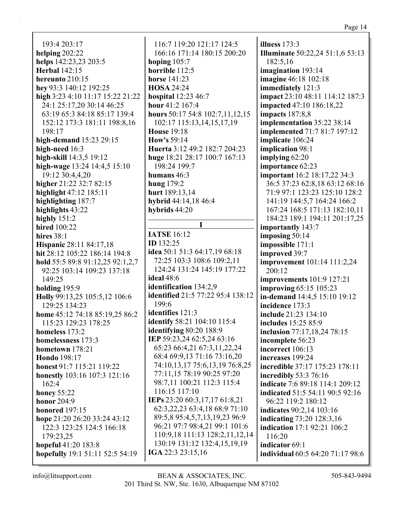193:4 203:17 helping  $202:22$ helps 142:23,23 203:5 **Herbal** 142:15 hereunto  $210:15$ hey 93:3 140:12 192:25 high 3:23 4:10 11:17 15:22 21:22 24:1 25:17,20 30:14 46:25 63:19 65:3 84:18 85:17 139:4 152:12 173:3 181:11 198:8,16 198:17 high-demand 15:23 29:15 high-need 16:3 high-skill 14:3,5 19:12 high-wage  $13:24$  14:4,5 15:10 19:12 30:4.4.20 higher 21:22 32:7 82:15 highlight 47:12 185:11 highlighting 187:7 highlights 43:22 highly  $151:2$ **hired** 100:22 hires  $38:1$ **Hispanic 28:11 84:17,18** hit 28:12 105:22 186:14 194:8 hold 55:5 89:8 91:12,25 92:1,2,7 92:25 103:14 109:23 137:18 149:25 holding  $195:9$ Holly 99:13,25 105:5,12 106:6 129:25 134:23 home 45:12 74:18 85:19,25 86:2 115:23 129:23 178:25 homeless  $173:2$ homelessness 173:3 hometown  $178:21$ **Hondo** 198:17 honest 91:7 115:21 119:22 **honestly** 103:16 107:3 121:16  $162:4$ honey  $55:22$ **honor** 204:9 honored  $197:15$ hope 21:20 26:20 33:24 43:12 122:3 123:25 124:5 166:18 179:23.25 hopeful 41:20 183:8 hopefully 19:1 51:11 52:5 54:19

116:7 119:20 121:17 124:5 166:16 171:14 180:15 200:20 hoping  $105:7$ horrible 112:5 horse  $141:23$ **HOSA 24:24 hospital** 12:23 46:7 hour 41:2 167:4 hours 50:17 54:8 102:7,11,12,15 102:17 115:13,14,15,17,19 **House 19:18 How's** 59:14 Huerta 3:12 49:2 182:7 204:23 huge 18:21 28:17 100:7 167:13 198:24 199:7 humans  $46:3$ hung  $179:2$ hurt 189:13.14 hybrid 44:14,18 46:4 hybrids  $44:20$ T **IATSE** 16:12 **ID** 132:25 idea 50:1 51:3 64:17,19 68:18 72:25 103:3 108:6 109:2,11 124:24 131:24 145:19 177:22 ideal  $48:6$ identification 134:2,9 identified 21:5 77:22 95:4 138:12  $199:6$ identifies 121:3 **identify** 58:21 104:10 115:4 identifying  $80:20$  188:9 IEP 59:23,24 62:5,24 63:16 65:23 66:4,21 67:3,11,22,24 68:4 69:9,13 71:16 73:16,20 74:10,13,17 75:6,13,19 76:8,25 77:11,15 78:19 90:25 97:20 98:7,11 100:21 112:3 115:4 116:15 117:10

IEPs 23:20 60:3,17,17 61:8,21 62:3,22,23 63:4,18 68:9 71:10 89:5,8 95:4,5,7,13,19,23 96:9 96:21 97:7 98:4,21 99:1 101:6 110:9,18 111:13 128:2,11,12,14 130:19 131:12 132:4,15,19,19 IGA 22:3 23:15,16

illness  $173:3$ Illuminate 50:22,24 51:1,6 53:13 182:5.16 imagination 193:14 **imagine** 46:18 102:18 immediately 121:3 impact 23:10 48:11 114:12 187:3 **impacted** 47:10 186:18,22 **impacts** 187:8.8 implementation 35:22 38:14 **implemented** 71:7 81:7 197:12 implicate 106:24 implication 98:1 implying  $62:20$ importance 62:23 **important** 16:2 18:17,22 34:3 36:5 37:23 62:8,18 63:12 68:16 71:9 97:1 123:23 125:10 128:2 141:19 144:5,7 164:24 166:2 167:24 168:5 171:13 182:10,11 184:23 189:1 194:11 201:17,25 importantly 143:7 imposing  $50:14$ impossible 171:1 improved 39:7 **improvement** 101:14 111:2,24  $200:12$ **improvements** 101:9 127:21 **improving 65:15 105:23** in-demand 14:4,5 15:10 19:12 incidence 173:3 include 21:23 134:10 includes 15:25 85:9 inclusion 77:17,18,24 78:15 incomplete 56:23 incorrect 106:13 increases 199:24 incredible 37:17 175:23 178:11 incredibly 53:3 76:16 **indicate** 7:6 89:18 114:1 209:12 indicated 51:5 54:11 90:5 92:16 96:22 119:2 180:12 **indicates** 90:2.14 103:16 indicating 73:20 128:3,16 **indication** 17:1 92:21 106:2 116:20 indicator 69:1 individual 60:5 64:20 71:17 98:6

 $info@$ litsupport.com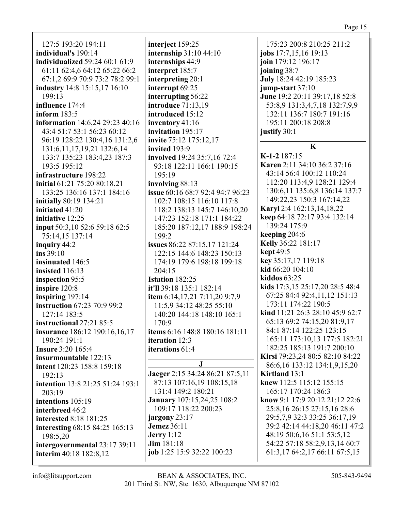127:5 193:20 194:11 **individual's** 190:14 **individualized** 59:24 60:1 61:9 61:11 62:4,6 64:12 65:22 66:2 67:1,2 69:9 70:9 73:2 78:2 99:1 **industry** 14:8 15:15,17 16:10 199:13 **influence** 174:4 **inform** 183:5 **information** 14:6,24 29:23 40:16 43:4 51:7 53:1 56:23 60:12 96:19 128:22 130:4,16 131:2,6 131:6,11,17,19,21 132:6,14 133:7 135:23 183:4,23 187:3 193:5 195:12 **infrastructure** 198:22 **initial** 61:21 75:20 80:18,21 133:25 136:16 137:1 184:16 **initially** 80:19 134:21 **initiated** 41:20 **initiative** 12:25 **input** 50:3,10 52:6 59:18 62:5 75:14,15 137:14 **inquiry** 44:2 **ins** 39:10 **insinuated** 146:5 **insisted** 116:13 **inspection** 95:5 **inspire** 120:8 **inspiring** 197:14 **instruction** 67:23 70:9 99:2 127:14 183:5 **instructional** 27:21 85:5 **insurance** 186:12 190:16,16,17 190:24 191:1 **Insure** 3:20 165:4 **insurmountable** 122:13 **intent** 120:23 158:8 159:18 192:13 **intention** 13:8 21:25 51:24 193:1 203:19 **intentions** 105:19 **interbreed** 46:2 **interested** 8:18 181:25 **interesting** 68:15 84:25 165:13 198:5,20 **intergovernmental** 23:17 39:11 **interim** 40:18 182:8,12

**interject** 159:25 **internship** 31:10 44:10 **internships** 44:9 **interpret** 185:7 **interpreting** 20:1 **interrupt** 69:25 **interrupting** 56:22 **introduce** 71:13,19 **introduced** 15:12 **inventory** 41:16 **invitation** 195:17 **invite** 75:12 175:12,17 **invited** 193:9 **involved** 19:24 35:7,16 72:4 93:18 122:11 166:1 190:15 195:19 **involving** 88:13 **issue** 60:16 68:7 92:4 94:7 96:23 102:7 108:15 116:10 117:8 118:2 138:13 145:7 146:10,20 147:23 152:18 171:1 184:22 185:20 187:12,17 188:9 198:24 199:2 **issues** 86:22 87:15,17 121:24 122:15 144:6 148:23 150:13 174:19 179:6 198:18 199:18 204:15 **Istation** 182:25 **it'll** 39:18 135:1 182:14 **item** 6:14,17,21 7:11,20 9:7,9 11:5,9 34:12 48:25 55:10 140:20 144:18 148:10 165:1 170:9 **items** 6:16 148:8 180:16 181:11 **iteration** 12:3 **iterations** 61:4 **J Jaeger** 2:15 34:24 86:21 87:5,11 87:13 107:16,19 108:15,18 131:4 149:2 180:21 **January** 107:15,24,25 108:2 109:17 118:22 200:23 **jargony** 23:17 **Jemez** 36:11

175:23 200:8 210:25 211:2 **jobs** 17:7,15,16 19:13 **join** 179:12 196:17 **joining** 38:7 **July** 18:24 42:19 185:23 **jump-start** 37:10 **June** 19:2 20:11 39:17,18 52:8 53:8,9 131:3,4,7,18 132:7,9,9 132:11 136:7 180:7 191:16 195:11 200:18 208:8 **justify** 30:1

# **K**

**K-1-2** 187:15 **Karen** 2:11 34:10 36:2 37:16 43:14 56:4 100:12 110:24 112:20 113:4,9 128:21 129:4 130:6,11 135:6,8 136:14 137:7 149:22,23 150:3 167:14,22 **Karyl** 2:4 162:13,14,18,22 **keep** 64:18 72:17 93:4 132:14 139:24 175:9 **keeping** 204:6 **Kelly** 36:22 181:17 **kept** 49:5 **key** 35:17,17 119:18 **kid** 66:20 104:10 **kiddos** 63:25 **kids** 17:3,15 25:17,20 28:5 48:4 67:25 84:4 92:4,11,12 151:13 173:11 174:22 190:5 **kind** 11:21 26:3 28:10 45:9 62:7 65:13 69:2 74:15,20 81:9,17 84:1 87:14 122:25 123:15 165:11 173:10,13 177:5 182:21 182:25 185:13 191:7 200:10 **Kirsi** 79:23,24 80:5 82:10 84:22 86:6,16 133:12 134:1,9,15,20 **Kirtland** 13:1 **knew** 112:5 115:12 155:15 165:17 170:24 186:3 **know** 9:1 17:9 20:12 21:12 22:6 25:8,16 26:15 27:15,16 28:6 29:5,7,9 32:3 33:25 36:17,19 39:2 42:14 44:18,20 46:11 47:2 48:19 50:6,16 51:1 53:5,12 54:22 57:18 58:2,9,13,14 60:7 61:3,17 64:2,17 66:11 67:5,15

**job** 1:25 15:9 32:22 100:23

**Jerry** 1:12 **Jim** 181:18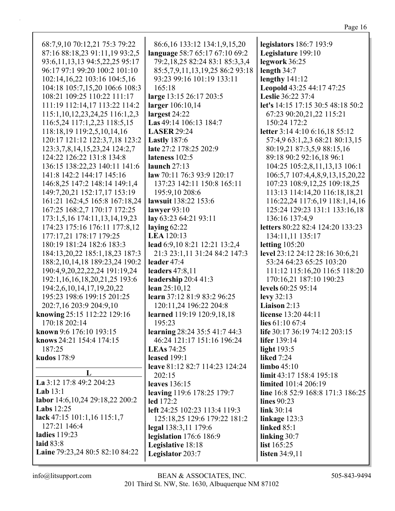| ш<br>ΉΩ<br>ı | 1 |
|--------------|---|
|              |   |

| 68:7,9,10 70:12,21 75:3 79:22         | 86:6,16 133:12 134:1,9,15,20      | legislators 186:7 193:9           |
|---------------------------------------|-----------------------------------|-----------------------------------|
| 87:16 88:18,23 91:11,19 93:2,5        | language 58:7 65:17 67:10 69:2    | Legislature 199:10                |
| 93:6, 11, 13, 13 94: 5, 22, 25 95: 17 | 79:2,18,25 82:24 83:1 85:3,3,4    | legwork 36:25                     |
| 96:17 97:1 99:20 100:2 101:10         | 85:5,7,9,11,13,19,25 86:2 93:18   | length 34:7                       |
| 102:14,16,22 103:16 104:5,16          | 93:23 99:16 101:19 133:11         | lengthy $141:12$                  |
| 104:18 105:7,15,20 106:6 108:3        | 165:18                            | Leopold 43:25 44:17 47:25         |
| 108:21 109:25 110:22 111:17           | large 13:15 26:17 203:5           | Leslie 36:22 37:4                 |
| 111:19 112:14,17 113:22 114:2         | larger 106:10,14                  | let's 14:15 17:15 30:5 48:18 50:2 |
| 115:1, 10, 12, 23, 24, 25 116:1, 2, 3 | largest 24:22                     | 67:23 90:20,21,22 115:21          |
| 116:5,24 117:1,2,23 118:5,15          | Las 49:14 106:13 184:7            | 150:24 172:2                      |
| 118:18,19 119:2,5,10,14,16            | <b>LASER 29:24</b>                | letter 3:14 4:10 6:16,18 55:12    |
| 120:17 121:12 122:3,7,18 123:2        | <b>Lastly</b> 187:6               | 57:4,9 63:1,2,3 68:21 80:13,15    |
| 123:3,7,8,14,15,23,24 124:2,7         | late 27:2 178:25 202:9            | 80:19,21 87:3,5,9 88:15,16        |
| 124:22 126:22 131:8 134:8             | lateness 102:5                    | 89:18 90:2 92:16,18 96:1          |
| 136:15 138:22,23 140:11 141:6         | launch 27:13                      | 104:25 105:2,8,11,13,13 106:1     |
| 141:8 142:2 144:17 145:16             | law 70:11 76:3 93:9 120:17        | 106:5,7 107:4,4,8,9,13,15,20,22   |
| 146:8,25 147:2 148:14 149:1,4         | 137:23 142:11 150:8 165:11        | 107:23 108:9,12,25 109:18,25      |
| 149:7,20,21 152:17,17 153:19          | 195:9,10 208:6                    | 113:13 114:14,20 116:18,18,21     |
| 161:21 162:4,5 165:8 167:18,24        | lawsuit 138:22 153:6              | 116:22,24 117:6,19 118:1,14,16    |
| 167:25 168:2,7 170:17 172:25          | lawyer $93:10$                    | 125:24 129:23 131:1 133:16,18     |
| 173:1,5,16 174:11,13,14,19,23         | lay 63:23 64:21 93:11             | 136:16 137:4,9                    |
| 174:23 175:16 176:11 177:8,12         | laying $62:22$                    | letters 80:22 82:4 124:20 133:23  |
| 177:17,21 178:17 179:25               | <b>LEA</b> 120:13                 | 134:11,11 135:17                  |
| 180:19 181:24 182:6 183:3             | lead 6:9,10 8:21 12:21 13:2,4     | letting $105:20$                  |
| 184:13,20,22 185:1,18,23 187:3        | 21:3 23:1,11 31:24 84:2 147:3     | level 23:12 24:12 28:16 30:6,21   |
| 188:2, 10, 14, 18 189:23, 24 190:2    | leader 47:4                       | 53:24 64:23 65:25 103:20          |
| 190:4,9,20,22,22,24 191:19,24         | leaders $47:8,11$                 | 111:12 115:16,20 116:5 118:20     |
| 192:1,16,16,18,20,21,25 193:6         | leadership 20:4 41:3              | 170:16,21 187:10 190:23           |
| 194:2,6,10,14,17,19,20,22             | lean $25:10,12$                   | levels 60:25 95:14                |
| 195:23 198:6 199:15 201:25            | learn 37:12 81:9 83:2 96:25       | levy $32:13$                      |
| 202:7,16 203:9 204:9,10               | 120:11,24 196:22 204:8            | Liaison 2:13                      |
| knowing 25:15 112:22 129:16           | learned 119:19 120:9,18,18        | license 13:20 44:11               |
| 170:18 202:14                         | 195:23                            | lies 61:10 67:4                   |
| known 9:6 176:10 193:15               | learning 28:24 35:5 41:7 44:3     | life 30:17 36:19 74:12 203:15     |
| knows 24:21 154:4 174:15              | 46:24 121:17 151:16 196:24        | lifer $139:14$                    |
| 187:25                                | <b>LEAs</b> 74:25                 | light $193:5$                     |
| kudos 178:9                           | <b>leased</b> 199:1               | <b>liked</b> 7:24                 |
|                                       | leave 81:12 82:7 114:23 124:24    | $\lim$ bo 45:10                   |
| L                                     | 202:15                            | limit 43:17 158:4 195:18          |
| La 3:12 17:8 49:2 204:23              | leaves 136:15                     | <b>limited</b> 101:4 206:19       |
| Lab $13:1$                            | <b>leaving</b> 119:6 178:25 179:7 | line 16:8 52:9 168:8 171:3 186:25 |
| labor 14:6, 10, 24 29:18, 22 200: 2   | $led$ 172:2                       | lines $90:23$                     |
| Labs $12:25$                          | left 24:25 102:23 113:4 119:3     | link 30:14                        |
| lack $47:15$ 101:1,16 115:1,7         | 125:18,25 129:6 179:22 181:2      | linkage $123:3$                   |
| 127:21 146:4                          | legal 138:3,11 179:6              | <b>linked 85:1</b>                |
| ladies 119:23                         | legislation 176:6 186:9           | linking 30:7                      |
| laid 83:8                             | Legislative 18:18                 | list 165:25                       |
| Laine 79:23,24 80:5 82:10 84:22       | Legislator 203:7                  | listen 34:9,11                    |
|                                       |                                   |                                   |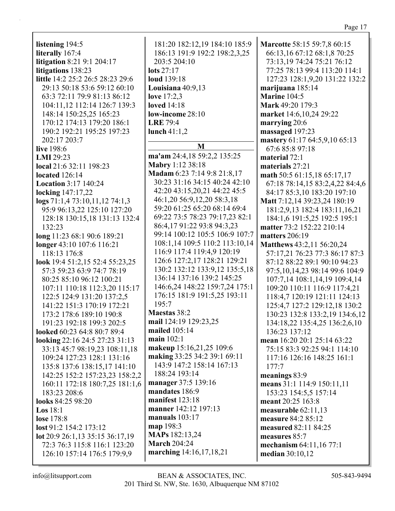### Page 17

listening 194:5 literally 167:4 litigation 8:21 9:1 204:17 litigations 138:23 little 14:2 25:2 26:5 28:23 29:6 29:13 50:18 53:6 59:12 60:10 63:3 72:11 79:9 81:13 86:12 104:11.12 112:14 126:7 139:3 148:14 150:25.25 165:23 170:12 174:13 179:20 186:1 190:2 192:21 195:25 197:23 202:17 203:7 **live** 198:6 LMI 29:23 local 21:6 32:11 198:23 located  $126:14$ **Location 3:17 140:24** locking 147:17,22  $\log s$  71:1,4 73:10,11,12 74:1,3 95:9 96:13,22 125:10 127:20 128:18 130:15,18 131:13 132:4 132:23 long 11:23 68:1 90:6 189:21 longer 43:10 107:6 116:21 118:13 176:8 look 19:4 51:2,15 52:4 55:23,25 57:3 59:23 63:9 74:7 78:19 80:25 85:10 96:12 100:21 107:11 110:18 112:3,20 115:17 122:5 124:9 131:20 137:2,5 141:22 151:3 170:19 172:21 173:2 178:6 189:10 190:8 191:23 192:18 199:3 202:5 looked 60:23 64:8 80:7 89:4 looking 22:16 24:5 27:23 31:13 33:13 45:7 98:19.23 108:11.18 109:24 127:23 128:1 131:16 135:8 137:6 138:15,17 141:10 142:25 152:2 157:23,23 158:2,2 160:11 172:18 180:7,25 181:1,6 183:23 208:6 looks 84:25 98:20  $\text{Los } 18:1$ **lose** 178:8  $\text{lost } 91:2 154:2 173:12$ lot 20:9 26:1,13 35:15 36:17,19 72:3 76:3 115:8 116:1 123:20 126:10 157:14 176:5 179:9,9

181:20 182:12,19 184:10 185:9 186:13 191:9 192:2 198:2,3,25 203:5 204:10 lots  $27:17$ **loud** 139:18 Louisiana  $40:9,13$ love  $17:2.3$ **loved** 14:18 low-income 28:10 **LRE 79:4** lunch  $41:1,2$ M ma'am 24:4,18 59:2,2 135:25 Mabry 1:12 38:18 Madam 6:23 7:14 9:8 21:8,17 30:23 31:16 34:15 40:24 42:10 42:20 43:15,20,21 44:22 45:5 46:1,20 56:9,12,20 58:3,18 59:20 61:25 65:20 68:14 69:4 69:22 73:5 78:23 79:17,23 82:1 86:4,17 91:22 93:8 94:3,23 99:14 100:12 105:5 106:9 107:7 108:1,14 109:5 110:2 113:10,14 116:9 117:4 119:4,9 120:19 126:6 127:2.17 128:21 129:21 130:2 132:12 133:9,12 135:5,18 136:14 137:16 139:2 145:25 146:6,24 148:22 159:7,24 175:1 176:15 181:9 191:5,25 193:11  $195:7$ Maestas 38:2 mail 124:19 129:23,25 mailed 105:14 main  $102:1$ makeup 15:16,21,25 109:6 making 33:25 34:2 39:1 69:11 143:9 147:2 158:14 167:13 188:24 193:14 manager 37:5 139:16 mandates 186:9 manifest  $123:18$ manner 142:12 197:13 manuals  $103:17$ map 198:3 **MAPs** 182:13,24 **March 204:24** marching 14:16,17,18,21

**Marcotte 58:15 59:7,8 60:15** 66:13,16 67:12 68:1,8 70:25 73:13,19 74:24 75:21 76:12 77:25 78:13 99:4 113:20 114:1 127:23 128:1,9,20 131:22 132:2 marijuana 185:14 Marine 104:5 Mark 49:20 179:3 market 14:6,10,24 29:22 marrying  $20:6$ massaged 197:23 mastery 61:17 64:5,9,10 65:13 67:685:897:18 material  $72:1$ materials 27:21 math 50:5 61:15,18 65:17,17 67:18 78:14,15 83:2,4,22 84:4,6 84:17 85:3.10 183:20 197:10 Matt 7:12,14 39:23,24 180:19 181:2,9,13 182:4 183:11,16,21 184:1,6 191:5,25 192:5 195:1 matter 73:2 152:22 210:14 matters  $206:19$ Matthews 43:2,11 56:20,24 57:17.21 76:23 77:3 86:17 87:3 87:12 88:22 89:1 90:10 94:23 97:5, 10, 14, 23 98: 14 99: 6 104: 9 107:7,14 108:1,14,19 109:4,14 109:20 110:11 116:9 117:4,21 118:4,7 120:19 121:11 124:13 125:4,7 127:2 129:12,18 130:2 130:23 132:8 133:2,19 134:6,12 134:18,22 135:4,25 136:2,6,10 136:23 137:12 mean 16:20 20:1 25:14 63:22 75:15 83:3 92:25 94:1 114:10 117:16 126:16 148:25 161:1  $177:7$ meanings 83:9 means 31:1 114:9 150:11,11 153:23 154:5,5 157:14 meant 20:25 163:8 measurable  $62:11.13$ measure 84:2 85:12 measured 82:11 84:25 measures 85:7 mechanism 64:11,16 77:1 median 30:10,12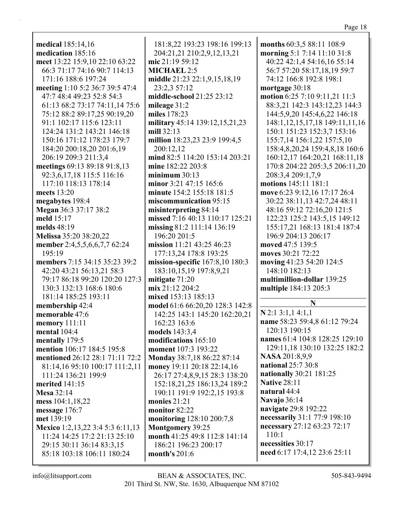**medical** 185:14,16 **medication** 185:16 **meet** 13:22 15:9,10 22:10 63:22 66:3 71:17 74:16 90:7 114:13 171:16 188:6 197:24 **meeting** 1:10 5:2 36:7 39:5 47:4 47:7 48:4 49:23 52:8 54:3 61:13 68:2 73:17 74:11,14 75:6 75:12 88:2 89:17,25 90:19,20 91:1 102:17 115:6 123:11 124:24 131:2 143:21 146:18 150:16 171:12 178:23 179:7 184:20 200:18,20 201:6,19 206:19 209:3 211:3,4 **meetings** 69:13 89:18 91:8,13 92:3,6,17,18 115:5 116:16 117:10 118:13 178:14 **meets** 13:20 **megabytes** 198:4 **Megan** 36:3 37:17 38:2 **meld** 15:17 **melds** 48:19 **Melissa** 35:20 38:20,22 **member** 2:4,5,5,6,6,7,7 62:24 195:19 **members** 7:15 34:15 35:23 39:2 42:20 43:21 56:13,21 58:3 79:17 86:18 99:20 120:20 127:3 130:3 132:13 168:6 180:6 181:14 185:25 193:11 **membership** 42:4 **memorable** 47:6 **memory** 111:11 **mental** 104:4 **mentally** 179:5 **mention** 106:17 184:5 195:8 **mentioned** 26:12 28:1 71:11 72:2 81:14,16 95:10 100:17 111:2,11 111:24 136:21 199:9 **merited** 141:15 **Mesa** 32:14 **mess** 104:1,18,22 **message** 176:7 **met** 139:19 **Mexico** 1:2,13,22 3:4 5:3 6:11,13 11:24 14:25 17:2 21:13 25:10 29:15 30:11 36:14 83:3,15 85:18 103:18 106:11 180:24

181:8,22 193:23 198:16 199:13 204:21,21 210:2,9,12,13,21 **mic** 21:19 59:12 **MICHAEL** 2:5 **middle** 21:23 22:1,9,15,18,19 23:2,3 57:12 **middle-school** 21:25 23:12 **mileage** 31:2 **miles** 178:23 **military** 45:14 139:12,15,21,23 **mill** 32:13 **million** 18:23,23 23:9 199:4,5 200:12,12 **mind** 82:5 114:20 153:14 203:21 **mine** 182:22 203:8 **minimum** 30:13 **minor** 3:21 47:15 165:6 **minute** 154:2 155:18 181:5 **miscommunication** 95:15 **misinterpreting** 84:14 **missed** 7:16 40:13 110:17 125:21 **missing** 81:2 111:14 136:19 196:20 201:5 **mission** 11:21 43:25 46:23 177:13,24 178:8 193:25 **mission-specific** 167:8,10 180:3 183:10,15,19 197:8,9,21 **mitigate** 71:20 **mix** 21:12 204:2 **mixed** 153:13 185:13 **model** 61:6 66:20,20 128:3 142:8 142:25 143:1 145:20 162:20,21 162:23 163:6 **models** 143:3,4 **modifications** 165:10 **moment** 107:3 193:22 **Monday** 38:7,18 86:22 87:14 **money** 19:11 20:18 22:14,16 26:17 27:4,8,9,15 28:3 138:20 152:18,21,25 186:13,24 189:2 190:11 191:9 192:2,15 193:8 **monies** 21:21 **monitor** 82:22 **monitoring** 128:10 200:7,8 **Montgomery** 39:25 **month** 41:25 49:8 112:8 141:14 186:21 196:23 200:17 **month's** 201:6

**months** 60:3,5 88:11 108:9 **morning** 5:1 7:14 11:10 31:8 40:22 42:1,4 54:16,16 55:14 56:7 57:20 58:17,18,19 59:7 74:12 166:8 192:8 198:1 **mortgage** 30:18 **motion** 6:25 7:10 9:11,21 11:3 88:3,21 142:3 143:12,23 144:3 144:5,9,20 145:4,6,22 146:18 148:1,12,15,17,18 149:11,11,16 150:1 151:23 152:3,7 153:16 155:7,14 156:1,22 157:5,10 158:4,8,20,24 159:4,8,18 160:6 160:12,17 164:20,21 168:11,18 170:8 204:22 205:3,5 206:11,20 208:3,4 209:1,7,9 **motions** 145:11 181:1 **move** 6:23 9:12,16 17:17 26:4 30:22 38:11,13 42:7,24 48:11 48:16 59:12 72:16,20 121:5 122:23 125:2 143:5,15 149:12 155:17,21 168:13 181:4 187:4 196:9 204:13 206:17 **moved** 47:5 139:5 **moves** 30:21 72:22 **moving** 41:23 54:20 124:5 148:10 182:13 **multimillion-dollar** 139:25 **multiple** 184:13 205:3 **N N** 2:1 3:1,1 4:1,1 **name** 58:23 59:4,8 61:12 79:24 120:13 190:15 **names** 61:4 104:8 128:25 129:10 129:11,18 130:10 132:25 182:2 **NASA** 201:8,9,9 **national** 25:7 30:8 **nationally** 30:21 181:25 **Native** 28:11 **natural** 44:4

**Navajo** 36:14

110:1

**necessities** 30:17

**navigate** 29:8 192:22

**necessarily** 31:1 77:9 198:10 **necessary** 27:12 63:23 72:17

**need** 6:17 17:4,12 23:6 25:11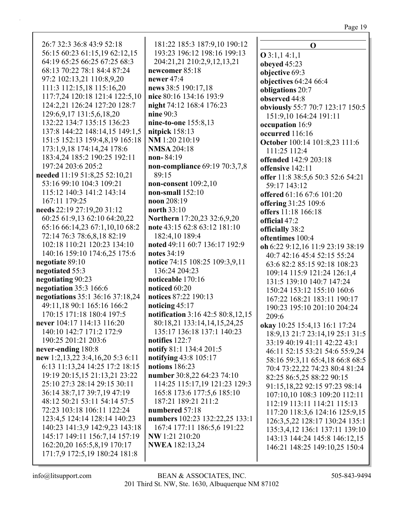| 26:7 32:3 36:8 43:9 52:18        | 181:22 185:3 187:9,10 190:12      | $\mathbf 0$                       |
|----------------------------------|-----------------------------------|-----------------------------------|
| 56:15 60:23 61:15,19 62:12,15    | 193:23 196:12 198:16 199:13       | $O$ 3:1,1 4:1,1                   |
| 64:19 65:25 66:25 67:25 68:3     | 204:21,21 210:2,9,12,13,21        | obeyed 45:23                      |
| 68:13 70:22 78:1 84:4 87:24      | newcomer 85:18                    | objective 69:3                    |
| 97:2 102:13,21 110:8,9,20        | newer 47:4                        | objectives $64:2466:4$            |
| 111:3 112:15,18 115:16,20        | news 38:5 190:17,18               | obligations 20:7                  |
| 117:7,24 120:18 121:4 122:5,10   | nice 80:16 134:16 193:9           | observed 44:8                     |
| 124:2,21 126:24 127:20 128:7     | night 74:12 168:4 176:23          | obviously 55:7 70:7 123:17 150:5  |
| 129:6, 9, 17 131:5, 6, 18, 20    | nine $90:3$                       | 151:9,10 164:24 191:11            |
| 132:22 134:7 135:15 136:23       | nine-to-one 155:8,13              | occupation 16:9                   |
| 137:8 144:22 148:14,15 149:1,5   | nitpick 158:13                    | occurred 116:16                   |
| 151:5 152:13 159:4,8,19 165:18   | NM 1:20 210:19                    | October 100:14 101:8,23 111:6     |
| 173:1,9,18 174:14,24 178:6       | <b>NMSA 204:18</b>                | 111:25 112:4                      |
| 183:4,24 185:2 190:25 192:11     | $non-84:19$                       | offended 142:9 203:18             |
| 197:24 203:6 205:2               | non-compliance 69:19 70:3,7,8     | offensive 142:11                  |
| needed 11:19 51:8,25 52:10,21    | 89:15                             | offer 11:8 38:5,6 50:3 52:6 54:21 |
| 53:16 99:10 104:3 109:21         | non-consent $109:2,10$            | 59:17 143:12                      |
| 115:12 140:3 141:2 143:14        | non-small $152:10$                | offered 61:16 67:6 101:20         |
| 167:11 179:25                    | noon 208:19                       |                                   |
| needs 22:19 27:19,20 31:12       | north $33:10$                     | offering 31:25 109:6              |
| 60:25 61:9,13 62:10 64:20,22     | Northern 17:20,23 32:6,9,20       | offers 11:18 166:18               |
| 65:16 66:14,23 67:1,10,10 68:2   | note 43:15 62:8 63:12 181:10      | official 47:2                     |
| 72:14 76:3 78:6,8,18 82:19       | 182:4,10 189:4                    | officially 38:2                   |
| 102:18 110:21 120:23 134:10      | noted 49:11 60:7 136:17 192:9     | oftentimes 100:4                  |
| 140:16 159:10 174:6,25 175:6     | notes 34:19                       | oh 6:22 9:12,16 11:9 23:19 38:19  |
| negotiate 89:10                  | notice 74:15 108:25 109:3,9,11    | 40:7 42:16 45:4 52:15 55:24       |
| negotiated 55:3                  | 136:24 204:23                     | 63:6 82:2 85:15 92:18 108:23      |
| negotiating 90:23                | noticeable 170:16                 | 109:14 115:9 121:24 126:1,4       |
| negotiation 35:3 166:6           | noticed 60:20                     | 131:5 139:10 140:7 147:24         |
| negotiations 35:1 36:16 37:18,24 | notices 87:22 190:13              | 150:24 153:12 155:10 160:6        |
| 49:11,18 90:1 165:16 166:2       | noticing 45:17                    | 167:22 168:21 183:11 190:17       |
| 170:15 171:18 180:4 197:5        | notification 3:16 42:5 80:8,12,15 | 190:23 195:10 201:10 204:24       |
| never 104:17 114:13 116:20       | 80:18,21 133:14,14,15,24,25       | 209:6                             |
| 140:10 142:7 171:2 172:9         | 135:17 136:18 137:1 140:23        | okay 10:25 15:4,13 16:1 17:24     |
| 190:25 201:21 203:6              | notifies 122:7                    | 18:9, 13 21:7 23:14, 19 25:1 31:5 |
| never-ending 180:8               | notify 81:1 134:4 201:5           | 33:19 40:19 41:11 42:22 43:1      |
| new 1:2,13,22 3:4,16,20 5:3 6:11 | notifying 43:8 105:17             | 46:11 52:15 53:21 54:6 55:9,24    |
| 6:13 11:13,24 14:25 17:2 18:15   | notions 186:23                    | 58:16 59:3,11 65:4,18 66:8 68:5   |
| 19:19 20:15,15 21:13,21 23:22    | number 30:8,22 64:23 74:10        | 70:4 73:22,22 74:23 80:4 81:24    |
| 25:10 27:3 28:14 29:15 30:11     | 114:25 115:17,19 121:23 129:3     | 82:25 86:5,25 88:22 90:15         |
| 36:14 38:7,17 39:7,19 47:19      | 165:8 173:6 177:5,6 185:10        | 91:15, 18, 22 92:15 97:23 98:14   |
| 48:12 50:21 53:11 54:14 57:5     | 187:21 189:21 211:2               | 107:10,10 108:3 109:20 112:11     |
| 72:23 103:18 106:11 122:24       | numbered 57:18                    | 112:19 113:11 114:21 115:13       |
| 123:4,5 124:14 128:14 140:23     |                                   | 117:20 118:3,6 124:16 125:9,15    |
|                                  | numbers 102:23 132:22,25 133:1    | 126:3,5,22 128:17 130:24 135:1    |
| 140:23 141:3,9 142:9,23 143:18   | 167:4 177:11 186:5,6 191:22       | 135:3,4,12 136:1 137:11 139:10    |
| 145:17 149:11 156:7,14 157:19    | NW 1:21 210:20                    | 143:13 144:24 145:8 146:12,15     |
| 162:20,20 165:5,8,19 170:17      | <b>NWEA</b> 182:13,24             | 146:21 148:25 149:10,25 150:4     |
| 171:7,9 172:5,19 180:24 181:8    |                                   |                                   |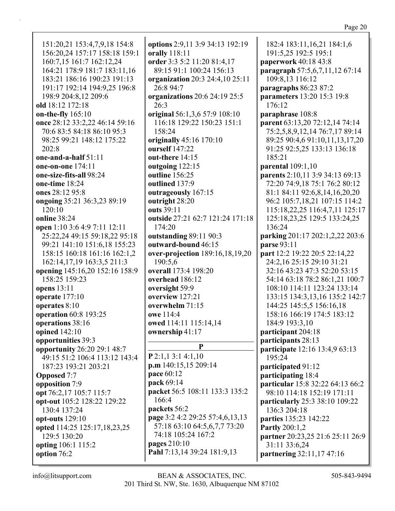182:4 183:11, 16, 21 184:1, 6 191:5,25 192:5 195:1 paperwork 40:18 43:8 paragraph 57:5,6,7,11,12 67:14 109:8.13 116:12 paragraphs 86:23 87:2 **parameters** 13:20 15:3 19:8 176:12 paraphrase 108:8 parent 63:13,20 72:12,14 74:14 75:2,5,8,9,12,14 76:7,17 89:14 89:25 90:4,6 91:10,11,13,17,20 91:25 92:5,25 133:13 136:18 185:21 **parental** 109:1,10 **parents** 2:10,11 3:9 34:13 69:13 72:20 74:9,18 75:1 76:2 80:12 81:1 84:11 92:6.8.14.16.20.20 96:2 105:7,18,21 107:15 114:2 115:18,22,25 116:4,7,11 125:17 125:18,23,25 129:5 133:24,25 136:24 parking 201:17 202:1,2,22 203:6 **parse** 93:11 **part** 12:2 19:22 20:5 22:14.22 24:2,16 25:15 29:10 31:21 32:16 43:23 47:3 52:20 53:15 54:14 63:18 78:2 86:1,21 100:7 108:10 114:11 123:24 133:14 133:15 134:3,13,16 135:2 142:7 144:25 145:5,5 156:16,18 158:16 166:19 174:5 183:12 184:9 193:3,10 participant 204:18 participants 28:13 participate 12:16 13:4,9 63:13 195:24 participated 91:12 participating 18:4 particular 15:8 32:22 64:13 66:2 98:10 114:18 152:19 171:11 particularly 25:3 38:10 109:22 136:3 204:18 parties 135:23 142:22 **Partly** 200:1,2 partner 20:23,25 21:6 25:11 26:9 31:11 33:6,24 Pahl 7:13,14 39:24 181:9,13 partnering 32:11,17 47:16

151:20,21 153:4,7,9,18 154:8 156:20,24 157:17 158:18 159:1 160:7,15 161:7 162:12,24 164:21 178:9 181:7 183:11,16 183:21 186:16 190:23 191:13 191:17 192:14 194:9,25 196:8 198:9 204:8.12 209:6 old  $18:12$  172:18 on-the-fly 165:10 once 28:12 33:2,22 46:14 59:16 70:6 83:5 84:18 86:10 95:3 98:25 99:21 148:12 175:22  $202:8$ one-and-a-half  $51:11$ one-on-one  $174:11$ one-size-fits-all 98:24 one-time 18:24 ones 28:12 95:8 ongoing 35:21 36:3,23 89:19 120:10 online  $38:24$ open 1:10 3:6 4:9 7:11 12:11 25:22,24 49:15 59:18,22 95:18 99:21 141:10 151:6,18 155:23 158:15 160:18 161:16 162:1.2 162:14,17,19 163:3,5 211:3 opening 145:16,20 152:16 158:9 158:25 159:23 **opens** 13:11 operate  $177:10$ operates 8:10 operation 60:8 193:25 operations 38:16 opined 142:10 opportunities 39:3 opportunity 26:20 29:1 48:7 49:15 51:2 106:4 113:12 143:4 187:23 193:21 203:21 **Opposed** 7:7 opposition 7:9 opt 76:2,17 105:7 115:7 opt-out 105:2 128:22 129:22 130:4 137:24 opt-outs 129:10 opted 114:25 125:17,18,23,25 129:5 130:20 opting 106:1 115:2 option 76:2

options 2:9,11 3:9 34:13 192:19 orally 118:11 order 3:3 5:2 11:20 81:4.17 89:15 91:1 100:24 156:13 organization 20:3 24:4,10 25:11 26:8 94:7 organizations  $20:6$  24:19 25:5 26:3 original 56:1,3,6 57:9 108:10 116:18 129:22 150:23 151:1 158:24 originally 45:16 170:10 ourself 147:22 out-there  $14:15$ outgoing 122:15 outline 156:25 outlined 137:9 outrageously 167:15 outright 28:20 outs 39:11 outside 27:21 62:7 121:24 171:18 174:20 outstanding 89:11 90:3 outward-bound 46:15 over-projection 189:16,18,19,20 190:5.6 **overall** 173:4 198:20 overhead 186:12 oversight 59:9 overview 127:21 overwhelm  $71:15$ owe 114:4 owed 114:11 115:14,14 ownership 41:17 P  $P$  2:1,1 3:1 4:1,10 p.m 140:15,15 209:14 **pace** 60:12 pack 69:14 packet 56:5 108:11 133:3 135:2  $166:4$ packets 56:2 page 3:2 4:2 29:25 57:4,6,13,13 57:18 63:10 64:5,6,7,7 73:20 74:18 105:24 167:2 pages 210:10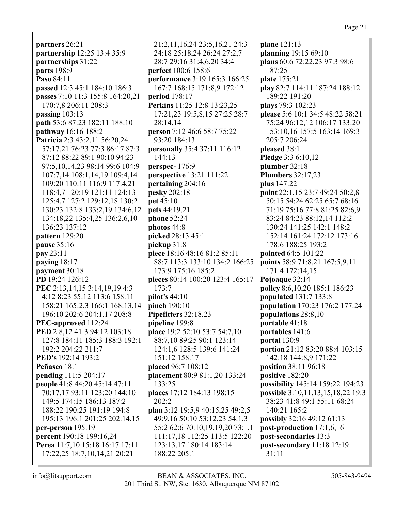| partners 26:21                       | 21:2,11,16,24 23:5,16,21 24:3    | plane 121:13                      |
|--------------------------------------|----------------------------------|-----------------------------------|
| partnership 12:25 13:4 35:9          | 24:18 25:18,24 26:24 27:2,7      | planning 19:15 69:10              |
| partnerships 31:22                   | 28:7 29:16 31:4,6,20 34:4        | plans 60:6 72:22,23 97:3 98:6     |
| parts 198:9                          | perfect 100:6 158:6              | 187:25                            |
| Paso 84:11                           | performance 3:19 165:3 166:25    | plate 175:21                      |
| passed 12:3 45:1 184:10 186:3        | 167:7 168:15 171:8,9 172:12      | play 82:7 114:11 187:24 188:12    |
| passes 7:10 11:3 155:8 164:20,21     | period 178:17                    | 189:22 191:20                     |
| 170:7,8 206:11 208:3                 | Perkins 11:25 12:8 13:23,25      | plays 79:3 102:23                 |
| passing 103:13                       | 17:21,23 19:5,8,15 27:25 28:7    | please 5:6 10:1 34:5 48:22 58:21  |
| path 53:6 87:23 182:11 188:10        | 28:14,14                         | 75:24 96:12,12 106:17 133:20      |
| pathway 16:16 188:21                 | person 7:12 46:6 58:7 75:22      | 153:10,16 157:5 163:14 169:3      |
| Patricia 2:3 43:2,11 56:20,24        | 93:20 184:13                     | 205:7 206:24                      |
| 57:17,21 76:23 77:3 86:17 87:3       | personally 35:4 37:11 116:12     | pleased 38:1                      |
| 87:12 88:22 89:1 90:10 94:23         | 144:13                           | Pledge 3:3 6:10,12                |
| 97:5, 10, 14, 23 98: 14 99: 6 104: 9 | perspec-176:9                    | plumber 32:18                     |
| 107:7,14 108:1,14,19 109:4,14        | <b>perspective</b> 13:21 111:22  | <b>Plumbers</b> 32:17,23          |
| 109:20 110:11 116:9 117:4,21         | pertaining 204:16                | plus 147:22                       |
| 118:4,7 120:19 121:11 124:13         | pesky 202:18                     | point 22:1,15 23:7 49:24 50:2,8   |
| 125:4,7 127:2 129:12,18 130:2        | pet 45:10                        | 50:15 54:24 62:25 65:7 68:16      |
| 130:23 132:8 133:2,19 134:6,12       | pets 44:19,21                    | 71:19 75:16 77:8 81:25 82:6,9     |
| 134:18,22 135:4,25 136:2,6,10        | phone 52:24                      | 83:24 84:23 88:12,14 112:2        |
| 136:23 137:12                        | photos 44:8                      | 130:24 141:25 142:1 148:2         |
| pattern 129:20                       | picked 28:13 45:1                | 152:14 161:24 172:12 173:16       |
| pause 35:16                          | pickup 31:8                      | 178:6 188:25 193:2                |
| pay 23:11                            | piece 18:16 48:16 81:2 85:11     | pointed 64:5 101:22               |
| paying 18:17                         | 88:7 113:3 133:10 134:2 166:25   | points 58:9 71:8,21 167:5,9,11    |
| payment 30:18                        | 173:9 175:16 185:2               | 171:4 172:14,15                   |
| PD 19:24 126:12                      | pieces 80:14 100:20 123:4 165:17 | Pojoaque 32:14                    |
| PEC 2:13,14,15 3:14,19,19 4:3        | 173:7                            | policy 8:6,10,20 185:1 186:23     |
| 4:12 8:23 55:12 113:6 158:11         | pilot's 44:10                    | populated 131:7 133:8             |
| 158:21 165:2,3 166:1 168:13,14       | pinch 190:10                     | population 170:23 176:2 177:24    |
| 196:10 202:6 204:1,17 208:8          | Pipefitters 32:18,23             | populations 28:8,10               |
| PEC-approved 112:24                  | pipeline 199:8                   | portable 41:18                    |
| PED 2:8,12 41:3 94:12 103:18         | place 19:2 52:10 53:7 54:7,10    | portables 141:6                   |
| 127:8 184:11 185:3 188:3 192:1       | 88:7,10 89:25 90:1 123:14        | portal 130:9                      |
| 192:2 204:22 211:7                   | 124:1,6 128:5 139:6 141:24       | portion 21:12 83:20 88:4 103:15   |
| <b>PED's</b> 192:14 193:2            | 151:12 158:17                    | 142:18 144:8,9 171:22             |
| Peñasco 18:1                         | placed 96:7 108:12               | position 38:11 96:18              |
| pending 111:5 204:17                 | placement 80:9 81:1,20 133:24    | positive 182:20                   |
| people 41:8 44:20 45:14 47:11        | 133:25                           | possibility 145:14 159:22 194:23  |
| 70:17,17 93:11 123:20 144:10         | places 17:12 184:13 198:15       | possible 3:10,11,13,15,18,22 19:3 |
| 149:5 174:15 186:13 187:2            | 202:2                            | 38:23 41:8 49:1 55:11 68:24       |
| 188:22 190:25 191:19 194:8           | plan 3:12 19:5,9 40:15,25 49:2,5 | 140:21 165:2                      |
| 195:13 196:1 201:25 202:14,15        | 49:9,16 50:10 53:12,23 54:1,3    | possibly 32:16 49:12 61:13        |
| per-person 195:19                    | 55:2 62:6 70:10,19,19,20 73:1,1  | post-production 17:1,6,16         |
| percent 190:18 199:16,24             | 111:17,18 112:25 113:5 122:20    | post-secondaries 13:3             |
| Perea 11:7,10 15:18 16:17 17:11      | 123:13,17 180:14 183:14          | post-secondary 11:18 12:19        |
| 17:22,25 18:7,10,14,21 20:21         | 188:22 205:1                     | 31:11                             |
|                                      |                                  |                                   |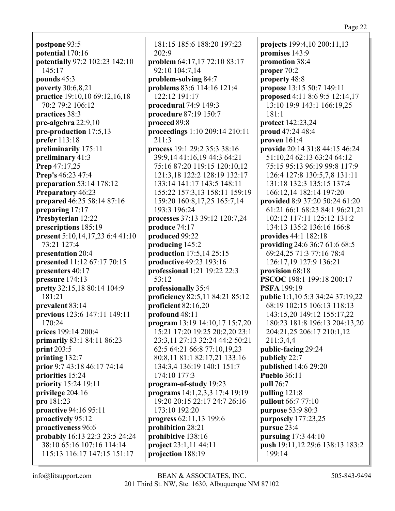Page 22

**postpone** 93:5 **potential** 170:16 **potentially** 97:2 102:23 142:10 145:17 **pounds** 45:3 **poverty** 30:6,8,21 **practice** 19:10,10 69:12,16,18 70:2 79:2 106:12 **practices** 38:3 **pre-algebra** 22:9,10 **pre-production** 17:5,13 **prefer** 113:18 **preliminarily** 175:11 **preliminary** 41:3 **Prep** 47:17,25 **Prep's** 46:23 47:4 **preparation** 53:14 178:12 **Preparatory** 46:23 **prepared** 46:25 58:14 87:16 **preparing** 17:17 **Presbyterian** 12:22 **prescriptions** 185:19 **present** 5:10,14,17,23 6:4 41:10 73:21 127:4 **presentation** 20:4 **presented** 11:12 67:17 70:15 **presenters** 40:17 **pressure** 174:13 **pretty** 32:15,18 80:14 104:9 181:21 **prevalent** 83:14 **previous** 123:6 147:11 149:11 170:24 **prices** 199:14 200:4 **primarily** 83:1 84:11 86:23 **print** 203:5 **printing** 132:7 **prior** 9:7 43:18 46:17 74:14 **priorities** 15:24 **priority** 15:24 19:11 **privilege** 204:16 **pro** 181:23 **proactive** 94:16 95:11 **proactively** 95:12 **proactiveness** 96:6 **probably** 16:13 22:3 23:5 24:24 38:10 65:16 107:16 114:14 115:13 116:17 147:15 151:17

181:15 185:6 188:20 197:23 202:9 **problem** 64:17,17 72:10 83:17 92:10 104:7,14 **problem-solving** 84:7 **problems** 83:6 114:16 121:4 122:12 191:17 **procedural** 74:9 149:3 **procedure** 87:19 150:7 **proceed** 89:8 **proceedings** 1:10 209:14 210:11 211:3 **process** 19:1 29:2 35:3 38:16 39:9,14 41:16,19 44:3 64:21 75:16 87:20 119:15 120:10,12 121:3,18 122:2 128:19 132:17 133:14 141:17 143:5 148:11 155:22 157:3,13 158:11 159:19 159:20 160:8,17,25 165:7,14 193:3 196:24 **processes** 37:13 39:12 120:7,24 **produce** 74:17 **produced** 99:22 **producing** 145:2 **production** 17:5,14 25:15 **productive** 49:23 193:16 **professional** 1:21 19:22 22:3 53:12 **professionally** 35:4 **proficiency** 82:5,11 84:21 85:12 **proficient** 82:16,20 **profound** 48:11 **program** 13:19 14:10,17 15:7,20 15:21 17:20 19:25 20:2,20 23:1 23:3,11 27:13 32:24 44:2 50:21 62:5 64:21 66:8 77:10,19,23 80:8,11 81:1 82:17,21 133:16 134:3,4 136:19 140:1 151:7 174:10 177:3 **program-of-study** 19:23 **programs** 14:1,2,3,3 17:4 19:19 19:20 20:15 22:17 24:7 26:16 173:10 192:20 **progress** 62:11,13 199:6 **prohibition** 28:21 **prohibitive** 138:16 **project** 23:1,11 44:11 **projection** 188:19

**projects** 199:4,10 200:11,13 **promises** 143:9 **promotion** 38:4 **proper** 70:2 **property** 48:8 **propose** 13:15 50:7 149:11 **proposed** 4:11 8:6 9:5 12:14,17 13:10 19:9 143:1 166:19,25 181:1 **protect** 142:23,24 **proud** 47:24 48:4 **proven** 161:4 **provide** 20:14 31:8 44:15 46:24 51:10,24 62:13 63:24 64:12 75:15 95:13 96:19 99:8 117:9 126:4 127:8 130:5,7,8 131:11 131:18 132:3 135:15 137:4 166:12,14 182:14 197:20 **provided** 8:9 37:20 50:24 61:20 61:21 66:1 68:23 84:1 96:21,21 102:12 117:11 125:12 131:2 134:13 135:2 136:16 166:8 **provides** 44:1 182:18 **providing** 24:6 36:7 61:6 68:5 69:24,25 71:3 77:16 78:4 126:17,19 127:9 136:21 **provision** 68:18 **PSCOC** 198:1 199:18 200:17 **PSFA** 199:19 **public** 1:1,10 5:3 34:24 37:19,22 68:19 102:15 106:13 118:13 143:15,20 149:12 155:17,22 180:23 181:8 196:13 204:13,20 204:21,25 206:17 210:1,12 211:3,4,4 **public-facing** 29:24 **publicly** 22:7 **published** 14:6 29:20 **Pueblo** 36:11 **pull** 76:7 **pulling** 121:8 **pullout** 66:7 77:10 **purpose** 53:9 80:3 **purposely** 177:23,25 **pursue** 23:4 **pursuing** 17:3 44:10 **push** 19:11,12 29:6 138:13 183:2 199:14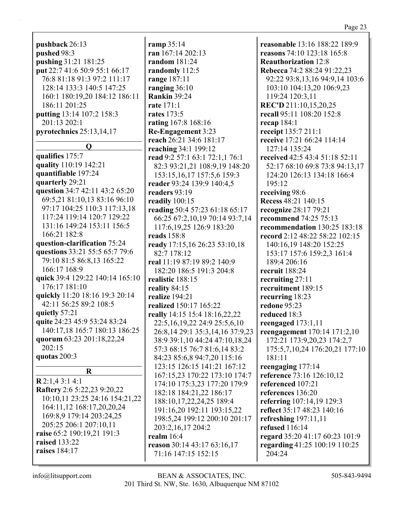| $32.4$ $10.1$ |  |
|---------------|--|
|               |  |

Page 23

**pushback** 26:13 **pushed** 98:3 **pushing** 31:21 181:25 **put** 22:7 41:6 50:9 55:1 66:17 76:8 81:18 91:3 97:2 111:17 128:14 133:3 140:5 147:25 160:1 180:19,20 184:12 186:11 186:11 201:25 **putting** 13:14 107:2 158:3 201:13 202:1 **pyrotechnics** 25:13,14,17

## **Q**

**qualifies** 175:7 **quality** 110:19 142:21 **quantifiable** 197:24 **quarterly** 29:21 **question** 34:7 42:11 43:2 65:20 69:5,21 81:10,13 83:16 96:10 97:17 104:25 110:3 117:13,18 117:24 119:14 120:7 129:22 131:16 149:24 153:11 156:5 166:21 182:8 **question-clarification** 75:24 **questions** 33:21 55:5 65:7 79:6 79:10 81:5 86:8,13 165:22 166:17 168:9 **quick** 39:4 129:22 140:14 165:10 176:17 181:10 **quickly** 11:20 18:16 19:3 20:14 42:11 56:25 89:2 108:5 **quietly** 57:21 **quite** 24:23 45:9 53:24 83:24 140:17,18 165:7 180:13 186:25 **quorum** 63:23 201:18,22,24 202:15 **quotas** 200:3 **R R** 2:1,4 3:1 4:1 **Raftery** 2:6 5:22,23 9:20,22 10:10,11 23:25 24:16 154:21,22 164:11,12 168:17,20,20,24 169:8,9 179:14 203:24,25 205:25 206:1 207:10,11 **raise** 65:2 190:19,21 191:3

**ramp** 35:14 **ran** 167:14 202:13 **random** 181:24 **randomly** 112:5 **range** 187:11 **ranging** 36:10 **Rankin** 39:24 **rate** 171:1 **rates** 173:5 **rating** 167:8 168:16 **Re-Engagement** 3:23 **reach** 26:21 34:6 181:17 **reaching** 34:1 199:12 **read** 9:2 57:1 63:1 72:1,1 76:1 82:3 93:21,21 108:9,19 148:20 153:15,16,17 157:5,6 159:3 **reader** 93:24 139:9 140:4,5 **readers** 93:19 **readily** 100:15 **reading** 50:4 57:23 61:18 65:17 66:25 67:2,10,19 70:14 93:7,14 117:6,19,25 126:9 183:20 **reads** 158:8 **ready** 17:15,16 26:23 53:10,18 82:7 178:12 **real** 11:19 87:19 89:2 140:9 182:20 186:5 191:3 204:8 **realistic** 188:15 **reality** 84:15 **realize** 194:21 **realized** 150:17 165:22 **really** 14:15 15:4 18:16,22,22 22:5,16,19,22 24:9 25:5,6,10 26:8,14 29:1 35:3,14,16 37:9,23 38:9 39:1,10 44:24 47:10,18,24 57:3 68:15 76:7 81:6,14 83:2 84:23 85:6,8 94:7,20 115:16 123:15 126:15 141:21 167:12 167:15,23 170:22 173:10 174:7 174:10 175:3,23 177:20 179:9 182:18 184:21,22 186:17 188:10,17,22,24,25 189:4 191:16,20 192:11 193:15,22 198:5,24 199:12 200:10 201:17 203:2,16,17 204:2 **realm** 16:4 **reason** 30:14 43:17 63:16,17 71:16 147:15 152:15

**reasonable** 13:16 188:22 189:9 **reasons** 74:10 123:18 165:8 **Reauthorization** 12:8 **Rebecca** 74:2 88:24 91:22,23 92:22 93:8,13,16 94:9,14 103:6 103:10 104:13,20 106:9,23 119:24 120:3,11 **REC'D** 211:10,15,20,25 **recall** 95:11 108:20 152:8 **recap** 184:1 **receipt** 135:7 211:1 **receive** 17:21 66:24 114:14 127:14 135:24 **received** 42:5 43:4 51:18 52:11 52:17 68:10 69:8 73:8 94:13,17 124:20 126:13 134:18 166:4 195:12 **receiving** 98:6 **Recess** 48:21 140:15 **recognize** 28:17 79:21 **recommend** 74:25 75:13 **recommendation** 130:25 183:18 **record** 2:12 48:22 58:22 102:15 140:16,19 148:20 152:25 153:17 157:6 159:2,3 161:4 189:4 206:16 **recruit** 188:24 **recruiting** 27:11 **recruitment** 189:15 **recurring** 18:23 **redone** 95:23 **reduced** 18:3 **reengaged** 173:1,11 **reengagement** 170:14 171:2,10 172:21 173:9,20,23 174:2,7 175:5,7,10,24 176:20,21 177:10 181:11 **reengaging** 177:14 **reference** 73:16 126:10,12 **referenced** 107:21 **references** 136:20 **referring** 107:14,19 129:3 **reflect** 35:17 48:23 140:16 **refreshing** 197:11,11 **refused** 116:14 **regard** 35:20 41:17 60:23 101:9 **regarding** 41:25 100:19 110:25 204:24

**raised** 133:22 **raises** 184:17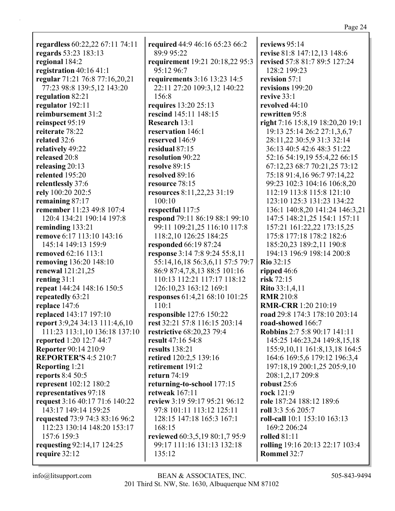## Page 24

| regardless 60:22,22 67:11 74:11 | required 44:9 46:16 65:23 66:2      | reviews $95:14$                                    |
|---------------------------------|-------------------------------------|----------------------------------------------------|
| regards 53:23 183:13            | 89:9 95:22                          | revise 81:8 147:12,13 148:6                        |
| regional 184:2                  | requirement 19:21 20:18,22 95:3     | revised 57:8 81:7 89:5 127:24                      |
| registration 40:16 41:1         | 95:12 96:7                          | 128:2 199:23                                       |
| regular 71:21 76:8 77:16,20,21  | requirements 3:16 13:23 14:5        | revision 57:1                                      |
| 77:23 98:8 139:5,12 143:20      | 22:11 27:20 109:3,12 140:22         | revisions 199:20                                   |
| regulation 82:21                | 156:8                               | revive $33:1$                                      |
| regulator 192:11                | requires 13:20 25:13                | revolved 44:10                                     |
| reimbursement 31:2              | rescind 145:11 148:15               | rewritten 95:8                                     |
| reinspect 95:19                 | <b>Research 13:1</b>                | right 7:16 15:8,19 18:20,20 19:1                   |
| reiterate 78:22                 | reservation 146:1                   | 19:13 25:14 26:2 27:1,3,6,7                        |
| related 32:6                    | reserved 146:9                      | 28:11,22 30:5,9 31:3 32:14                         |
| relatively 49:22                | residual 87:15                      | 36:13 40:5 42:6 48:3 51:22                         |
| released 20:8                   | resolution 90:22                    | 52:16 54:19,19 55:4,22 66:15                       |
| releasing 20:13                 | resolve 89:15                       | 67:12,23 68:7 70:21,25 73:12                       |
| relented 195:20                 | resolved 89:16                      | 75:18 91:4,16 96:7 97:14,22                        |
| relentlessly 37:6               | resource 78:15                      | 99:23 102:3 104:16 106:8,20                        |
| rely 100:20 202:5               | resources 8:11,22,23 31:19          | 112:19 113:8 115:8 121:10                          |
| remaining 87:17                 | 100:10                              | 123:10 125:3 131:23 134:22                         |
| remember 11:23 49:8 107:4       | respectful 117:5                    | 136:1 140:8,20 141:24 146:3,21                     |
| 120:4 134:21 190:14 197:8       | respond 79:11 86:19 88:1 99:10      | 147:5 148:21,25 154:1 157:11                       |
| reminding 133:21                | 99:11 109:21,25 116:10 117:8        | 157:21 161:22,22 173:15,25                         |
| remove 6:17 113:10 143:16       | 118:2,10 126:25 184:25              | 175:8 177:18 178:2 182:6                           |
| 145:14 149:13 159:9             | responded 66:19 87:24               | 185:20,23 189:2,11 190:8                           |
| <b>removed</b> 62:16 113:1      | response 3:14 7:8 9:24 55:8,11      | 194:13 196:9 198:14 200:8                          |
| removing 136:20 148:10          | 55:14,16,18 56:3,6,11 57:5 79:7     | <b>Rio 32:15</b>                                   |
| <b>renewal</b> 121:21,25        | 86:9 87:4,7,8,13 88:5 101:16        | ripped $46:6$                                      |
| renting $31:1$                  | 110:13 112:21 117:17 118:12         | risk $72:15$                                       |
| repeat 144:24 148:16 150:5      | 126:10,23 163:12 169:1              | <b>Rito</b> 33:1,4,11                              |
| repeatedly 63:21                | responses 61:4,21 68:10 101:25      | <b>RMR</b> 210:8                                   |
| replace 147:6                   | 110:1                               | <b>RMR-CRR</b> 1:20 210:19                         |
| replaced 143:17 197:10          | responsible 127:6 150:22            | road 29:8 174:3 178:10 203:14                      |
| report 3:9,24 34:13 111:4,6,10  | rest 32:21 57:8 116:15 203:14       | road-showed 166:7                                  |
| 111:23 113:1,10 136:18 137:10   | restrictive 68:20,23 79:4           | <b>Robbins 2:7 5:8 90:17 141:11</b>                |
| reported 1:20 12:7 44:7         | result 47:16 54:8                   | 145:25 146:23,24 149:8,15,18                       |
| <b>Reporter 90:14 210:9</b>     | results 138:21                      | 155:9, 10, 11 161:8, 13, 18 164:5                  |
| <b>REPORTER'S 4:5 210:7</b>     | retired 120:2,5 139:16              | 164:6 169:5,6 179:12 196:3,4                       |
| Reporting 1:21                  | retirement 191:2                    | 197:18,19 200:1,25 205:9,10                        |
| <b>reports</b> 8:4 50:5         | return $74:19$                      | 208:1,2,17 209:8                                   |
| represent 102:12 180:2          | returning-to-school 177:15          | robust 25:6                                        |
| representatives 97:18           | retweak $167:11$                    | rock 121:9                                         |
| request 3:16 40:17 71:6 140:22  | review 3:19 59:17 95:21 96:12       | role 187:24 188:12 189:6                           |
|                                 |                                     |                                                    |
| 143:17 149:14 159:25            | 97:8 101:11 113:12 125:11           | roll 3:3 5:6 205:7<br>roll-call 10:1 153:10 163:13 |
| requested 73:9 74:3 83:16 96:2  | 128:15 147:18 165:3 167:1<br>168:15 |                                                    |
| 112:23 130:14 148:20 153:17     |                                     | 169:2 206:24                                       |
| 157:6 159:3                     | reviewed 60:3,5,19 80:1,7 95:9      | <b>rolled</b> 81:11                                |
| requesting 92:14,17 124:25      | 99:17 111:16 131:13 132:18          | rolling 19:16 20:13 22:17 103:4                    |
| require 32:12                   | 135:12                              | Rommel 32:7                                        |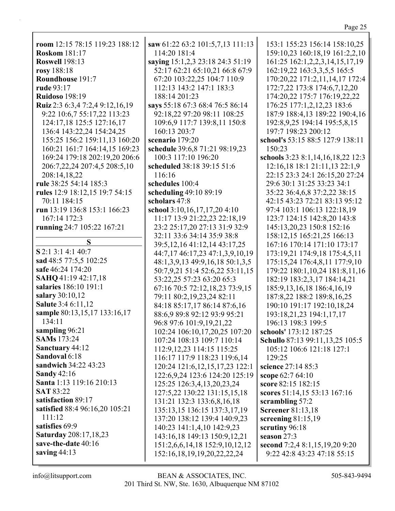| ۰, |  |
|----|--|
|    |  |

| room 12:15 78:15 119:23 188:12                             | saw $61:2$         |
|------------------------------------------------------------|--------------------|
| <b>Roskom</b> 181:17                                       | 114:20             |
| <b>Roswell 198:13</b>                                      | saying 1:          |
| rosy 188:18                                                | 52:176             |
| Roundhouse 191:7                                           | 67:20 1            |
| rude 93:17                                                 | 112:13             |
| <b>Ruidoso</b> 198:19                                      | 188:14             |
| Ruiz 2:3 6:3,4 7:2,4 9:12,16,19                            | says $55:1$        |
| 9:22 10:6,7 55:17,22 113:23                                | 92:18,2<br>109:6,9 |
| 124:17,18 125:5 127:16,17                                  | 160:13             |
| 136:4 143:22,24 154:24,25<br>155:25 156:2 159:11,13 160:20 | scenario           |
| 160:21 161:7 164:14,15 169:23                              | schedule           |
| 169:24 179:18 202:19,20 206:6                              | 100:31             |
| 206:7,22,24 207:4,5 208:5,10                               | schedule           |
| 208:14,18,22                                               | 116:16             |
| rule 38:25 54:14 185:3                                     | schedule           |
| rules 12:9 18:12,15 19:7 54:15                             | scheduli           |
| 70:11 184:15                                               | scholars           |
| run 13:19 136:8 153:1 166:23                               | school 3:          |
| 167:14 172:3                                               | 11:171             |
| running 24:7 105:22 167:21                                 | 23:2 25            |
|                                                            | 32:113             |
| S                                                          | 39:5,12            |
| S 2:1 3:1 4:1 40:7                                         | 44:7,17            |
| sad 48:5 77:5,5 102:25                                     | 48:1,3,            |
| safe 46:24 174:20                                          | 50:7,9,            |
| SAHQ 41:19 42:17,18                                        | 53:22,2            |
| salaries 186:10 191:1                                      | 67:167             |
| salary 30:10,12                                            | 79:118             |
| <b>Salute</b> 3:4 6:11,12                                  | 84:188             |
| sample 80:13,15,17 133:16,17                               | 88:6,9             |
| 134:11                                                     | 96:897             |
| sampling 96:21                                             | 102:24             |
| <b>SAMs</b> 173:24                                         | 107:24             |
| Sanctuary 44:12<br>Sandoval 6:18                           | 112:9,1            |
| sandwich 34:22 43:23                                       | 116:17             |
| <b>Sandy 42:16</b>                                         | 120:24             |
| Santa 1:13 119:16 210:13                                   | 122:6,9<br>125:25  |
| <b>SAT 83:22</b>                                           | 127:5,2            |
| satisfaction 89:17                                         | 131:21             |
| satisfied 88:4 96:16,20 105:21                             | 135:13             |
| 111:12                                                     | 137:20             |
| satisfies 69:9                                             | 140:23             |
| Saturday 208:17,18,23                                      | 143:16             |
| save-the-date 40:16                                        | 151:2,6            |
| saving $44:13$                                             | 152:16             |
|                                                            |                    |

| saw 61:22 63:2 101:5,7,13 111:13   |  |
|------------------------------------|--|
| 114:20 181:4                       |  |
| saying 15:1,2,3 23:18 24:3 51:19   |  |
| 52:17 62:21 65:10,21 66:8 67:9     |  |
| 67:20 103:22,25 104:7 110:9        |  |
| 112:13 143:2 147:1 183:3           |  |
| 188:14 201:23                      |  |
| says 55:18 67:3 68:4 76:5 86:14    |  |
|                                    |  |
| 92:18,22 97:20 98:11 108:25        |  |
| 109:6,9 117:7 139:8,11 150:8       |  |
| 160:13 203:7                       |  |
| scenario 179:20                    |  |
| schedule 39:6,8 71:21 98:19,23     |  |
| 100:3 117:10 196:20                |  |
| scheduled 38:18 39:15 51:6         |  |
| 116:16                             |  |
| schedules 100:4                    |  |
| scheduling 49:10 89:19             |  |
| scholars 47:8                      |  |
| school 3:10,16,17,17,20 4:10       |  |
|                                    |  |
| 11:17 13:9 21:22,23 22:18,19       |  |
| 23:2 25:17,20 27:13 31:9 32:9      |  |
| 32:11 33:6 34:14 35:9 38:8         |  |
| 39:5, 12, 16 41: 12, 14 43: 17, 25 |  |
| 44:7,17 46:17,23 47:1,3,9,10,19    |  |
| 48:1,3,9,13 49:9,16,18 50:1,3,5    |  |
| 50:7,9,21 51:4 52:6,22 53:11,15    |  |
| 53:22,25 57:23 63:20 65:3          |  |
| 67:16 70:5 72:12,18,23 73:9,15     |  |
| 79:11 80:2,19,23,24 82:11          |  |
| 84:18 85:17,17 86:14 87:6,16       |  |
| 88:6,9 89:8 92:12 93:9 95:21       |  |
|                                    |  |
| 96:8 97:6 101:9,19,21,22           |  |
| 102:24 106:10,17,20,25 107:20      |  |
| 107:24 108:13 109:7 110:14         |  |
| 112:9, 12, 23 114: 15 115: 25      |  |
| 116:17 117:9 118:23 119:6,14       |  |
| 120:24 121:6, 12, 15, 17, 23 122:1 |  |
| 122:6,9,24 123:6 124:20 125:19     |  |
| 125:25 126:3,4,13,20,23,24         |  |
| 127:5,22 130:22 131:15,15,18       |  |
| 131:21 132:3 133:6,8,16,18         |  |
| 135:13,15 136:15 137:3,17,19       |  |
| 137:20 138:12 139:4 140:9,23       |  |
|                                    |  |
| 140:23 141:1,4,10 142:9,23         |  |
| 143:16,18 149:13 150:9,12,21       |  |
| 151:2,6,6,14,18 152:9,10,12,12     |  |
| 152:16,18,19,19,20,22,22,24        |  |

153:1 155:23 156:14 158:10,25 159:10,23 160:18,19 161:2,2,10 161:25 162:1,2,2,3,14,15,17,19 162:19,22 163:3,3,5,5 165:5 170:20,22 171:2,11,14,17 172:4 172:7,22 173:8 174:6,7,12,20 174:20,22 175:7 176:19,22,22 176:25 177:1,2,12,23 183:6 187:9 188:4,13 189:22 190:4,16 192:8,9,25 194:14 195:5,8,15 197:7 198:23 200:12 **school's** 53:15 88:5 127:9 138:11 150:23 **schools** 3:23 8:1,14,16,18,22 12:3 12:16,18 18:1 21:11,13 22:1,9 22:15 23:3 24:1 26:15,20 27:24 29:6 30:1 31:25 33:23 34:1 35:22 36:4,6,8 37:2,22 38:15 42:15 43:23 72:21 83:13 95:12 97:4 103:1 106:13 122:18,19 123:7 124:15 142:8,20 143:8 145:13,20,23 150:8 152:16 158:12,15 165:21,25 166:13 167:16 170:14 171:10 173:17 173:19,21 174:9,18 175:4,5,11 175:15,24 176:4,8,11 177:9,10 179:22 180:1,10,24 181:8,11,16 182:19 183:2,3,17 184:14,21 185:9,13,16,18 186:4,16,19 187:8,22 188:2 189:8,16,25 190:10 191:17 192:10,18,24 193:18,21,23 194:1,17,17 196:13 198:3 199:5 **schools'** 173:12 187:25 **Schullo** 87:13 99:11,13,25 105:5 105:12 106:6 121:18 127:1 129:25 **science** 27:14 85:3 **scope** 62:7 64:10 **score** 82:15 182:15 **scores** 51:14,15 53:13 167:16 **scrambling** 57:2 **Screener** 81:13,18 **screening** 81:15,19 **scrutiny** 96:18 **season** 27:3 **second** 7:2,4 8:1,15,19,20 9:20 9:22 42:8 43:23 47:18 55:15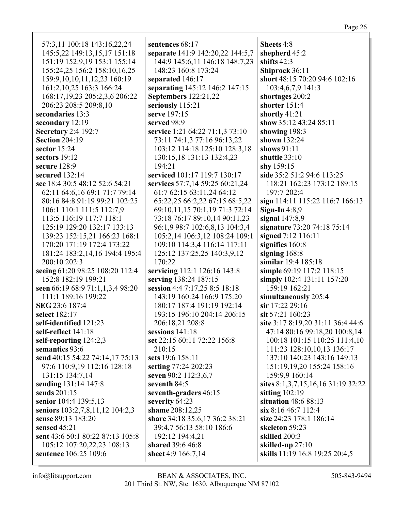| 57:3,11 100:18 143:16,22,24         | sentences 68:17                  | Sheets 4:8                         |
|-------------------------------------|----------------------------------|------------------------------------|
| 145:5,22 149:13,15,17 151:18        | separate 141:9 142:20,22 144:5,7 | shepherd 45:2                      |
| 151:19 152:9,19 153:1 155:14        | 144:9 145:6,11 146:18 148:7,23   | shifts $42:3$                      |
| 155:24,25 156:2 158:10,16,25        | 148:23 160:8 173:24              | Shiprock 36:11                     |
| 159:9, 10, 10, 11, 12, 23 160: 19   | separated 146:17                 | short 48:15 70:20 94:6 102:16      |
| 161:2, 10, 25 163:3 166: 24         | separating 145:12 146:2 147:15   | 103:4,6,7,9 141:3                  |
| 168:17, 19, 23 205: 2, 3, 6 206: 22 | <b>Septembers</b> 122:21,22      | shortages 200:2                    |
| 206:23 208:5 209:8,10               | seriously 115:21                 | shorter 151:4                      |
| secondaries 13:3                    | serve 197:15                     | shortly 41:21                      |
| secondary 12:19                     | served 98:9                      | show 35:12 43:24 85:11             |
| <b>Secretary 2:4 192:7</b>          | service 1:21 64:22 71:1,3 73:10  | showing 198:3                      |
| <b>Section 204:19</b>               | 73:11 74:1,3 77:16 96:13,22      | shown 132:24                       |
| sector $15:24$                      | 103:12 114:18 125:10 128:3,18    | shows 91:11                        |
| sectors 19:12                       | 130:15,18 131:13 132:4,23        | shuttle 33:10                      |
| secure 128:9                        | 194:21                           | shy 159:15                         |
| secured 132:14                      | serviced 101:17 119:7 130:17     | side 35:2 51:2 94:6 113:25         |
| see 18:4 30:5 48:12 52:6 54:21      | services 57:7,14 59:25 60:21,24  | 118:21 162:23 173:12 189:15        |
| 62:11 64:6,16 69:1 71:7 79:14       | 61:7 62:15 63:11,24 64:12        | 197:7 202:4                        |
| 80:16 84:8 91:19 99:21 102:25       | 65:22,25 66:2,22 67:15 68:5,22   | sign 114:11 115:22 116:7 166:13    |
| 106:1 110:1 111:5 112:7,9           | 69:10,11,15 70:1,19 71:3 72:14   | Sign-In $4:8,9$                    |
| 113:5 116:19 117:7 118:1            | 73:18 76:17 89:10,14 90:11,23    | signal $147:8,9$                   |
| 125:19 129:20 132:17 133:13         | 96:1,9 98:7 102:6,8,13 104:3,4   | signature 73:20 74:18 75:14        |
| 139:23 152:15,21 166:23 168:1       | 105:2,14 106:3,12 108:24 109:1   | signed 7:12 116:11                 |
| 170:20 171:19 172:4 173:22          | 109:10 114:3,4 116:14 117:11     | signifies 160:8                    |
| 181:24 183:2,14,16 194:4 195:4      | 125:12 137:25,25 140:3,9,12      | signing $168:8$                    |
| 200:10 202:3                        | 170:22                           | similar 19:4 185:18                |
| seeing 61:20 98:25 108:20 112:4     | servicing 112:1 126:16 143:8     | simple 69:19 117:2 118:15          |
| 152:8 182:19 199:21                 | serving 138:24 187:15            | simply 102:4 131:11 157:20         |
| seen 66:19 68:9 71:1,1,3,4 98:20    | session 4:4 7:17,25 8:5 18:18    | 159:19 162:21                      |
| 111:1 189:16 199:22                 | 143:19 160:24 166:9 175:20       | simultaneously 205:4               |
| SEG 23:6 187:4                      | 180:17 187:4 191:19 192:14       | sir 17:22 29:16                    |
| select 182:17                       | 193:15 196:10 204:14 206:15      | sit 57:21 160:23                   |
| self-identified 121:23              | 206:18,21 208:8                  | site 3:17 8:19,20 31:11 36:4 44:6  |
| self-reflect 141:18                 | sessions $141:18$                | 47:14 80:16 99:18,20 100:8,14      |
| self-reporting 124:2,3              | set 22:15 60:11 72:22 156:8      | 100:18 101:15 110:25 111:4,10      |
| semantics 93:6                      | 210:15                           | 111:23 128:10,10,13 136:17         |
| send 40:15 54:22 74:14,17 75:13     | sets 19:6 158:11                 | 137:10 140:23 143:16 149:13        |
| 97:6 110:9,19 112:16 128:18         | setting 77:24 202:23             | 151:19,19,20 155:24 158:16         |
| 131:15 134:7,14                     | seven 90:2 112:3,6,7             | 159:9,9 160:14                     |
| sending 131:14 147:8                | seventh 84:5                     | sites 8:1,3,7,15,16,16 31:19 32:22 |
| sends 201:15                        | seventh-graders 46:15            | sitting $102:19$                   |
| senior 104:4 139:5,13               | severity 64:23                   | situation 48:6 88:13               |
| seniors 103:2,7,8,11,12 104:2,3     | shame 208:12,25                  | $\sin 8:1646:7112:4$               |
| sense 89:13 183:20                  | share 34:18 35:6,17 36:2 38:21   | size 24:23 178:1 186:14            |
| sensed 45:21                        | 39:4,7 56:13 58:10 186:6         | skeleton 59:23                     |
| sent 43:6 50:1 80:22 87:13 105:8    | 192:12 194:4,21                  | skilled 200:3                      |
| 105:12 107:20,22,23 108:13          | shared 39:6 46:8                 | skilled-up 27:10                   |
| sentence 106:25 109:6               | sheet 4:9 166:7,14               | skills 11:19 16:8 19:25 20:4,5     |
|                                     |                                  |                                    |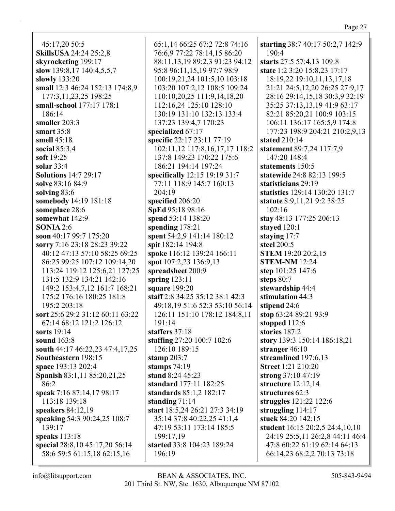45:17,20 50:5 **SkillsUSA** 24:24 25:2,8 **skyrocketing** 199:17 **slow** 139:8,17 140:4,5,5,7 **slowly** 133:20 **small** 12:3 46:24 152:13 174:8,9 177:3,11,23,25 198:25 **small-school** 177:17 178:1 186:14 **smaller** 203:3 **smart** 35:8 **smell** 45:18 **social** 85:3,4 **soft** 19:25 **solar** 33:4 **Solutions** 14:7 29:17 **solve** 83:16 84:9 **solving** 83:6 **somebody** 14:19 181:18 **someplace** 28:6 **somewhat** 142:9 **SONIA** 2:6 **soon** 40:17 99:7 175:20 **sorry** 7:16 23:18 28:23 39:22 40:12 47:13 57:10 58:25 69:25 86:25 99:25 107:12 109:14,20 113:24 119:12 125:6,21 127:25 131:5 132:9 134:21 142:16 149:2 153:4,7,12 161:7 168:21 175:2 176:16 180:25 181:8 195:2 203:18 **sort** 25:6 29:2 31:12 60:11 63:22 67:14 68:12 121:2 126:12 **sorts** 19:14 **sound** 163:8 **south** 44:17 46:22,23 47:4,17,25 **Southeastern** 198:15 **space** 193:13 202:4 **Spanish** 83:1,11 85:20,21,25 86:2 **speak** 7:16 87:14,17 98:17 113:18 139:18 **speakers** 84:12,19 **speaking** 54:3 90:24,25 108:7 139:17 **speaks** 113:18 **special** 28:8,10 45:17,20 56:14 58:6 59:5 61:15,18 62:15,16

65:1,14 66:25 67:2 72:8 74:16 76:6,9 77:22 78:14,15 86:20 88:11,13,19 89:2,3 91:23 94:12 95:8 96:11,15,19 97:7 98:9 100:19,21,24 101:5,10 103:18 103:20 107:2,12 108:5 109:24 110:10,20,25 111:9,14,18,20 112:16,24 125:10 128:10 130:19 131:10 132:13 133:4 137:23 139:4,7 170:23 **specialized** 67:17 **specific** 22:17 23:11 77:19 102:11,12 117:8,16,17,17 118:2 137:8 149:23 170:22 175:6 186:21 194:14 197:24 **specifically** 12:15 19:19 31:7 77:11 118:9 145:7 160:13 204:19 **specified** 206:20 **SpEd** 95:18 98:16 **spend** 53:14 138:20 **spending** 178:21 **spent** 54:2,9 141:14 180:12 **spit** 182:14 194:8 **spoke** 116:12 139:24 166:11 **spot** 107:2,23 136:9,13 **spreadsheet** 200:9 **spring** 123:11 **square** 199:20 **staff** 2:8 34:25 35:12 38:1 42:3 49:18,19 51:6 52:3 53:10 56:14 126:11 151:10 178:12 184:8,11 191:14 **staffers** 37:18 **staffing** 27:20 100:7 102:6 126:10 189:15 **stamp** 203:7 **stamps** 74:19 **stand** 8:24 45:23 **standard** 177:11 182:25 **standards** 85:1,2 182:17 **standing** 71:14 **start** 18:5,24 26:21 27:3 34:19 35:14 37:8 40:22,25 41:1,4 47:19 53:11 173:14 185:5 199:17,19 **started** 33:8 104:23 189:24 196:19

**starting** 38:7 40:17 50:2,7 142:9 190:4 **starts** 27:5 57:4,13 109:8 **state** 1:2 3:20 15:8,23 17:17 18:19,22 19:10,11,13,17,18 21:21 24:5,12,20 26:25 27:9,17 28:16 29:14,15,18 30:3,9 32:19 35:25 37:13,13,19 41:9 63:17 82:21 85:20,21 100:9 103:15 106:11 136:17 165:5,9 174:8 177:23 198:9 204:21 210:2,9,13 **stated** 210:14 **statement** 89:7,24 117:7,9 147:20 148:4 **statements** 150:5 **statewide** 24:8 82:13 199:5 **statisticians** 29:19 **statistics** 129:14 130:20 131:7 **statute** 8:9,11,21 9:2 38:25 102:16 **stay** 48:13 177:25 206:13 **stayed** 120:1 **staying** 17:7 **steel** 200:5 **STEM** 19:20 20:2,15 **STEM-NM** 12:24 **step** 101:25 147:6 **steps** 80:7 **stewardship** 44:4 **stimulation** 44:3 **stipend** 24:6 **stop** 63:24 89:21 93:9 **stopped** 112:6 **stories** 187:2 **story** 139:3 150:14 186:18,21 **stranger** 46:10 **streamlined** 197:6,13 **Street** 1:21 210:20 **strong** 37:10 47:19 **structure** 12:12,14 **structures** 62:3 **struggles** 121:22 122:6 **struggling** 114:17 **stuck** 84:20 142:15 **student** 16:15 20:2,5 24:4,10,10 24:19 25:5,11 26:2,8 44:11 46:4 47:8 60:22 61:19 62:14 64:13 66:14,23 68:2,2 70:13 73:18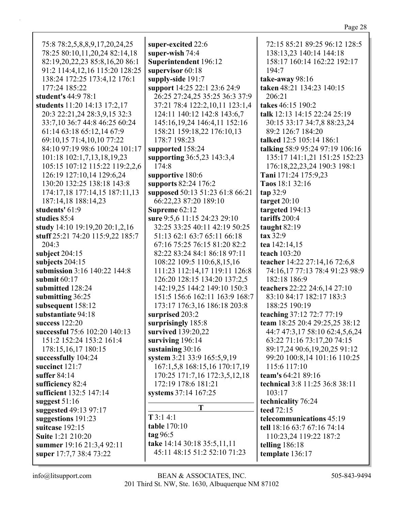75:8 78:2,5,8,8,9,17,20,24,25 78:25 80:10,11,20,24 82:14,18 82:19,20,22,23 85:8,16,20 86:1 91:2 114:4,12,16 115:20 128:25 138:24 172:25 173:4,12 176:1 177:24 185:22 **student's** 44:9 78:1 **students** 11:20 14:13 17:2,17 20:3 22:21,24 28:3,9,15 32:3 33:7,10 36:7 44:8 46:25 60:24 61:14 63:18 65:12,14 67:9 69:10,15 71:4,10,10 77:22 84:10 97:19 98:6 100:24 101:17 101:18 102:1,7,13,18,19,23 105:15 107:12 115:22 119:2,2,6 126:19 127:10,14 129:6,24 130:20 132:25 138:18 143:8 174:17,18 177:14,15 187:11,13 187:14,18 188:14,23 **students'** 61:9 **studies** 85:4 **study** 14:10 19:19,20 20:1,2,16 **stuff** 25:21 74:20 115:9,22 185:7 204:3 **subject** 204:15 **subjects** 204:15 **submission** 3:16 140:22 144:8 **submit** 60:17 **submitted** 128:24 **submitting** 36:25 **subsequent** 158:12 **substantiate** 94:18 **success** 122:20 **successful** 75:6 102:20 140:13 151:2 152:24 153:2 161:4 178:15,16,17 180:15 **successfully** 104:24 **succinct** 121:7 **suffer** 84:14 **sufficiency** 82:4 **sufficient** 132:5 147:14 **suggest** 51:16 **suggested** 49:13 97:17 **suggestions** 191:23 **suitcase** 192:15 **Suite** 1:21 210:20 **summer** 19:16 21:3,4 92:11 **super** 17:7,7 38:4 73:22 **super-excited** 22:6 **super-wish** 74:4 **Superintendent** 196:12 **supervisor** 60:18 **supply-side** 191:7 **support** 14:25 22:1 23:6 24:9 26:25 27:24,25 35:25 36:3 37:9 37:21 78:4 122:2,10,11 123:1,4 124:11 140:12 142:8 143:6,7 145:16,19,24 146:4,11 152:16 158:21 159:18,22 176:10,13 178:7 198:23 **supported** 158:24 **supporting** 36:5,23 143:3,4 174:8 **supportive** 180:6 **supports** 82:24 176:2 **supposed** 50:13 51:23 61:8 66:21 66:22,23 87:20 189:10 **Supreme** 62:12 **sure** 9:5,6 11:15 24:23 29:10 32:25 33:25 40:11 42:19 50:25 51:13 62:1 63:7 65:11 66:18 67:16 75:25 76:15 81:20 82:2 82:22 83:24 84:1 86:18 97:11 108:22 109:5 110:6,8,15,16 111:23 112:14,17 119:11 126:8 126:20 128:15 134:20 137:2,5 142:19,25 144:2 149:10 150:3 151:5 156:6 162:11 163:9 168:7 173:17 176:3,16 186:18 203:8 **surprised** 203:2 **surprisingly** 185:8 **survived** 139:20,22 **surviving** 196:14 **sustaining** 30:16 **system** 3:21 33:9 165:5,9,19 167:1,5,8 168:15,16 170:17,19 170:25 171:7,16 172:3,5,12,18 172:19 178:6 181:21 **systems** 37:14 167:25 **T T** 3:1 4:1 **table** 170:10 **tag** 96:5 **take** 14:14 30:18 35:5,11,11 45:11 48:15 51:2 52:10 71:23 72:15 85:21 89:25 96:12 128:5 138:13,23 140:14 144:18 158:17 160:14 162:22 192:17 194:7 **take-away** 98:16 **taken** 48:21 134:23 140:15 206:21 **takes** 46:15 190:2 **talk** 12:13 14:15 22:24 25:19 30:15 33:17 34:7,8 88:23,24 89:2 126:7 184:20 **talked** 12:5 105:14 186:1 **talking** 58:9 95:24 97:19 106:16 135:17 141:1,21 151:25 152:23 176:18,22,23,24 190:3 198:1 **Tani** 171:24 175:9,23 **Taos** 18:1 32:16 **tap** 32:9 **target** 20:10 **targeted** 194:13 **tariffs** 200:4 **taught** 82:19 **tax** 32:9 **tea** 142:14,15 **teach** 103:20 **teacher** 14:22 27:14,16 72:6,8 74:16,17 77:13 78:4 91:23 98:9 182:18 186:9 **teachers** 22:22 24:6,14 27:10 83:10 84:17 182:17 183:3 188:25 190:19 **teaching** 37:12 72:7 77:19 **team** 18:25 20:4 29:25,25 38:12 44:7 47:3,17 58:10 62:4,5,6,24 63:22 71:16 73:17,20 74:15 89:17,24 90:6,19,20,25 91:12 99:20 100:8,14 101:16 110:25 115:6 117:10 **team's** 64:21 89:16 **technical** 3:8 11:25 36:8 38:11 103:17 **technicality** 76:24 **teed** 72:15 **telecommunications** 45:19 **tell** 18:16 63:7 67:16 74:14 110:23,24 119:22 187:2 **telling** 186:18 **template** 136:17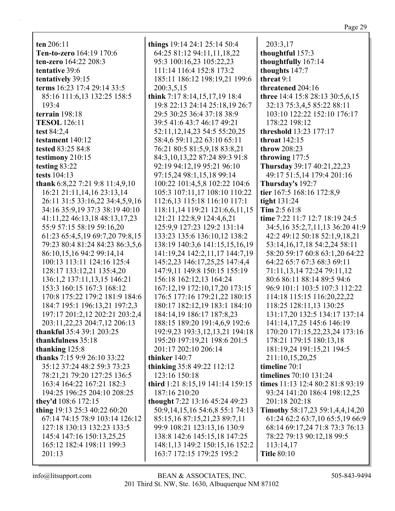ten  $206:11$ Ten-to-zero 164:19 170:6 ten-zero 164:22 208:3 tentative 39:6 tentatively 39:15 terms 16:23 17:4 29:14 33:5 85:16 111:6,13 132:25 158:5 193:4 terrain 198:18 **TESOL** 126:11 test 84:2,4 testament 140:12 tested 83:25 84:8 testimony 210:15 testing 83:22 tests  $104:13$ thank 6:8,22 7:21 9:8 11:4,9,10 16:21 21:11,14,16 23:13,14 26:11 31:5 33:16,22 34:4,5,9,16 34:16 35:9,19 37:3 38:19 40:10 41:11,22 46:13,18 48:13,17,23 55:9 57:15 58:19 59:16,20 61:23 65:4,5,19 69:7,20 79:8,15 79:23 80:4 81:24 84:23 86:3,5,6 86:10,15,16 94:2 99:14,14 100:13 113:11 124:16 125:4 128:17 133:12,21 135:4,20 136:1,2 137:11,13,15 146:21 153:3 160:15 167:3 168:12 170:8 175:22 179:2 181:9 184:6 184:7 195:1 196:13,21 197:2,3 197:17 201:2,12 202:21 203:2,4 203:11,22,23 204:7,12 206:13 **thankful** 35:4 39:1 203:25 thankfulness 35:18 thanking  $125:8$ thanks 7:15 9:9 26:10 33:22 35:12 37:24 48:2 59:3 73:23 78:21,21 79:20 127:25 136:5 163:4 164:22 167:21 182:3

194:25 196:25 204:10 208:25 they'd 108:6 172:15 thing 19:13 25:3 40:22 60:20 67:14 74:15 78:9 103:14 126:12 127:18 130:13 132:23 133:5 145:4 147:16 150:13,25,25 165:12 182:4 198:11 199:3  $201:13$ 

things  $19:14$  24:1 25:14 50:4 64:25 81:12 94:11,11,18,22 95:3 100:16,23 105:22,23 111:14 116:4 152:8 173:2 185:11 186:12 198:19,21 199:6 200:3,5,15 think 7:17 8:14,15,17,19 18:4 19:8 22:13 24:14 25:18,19 26:7 29:5 30:25 36:4 37:18 38:9 39:5 41:6 43:7 46:17 49:21 52:11, 12, 14, 23 54: 5 55: 20, 25 58:4,6 59:11,22 63:10 65:11 76:21 80:5 81:5,9,18 83:8,21 84:3, 10, 13, 22 87: 24 89: 3 91: 8 92:19 94:12,19 95:21 96:10 97:15,24 98:1,15,18 99:14 100:22 101:4,5,8 102:22 104:6 105:3 107:11.17 108:10 110:22 112:6,13 115:18 116:10 117:1 118:11,14 119:21 121:6,6,11,15 121:21 122:8,9 124:4,6,21 125:9,9 127:23 129:2 131:14 133:23 135:6 136:10,12 138:2 138:19 140:3,6 141:15,15,16,19 141:19,24 142:2,11,17 144:7,19 145:2,23 146:17,25,25 147:4,4 147:9,11 149:8 150:15 155:19 156:18 162:12,13 164:24 167:12,19 172:10,17,20 173:15 176:5 177:16 179:21,22 180:15 180:17 182:12,19 183:1 184:10 184:14,19 186:17 187:8,23 188:15 189:20 191:4,6,9 192:6 192:9,23 193:3,12,13,21 194:18 195:20 197:19,21 198:6 201:5 201:17 202:10 206:14 thinker 140:7 thinking 35:8 49:22 112:12 123:16 150:18 third 1:21 8:15,19 141:14 159:15 187:16 210:20 thought 7:22 13:16 45:24 49:23 50:9,14,15,16 54:6,8 55:1 74:13 85:15,16 87:15,21,23 89:7,11 99:9 108:21 123:13,16 130:9 138:8 142:6 145:15,18 147:25 148:1,13 149:2 150:15,16 152:2

203:3.17 thoughtful 157:3 thoughtfully 167:14 thoughts 147:7 threat 9:1 threatened 204:16 three 14:4 15:8 28:13 30:5,6,15 32:13 75:3,4,5 85:22 88:11 103:10 122:22 152:10 176:17 178:22 198:12 threshold 13:23 177:17 throat  $142:15$ throw 208:23 throwing 177:5 Thursday 39:17 40:21,22,23 49:17 51:5.14 179:4 201:16 Thursday's 192:7 tier 167:5 168:16 172:8.9 tight  $131:24$ Tim  $2:561:8$ time 7:22 11:7 12:7 18:19 24:5 34:5, 16 35:2, 7, 11, 13 36: 20 41: 9 42:2 49:12 50:18 52:1,9,18,21 53:14, 16, 17, 18 54: 2, 24 58: 11 58:20 59:17 60:8 63:1.20 64:22 64:22 65:7 67:3 68:3 69:11 71:11,13,14 72:24 79:11,12 80:6 86:11 88:14 89:5 94:6 96:9 101:1 103:5 107:3 112:22 114:18 115:15 116:20,22,22 118:25 128:11,13 130:25 131:17,20 132:5 134:17 137:14 141:14,17,25 145:6 146:19 170:20 171:15,22,23,24 173:16 178:21 179:15 180:13,18 181:19,24 191:15,21 194:5 211:10,15,20,25 timeline  $70:1$ timelines 70:10 131:24 times 11:13 12:4 80:2 81:8 93:19 93:24 141:20 186:4 198:12,25 201:18 202:18 **Timothy 58:17,23 59:1,4,4,14,20** 61:24 62:2 63:7,10 65:5,19 66:9 68:14 69:17,24 71:8 73:3 76:13 78:22 79:13 90:12,18 99:5 113:14,17 **Title 80:10** 

163:7 172:15 179:25 195:2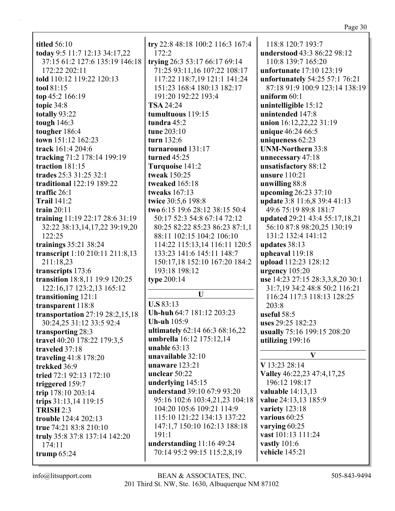| ъ. |  |
|----|--|
|    |  |

| <b>titled</b> 56:10                | try 22:8 48:18 100:2 116:3 167:4 | 118:8 120:7 193:7                |
|------------------------------------|----------------------------------|----------------------------------|
| today 9:5 11:7 12:13 34:17,22      | 172:2                            | understood 43:3 86:22 98:12      |
| 37:15 61:2 127:6 135:19 146:18     | trying 26:3 53:17 66:17 69:14    | 110:8 139:7 165:20               |
| 172:22 202:11                      | 71:25 93:11,16 107:22 108:17     | unfortunate 17:10 123:19         |
| told 110:12 119:22 120:13          | 117:22 118:7,19 121:1 141:24     | unfortunately 54:25 57:1 76:21   |
| tool 81:15                         | 151:23 168:4 180:13 182:17       | 87:18 91:9 100:9 123:14 138:19   |
| top 45:2 166:19                    | 191:20 192:22 193:4              | uniform $60:1$                   |
| topic 34:8                         | <b>TSA 24:24</b>                 | unintelligible 15:12             |
| totally 93:22                      | tumultuous 119:15                | unintended 147:8                 |
| tough $146:3$                      | tundra 45:2                      |                                  |
|                                    |                                  | union 16:12,22,22 31:19          |
| tougher 186:4                      | tune 203:10                      | unique 46:24 66:5                |
| town 151:12 162:23                 | turn 132:6                       | uniqueness 62:23                 |
| track 161:4 204:6                  | turnaround 131:17                | <b>UNM-Northern 33:8</b>         |
| tracking 71:2 178:14 199:19        | turned 45:25                     | unnecessary 47:18                |
| traction 181:15                    | Turquoise 141:2                  | unsatisfactory 88:12             |
| trades 25:3 31:25 32:1             | tweak 150:25                     | unsure 110:21                    |
| traditional 122:19 189:22          | tweaked 165:18                   | unwilling 88:8                   |
| traffic $26:1$                     | tweaks 167:13                    | upcoming 26:23 37:10             |
| <b>Trail 141:2</b>                 | twice 30:5,6 198:8               | update 3:8 11:6,8 39:4 41:13     |
| train $20:11$                      | two 6:15 19:6 28:12 38:15 50:4   | 49:6 75:19 89:8 181:7            |
| training 11:19 22:17 28:6 31:19    | 50:17 52:3 54:8 67:14 72:12      | updated 29:21 43:4 55:17,18,21   |
| 32:22 38:13,14,17,22 39:19,20      | 80:25 82:22 85:23 86:23 87:1,1   | 56:10 87:8 98:20,25 130:19       |
| 122:25                             | 88:11 102:15 104:2 106:10        | 131:2 132:4 141:12               |
| trainings 35:21 38:24              | 114:22 115:13,14 116:11 120:5    | updates 38:13                    |
| transcript 1:10 210:11 211:8,13    | 133:23 141:6 145:11 148:7        | upheaval 119:18                  |
| 211:18,23                          | 150:17,18 152:10 167:20 184:2    | upload 112:23 128:12             |
| transcripts 173:6                  | 193:18 198:12                    | urgency 105:20                   |
| transition 18:8,11 19:9 120:25     | type 200:14                      | use 14:23 27:15 28:3,3,8,20 30:1 |
| 122:16,17 123:2,13 165:12          |                                  | 31:7,19 34:2 48:8 50:2 116:21    |
| transitioning 121:1                | $\mathbf{U}$                     | 116:24 117:3 118:13 128:25       |
| transparent 118:8                  | <b>U.S 83:13</b>                 | 203:8                            |
|                                    | Uh-huh 64:7 181:12 203:23        |                                  |
| transportation $27:19\,28:2,15,18$ | <b>Uh-uh</b> 105:9               | useful $58:5$                    |
| 30:24,25 31:12 33:5 92:4           | ultimately 62:14 66:3 68:16,22   | uses 29:25 182:23                |
| transporting 28:3                  | umbrella 16:12 175:12,14         | usually 75:16 199:15 208:20      |
| travel 40:20 178:22 179:3,5        | unable $63:13$                   | utilizing 199:16                 |
| traveled 37:18                     | unavailable 32:10                | V                                |
| traveling 41:8 178:20              |                                  |                                  |
| trekked 36:9                       | unaware 123:21                   | V 13:23 28:14                    |
| tried 72:1 92:13 172:10            | unclear $50:22$                  | Valley 46:22,23 47:4,17,25       |
| triggered 159:7                    | underlying 145:15                | 196:12 198:17                    |
| trip 178:10 203:14                 | understand 39:10 67:9 93:20      | valuable $14:13,13$              |
| trips 31:13,14 119:15              | 95:16 102:6 103:4,21,23 104:18   | value 24:13,13 185:9             |
| <b>TRISH 2:3</b>                   | 104:20 105:6 109:21 114:9        | variety 123:18                   |
| trouble 124:4 202:13               | 115:10 121:22 134:13 137:22      | various 60:25                    |
| true 74:21 83:8 210:10             | 147:1,7 150:10 162:13 188:18     | varying $60:25$                  |
| truly 35:8 37:8 137:14 142:20      | 191:1                            | vast 101:13 111:24               |
| 174:11                             | understanding 11:16 49:24        | vastly 101:6                     |
| trump $65:24$                      | 70:14 95:2 99:15 115:2,8,19      | vehicle 145:21                   |
|                                    |                                  |                                  |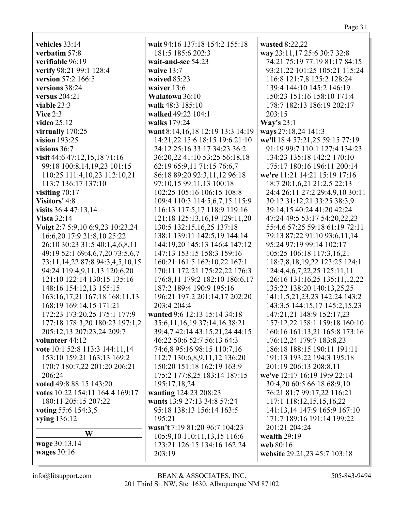**vehicles** 33:14 **verbatim** 57:8 **verifiable** 96:19 **verify** 98:21 99:1 128:4 **version** 57:2 166:5 **versions** 38:24 **versus** 204:21 **viable** 23:3 **Vice** 2:3 **video** 25:12 **virtually** 170:25 **vision** 193:25 **visions** 36:7 **visit** 44:6 47:12,15,18 71:16 99:18 100:8,14,19,23 101:15 110:25 111:4,10,23 112:10,21 113:7 136:17 137:10 **visiting** 70:17 **Visitors'** 4:8 **visits** 36:4 47:13,14 **Vista** 32:14 **Voigt** 2:7 5:9,10 6:9,23 10:23,24 16:6,20 17:9 21:8,10 25:22 26:10 30:23 31:5 40:1,4,6,8,11 49:19 52:1 69:4,6,7,20 73:5,6,7 73:11,14,22 87:8 94:3,4,5,10,15 94:24 119:4,9,11,13 120:6,20 121:10 122:14 130:15 135:16 148:16 154:12,13 155:15 163:16,17,21 167:18 168:11,13 168:19 169:14,15 171:21 172:23 173:20,25 175:1 177:9 177:18 178:3,20 180:23 197:1,2 205:12,13 207:23,24 209:7 **volunteer** 44:12 **vote** 10:1 52:8 113:3 144:11,14 153:10 159:21 163:13 169:2 170:7 180:7,22 201:20 206:21 206:24 **voted** 49:8 88:15 143:20 **votes** 10:22 154:11 164:4 169:17 180:11 205:15 207:22 **voting** 55:6 154:3,5 **vying** 136:12 **W wage** 30:13,14 **wages** 30:16

**wait** 94:16 137:18 154:2 155:18 181:5 185:6 202:3 **wait-and-see** 54:23 **waive** 13:7 **waived** 85:23 **waiver** 13:6 **Walatowa** 36:10 **walk** 48:3 185:10 **walked** 49:22 104:1 **walks** 179:24 **want** 8:14,16,18 12:19 13:3 14:19 14:21,22 15:6 18:15 19:6 21:10 24:12 25:16 33:17 34:23 36:2 36:20,22 41:10 53:25 56:18,18 62:19 65:9,11 71:15 76:6,7 86:18 89:20 92:3,11,12 96:18 97:10,15 99:11,13 100:18 102:25 105:16 106:15 108:8 109:4 110:3 114:5,6,7,15 115:9 116:13 117:5,17 118:9 119:16 121:18 125:13,16,19 129:11,20 130:5 132:15,16,25 137:18 138:1 139:11 142:5,19 144:14 144:19,20 145:13 146:4 147:12 147:13 153:15 158:3 159:16 160:21 161:5 162:10,22 167:1 170:11 172:21 175:22,22 176:3 176:8,11 179:2 182:10 186:6,17 187:2 189:4 190:9 195:16 196:21 197:2 201:14,17 202:20 203:4 204:4 **wanted** 9:6 12:13 15:14 34:18 35:6,11,16,19 37:14,16 38:21 39:4,7 42:14 43:15,21,24 44:15 46:22 50:6 52:7 56:13 64:3 74:6,8 95:16 98:15 110:7,16 112:7 130:6,8,9,11,12 136:20 150:20 151:18 162:19 163:9 175:2 177:8,25 183:14 187:15 195:17,18,24 **wanting** 124:23 208:23 **wants** 13:9 27:13 34:8 57:24 95:18 138:13 156:14 163:5 195:21 **wasn't** 7:19 81:20 96:7 104:23 105:9,10 110:11,13,15 116:6 123:21 126:15 134:16 162:24 203:19 **wasted** 8:22,22 **way** 23:11,17 25:6 30:7 32:8 74:21 75:19 77:19 81:17 84:15 93:21,22 101:25 105:21 115:24 116:8 121:7,8 125:2 128:24 139:4 144:10 145:2 146:19 150:23 151:16 158:10 171:4 178:7 182:13 186:19 202:17 203:15 **Way's** 23:1 **ways** 27:18,24 141:3 **we'll** 18:4 57:21,25 59:15 77:19 91:19 99:7 110:1 127:4 134:23 134:23 135:18 142:2 170:10 175:17 180:16 196:11 200:14 **we're** 11:21 14:21 15:19 17:16 18:7 20:1,6,21 21:2,5 22:13 24:4 26:11 27:2 29:4,9,10 30:11 30:12 31:12,21 33:25 38:3,9 39:14,15 40:24 41:20 42:24 47:24 49:5 53:17 54:20,22,23 55:4,6 57:25 59:18 61:19 72:11 79:13 87:22 91:10 93:6,11,14 95:24 97:19 99:14 102:17 105:25 106:18 117:3,16,21 118:7,8,18,19,22 123:25 124:1 124:4,4,6,7,22,25 125:11,11 126:16 131:16,25 135:11,12,22 135:22 138:20 140:13,25,25 141:1,5,21,23,23 142:24 143:2 143:3,5 144:15,17 145:2,15,23 147:21,21 148:9 152:17,23 157:12,22 158:1 159:18 160:10 160:16 161:13,21 165:8 173:16 176:12,24 179:7 183:8,23 186:18 188:15 190:11 191:11 191:13 193:22 194:3 195:18 201:19 206:13 208:8,11 **we've** 12:17 16:19 19:9 22:14 30:4,20 60:5 66:18 68:9,10 76:21 81:7 99:17,22 116:21 117:1 118:12,15,15,16,22 141:13,14 147:9 165:9 167:10 171:7 189:16 191:14 199:22 201:21 204:24 **wealth** 29:19 **web** 80:16 **website** 29:21,23 45:7 103:18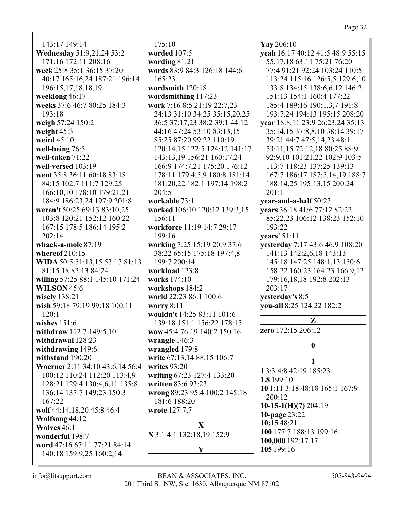$143:17$  149:14 Wednesday 51:9,21,24 53:2 171:16 172:11 208:16 week 25:8 35:1 36:15 37:20 40:17 165:16,24 187:21 196:14 196:15,17,18,18,19 weeklong 46:17 weeks 37:6 46:7 80:25 184:3  $193:18$ weigh 57:24 150:2 weight  $45:3$ weird  $45:10$ well-being 76:5 well-taken 71:22 well-versed 103:19 went 35:8 36:11 60:18 83:18 84:15 102:7 111:7 129:25 166:10.10 178:10 179:21.21 184:9 186:23,24 197:9 201:8 weren't 50:25 69:13 83:10,25 103:8 120:21 152:12 160:22 167:15 178:5 186:14 195:2  $202:14$ whack-a-mole 87:19 whereof  $210:15$ WIDA 50:5 51:13,15 53:13 81:13 81:15.18 82:13 84:24 willing 57:25 88:1 145:10 171:24 **WILSON 45:6** wisely  $138:21$ wish 59:18 79:19 99:18 100:11  $120:1$ wishes  $151:6$ withdraw 112:7 149:5,10 withdrawal 128:23 withdrawing 149:6 withstand 190:20 Woerner 2:11 34:10 43:6,14 56:4 100:12 110:24 112:20 113:4,9 128:21 129:4 130:4,6,11 135:8 136:14 137:7 149:23 150:3 167:22 wolf 44:14,18,20 45:8 46:4 Wolfsong 44:12 Wolves  $46:1$ wonderful 198:7 word 47:16 67:11 77:21 84:14 140:18 159:9,25 160:2,14

 $175:10$ worded 107:5 wording  $81:21$ words 83:9 84:3 126:18 144:6  $165:23$ wordsmith  $120:18$ wordsmithing 117:23 work 7:16 8:5 21:19 22:7,23 24:13 31:10 34:25 35:15,20,25 36:5 37:17,23 38:2 39:1 44:12 44:16 47:24 53:10 83:13,15 85:25 87:20 99:22 110:19 120:14,15 122:5 124:12 141:17 143:13,19 156:21 160:17,24 166:9 174:7,21 175:20 176:12 178:11 179:4,5,9 180:8 181:14 181:20,22 182:1 197:14 198:2  $204:5$ workable 73:1 worked 106:10 120:12 139:3,15  $156:11$ workforce 11:19 14:7 29:17  $199:16$ working 7:25 15:19 20:9 37:6 38:22 65:15 175:18 197:4,8 199:7 200:14 workload 123:8 works 174:10 workshops 184:2 world 22:23 86:1 100:6 worry  $8:11$ wouldn't 14:25 83:11 101:6 139:18 151:1 156:22 178:15 wow 45:4 76:19 140:2 150:16 wrangle 146:3 wrangled 179:8 write 67:13,14 88:15 106:7 writes  $93:20$ writing 67:23 127:4 133:20 written 83:6 93:23 wrong 89:23 95:4 100:2 145:18 181:6 188:20 **wrote** 127:7.7  $\mathbf{X}$ X 3:1 4:1 132:18,19 152:9 Y

Yay 206:10 yeah 16:17 40:12 41:5 48:9 55:15 55:17,18 63:11 75:21 76:20 77:4 91:21 92:24 103:24 110:5 113:24 115:16 126:5,5 129:6,10 133:8 134:15 138:6,6,12 146:2 151:13 154:1 160:4 177:22 185:4 189:16 190:1.3.7 191:8 193:7,24 194:13 195:15 208:20 vear 18:8,11 23:9 26:23,24 35:13 35:14,15 37:8,8,10 38:14 39:17 39:21 44:7 47:5,14,23 48:1 53:11,15 72:12,18 80:25 88:9 92:9,10 101:21,22 102:9 103:5 113:7 118:23 137:25 139:13 167:7 186:17 187:5.14.19 188:7 188:14,25 195:13,15 200:24  $201:1$ year-and-a-half 50:23 vears 36:18 41:6 77:12 82:22 85:22.23 106:12 138:23 152:10 193:22 vears' 51:11 yesterday 7:17 43:6 46:9 108:20 141:13 142:2,6,18 143:13 145:18 147:25 148:1,13 150:6 158:22 160:23 164:23 166:9,12 179:16,18,18 192:8 202:13  $203:17$ yesterday's 8:5 vou-all 8:25 124:22 182:2  $\mathbf{Z}$ zero 172:15 206:12  $\mathbf{0}$  $\mathbf{1}$ 1 3:3 4:8 42:19 185:23 1.8 199:10 10 1:11 3:18 48:18 165:1 167:9  $200:12$  $10-15-1(H)(7)$  204:19 10-page 23:22 10:15 48:21 100 177:7 188:13 199:16 100,000 192:17.17 105 199:16